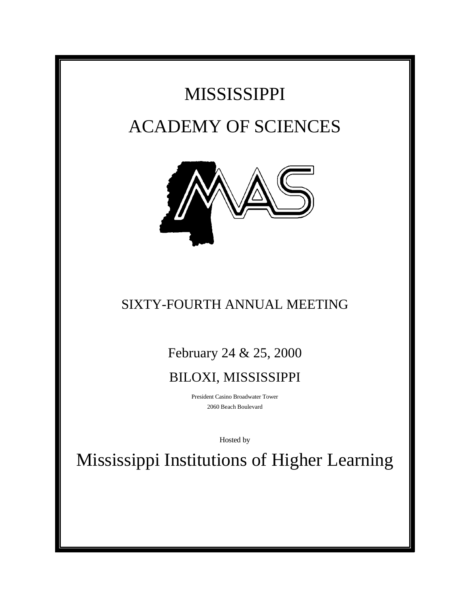## MISSISSIPPI ACADEMY OF SCIENCES



## SIXTY-FOURTH ANNUAL MEETING

February 24 & 25, 2000

## BILOXI, MISSISSIPPI

President Casino Broadwater Tower 2060 Beach Boulevard

Hosted by

Mississippi Institutions of Higher Learning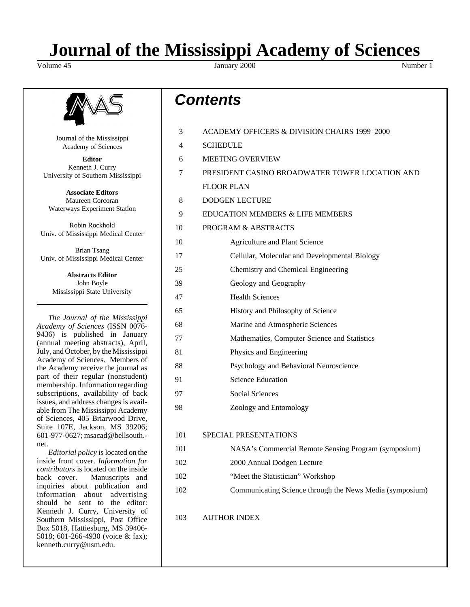# **Journal of the Mississippi Academy of Sciences**

January 2000 Number 1



Journal of the Mississippi Academy of Sciences

**Editor** Kenneth J. Curry University of Southern Mississippi

**Associate Editors** Maureen Corcoran Waterways Experiment Station

Robin Rockhold Univ. of Mississippi Medical Center

Brian Tsang Univ. of Mississippi Medical Center

**Abstracts Editor** John Boyle Mississippi State University

*The Journal of the Mississippi Academy of Sciences* (ISSN 0076- 9436) is published in January (annual meeting abstracts), April, July, and October, by the Mississippi Academy of Sciences. Members of the Academy receive the journal as part of their regular (nonstudent) membership. Information regarding subscriptions, availability of back issues, and address changes is available from The Mississippi Academy of Sciences, 405 Briarwood Drive, Suite 107E, Jackson, MS 39206; 601-977-0627; msacad@bellsouth. net.

*Editorial policy* is located on the inside front cover. *Information for contributors* is located on the inside back cover. Manuscripts and inquiries about publication and information about advertising should be sent to the editor: Kenneth J. Curry, University of Southern Mississippi, Post Office Box 5018, Hattiesburg, MS 39406- 5018; 601-266-4930 (voice & fax); kenneth.curry@usm.edu.

## *Contents*

| 3   | ACADEMY OFFICERS & DIVISION CHAIRS 1999-2000             |
|-----|----------------------------------------------------------|
| 4   | <b>SCHEDULE</b>                                          |
| 6   | <b>MEETING OVERVIEW</b>                                  |
| 7   | PRESIDENT CASINO BROADWATER TOWER LOCATION AND           |
|     | <b>FLOOR PLAN</b>                                        |
| 8   | <b>DODGEN LECTURE</b>                                    |
| 9   | <b>EDUCATION MEMBERS &amp; LIFE MEMBERS</b>              |
| 10  | PROGRAM & ABSTRACTS                                      |
| 10  | Agriculture and Plant Science                            |
| 17  | Cellular, Molecular and Developmental Biology            |
| 25  | Chemistry and Chemical Engineering                       |
| 39  | Geology and Geography                                    |
| 47  | <b>Health Sciences</b>                                   |
| 65  | History and Philosophy of Science                        |
| 68  | Marine and Atmospheric Sciences                          |
| 77  | Mathematics, Computer Science and Statistics             |
| 81  | Physics and Engineering                                  |
| 88  | Psychology and Behavioral Neuroscience                   |
| 91  | <b>Science Education</b>                                 |
| 97  | Social Sciences                                          |
| 98  | Zoology and Entomology                                   |
| 101 | <b>SPECIAL PRESENTATIONS</b>                             |
| 101 | NASA's Commercial Remote Sensing Program (symposium)     |
| 102 | 2000 Annual Dodgen Lecture                               |
| 102 | "Meet the Statistician" Workshop                         |
| 102 | Communicating Science through the News Media (symposium) |
| 103 | <b>AUTHOR INDEX</b>                                      |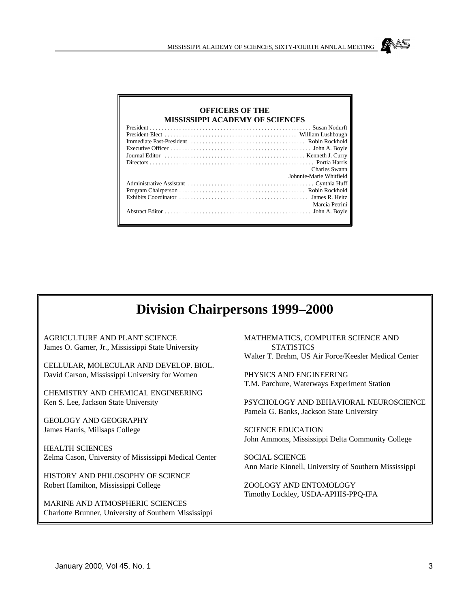| <b>OFFICERS OF THE</b>                 |                         |
|----------------------------------------|-------------------------|
| <b>MISSISSIPPI ACADEMY OF SCIENCES</b> |                         |
|                                        |                         |
|                                        |                         |
|                                        |                         |
|                                        |                         |
|                                        |                         |
|                                        |                         |
|                                        | Charles Swann           |
|                                        | Johnnie-Marie Whitfield |
|                                        |                         |
|                                        |                         |
|                                        |                         |
|                                        | Marcia Petrini          |
|                                        |                         |

## **Division Chairpersons 1999–2000**

AGRICULTURE AND PLANT SCIENCE James O. Garner, Jr., Mississippi State University

CELLULAR, MOLECULAR AND DEVELOP. BIOL. David Carson, Mississippi University for Women

CHEMISTRY AND CHEMICAL ENGINEERING Ken S. Lee, Jackson State University

GEOLOGY AND GEOGRAPHY James Harris, Millsaps College

HEALTH SCIENCES Zelma Cason, University of Mississippi Medical Center

HISTORY AND PHILOSOPHY OF SCIENCE Robert Hamilton, Mississippi College

MARINE AND ATMOSPHERIC SCIENCES Charlotte Brunner, University of Southern Mississippi MATHEMATICS, COMPUTER SCIENCE AND **STATISTICS** Walter T. Brehm, US Air Force/Keesler Medical Center

PHYSICS AND ENGINEERING T.M. Parchure, Waterways Experiment Station

PSYCHOLOGY AND BEHAVIORAL NEUROSCIENCE Pamela G. Banks, Jackson State University

SCIENCE EDUCATION John Ammons, Mississippi Delta Community College

SOCIAL SCIENCE Ann Marie Kinnell, University of Southern Mississippi

ZOOLOGY AND ENTOMOLOGY Timothy Lockley, USDA-APHIS-PPQ-IFA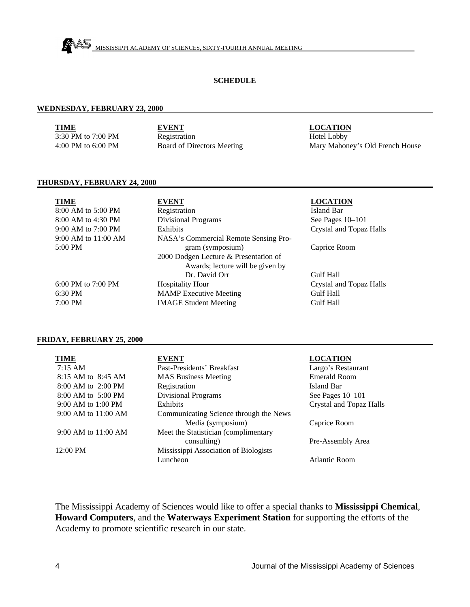

#### **SCHEDULE**

#### **WEDNESDAY, FEBRUARY 23, 2000**

**TIME** 3:30 PM to 7:00 PM 4:00 PM to 6:00 PM **EVENT** Registration Board of Directors Meeting **LOCATION** Hotel Lobby Mary Mahoney's Old French House

#### **THURSDAY, FEBRUARY 24, 2000**

| <b>TIME</b>          | <b>EVENT</b>                          |
|----------------------|---------------------------------------|
| 8:00 AM to 5:00 PM   | Registration                          |
| 8:00 AM to 4:30 PM   | <b>Divisional Programs</b>            |
| 9:00 AM to 7:00 PM   | Exhibits                              |
| 9:00 AM to 11:00 AM  | NASA's Commercial Remote Sensing Pro- |
| $5:00 \text{ PM}$    | gram (symposium)                      |
|                      | 2000 Dodgen Lecture & Presentation of |
|                      | Awards; lecture will be given by      |
|                      | Dr. David Orr                         |
| 6:00 PM to $7:00$ PM | <b>Hospitality Hour</b>               |
| $6:30$ PM            | <b>MAMP</b> Executive Meeting         |
| 7:00 PM              | <b>IMAGE Student Meeting</b>          |

#### **LOCATION**

Island Bar See Pages 10–101 Crystal and Topaz Halls

Caprice Room

Gulf Hall Crystal and Topaz Halls Gulf Hall Gulf Hall

#### **FRIDAY, FEBRUARY 25, 2000**

| <b>TIME</b>             | <b>EVENT</b>                           | <b>LOCATION</b>         |
|-------------------------|----------------------------------------|-------------------------|
| $7:15 \text{ AM}$       | Past-Presidents' Breakfast             | Largo's Restaurant      |
| 8:15 AM to 8:45 AM      | <b>MAS Business Meeting</b>            | Emerald Room            |
| $8:00$ AM to $2:00$ PM  | Registration                           | Island Bar              |
| $8:00$ AM to $5:00$ PM  | <b>Divisional Programs</b>             | See Pages $10-101$      |
| $9:00$ AM to 1:00 PM    | Exhibits                               | Crystal and Topaz Halls |
| $9:00$ AM to $11:00$ AM | Communicating Science through the News |                         |
|                         | Media (symposium)                      | Caprice Room            |
| 9:00 AM to 11:00 AM     | Meet the Statistician (complimentary   |                         |
|                         | consulting)                            | Pre-Assembly Area       |
| $12:00 \text{ PM}$      | Mississippi Association of Biologists  |                         |
|                         | Luncheon                               | Atlantic Room           |

The Mississippi Academy of Sciences would like to offer a special thanks to **Mississippi Chemical**, **Howard Computers**, and the **Waterways Experiment Station** for supporting the efforts of the Academy to promote scientific research in our state.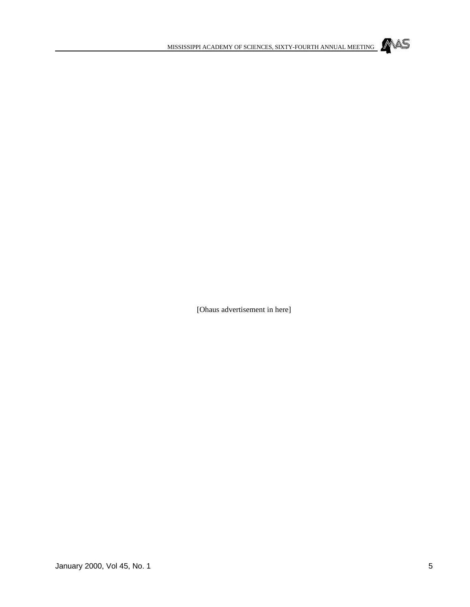

[Ohaus advertisement in here]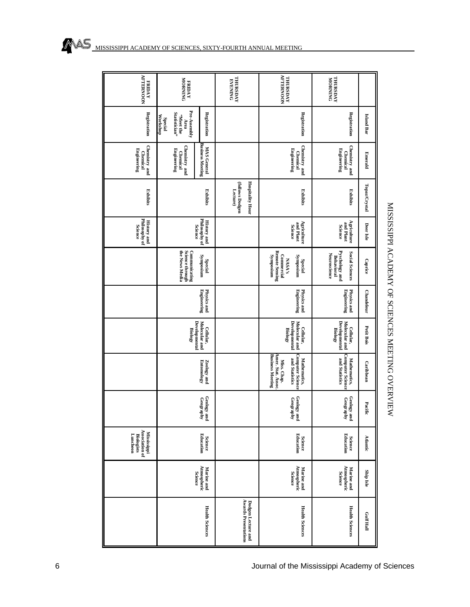| <b>AFTERNOON</b><br><b>FRIDAY</b>                                     | <b>FRIDAY</b><br>YORNING                                                                                | <b>EVENING</b><br>FARSDAY                              | THURSDAY<br>AFTERNOON                                                                                                     | <b>THURSDAY</b><br>MORNING                                             |                   |
|-----------------------------------------------------------------------|---------------------------------------------------------------------------------------------------------|--------------------------------------------------------|---------------------------------------------------------------------------------------------------------------------------|------------------------------------------------------------------------|-------------------|
| Registration                                                          | Pre-Assembly<br>Statistician"<br>Registration<br>Workshop<br>-Meet the<br><b>Special</b><br>Area        |                                                        | Registration                                                                                                              | Registration                                                           | <b>Island Bar</b> |
| Chemistry and<br>Engineering<br><b>Chemical</b>                       | <b>Business Meeting</b><br>Chemistry and<br><b>MAS General</b><br><b>Engineering</b><br><b>Chemical</b> |                                                        | Chemistry and<br><b>Engineering</b><br><b>Chemical</b>                                                                    | Chemistry and<br>Engineering<br><b>Chemical</b>                        | Emerald           |
| Exhibits                                                              | Exhibits                                                                                                | <b>Hospitality Hour</b><br>(follows Dodgen<br>Lecture) | Exhibits                                                                                                                  | Exhibits                                                               | Topaz/Crystal     |
| Philosophy of<br><b>History and</b><br><b>Science</b>                 | Philosophy of<br><b>History and</b><br><b>Science</b>                                                   |                                                        | Agriculture<br>and Plant<br>Science                                                                                       | Agriculture<br>and Plant<br>Science                                    | Deer Isle         |
|                                                                       | Science through<br>the News Media<br>Communicating<br>misodurkS<br>Special                              |                                                        | Remote Sensing<br><b>Commercial</b><br>misoqury <sup>2</sup><br><b>Eynposium</b><br>NASA's<br><b>Special</b>              | Pyschology and<br>Behavioral<br>Social Sciences<br><b>Neuroscience</b> | Caprice           |
|                                                                       | Physics and<br>Engineering                                                                              |                                                        | Engineering<br>Physics and                                                                                                | Engineering<br>Physics and                                             | <b>Chandeleur</b> |
|                                                                       | Developmental<br>Molecular and<br>Cellular,<br><b>Biology</b>                                           |                                                        | Developmental<br>Molecular and<br>Cellular,<br><b>Biology</b>                                                             | <b>Developmental</b><br>Molecular and<br>Cellular,<br><b>Biology</b>   | Petit Bois        |
|                                                                       | $\ensuremath{\mathbf{Z}\text{oology}}$ and $\ensuremath{\mathbf{E}\text{m}}$                            |                                                        | <b>Computer Science</b><br><b>Business Meeting</b><br>Amer. Stat. Assoc.<br>Mathematics,<br>and Statistics<br>Miss. Chap. | Mathematics,<br>Computer Science<br>  and Statistics                   | Caribbean         |
|                                                                       | Geology and $\mathop{\mathsf{Geograph}}\nolimits$                                                       |                                                        | Geology and<br>Geography                                                                                                  | Geology and<br>Geography                                               | Pacific           |
| Association of<br><b>Mississippi</b><br>Luncheon<br><b>Biologists</b> | <b>Science</b><br>Education                                                                             |                                                        | <b>Science</b><br>Education                                                                                               | <b>Science</b><br>Education                                            | <b>Atlantic</b>   |
|                                                                       | Atmospheric<br>Science<br>Marine and                                                                    |                                                        | Atmospheric<br>Science<br>Marine and                                                                                      | Marine and<br>Atmospheric<br>Science                                   | Ship Isle         |
|                                                                       | <b>Health Sciences</b>                                                                                  | <b>Awards Presentations</b><br>Dodgen Lecture and      | <b>Health Sciences</b>                                                                                                    | <b>Health Sciences</b>                                                 | Gulf Hall         |

## MAS MISSISSIPPI ACADEMY OF SCIENCES, SIXTY-FOURTH ANNUAL MEETING

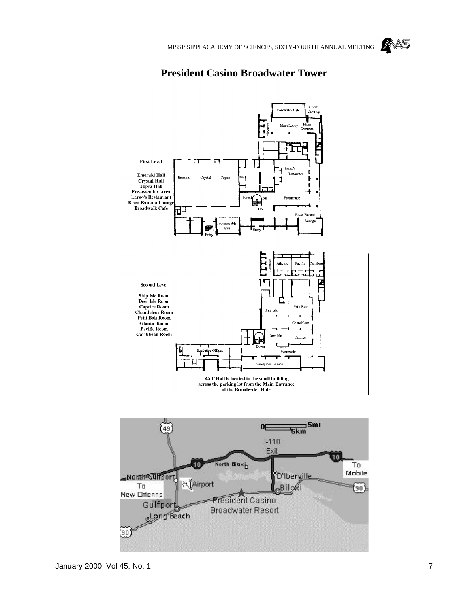## MAS



### **President Casino Broadwater Tower**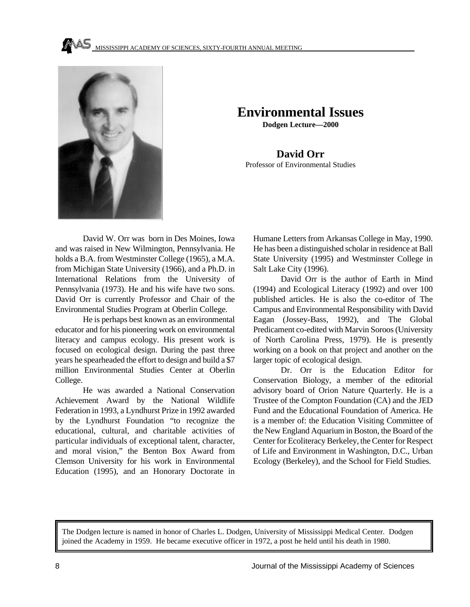

## **Environmental Issues**

**Dodgen Lecture—2000**

**David Orr** Professor of Environmental Studies

David W. Orr was born in Des Moines, Iowa and was raised in New Wilmington, Pennsylvania. He holds a B.A. from Westminster College (1965), a M.A. from Michigan State University (1966), and a Ph.D. in International Relations from the University of Pennsylvania (1973). He and his wife have two sons. David Orr is currently Professor and Chair of the Environmental Studies Program at Oberlin College.

He is perhaps best known as an environmental educator and for his pioneering work on environmental literacy and campus ecology. His present work is focused on ecological design. During the past three years he spearheaded the effort to design and build a \$7 million Environmental Studies Center at Oberlin College.

He was awarded a National Conservation Achievement Award by the National Wildlife Federation in 1993, a Lyndhurst Prize in 1992 awarded by the Lyndhurst Foundation "to recognize the educational, cultural, and charitable activities of particular individuals of exceptional talent, character, and moral vision," the Benton Box Award from Clemson University for his work in Environmental Education (1995), and an Honorary Doctorate in

Humane Letters from Arkansas College in May, 1990. He has been a distinguished scholar in residence at Ball State University (1995) and Westminster College in Salt Lake City (1996).

David Orr is the author of Earth in Mind (1994) and Ecological Literacy (1992) and over 100 published articles. He is also the co-editor of The Campus and Environmental Responsibility with David Eagan (Jossey-Bass, 1992), and The Global Predicament co-edited with Marvin Soroos (University of North Carolina Press, 1979). He is presently working on a book on that project and another on the larger topic of ecological design.

Dr. Orr is the Education Editor for Conservation Biology, a member of the editorial advisory board of Orion Nature Quarterly. He is a Trustee of the Compton Foundation (CA) and the JED Fund and the Educational Foundation of America. He is a member of: the Education Visiting Committee of the New England Aquarium in Boston, the Board of the Center for Ecoliteracy Berkeley, the Center for Respect of Life and Environment in Washington, D.C., Urban Ecology (Berkeley), and the School for Field Studies.

The Dodgen lecture is named in honor of Charles L. Dodgen, University of Mississippi Medical Center. Dodgen joined the Academy in 1959. He became executive officer in 1972, a post he held until his death in 1980.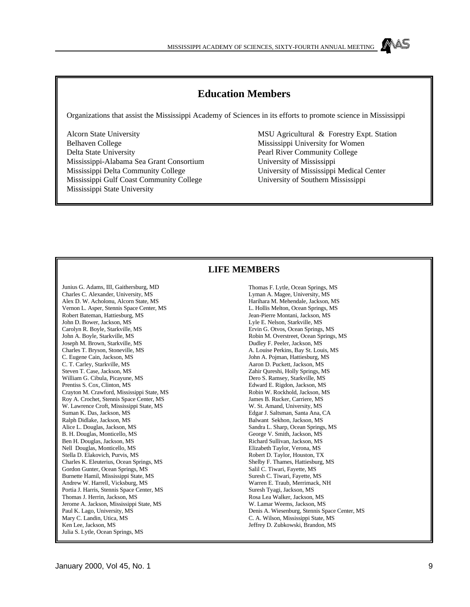### **Education Members**

Organizations that assist the Mississippi Academy of Sciences in its efforts to promote science in Mississippi

Alcorn State University Belhaven College Delta State University Mississippi-Alabama Sea Grant Consortium Mississippi Delta Community College Mississippi Gulf Coast Community College Mississippi State University

MSU Agricultural & Forestry Expt. Station Mississippi University for Women Pearl River Community College University of Mississippi University of Mississippi Medical Center University of Southern Mississippi

#### **LIFE MEMBERS**

Junius G. Adams, III, Gaithersburg, MD Charles C. Alexander, University, MS Alex D. W. Acholonu, Alcorn State, MS Vernon L. Asper, Stennis Space Center, MS Robert Bateman, Hattiesburg, MS John D. Bower, Jackson, MS Carolyn R. Boyle, Starkville, MS John A. Boyle, Starkville, MS Joseph M. Brown, Starkville, MS Charles T. Bryson, Stoneville, MS C. Eugene Cain, Jackson, MS C. T. Carley, Starkville, MS Steven T. Case, Jackson, MS William G. Cibula, Picayune, MS Prentiss S. Cox, Clinton, MS Crayton M. Crawford, Mississippi State, MS Roy A. Crochet, Stennis Space Center, MS W. Lawrence Croft, Mississippi State, MS Suman K. Das, Jackson, MS Ralph Didlake, Jackson, MS Alice L. Douglas, Jackson, MS B. H. Douglas, Monticello, MS Ben H. Douglas, Jackson, MS Nell Douglas, Monticello, MS Stella D. Elakovich, Purvis, MS Charles K. Eleuterius, Ocean Springs, MS Gordon Gunter, Ocean Springs, MS Burnette Hamil, Mississippi State, MS Andrew W. Harrell, Vicksburg, MS Portia J. Harris, Stennis Space Center, MS Thomas J. Herrin, Jackson, MS Jerome A. Jackson, Mississippi State, MS Paul K. Lago, University, MS Mary C. Landin, Utica, MS Ken Lee, Jackson, MS Julia S. Lytle, Ocean Springs, MS

Thomas F. Lytle, Ocean Springs, MS Lyman A. Magee, University, MS Harihara M. Mehendale, Jackson, MS L. Hollis Melton, Ocean Springs, MS Jean-Pierre Montani, Jackson, MS Lyle E. Nelson, Starkville, MS Ervin G. Otvos, Ocean Springs, MS Robin M. Overstreet, Ocean Springs, MS Dudley F. Peeler, Jackson, MS A. Louise Perkins, Bay St. Louis, MS John A. Pojman, Hattiesburg, MS Aaron D. Puckett, Jackson, MS Zahir Qureshi, Holly Springs, MS Dero S. Ramsey, Starkville, MS Edward E. Rigdon, Jackson, MS Robin W. Rockhold, Jackson, MS James B. Rucker, Carriere, MS W. St. Amand, University, MS Edgar J. Saltsman, Santa Ana, CA Balwant Sekhon, Jackson, MS Sandra L. Sharp, Ocean Springs, MS George V. Smith, Jackson, MS Richard Sullivan, Jackson, MS Elizabeth Taylor, Verona, MS Robert D. Taylor, Houston, TX Shelby F. Thames, Hattiesburg, MS Salil C. Tiwari, Fayette, MS Suresh C. Tiwari, Fayette, MS Warren E. Traub, Merrimack, NH Suresh Tyagi, Jackson, MS Rosa Lea Walker, Jackson, MS W. Lamar Weems, Jackson, MS Denis A. Wiesenburg, Stennis Space Center, MS C. A. Wilson, Mississippi State, MS Jeffrey D. Zubkowski, Brandon, MS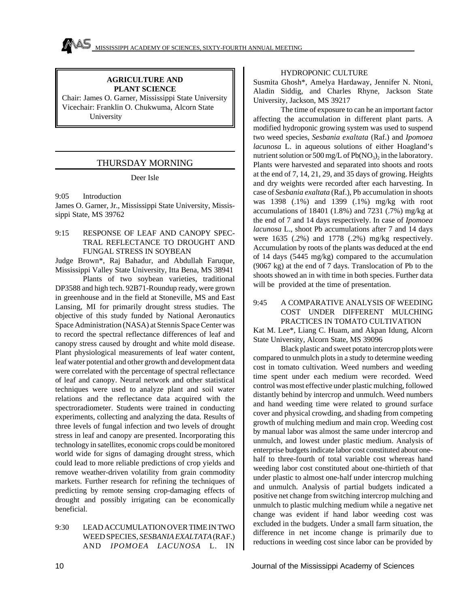#### **AGRICULTURE AND PLANT SCIENCE**

Chair: James O. Garner, Mississippi State University Vicechair: Franklin O. Chukwuma, Alcorn State University

#### THURSDAY MORNING

#### Deer Isle

9:05 Introduction James O. Garner, Jr., Mississippi State University, Mississippi State, MS 39762

#### 9:15 RESPONSE OF LEAF AND CANOPY SPEC-TRAL REFLECTANCE TO DROUGHT AND FUNGAL STRESS IN SOYBEAN

Judge Brown\*, Raj Bahadur, and Abdullah Faruque, Mississippi Valley State University, Itta Bena, MS 38941

Plants of two soybean varieties, traditional DP3588 and high tech. 92B71-Roundup ready, were grown in greenhouse and in the field at Stoneville, MS and East Lansing, MI for primarily drought stress studies. The objective of this study funded by National Aeronautics Space Administration (NASA) at Stennis Space Center was to record the spectral reflectance differences of leaf and canopy stress caused by drought and white mold disease. Plant physiological measurements of leaf water content, leaf water potential and other growth and development data were correlated with the percentage of spectral reflectance of leaf and canopy. Neural network and other statistical techniques were used to analyze plant and soil water relations and the reflectance data acquired with the spectroradiometer. Students were trained in conducting experiments, collecting and analyzing the data. Results of three levels of fungal infection and two levels of drought stress in leaf and canopy are presented. Incorporating this technology in satellites, economic crops could be monitored world wide for signs of damaging drought stress, which could lead to more reliable predictions of crop yields and remove weather-driven volatility from grain commodity markets. Further research for refining the techniques of predicting by remote sensing crop-damaging effects of drought and possibly irrigating can be economically beneficial.

#### 9:30 LEAD ACCUMULATION OVER TIME IN TWO WEED SPECIES, *SESBANIA EXALTATA* (RAF.) AND *IPOMOEA LACUNOSA* L. IN

#### HYDROPONIC CULTURE

Susmita Ghosh\*, Amelya Hardaway, Jennifer N. Ntoni, Aladin Siddig, and Charles Rhyne, Jackson State University, Jackson, MS 39217

The time of exposure to can he an important factor affecting the accumulation in different plant parts. A modified hydroponic growing system was used to suspend two weed species, *Sesbania exaltata* (Raf.) and *Ipomoea lacunosa* L. in aqueous solutions of either Hoagland's nutrient solution or 500 mg/L of  $Pb(NO<sub>3</sub>)<sub>2</sub>$  in the laboratory. Plants were harvested and separated into shoots and roots at the end of 7, 14, 21, 29, and 35 days of growing. Heights and dry weights were recorded after each harvesting. In case of *Sesbania exaltata* (Raf.), Pb accumulation in shoots was 1398 (.1%) and 1399 (.1%) mg/kg with root accumulations of 18401 (1.8%) and 7231 (.7%) mg/kg at the end of 7 and 14 days respectively. In case of *Ipomoea lacunosa* L., shoot Pb accumulations after 7 and 14 days were 1635 (.2%) and 1778 (.2%) mg/kg respectively. Accumulation by roots of the plants was deduced at the end of 14 days (5445 mg/kg) compared to the accumulation (9067 kg) at the end of 7 days. Translocation of Pb to the shoots showed an in with time in both species. Further data will be provided at the time of presentation.

#### 9:45 A COMPARATIVE ANALYSIS OF WEEDING COST UNDER DIFFERENT MULCHING PRACTICES IN TOMATO CULTIVATION

Kat M. Lee\*, Liang C. Huam, and Akpan Idung, Alcorn State University, Alcorn State, MS 39096

Black plastic and sweet potato intercrop plots were compared to unmulch plots in a study to determine weeding cost in tomato cultivation. Weed numbers and weeding time spent under each medium were recorded. Weed control was most effective under plastic mulching, followed distantly behind by intercrop and unmulch. Weed numbers and hand weeding time were related to ground surface cover and physical crowding, and shading from competing growth of mulching medium and main crop. Weeding cost by manual labor was almost the same under intercrop and unmulch, and lowest under plastic medium. Analysis of enterprise budgets indicate labor cost constituted about onehalf to three-fourth of total variable cost whereas hand weeding labor cost constituted about one-thirtieth of that under plastic to almost one-half under intercrop mulching and unmulch. Analysis of partial budgets indicated a positive net change from switching intercrop mulching and unmulch to plastic mulching medium while a negative net change was evident if hand labor weeding cost was excluded in the budgets. Under a small farm situation, the difference in net income change is primarily due to reductions in weeding cost since labor can be provided by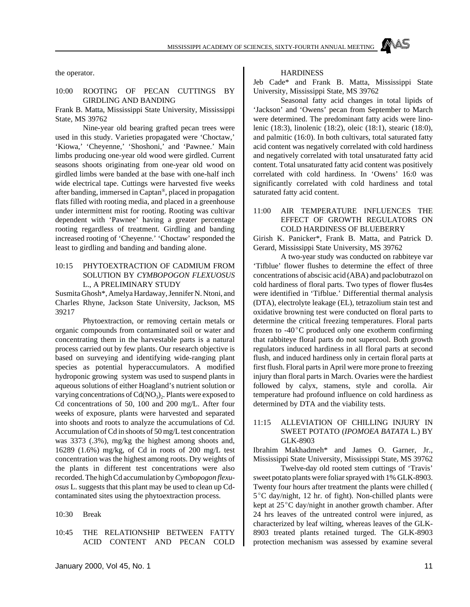the operator.

#### 10:00 ROOTING OF PECAN CUTTINGS BY GIRDLING AND BANDING

Frank B. Matta, Mississippi State University, Mississippi State, MS 39762

Nine-year old bearing grafted pecan trees were used in this study. Varieties propagated were 'Choctaw,' 'Kiowa,' 'Cheyenne,' 'Shoshoni,' and 'Pawnee.' Main limbs producing one-year old wood were girdled. Current seasons shoots originating from one-year old wood on girdled limbs were banded at the base with one-half inch wide electrical tape. Cuttings were harvested five weeks after banding, immersed in Captan® , placed in propagation flats filled with rooting media, and placed in a greenhouse under intermittent mist for rooting. Rooting was cultivar dependent with 'Pawnee' having a greater percentage rooting regardless of treatment. Girdling and banding increased rooting of 'Cheyenne.' 'Choctaw' responded the least to girdling and banding and banding alone.

#### 10:15 PHYTOEXTRACTION OF CADMIUM FROM SOLUTION BY *CYMBOPOGON FLEXUOSUS* L., A PRELIMINARY STUDY

Susmita Ghosh\*, Amelya Hardaway, Jennifer N. Ntoni, and Charles Rhyne, Jackson State University, Jackson, MS 39217

Phytoextraction, or removing certain metals or organic compounds from contaminated soil or water and concentrating them in the harvestable parts is a natural process carried out by few plants. Our research objective is based on surveying and identifying wide-ranging plant species as potential hyperaccumulators. A modified hydroponic growing system was used to suspend plants in aqueous solutions of either Hoagland's nutrient solution or varying concentrations of  $Cd(NO<sub>3</sub>)<sub>2</sub>$ . Plants were exposed to Cd concentrations of 50, 100 and 200 mg/L. After four weeks of exposure, plants were harvested and separated into shoots and roots to analyze the accumulations of Cd. Accumulation of Cd in shoots of 50 mg/L test concentration was 3373 (.3%), mg/kg the highest among shoots and, 16289 (1.6%) mg/kg, of Cd in roots of 200 mg/L test concentration was the highest among roots. Dry weights of the plants in different test concentrations were also recorded. The high Cd accumulation by *Cymbopogon flexuosus* L. suggests that this plant may be used to clean up Cdcontaminated sites using the phytoextraction process.

10:30 Break

10:45 THE RELATIONSHIP BETWEEN FATTY ACID CONTENT AND PECAN COLD

#### **HARDINESS**

Jeb Cade\* and Frank B. Matta, Mississippi State University, Mississippi State, MS 39762

Seasonal fatty acid changes in total lipids of 'Jackson' and 'Owens' pecan from September to March were determined. The predominant fatty acids were linolenic (18:3), linolenic (18:2), oleic (18:1), stearic (18:0), and palmitic (16:0). In both cultivars, total saturated fatty acid content was negatively correlated with cold hardiness and negatively correlated with total unsaturated fatty acid content. Total unsaturated fatty acid content was positively correlated with cold hardiness. In 'Owens' 16:0 was significantly correlated with cold hardiness and total saturated fatty acid content.

#### 11:00 AIR TEMPERATURE INFLUENCES THE EFFECT OF GROWTH REGULATORS ON COLD HARDINESS OF BLUEBERRY

Girish K. Panicker\*, Frank B. Matta, and Patrick D. Gerard, Mississippi State University, MS 39762

A two-year study was conducted on rabbiteye var 'Tifblue' flower flushes to determine the effect of three concentrations of abscisic acid (ABA) and paclobutrazol on cold hardiness of floral parts. Two types of flower flus4es were identified in 'Tifblue.' Differential thermal analysis (DTA), electrolyte leakage (EL), tetrazolium stain test and oxidative browning test were conducted on floral parts to determine the critical freezing temperatures. Floral parts frozen to  $-40^{\circ}$ C produced only one exotherm confirming that rabbiteye floral parts do not supercool. Both growth regulators induced hardiness in all floral parts at second flush, and induced hardiness only in certain floral parts at first flush. Floral parts in April were more prone to freezing injury than floral parts in March. Ovaries were the hardiest followed by calyx, stamens, style and corolla. Air temperature had profound influence on cold hardiness as determined by DTA and the viability tests.

#### 11:15 ALLEVIATION OF CHILLING INJURY IN SWEET POTATO (*IPOMOEA BATATA* L.) BY GLK-8903

Ibrahim Makhadmeh\* and James O. Garner, Jr., Mississippi State University, Mississippi State, MS 39762

Twelve-day old rooted stem cuttings of 'Travis' sweet potato plants were foliar sprayed with 1% GLK-8903. Twenty four hours after treatment the plants were chilled ( 5°C day/night, 12 hr. of fight). Non-chilled plants were kept at  $25^{\circ}$ C day/night in another growth chamber. After 24 hrs leaves of the untreated control were injured, as characterized by leaf wilting, whereas leaves of the GLK-8903 treated plants retained turged. The GLK-8903 protection mechanism was assessed by examine several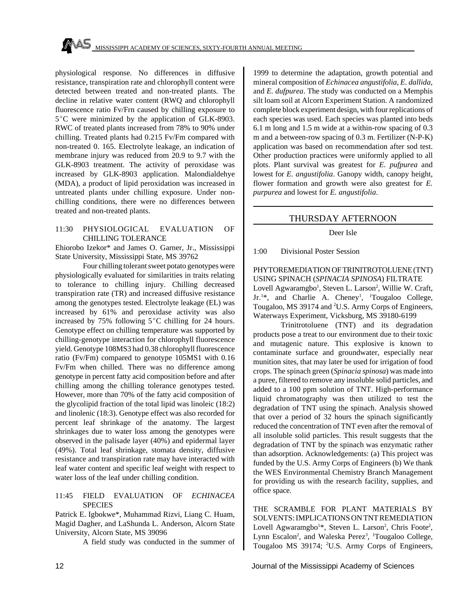physiological response. No differences in diffusive resistance, transpiration rate and chlorophyll content were detected between treated and non-treated plants. The decline in relative water content (RWQ and chlorophyll fluorescence ratio Fv/Frn caused by chilling exposure to  $5^{\circ}$ C were minimized by the application of GLK-8903. RWC of treated plants increased from 78% to 90% under chilling. Treated plants had 0.215 Fv/Fm compared with non-treated 0. 165. Electrolyte leakage, an indication of membrane injury was reduced from 20.9 to 9.7 with the GLK-8903 treatment. The activity of peroxidase was increased by GLK-8903 application. Malondialdehye (MDA), a product of lipid peroxidation was increased in untreated plants under chilling exposure. Under nonchilling conditions, there were no differences between treated and non-treated plants.

#### 11:30 PHYSIOLOGICAL EVALUATION OF CHILLING TOLERANCE

Ehiorobo Izekor\* and James O. Garner, Jr., Mississippi State University, Mississippi State, MS 39762

Four chilling tolerant sweet potato genotypes were physiologically evaluated for similarities in traits relating to tolerance to chilling injury. Chilling decreased transpiration rate (TR) and increased diffusive resistance among the genotypes tested. Electrolyte leakage (EL) was increased by 61% and peroxidase activity was also increased by 75% following  $5^{\circ}$ C chilling for 24 hours. Genotype effect on chilling temperature was supported by chilling-genotype interaction for chlorophyll fluorescence yield. Genotype 108MS3 had 0.38 chlorophyll fluorescence ratio (Fv/Fm) compared to genotype 105MS1 with 0.16 Fv/Fm when chilled. There was no difference among genotype in percent fatty acid composition before and after chilling among the chilling tolerance genotypes tested. However, more than 70% of the fatty acid composition of the glycolipid fraction of the total lipid was linoleic (18:2) and linolenic (18:3). Genotype effect was also recorded for percent leaf shrinkage of the anatomy. The largest shrinkages due to water loss among the genotypes were observed in the palisade layer (40%) and epidermal layer (49%). Total leaf shrinkage, stomata density, diffusive resistance and transpiration rate may have interacted with leaf water content and specific leaf weight with respect to water loss of the leaf under chilling condition.

#### 11:45 FIELD EVALUATION OF *ECHINACEA* **SPECIES**

Patrick E. Igbokwe\*, Muhammad Rizvi, Liang C. Huam, Magid Dagher, and LaShunda L. Anderson, Alcorn State University, Alcorn State, MS 39096

A field study was conducted in the summer of

1999 to determine the adaptation, growth potential and mineral composition of *Echinacea angustifolia*, *E. dallida*, and *E. dufpurea*. The study was conducted on a Memphis silt loam soil at Alcorn Experiment Station. A randomized complete block experiment design, with four replications of each species was used. Each species was planted into beds 6.1 m long and 1.5 m wide at a within-row spacing of 0.3 m and a between-row spacing of 0.3 m. Fertilizer (N-P-K) application was based on recommendation after sod test. Other production practices were uniformly applied to all plots. Plant survival was greatest for *E. pufpurea* and lowest for *E. angustifolia*. Ganopy width, canopy height, flower formation and growth were also greatest for *E. purpurea* and lowest for *E. angustifolia*.

#### THURSDAY AFTERNOON

#### Deer Isle

1:00 Divisional Poster Session

PHYTOREMEDIATION OF TRINITROTOLUENE (TNT) USING SPINACH (*SPINACIA SPINOSA*) FILTRATE Lovell Agwaramgbo<sup>1</sup>, Steven L. Larson<sup>2</sup>, Willie W. Craft, Jr.<sup>1\*</sup>, and Charlie A. Cheney<sup>1</sup>, <sup>1</sup>Tougaloo College, Tougaloo, MS 39174 and <sup>2</sup>U.S. Army Corps of Engineers, Waterways Experiment, Vicksburg, MS 39180-6199

Trinitrotoluene (TNT) and its degradation products pose a treat to our environment due to their toxic and mutagenic nature. This explosive is known to contaminate surface and groundwater, especially near munition sites, that may later be used for irrigation of food crops. The spinach green (*Spinacia spinosa*) was made into a puree, filtered to remove any insoluble solid particles, and added to a 100 ppm solution of TNT. High-performance liquid chromatography was then utilized to test the degradation of TNT using the spinach. Analysis showed that over a period of 32 hours the spinach significantly reduced the concentration of TNT even after the removal of all insoluble solid particles. This result suggests that the degradation of TNT by the spinach was enzymatic rather than adsorption. Acknowledgements: (a) This project was funded by the U.S. Army Corps of Engineers (b) We thank the WES Environmental Chemistry Branch Management for providing us with the research facility, supplies, and office space.

THE SCRAMBLE FOR PLANT MATERIALS BY SOLVENTS: IMPLICATIONS ON TNT REMEDIATION Lovell Agwaramgbo<sup>1\*</sup>, Steven L. Larson<sup>2</sup>, Chris Foote<sup>2</sup>, Lynn Escalon<sup>2</sup>, and Waleska Perez<sup>3</sup>, <sup>1</sup>Tougaloo College, Tougaloo MS 39174; 2U.S. Army Corps of Engineers,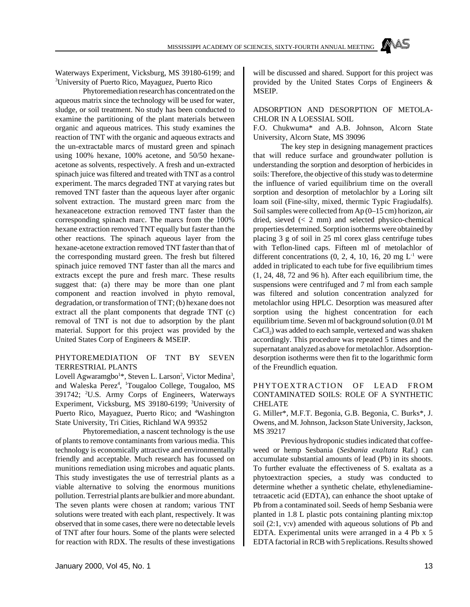January 2000, Vol 45, No. 1 13

Waterways Experiment, Vicksburg, MS 39180-6199; and <sup>3</sup>University of Puerto Rico, Mayaguez, Puerto Rico

Phytoremediation research has concentrated on the aqueous matrix since the technology will be used for water, sludge, or soil treatment. No study has been conducted to examine the partitioning of the plant materials between organic and aqueous matrices. This study examines the reaction of TNT with the organic and aqueous extracts and the un-extractable marcs of mustard green and spinach using 100% hexane, 100% acetone, and 50/50 hexaneacetone as solvents, respectively. A fresh and un-extracted spinach juice was filtered and treated with TNT as a control experiment. The marcs degraded TNT at varying rates but removed TNT faster than the aqueous layer after organic solvent extraction. The mustard green marc from the hexaneacetone extraction removed TNT faster than the corresponding spinach marc. The marcs from the 100% hexane extraction removed TNT equally but faster than the other reactions. The spinach aqueous layer from the hexane-acetone extraction removed TNT faster than that of the corresponding mustard green. The fresh but filtered spinach juice removed TNT faster than all the marcs and extracts except the pure and fresh marc. These results suggest that: (a) there may be more than one plant component and reaction involved in phyto removal, degradation, or transformation of TNT; (b) hexane does not extract all the plant components that degrade TNT (c) removal of TNT is not due to adsorption by the plant material. Support for this project was provided by the United States Corp of Engineers & MSEIP.

#### PHYTOREMEDIATION OF TNT BY SEVEN TERRESTRIAL PLANTS

Lovell Agwaramgbo<sup>1\*</sup>, Steven L. Larson<sup>2</sup>, Victor Medina<sup>3</sup>, and Waleska Perez<sup>4</sup>, <sup>1</sup>Tougaloo College, Tougaloo, MS 391742; <sup>2</sup>U.S. Army Corps of Engineers, Waterways Experiment, Vicksburg, MS 39180-6199; <sup>3</sup>University of Puerto Rico, Mayaguez, Puerto Rico; and <sup>4</sup>Washington State University, Tri Cities, Richland WA 99352

Phytoremediation, a nascent technology is the use of plants to remove contaminants from various media. This technology is economically attractive and environmentally friendly and acceptable. Much research has focussed on munitions remediation using microbes and aquatic plants. This study investigates the use of terrestrial plants as a viable alternative to solving the enormous munitions pollution. Terrestrial plants are bulkier and more abundant. The seven plants were chosen at random; various TNT solutions were treated with each plant, respectively. It was observed that in some cases, there were no detectable levels of TNT after four hours. Some of the plants were selected for reaction with RDX. The results of these investigations will be discussed and shared. Support for this project was provided by the United States Corps of Engineers & MSEIP.

ADSORPTION AND DESORPTION OF METOLA-CHLOR IN A LOESSIAL SOIL

F.O. Chukwuma\* and A.B. Johnson, Alcorn State University, Alcorn State, MS 39096

The key step in designing management practices that will reduce surface and groundwater pollution is understanding the sorption and desorption of herbicides in soils: Therefore, the objective of this study was to determine the influence of varied equilibrium time on the overall sorption and desorption of metolachlor by a Loring silt loam soil (Fine-silty, mixed, thermic Typic Fragiudalfs). Soil samples were collected from Ap (0–15 cm) horizon, air dried, sieved  $(< 2$  mm) and selected physico-chemical properties determined. Sorption isotherms were obtained by placing 3 g of soil in 25 ml corex glass centrifuge tubes with Teflon-lined caps. Fifteen ml of metolachlor of different concentrations  $(0, 2, 4, 10, 16, 20 \text{ mg } L^{-1}$  were added in triplicated to each tube for five equilibrium times (1, 24, 48, 72 and 96 h). After each equilibrium time, the suspensions were centrifuged and 7 ml from each sample was filtered and solution concentration analyzed for metolachlor using HPLC. Desorption was measured after sorption using the highest concentration for each equilibrium time. Seven ml of background solution (0.01 M CaCl<sub>2</sub>) was added to each sample, vertexed and was shaken accordingly. This procedure was repeated 5 times and the supernatant analyzed as above for metolachlor. Adsorptiondesorption isotherms were then fit to the logarithmic form of the Freundlich equation.

#### PHYTOEXTRACTION OF LEAD FROM CONTAMINATED SOILS: ROLE OF A SYNTHETIC CHELATE

G. Miller\*, M.F.T. Begonia, G.B. Begonia, C. Burks\*, J. Owens, and M. Johnson, Jackson State University, Jackson, MS 39217

Previous hydroponic studies indicated that coffeeweed or hemp Sesbania (*Sesbania exaltata* Raf.) can accumulate substantial amounts of lead (Pb) in its shoots. To further evaluate the effectiveness of S. exaltata as a phytoextraction species, a study was conducted to determine whether a synthetic chelate, ethylenediaminetetraacetic acid (EDTA), can enhance the shoot uptake of Pb from a contaminated soil. Seeds of hemp Sesbania were planted in 1.8 L plastic pots containing planting mix:top soil (2:1, v:v) amended with aqueous solutions of Pb and EDTA. Experimental units were arranged in a 4 Pb x 5 EDTA factorial in RCB with 5 replications. Results showed

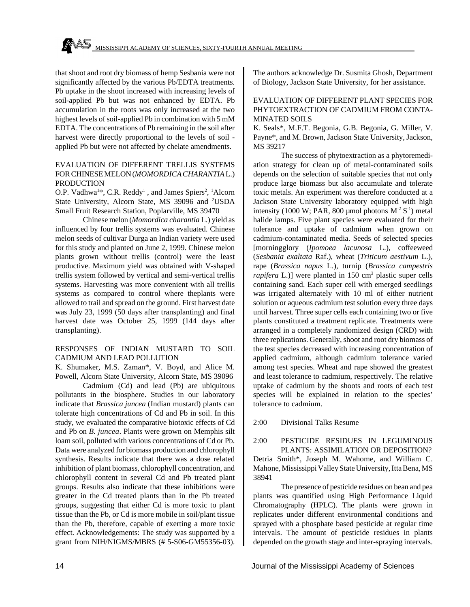that shoot and root dry biomass of hemp Sesbania were not significantly affected by the various Pb/EDTA treatments. Pb uptake in the shoot increased with increasing levels of soil-applied Pb but was not enhanced by EDTA. Pb accumulation in the roots was only increased at the two highest levels of soil-applied Pb in combination with 5 mM EDTA. The concentrations of Pb remaining in the soil after harvest were directly proportional to the levels of soil applied Pb but were not affected by chelate amendments.

#### EVALUATION OF DIFFERENT TRELLIS SYSTEMS FOR CHINESE MELON (*MOMORDICA CHARANTIA* L.) **PRODUCTION**

O.P. Vadhwa<sup>1\*</sup>, C.R. Reddy<sup>1</sup>, and James Spiers<sup>2</sup>, <sup>1</sup>Alcorn State University, Alcorn State, MS 39096 and <sup>2</sup>USDA Small Fruit Research Station, Poplarville, MS 39470

Chinese melon (*Momordica charantia* L.) yield as influenced by four trellis systems was evaluated. Chinese melon seeds of cultivar Durga an Indian variety were used for this study and planted on June 2, 1999. Chinese melon plants grown without trellis (control) were the least productive. Maximum yield was obtained with V-shaped trellis system followed by vertical and semi-vertical trellis systems. Harvesting was more convenient with all trellis systems as compared to control where theplants were allowed to trail and spread on the ground. First harvest date was July 23, 1999 (50 days after transplanting) and final harvest date was October 25, 1999 (144 days after transplanting).

#### RESPONSES OF INDIAN MUSTARD TO SOIL CADMIUM AND LEAD POLLUTION

K. Shumaker, M.S. Zaman\*, V. Boyd, and Alice M. Powell, Alcorn State University, Alcorn State, MS 39096

Cadmium (Cd) and lead (Pb) are ubiquitous pollutants in the biosphere. Studies in our laboratory indicate that *Brassica juncea* (Indian mustard) plants can tolerate high concentrations of Cd and Pb in soil. In this study, we evaluated the comparative biotoxic effects of Cd and Pb on *B. juncea*. Plants were grown on Memphis silt loam soil, polluted with various concentrations of Cd or Pb. Data were analyzed for biomass production and chlorophyll synthesis. Results indicate that there was a dose related inhibition of plant biomass, chlorophyll concentration, and chlorophyll content in several Cd and Pb treated plant groups. Results also indicate that these inhibitions were greater in the Cd treated plants than in the Pb treated groups, suggesting that either Cd is more toxic to plant tissue than the Pb, or Cd is more mobile in soil/plant tissue than the Pb, therefore, capable of exerting a more toxic effect. Acknowledgements: The study was supported by a grant from NIH/NIGMS/MBRS (# 5-S06-GM55356-03).

The authors acknowledge Dr. Susmita Ghosh, Department of Biology, Jackson State University, for her assistance.

#### EVALUATION OF DIFFERENT PLANT SPECIES FOR PHYTOEXTRACTION OF CADMIUM FROM CONTA-MINATED SOILS

K. Seals\*, M.F.T. Begonia, G.B. Begonia, G. Miller, V. Payne\*, and M. Brown, Jackson State University, Jackson, MS 39217

The success of phytoextraction as a phytoremediation strategy for clean up of metal-contaminated soils depends on the selection of suitable species that not only produce large biomass but also accumulate and tolerate toxic metals. An experiment was therefore conducted at a Jackson State University laboratory equipped with high intensity (1000 W; PAR, 800 µmol photons  $M^2 S^{-1}$ ) metal halide lamps. Five plant species were evaluated for their tolerance and uptake of cadmium when grown on cadmium-contaminated media. Seeds of selected species [morningglory (*Ipomoea lacunosa* L.), coffeeweed (*Sesbania exaltata* Raf.), wheat (*Triticum aestivum* L.), rape (*Brassica napus* L.), turnip (*Brassica campestris* rapifera L.)] were planted in 150 cm<sup>3</sup> plastic super cells containing sand. Each super cell with emerged seedlings was irrigated alternately with 10 ml of either nutrient solution or aqueous cadmium test solution every three days until harvest. Three super cells each containing two or five plants constituted a treatment replicate. Treatments were arranged in a completely randomized design (CRD) with three replications. Generally, shoot and root dry biomass of the test species decreased with increasing concentration of applied cadmium, although cadmium tolerance varied among test species. Wheat and rape showed the greatest and least tolerance to cadmium, respectively. The relative uptake of cadmium by the shoots and roots of each test species will be explained in relation to the species' tolerance to cadmium.

2:00 Divisional Talks Resume

2:00 PESTICIDE RESIDUES IN LEGUMINOUS PLANTS: ASSIMILATION OR DEPOSITION? Detria Smith\*, Joseph M. Wahome, and William C. Mahone, Mississippi Valley State University, Itta Bena, MS 38941

The presence of pesticide residues on bean and pea plants was quantified using High Performance Liquid Chromatography (HPLC). The plants were grown in replicates under different environmental conditions and sprayed with a phosphate based pesticide at regular time intervals. The amount of pesticide residues in plants depended on the growth stage and inter-spraying intervals.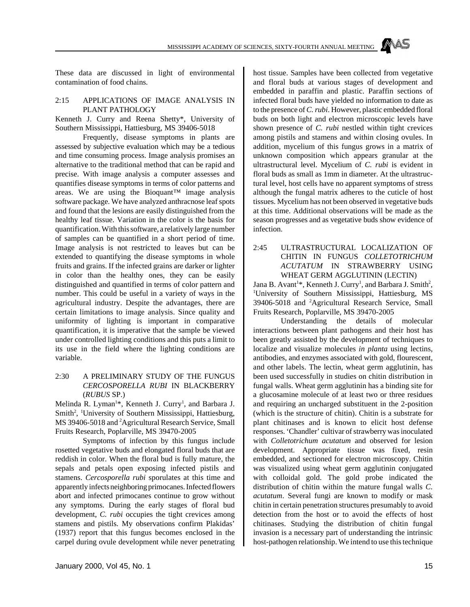These data are discussed in light of environmental contamination of food chains.

#### 2:15 APPLICATIONS OF IMAGE ANALYSIS IN PLANT PATHOLOGY

Kenneth J. Curry and Reena Shetty\*, University of Southern Mississippi, Hattiesburg, MS 39406-5018

Frequently, disease symptoms in plants are assessed by subjective evaluation which may be a tedious and time consuming process. Image analysis promises an alternative to the traditional method that can be rapid and precise. With image analysis a computer assesses and quantifies disease symptoms in terms of color patterns and areas. We are using the Bioquant<sup>™</sup> image analysis software package. We have analyzed anthracnose leaf spots and found that the lesions are easily distinguished from the healthy leaf tissue. Variation in the color is the basis for quantification. With this software, a relatively large number of samples can be quantified in a short period of time. Image analysis is not restricted to leaves but can be extended to quantifying the disease symptoms in whole fruits and grains. If the infected grains are darker or lighter in color than the healthy ones, they can be easily distinguished and quantified in terms of color pattern and number. This could be useful in a variety of ways in the agricultural industry. Despite the advantages, there are certain limitations to image analysis. Since quality and uniformity of lighting is important in comparative quantification, it is imperative that the sample be viewed under controlled lighting conditions and this puts a limit to its use in the field where the lighting conditions are variable.

#### 2:30 A PRELIMINARY STUDY OF THE FUNGUS *CERCOSPORELLA RUBI* IN BLACKBERRY (*RUBUS* SP.)

Melinda R. Lyman<sup>1\*</sup>, Kenneth J. Curry<sup>1</sup>, and Barbara J. Smith<sup>2</sup>, <sup>1</sup>University of Southern Mississippi, Hattiesburg, MS 39406-5018 and <sup>2</sup>Agricultural Research Service, Small Fruits Research, Poplarville, MS 39470-2005

Symptoms of infection by this fungus include rosetted vegetative buds and elongated floral buds that are reddish in color. When the floral bud is fully mature, the sepals and petals open exposing infected pistils and stamens. *Cercosporella rubi* sporulates at this time and apparently infects neighboring primocanes. Infected flowers abort and infected primocanes continue to grow without any symptoms. During the early stages of floral bud development, *C. rubi* occupies the tight crevices among stamens and pistils. My observations confirm Plakidas' (1937) report that this fungus becomes enclosed in the carpel during ovule development while never penetrating host tissue. Samples have been collected from vegetative and floral buds at various stages of development and embedded in paraffin and plastic. Paraffin sections of infected floral buds have yielded no information to date as to the presence of *C. rubi*. However, plastic embedded floral buds on both light and electron microscopic levels have shown presence of *C. rubi* nestled within tight crevices among pistils and stamens and within closing ovules. In addition, mycelium of this fungus grows in a matrix of unknown composition which appears granular at the ultrastructural level. Mycelium of *C. rubi* is evident in floral buds as small as 1mm in diameter. At the ultrastructural level, host cells have no apparent symptoms of stress although the fungal matrix adheres to the cuticle of host tissues. Mycelium has not been observed in vegetative buds at this time. Additional observations will be made as the season progresses and as vegetative buds show evidence of infection.

#### 2:45 ULTRASTRUCTURAL LOCALIZATION OF CHITIN IN FUNGUS *COLLETOTRICHUM ACUTATUM* IN STRAWBERRY USING WHEAT GERM AGGLUTININ (LECTIN)

Jana B. Avant<sup>1\*</sup>, Kenneth J. Curry<sup>1</sup>, and Barbara J. Smith<sup>2</sup>, <sup>1</sup>University of Southern Mississippi, Hattiesburg, MS 39406-5018 and <sup>2</sup>Agricultural Research Service, Small Fruits Research, Poplarville, MS 39470-2005

Understanding the details of molecular interactions between plant pathogens and their host has been greatly assisted by the development of techniques to localize and visualize molecules *in planta* using lectins, antibodies, and enzymes associated with gold, flourescent, and other labels. The lectin, wheat germ agglutinin, has been used successfully in studies on chitin distribution in fungal walls. Wheat germ agglutinin has a binding site for a glucosamine molecule of at least two or three residues and requiring an uncharged substituent in the 2-position (which is the structure of chitin). Chitin is a substrate for plant chitinases and is known to elicit host defense responses. 'Chandler' cultivar of strawberry was inoculated with *Colletotrichum acutatum* and observed for lesion development. Appropriate tissue was fixed, resin embedded, and sectioned for electron microscopy. Chitin was visualized using wheat germ agglutinin conjugated with colloidal gold. The gold probe indicated the distribution of chitin within the mature fungal walls *C. acutatum*. Several fungi are known to modify or mask chitin in certain penetration structures presumably to avoid detection from the host or to avoid the effects of host chitinases. Studying the distribution of chitin fungal invasion is a necessary part of understanding the intrinsic host-pathogen relationship. We intend to use this technique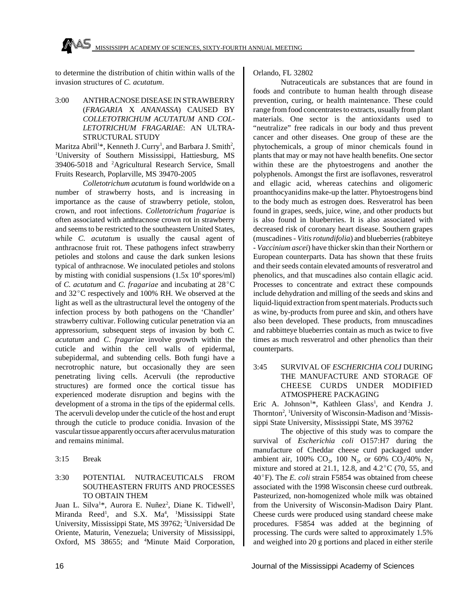to determine the distribution of chitin within walls of the invasion structures of *C. acutatum*.

3:00 ANTHRACNOSE DISEASE IN STRAWBERRY (*FRAGARIA* X *ANANASSA*) CAUSED BY *COLLETOTRICHUM ACUTATUM* AND *COL-LETOTRICHUM FRAGARIAE*: AN ULTRA-STRUCTURAL STUDY

Maritza Abril<sup>1\*</sup>, Kenneth J. Curry<sup>1</sup>, and Barbara J. Smith<sup>2</sup>, <sup>1</sup>University of Southern Mississippi, Hattiesburg, MS 39406-5018 and <sup>2</sup>Agricultural Research Service, Small Fruits Research, Poplarville, MS 39470-2005

*Colletotrichum acutatum* is found worldwide on a number of strawberry hosts, and is increasing in importance as the cause of strawberry petiole, stolon, crown, and root infections. *Colletotrichum fragariae* is often associated with anthracnose crown rot in strawberry and seems to be restricted to the southeastern United States, while *C. acutatum* is usually the causal agent of anthracnose fruit rot. These pathogens infect strawberry petioles and stolons and cause the dark sunken lesions typical of anthracnose. We inoculated petioles and stolons by misting with conidial suspensions  $(1.5x\;10^6\;\text{spc})$ of *C. acutatum* and *C. fragariae* and incubating at 28°C and  $32^{\circ}$ C respectively and 100% RH. We observed at the light as well as the ultrastructural level the ontogeny of the infection process by both pathogens on the 'Chandler' strawberry cultivar. Following cuticular penetration via an appressorium, subsequent steps of invasion by both *C. acutatum* and *C. fragariae* involve growth within the cuticle and within the cell walls of epidermal, subepidermal, and subtending cells. Both fungi have a necrotrophic nature, but occasionally they are seen penetrating living cells. Acervuli (the reproductive structures) are formed once the cortical tissue has experienced moderate disruption and begins with the development of a stroma in the tips of the epidermal cells. The acervuli develop under the cuticle of the host and erupt through the cuticle to produce conidia. Invasion of the vascular tissue apparently occurs after acervulus maturation and remains minimal.

3:15 Break

#### 3:30 POTENTIAL NUTRACEUTICALS FROM SOUTHEASTERN FRUITS AND PROCESSES TO OBTAIN THEM

Juan L. Silva<sup>1\*</sup>, Aurora E. Nuñez<sup>2</sup>, Diane K. Tidwell<sup>3</sup>, Miranda Reed<sup>1</sup>, and S.X. Ma<sup>4</sup>, <sup>1</sup>Mississippi State University, Mississippi State, MS 39762; <sup>2</sup>Universidad De Oriente, Maturin, Venezuela; University of Mississippi, Oxford, MS 38655; and <sup>4</sup>Minute Maid Corporation,

#### Orlando, FL 32802

Nutraceuticals are substances that are found in foods and contribute to human health through disease prevention, curing, or health maintenance. These could range from food concentrates to extracts, usually from plant materials. One sector is the antioxidants used to "neutralize" free radicals in our body and thus prevent cancer and other diseases. One group of these are the phytochemicals, a group of minor chemicals found in plants that may or may not have health benefits. One sector within these are the phytoestrogens and another the polyphenols. Amongst the first are isoflavones, resveratrol and ellagic acid, whereas catechins and oligomeric proanthocyanidins make-up the latter. Phytoestrogens bind to the body much as estrogen does. Resveratrol has been found in grapes, seeds, juice, wine, and other products but is also found in blueberries. It is also associated with decreased risk of coronary heart disease. Southern grapes (muscadines - *Vitis rotundifolia*) and blueberries (rabbiteye - *Vaccinium ascei*) have thicker skin than their Northern or European counterparts. Data has shown that these fruits and their seeds contain elevated amounts of resveratrol and phenolics, and that muscadines also contain ellagic acid. Processes to concentrate and extract these compounds include dehydration and milling of the seeds and skins and liquid-liquid extraction from spent materials. Products such as wine, by-products from puree and skin, and others have also been developed. These products, from mnuscadines and rabbitteye blueberries contain as much as twice to five times as much resveratrol and other phenolics than their counterparts.

#### 3:45 SURVIVAL OF *ESCHERICHIA COLI* DURING THE MANUFACTURE AND STORAGE OF CHEESE CURDS UNDER MODIFIED ATMOSPHERE PACKAGING

Eric A. Johnson<sup>1\*</sup>, Kathleen Glass<sup>1</sup>, and Kendra J. Thornton<sup>2</sup>, <sup>1</sup>University of Wisconsin-Madison and <sup>2</sup>Mississippi State University, Mississippi State, MS 39762

The objective of this study was to compare the survival of *Escherichia coli* O157:H7 during the manufacture of Cheddar cheese curd packaged under ambient air, 100% CO<sub>2</sub>, 100 N<sub>2</sub>, or 60% CO<sub>2</sub>/40% N<sub>2</sub> mixture and stored at 21.1, 12.8, and  $4.2^{\circ}$ C (70, 55, and 40°F). The *E. coli* strain F5854 was obtained from cheese associated with the 1998 Wisconsin cheese curd outbreak. Pasteurized, non-homogenized whole milk was obtained from the University of Wisconsin-Madison Dairy Plant. Cheese curds were produced using standard cheese make procedures. F5854 was added at the beginning of processing. The curds were salted to approximately 1.5% and weighed into 20 g portions and placed in either sterile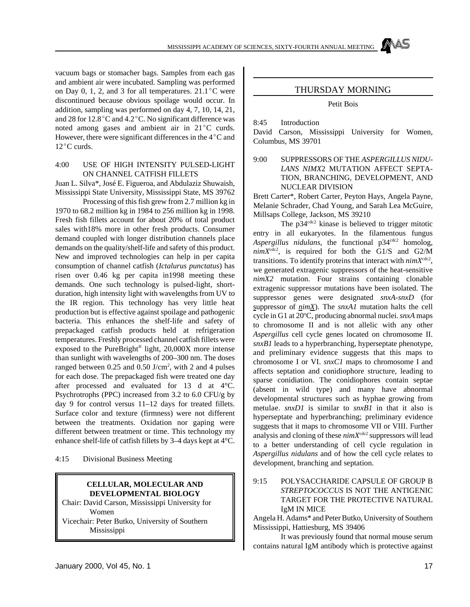vacuum bags or stomacher bags. Samples from each gas and ambient air were incubated. Sampling was performed on Day 0, 1, 2, and 3 for all temperatures.  $21.1^{\circ}$ C were discontinued because obvious spoilage would occur. In addition, sampling was performed on day 4, 7, 10, 14, 21, and 28 for  $12.8^{\circ}$ C and  $4.2^{\circ}$ C. No significant difference was noted among gases and ambient air in  $21^{\circ}$ C curds. However, there were significant differences in the  $4^{\circ}$ C and  $12^{\circ}$ C curds.

#### 4:00 USE OF HIGH INTENSITY PULSED-LIGHT ON CHANNEL CATFISH FILLETS

Juan L. Silva\*, José E. Figueroa, and Abdulaziz Shuwaish, Mississippi State University, Mississippi State, MS 39762

Processing of this fish grew from 2.7 million kg in 1970 to 68.2 million kg in 1984 to 256 million kg in 1998. Fresh fish fillets account for about 20% of total product sales with18% more in other fresh products. Consumer demand coupled with longer distribution channels place demands on the quality/shelf-life and safety of this product. New and improved technologies can help in per capita consumption of channel catfish (*Ictalurus punctatus*) has risen over 0.46 kg per capita in1998 meeting these demands. One such technology is pulsed-light, shortduration, high intensity light with wavelengths from UV to the IR region. This technology has very little heat production but is effective against spoilage and pathogenic bacteria. This enhances the shelf-life and safety of prepackaged catfish products held at refrigeration temperatures. Freshly processed channel catfish fillets were exposed to the PureBright® light, 20,000X more intense than sunlight with wavelengths of 200–300 nm. The doses ranged between 0.25 and 0.50 J/cm<sup>2</sup>, with 2 and 4 pulses for each dose. The prepackaged fish were treated one day after processed and evaluated for 13 d at 4°C. Psychrotrophs (PPC) increased from 3.2 to 6.0 CFU/g by day 9 for control versus 11–12 days for treated fillets. Surface color and texture (firmness) were not different between the treatments. Oxidation nor gaping were different between treatment or time. This technology my enhance shelf-life of catfish fillets by 3–4 days kept at 4°C.

4:15 Divisional Business Meeting

#### **CELLULAR, MOLECULAR AND DEVELOPMENTAL BIOLOGY**

Chair: David Carson, Mississippi University for Women Vicechair: Peter Butko, University of Southern Mississippi

#### THURSDAY MORNING

#### Petit Bois

8:45 Introduction

David Carson, Mississippi University for Women, Columbus, MS 39701

9:00 SUPPRESSORS OF THE *ASPERGILLUS NIDU-LANS NIMX*2 MUTATION AFFECT SEPTA-TION, BRANCHING, DEVELOPMENT, AND NUCLEAR DIVISION

Brett Carter\*, Robert Carter, Peyton Hays, Angela Payne, Melanie Schrader, Chad Young, and Sarah Lea McGuire, Millsaps College, Jackson, MS 39210

The p34<sup>cdc2</sup> kinase is believed to trigger mitotic entry in all eukaryotes. In the filamentous fungus *Aspergillus nidulans*, the functional p34<sup>cdc2</sup> homolog,  $nimX<sup>cdc2</sup>$ , is required for both the G1/S and G2/M transitions. To identify proteins that interact with  $nimX<sup>cdc2</sup>$ , we generated extragenic suppressors of the heat-sensitive *nimX2* mutation. Four strains containing clonable extragenic suppressor mutations have been isolated. The suppressor genes were designated *snxA-snxD* (for suppressor of *nimX*). The *snxA1* mutation halts the cell cycle in G1 at 20°C, producing abnormal nuclei. *snxA* maps to chromosome II and is not allelic with any other *Aspergillus* cell cycle genes located on chromosome II. *snxB1* leads to a hyperbranching, hyperseptate phenotype, and preliminary evidence suggests that this maps to chromosome I or VI. *snxC1* maps to chromosome I and affects septation and conidiophore structure, leading to sparse conidiation. The conidiophores contain septae (absent in wild type) and many have abnormal developmental structures such as hyphae growing from metulae. *snxD1* is similar to *snxB1* in that it also is hyperseptate and hyperbranching; preliminary evidence suggests that it maps to chromosome VII or VIII. Further analysis and cloning of these  $nimX<sup>cdc2</sup>$  suppressors will lead to a better understanding of cell cycle regulation in *Aspergillus nidulans* and of how the cell cycle relates to development, branching and septation.

#### 9:15 POLYSACCHARIDE CAPSULE OF GROUP B *STREPTOCOCCUS* IS NOT THE ANTIGENIC TARGET FOR THE PROTECTIVE NATURAL IgM IN MICE

Angela H. Adams\* and Peter Butko, University of Southern Mississippi, Hattiesburg, MS 39406

It was previously found that normal mouse serum contains natural IgM antibody which is protective against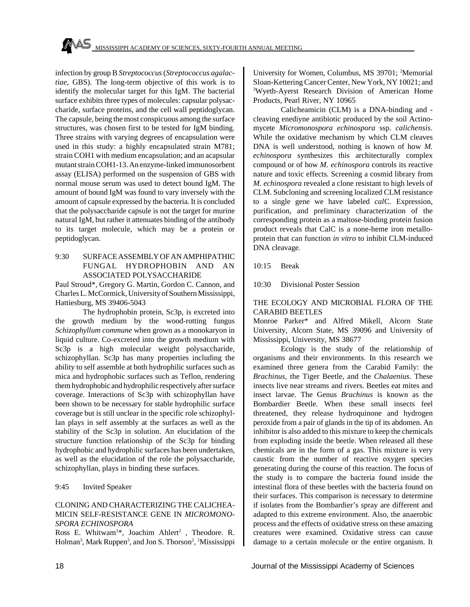infection by group B *Streptococcus* (*Streptococcus agalactiae*, GBS). The long-term objective of this work is to identify the molecular target for this IgM. The bacterial surface exhibits three types of molecules: capsular polysaccharide, surface proteins, and the cell wall peptidoglycan. The capsule, being the most conspicuous among the surface structures, was chosen first to be tested for IgM binding. Three strains with varying degrees of encapsulation were used in this study: a highly encapsulated strain M781; strain COH1 with medium encapsulation; and an acapsular mutant strain COH1-13. An enzyme-linked immunosorbent assay (ELISA) performed on the suspension of GBS with normal mouse serum was used to detect bound IgM. The amount of bound IgM was found to vary inversely with the amount of capsule expressed by the bacteria. It is concluded that the polysaccharide capsule is not the target for murine natural IgM, but rather it attenuates binding of the antibody to its target molecule, which may be a protein or peptidoglycan.

#### 9:30 SURFACE ASSEMBLY OF AN AMPHIPATHIC FUNGAL HYDROPHOBIN AND AN ASSOCIATED POLYSACCHARIDE

Paul Stroud\*, Gregory G. Martin, Gordon C. Cannon, and Charles L. McCormick, University of Southern Mississippi, Hattiesburg, MS 39406-5043

The hydrophobin protein, Sc3p, is excreted into the growth medium by the wood-rotting fungus *Schizophyllum commune* when grown as a monokaryon in liquid culture. Co-excreted into the growth medium with Sc3p is a high molecular weight polysaccharide, schizophyllan. Sc3p has many properties including the ability to self assemble at both hydrophilic surfaces such as mica and hydrophobic surfaces such as Teflon, rendering them hydrophobic and hydrophilic respectively after surface coverage. Interactions of Sc3p with schizophyllan have been shown to be necessary for stable hydrophilic surface coverage but is still unclear in the specific role schizophyllan plays in self assembly at the surfaces as well as the stability of the Sc3p in solution. An elucidation of the structure function relationship of the Sc3p for binding hydrophobic and hydrophilic surfaces has been undertaken, as well as the elucidation of the role the polysaccharide, schizophyllan, plays in binding these surfaces.

#### 9:45 Invited Speaker

#### CLONING AND CHARACTERIZING THE CALICHEA-MICIN SELF-RESISTANCE GENE IN *MICROMONO-SPORA ECHINOSPORA*

Ross E. Whitwam<sup>1\*</sup>, Joachim Ahlert<sup>2</sup>, Theodore. R. Holman<sup>3</sup>, Mark Ruppen<sup>3</sup>, and Jon S. Thorson<sup>2</sup>, <sup>1</sup>Mississippi University for Women, Columbus, MS 39701; <sup>2</sup>Memorial Sloan-Kettering Cancer Center, New York, NY 10021; and <sup>3</sup>Wyeth-Ayerst Research Division of American Home Products, Pearl River, NY 10965

Calicheamicin (CLM) is a DNA-binding and cleaving enediyne antibiotic produced by the soil Actinomycete *Micromonospora echinospora* ssp. *calichensis*. While the oxidative mechanism by which CLM cleaves DNA is well understood, nothing is known of how *M. echinospora* synthesizes this architecturally complex compound or of how *M. echinospora* controls its reactive nature and toxic effects. Screening a cosmid library from *M. echinospora* revealed a clone resistant to high levels of CLM. Subcloning and screening localized CLM resistance to a single gene we have labeled *cal*C. Expression, purification, and preliminary characterization of the corresponding protein as a maltose-binding protein fusion product reveals that CalC is a none-heme iron metalloprotein that can function *in vitro* to inhibit CLM-induced DNA cleavage.

#### 10:15 Break

10:30 Divisional Poster Session

#### THE ECOLOGY AND MICROBIAL FLORA OF THE CARABID BEETLES

Monroe Parker\* and Alfred Mikell, Alcorn State University, Alcorn State, MS 39096 and University of Mississippi, University, MS 38677

Ecology is the study of the relationship of organisms and their environments. In this research we examined three genera from the Carabid Family: the *Brachinus*, the Tiger Beetle, and the *Chalaenius*. These insects live near streams and rivers. Beetles eat mites and insect larvae. The Genus *Brachinus* is known as the Bombardier Beetle. When these small insects feel threatened, they release hydroquinone and hydrogen peroxide from a pair of glands in the tip of its abdomen. An inhibitor is also added to this mixture to keep the chemicals from exploding inside the beetle. When released all these chemicals are in the form of a gas. This mixture is very caustic from the number of reactive oxygen species generating during the course of this reaction. The focus of the study is to compare the bacteria found inside the intestinal flora of these beetles with the bacteria found on their surfaces. This comparison is necessary to determine if isolates from the Bombardier's spray are different and adapted to this extreme environment. Also, the anaerobic process and the effects of oxidative stress on these amazing creatures were examined. Oxidative stress can cause damage to a certain molecule or the entire organism. It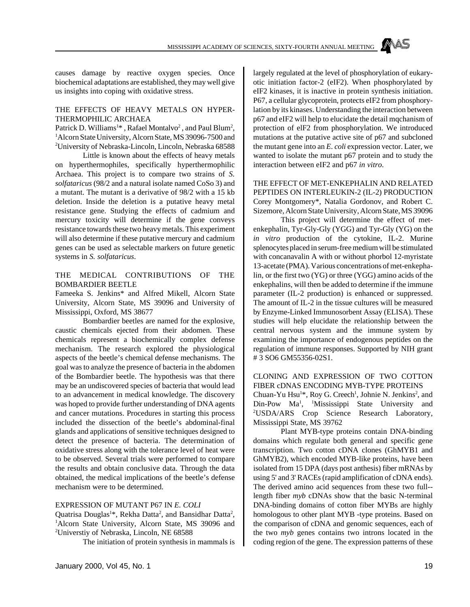MISSISSIPPI ACADEMY OF SCIENCES, SIXTY-FOURTH ANNUAL MEETING

causes damage by reactive oxygen species. Once biochemical adaptations are established, they may well give us insights into coping with oxidative stress.

#### THE EFFECTS OF HEAVY METALS ON HYPER-THERMOPHILIC ARCHAEA

Patrick D. Williams<sup>1\*</sup>, Rafael Montalvo<sup>2</sup>, and Paul Blum<sup>2</sup>, <sup>1</sup>Alcorn State University, Alcorn State, MS 39096-7500 and <sup>2</sup>University of Nebraska-Lincoln, Lincoln, Nebraska 68588

Little is known about the effects of heavy metals on hyperthermophiles, specifically hyperthermophilic Archaea. This project is to compare two strains of *S. solfataricus* (98/2 and a natural isolate named CoSo 3) and a mutant. The mutant is a derivative of 98/2 with a 15 kb deletion. Inside the deletion is a putative heavy metal resistance gene. Studying the effects of cadmium and mercury toxicity will determine if the gene conveys resistance towards these two heavy metals. This experiment will also determine if these putative mercury and cadmium genes can be used as selectable markers on future genetic systems in *S. solfataricus*.

#### THE MEDICAL CONTRIBUTIONS OF THE BOMBARDIER BEETLE

Fameeka S. Jenkins\* and Alfred Mikell, Alcorn State University, Alcorn State, MS 39096 and University of Mississippi, Oxford, MS 38677

Bombardier beetles are named for the explosive, caustic chemicals ejected from their abdomen. These chemicals represent a biochemically complex defense mechanism. The research explored the physiological aspects of the beetle's chemical defense mechanisms. The goal was to analyze the presence of bacteria in the abdomen of the Bombardier beetle. The hypothesis was that there may be an undiscovered species of bacteria that would lead to an advancement in medical knowledge. The discovery was hoped to provide further understanding of DNA agents and cancer mutations. Procedures in starting this process included the dissection of the beetle's abdominal-final glands and applications of sensitive techniques designed to detect the presence of bacteria. The determination of oxidative stress along with the tolerance level of heat were to be observed. Several trials were performed to compare the results and obtain conclusive data. Through the data obtained, the medical implications of the beetle's defense mechanism were to be determined.

#### EXPRESSION OF MUTANT P67 IN *E. COLI*

Quatrisa Douglas<sup>1\*</sup>, Rekha Datta<sup>2</sup>, and Bansidhar Datta<sup>2</sup>, <sup>1</sup>Alcorn State University, Alcorn State, MS 39096 and <sup>2</sup>Universtiy of Nebraska, Lincoln, NE 68588

The initiation of protein synthesis in mammals is

largely regulated at the level of phosphorylation of eukaryotic initiation factor-2 (eIF2). When phosphorylated by eIF2 kinases, it is inactive in protein synthesis initiation. P67, a cellular glycoprotein, protects eIF2 from phosphorylation by its kinases. Understanding the interaction between p67 and eIF2 will help to elucidate the detail mqchanism of protection of elF2 from phosphorylation. We introduced mutations at the putative active site of p67 and subcloned the mutant gene into an *E. coli* expression vector. Later, we wanted to isolate the mutant p67 protein and to study the interaction between eIF2 and p67 *in vitro*.

THE EFFECT OF MET-ENKEPHALIN AND RELATED PEPTIDES ON INTERLEUKIN-2 (IL-2) PRODUCTION Corey Montgomery\*, Natalia Gordonov, and Robert C. Sizemore, Alcorn State University, Alcorn State, MS 39096

This project will determine the effect of metenkephalin, Tyr-Gly-Gly (YGG) and Tyr-Gly (YG) on the *in vitro* production of the cytokine, IL-2. Murine splenocytes placed in serum-free medium will be stimulated with concanavalin A with or without phorbol 12-myristate 13-acetate (PMA). Various concentrations of met-enkephalin, or the first two (YG) or three (YGG) amino acids of the enkephalins, will then be added to determine if the immune parameter (IL-2 production) is enhanced or suppressed. The amount of IL-2 in the tissue cultures will be measured by Enzyme-Linked Immunosorbent Assay (ELISA). These studies will help elucidate the relationship between the central nervous system and the immune system by examining the importance of endogenous peptides on the regulation of immune responses. Supported by NIH grant # 3 SO6 GM55356-02S1.

CLONING AND EXPRESSION OF TWO COTTON FIBER cDNAS ENCODING MYB-TYPE PROTEINS Chuan-Yu Hsu<sup>1\*</sup>, Roy G. Creech<sup>1</sup>, Johnie N. Jenkins<sup>2</sup>, and Din-Pow Ma<sup>1</sup>, <sup>1</sup>Mississippi State University and <sup>2</sup>USDA/ARS Crop Science Research Laboratory, Mississippi State, MS 39762

Plant MYB-type proteins contain DNA-binding domains which regulate both general and specific gene transcription. Two cotton cDNA clones (GhMYB1 and GhMYB2), which encoded MYB-like proteins, have been isolated from 15 DPA (days post anthesis) fiber mRNAs by using 5' and 3' RACEs (rapid amplification of cDNA ends). The derived amino acid sequences from these two full- length fiber *myb* cDNAs show that the basic N-terminal DNA-binding domains of cotton fiber MYBs are highly homologous to other plant MYB -type proteins. Based on the comparison of cDNA and genomic sequences, each of the two *myb* genes contains two introns located in the coding region of the gene. The expression patterns of these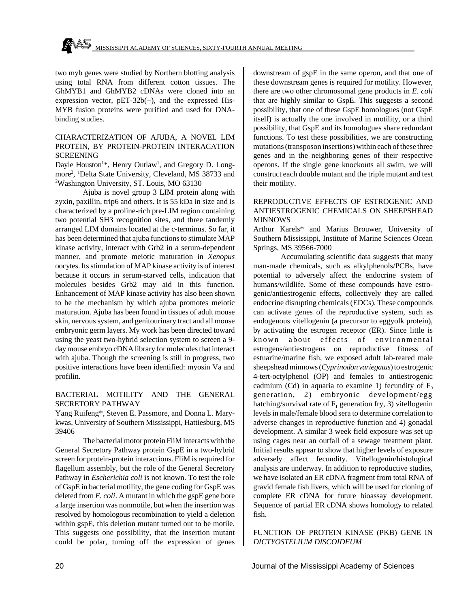two myb genes were studied by Northern blotting analysis using total RNA from different cotton tissues. The GhMYB1 and GhMYB2 cDNAs were cloned into an expression vector, pET-32b(+), and the expressed His-MYB fusion proteins were purified and used for DNAbinding studies.

#### CHARACTERIZATION OF AJUBA, A NOVEL LIM PROTEIN, BY PROTEIN-PROTEIN INTERACATION SCREENING

Dayle Houston<sup>1\*</sup>, Henry Outlaw<sup>1</sup>, and Gregory D. Longmore<sup>2</sup> , <sup>1</sup>Delta State University, Cleveland, MS 38733 and <sup>2</sup>Washington University, ST. Louis, MO 63130

Ajuba is novel group 3 LIM protein along with zyxin, paxillin, trip6 and others. It is 55 kDa in size and is characterized by a proline-rich pre-LIM region containing two potential SH3 recognition sites, and three tandemly arranged LIM domains located at the c-terminus. So far, it has been determined that ajuba functions to stimulate MAP kinase activity, interact with Grb2 in a serum-dependent manner, and promote meiotic maturation in *Xenopus* oocytes. Its stimulation of MAP kinase activity is of interest because it occurs in serum-starved cells, indication that molecules besides Grb2 may aid in this function. Enhancement of MAP kinase activity has also been shown to be the mechanism by which ajuba promotes meiotic maturation. Ajuba has been found in tissues of adult mouse skin, nervous system, and genitourinary tract and all mouse embryonic germ layers. My work has been directed toward using the yeast two-hybrid selection system to screen a 9 day mouse embryo cDNA library for molecules that interact with ajuba. Though the screening is still in progress, two positive interactions have been identified: myosin Va and profilin.

#### BACTERIAL MOTILITY AND THE GENERAL SECRETORY PATHWAY

Yang Ruifeng\*, Steven E. Passmore, and Donna L. Marykwas, University of Southern Mississippi, Hattiesburg, MS 39406

The bacterial motor protein FliM interacts with the General Secretory Pathway protein GspE in a two-hybrid screen for protein-protein interactions. FliM is required for flagellum assembly, but the role of the General Secretory Pathway in *Escherichia coli* is not known. To test the role of GspE in bacterial motility, the gene coding for GspE was deleted from *E. coli*. A mutant in which the gspE gene bore a large insertion was nonmotile, but when the insertion was resolved by homologous recombination to yield a deletion within gspE, this deletion mutant turned out to be motile. This suggests one possibility, that the insertion mutant could be polar, turning off the expression of genes downstream of gspE in the same operon, and that one of these downstream genes is required for motility. However, there are two other chromosomal gene products in *E. coli* that are highly similar to GspE. This suggests a second possibility, that one of these GspE homologues (not GspE itself) is actually the one involved in motility, or a third possibility, that GspE and its homologues share redundant functions. To test these possibilities, we are constructing mutations (transposon insertions) within each of these three genes and in the neighboring genes of their respective operons. If the single gene knockouts all swim, we will construct each double mutant and the triple mutant and test their motility.

#### REPRODUCTIVE EFFECTS OF ESTROGENIC AND ANTIESTROGENIC CHEMICALS ON SHEEPSHEAD MINNOWS

Arthur Karels\* and Marius Brouwer, University of Southern Mississippi, Institute of Marine Sciences Ocean Springs, MS 39566-7000

Accumulating scientific data suggests that many man-made chemicals, such as alkylphenols/PCBs, have potential to adversely affect the endocrine system of humans/wildlife. Some of these compounds have estrogenic/antiestrogenic effects, collectively they are called endocrine disrupting chemicals (EDCs). These compounds can activate genes of the reproductive system, such as endogenous vitellogenin (a precursor to eggyolk protein), by activating the estrogen receptor (ER). Since little is known about effects of environmental estrogens/antiestrogens on reproductive fitness of estuarine/marine fish, we exposed adult lab-reared male sheepshead minnows (*Cyprinodon variegatus*) to estrogenic 4-tert-octylphenol (OP) and females to antiestrogenic cadmium (Cd) in aquaria to examine 1) fecundity of  $F_0$ generation, 2) embryonic development/egg hatching/survival rate of  $F_1$  generation fry, 3) vitellogenin levels in male/female blood sera to determine correlation to adverse changes in reproductive function and 4) gonadal development. A similar 3 week field exposure was set up using cages near an outfall of a sewage treatment plant. Initial results appear to show that higher levels of exposure adversely affect fecundity. Vitellogenin/histological analysis are underway. In addition to reproductive studies, we have isolated an ER cDNA fragment from total RNA of gravid female fish livers, which will be used for cloning of complete ER cDNA for future bioassay development. Sequence of partial ER cDNA shows homology to related fish.

#### FUNCTION OF PROTEIN KINASE (PKB) GENE IN *DICTYOSTELIUM DISCOIDEUM*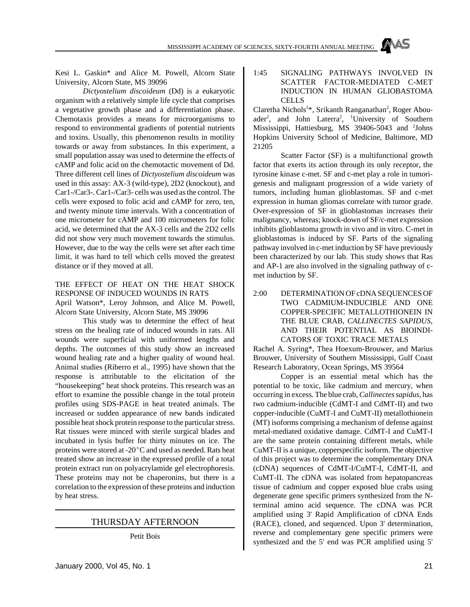MISSISSIPPI ACADEMY OF SCIENCES, SIXTY-FOURTH ANNUAL MEETING

Kesi L. Gaskin\* and Alice M. Powell, Alcorn State University, Alcorn State, MS 39096

*Dictyostelium discoideum* (Dd) is a eukaryotic organism with a relatively simple life cycle that comprises a vegetative growth phase and a differentiation phase. Chemotaxis provides a means for microorganisms to respond to environmental gradients of potential nutrients and toxins. Usually, this phenomenon results in motility towards or away from substances. In this experiment, a small population assay was used to determine the effects of cAMP and folic acid on the chemotactic movement of Dd. Three different cell lines of *Dictyostelium discoideum* was used in this assay: AX-3 (wild-type), 2D2 (knockout), and Car1-/Car3-. Car1-/Car3- cells was used as the control. The cells were exposed to folic acid and cAMP for zero, ten, and twenty minute time intervals. With a concentration of one micrometer for cAMP and 100 micrometers for folic acid, we determined that the AX-3 cells and the 2D2 cells did not show very much movement towards the stimulus. However, due to the way the cells were set after each time limit, it was hard to tell which cells moved the greatest distance or if they moved at all.

#### THE EFFECT OF HEAT ON THE HEAT SHOCK RESPONSE OF INDUCED WOUNDS IN RATS April Watson\*, Leroy Johnson, and Alice M. Powell,

Alcorn State University, Alcorn State, MS 39096

This study was to determine the effect of heat stress on the healing rate of induced wounds in rats. All wounds were superficial with uniformed lengths and depths. The outcomes of this study show an increased wound healing rate and a higher quality of wound heal. Animal studies (Riberro et al., 1995) have shown that the response is attributable to the elicitation of the "housekeeping" heat shock proteins. This research was an effort to examine the possible change in the total protein profiles using SDS-PAGE in heat treated animals. The increased or sudden appearance of new bands indicated possible heat shock protein response to the particular stress. Rat tissues were minced with sterile surgical blades and incubated in lysis buffer for thirty minutes on ice. The proteins were stored at -20 $^{\circ}$ C and used as needed. Rats heat treated show an increase in the expressed profile of a total protein extract run on polyacrylamide gel electrophoresis. These proteins may not be chaperonins, but there is a correlation to the expression of these proteins and induction by heat stress.

#### THURSDAY AFTERNOON

Petit Bois

#### 1:45 SIGNALING PATHWAYS INVOLVED IN SCATTER FACTOR-MEDIATED C-MET INDUCTION IN HUMAN GLIOBASTOMA CELLS

Claretha Nichols<sup>1\*</sup>, Srikanth Ranganathan<sup>2</sup>, Roger Abouader<sup>2</sup>, and John Laterra<sup>2</sup>, <sup>1</sup>University of Southern Mississippi, Hattiesburg, MS 39406-5043 and <sup>2</sup>Johns Hopkins University School of Medicine, Baltimore, MD 21205

Scatter Factor (SF) is a multifunctional growth factor that exerts its action through its only receptor, the tyrosine kinase c-met. SF and c-met play a role in tumorigenesis and malignant progression of a wide variety of tumors, including human glioblastomas. SF and c-met expression in human gliomas correlate with tumor grade. Over-expression of SF in glioblastomas increases their malignancy, whereas; knock-down of SF/c-met expression inhibits glioblastoma growth in vivo and in vitro. C-met in glioblastomas is induced by SF. Parts of the signaling pathway involved in c-met induction by SF have previously been characterized by our lab. This study shows that Ras and AP-1 are also involved in the signaling pathway of cmet induction by SF.

#### 2:00 DETERMINATION OF cDNA SEQUENCES OF TWO CADMIUM-INDUCIBLE AND ONE COPPER-SPECIFIC METALLOTHIONEIN IN THE BLUE CRAB, *CALLINECTES SAPIDUS*, AND THEIR POTENTIAL AS BIOINDI-CATORS OF TOXIC TRACE METALS

Rachel A. Syring\*, Thea Hoexum-Brouwer, and Marius Brouwer, University of Southern Mississippi, Gulf Coast Research Laboratory, Ocean Springs, MS 39564

Copper is an essential metal which has the potential to be toxic, like cadmium and mercury, when occurring in excess. The blue crab, *Callinectes sapidus*, has two cadmium-inducible (CdMT-I and CdMT-II) and two copper-inducible (CuMT-I and CuMT-II) metallothionein (MT) isoforms comprising a mechanism of defense against metal-mediated oxidative damage. CdMT-I and CuMT-I are the same protein containing different metals, while CuMT-II is a unique, copperspecific isoform. The objective of this project was to determine the complementary DNA (cDNA) sequences of CdMT-I/CuMT-I, CdMT-II, and CuMT-II. The cDNA was isolated from hepatopancreas tissue of cadmium and copper exposed blue crabs using degenerate gene specific primers synthesized from the Nterminal amino acid sequence. The cDNA was PCR amplified using 3' Rapid Amplification of cDNA Ends (RACE), cloned, and sequenced. Upon 3' determination, reverse and complementary gene specific primers were synthesized and the 5' end was PCR amplified using 5'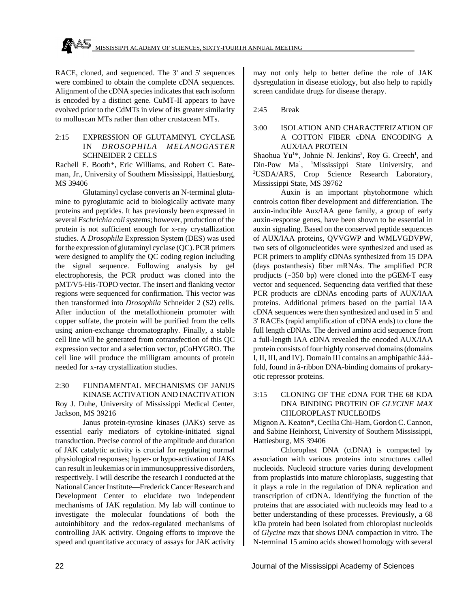RACE, cloned, and sequenced. The 3' and 5' sequences were combined to obtain the complete cDNA sequences. Alignment of the cDNA species indicates that each isoform is encoded by a distinct gene. CuMT-II appears to have evolved prior to the CdMTs in view of its greater similarity to molluscan MTs rather than other crustacean MTs.

#### 2:15 EXPRESSION OF GLUTAMINYL CYCLASE IN *DROSOPHILA MELANOGASTER* SCHNEIDER 2 CELLS

Rachell E. Booth\*, Eric Williams, and Robert C. Bateman, Jr., University of Southern Mississippi, Hattiesburg, MS 39406

Glutaminyl cyclase converts an N-terminal glutamine to pyroglutamic acid to biologically activate many proteins and peptides. It has previously been expressed in several *Eschrichia coli* systems; however, production of the protein is not sufficient enough for x-ray crystallization studies. A *Drosophila* Expression System (DES) was used for the expression of glutaminyl cyclase (QC). PCR primers were designed to amplify the QC coding region including the signal sequence. Following analysis by gel electrophoresis, the PCR product was cloned into the pMT/V5-His-TOPO vector. The insert and flanking vector regions were sequenced for confirmation. This vector was then transformed into *Drosophila* Schneider 2 (S2) cells. After induction of the metallothionein promoter with copper sulfate, the protein will be purified from the cells using anion-exchange chromatography. Finally, a stable cell line will be generated from cotransfection of this QC expression vector and a selection vector, pCoHYGRO. The cell line will produce the milligram amounts of protein needed for x-ray crystallization studies.

#### 2:30 FUNDAMENTAL MECHANISMS OF JANUS KINASE ACTIVATION AND INACTIVATION Roy J. Duhe, University of Mississippi Medical Center, Jackson, MS 39216

Janus protein-tyrosine kinases (JAKs) serve as essential early mediators of cytokine-initiated signal transduction. Precise control of the amplitude and duration of JAK catalytic activity is crucial for regulating normal physiological responses; hyper- or hypo-activation of JAKs can result in leukemias or in immunosuppressive disorders, respectively. I will describe the research I conducted at the National Cancer Institute—Frederick Cancer Research and Development Center to elucidate two independent mechanisms of JAK regulation. My lab will continue to investigate the molecular foundations of both the autoinhibitory and the redox-regulated mechanisms of controlling JAK activity. Ongoing efforts to improve the speed and quantitative accuracy of assays for JAK activity may not only help to better define the role of JAK dysregulation in disease etiology, but also help to rapidly screen candidate drugs for disease therapy.

2:45 Break

#### 3:00 ISOLATION AND CHARACTERIZATION OF A COTTON FIBER cDNA ENCODING A AUX/IAA PROTEIN

Shaohua Yu<sup>1\*</sup>, Johnie N. Jenkins<sup>2</sup>, Roy G. Creech<sup>1</sup>, and Din-Pow Ma<sup>1</sup>, <sup>1</sup>Mississippi State University, and <sup>2</sup>USDA/ARS, Crop Science Research Laboratory, Mississippi State, MS 39762

Auxin is an important phytohormone which controls cotton fiber development and differentiation. The auxin-inducible Aux/IAA gene family, a group of early auxin-response genes, have been shown to be essential in auxin signaling. Based on the conserved peptide sequences of AUX/IAA proteins, QVVGWP and WMLVGDVPW, two sets of oligonucleotides were synthesized and used as PCR primers to amplify cDNAs synthesized from 15 DPA (days postanthesis) fiber mRNAs. The amplified PCR prodjucts  $(-350 \text{ bp})$  were cloned into the pGEM-T easy vector and sequenced. Sequencing data verified that these PCR products are cDNAs encoding parts of AUX/IAA proteins. Additional primers based on the partial IAA cDNA sequences were then synthesized and used in 5' and 3' RACEs (rapid amplification of cDNA ends) to clone the full length cDNAs. The derived amino acid sequence from a full-length IAA cDNA revealed the encoded AUX/IAA protein consists of four highly conserved domains (domains I, II, III, and IV). Domain III contains an amphipathic âááfold, found in â-ribbon DNA-binding domains of prokaryotic repressor proteins.

#### 3:15 CLONING OF THE cDNA FOR THE 68 KDA DNA BINDING PROTEIN OF *GLYCINE MAX* CHLOROPLAST NUCLEOIDS

Mignon A. Keaton\*, Cecilia Chi-Ham, Gordon C. Cannon, and Sabine Heinhorst, University of Southern Mississippi, Hattiesburg, MS 39406

Chloroplast DNA (ctDNA) is compacted by association with various proteins into structures called nucleoids. Nucleoid structure varies during development from proplastids into mature chloroplasts, suggesting that it plays a role in the regulation of DNA replication and transcription of ctDNA. Identifying the function of the proteins that are associated with nucleoids may lead to a better understanding of these processes. Previously, a 68 kDa protein had been isolated from chloroplast nucleoids of *Glycine max* that shows DNA compaction in vitro. The N-terminal 15 amino acids showed homology with several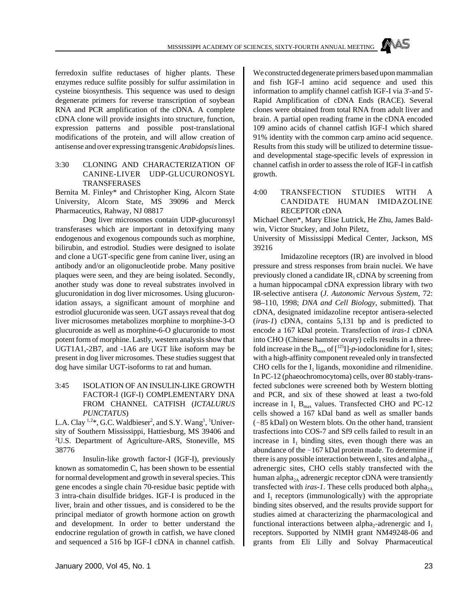ferredoxin sulfite reductases of higher plants. These enzymes reduce sulfite possibly for sulfur assimilation in cysteine biosynthesis. This sequence was used to design degenerate primers for reverse transcription of soybean RNA and PCR amplification of the cDNA. A complete cDNA clone will provide insights into structure, function, expression patterns and possible post-translational modifications of the protein, and will allow creation of antisense and over expressing transgenic *Arabidopsis* lines.

#### 3:30 CLONING AND CHARACTERIZATION OF CANINE-LIVER UDP-GLUCURONOSYL TRANSFERASES

Bernita M. Finley\* and Christopher King, Alcorn State University, Alcorn State, MS 39096 and Merck Pharmaceutics, Rahway, NJ 08817

Dog liver microsomes contain UDP-glucuronsyl transferases which are important in detoxifying many endogenous and exogenous compounds such as morphine, bilirubin, and estrodiol. Studies were designed to isolate and clone a UGT-specific gene from canine liver, using an antibody and/or an oligonucleotide probe. Many positive plaques were seen, and they are being isolated. Secondly, another study was done to reveal substrates involved in glucuronidation in dog liver microsomes. Using glucuronidation assays, a significant amount of morphine and estrodiol glucuronide was seen. UGT assays reveal that dog liver microsomes metabolizes morphine to morphine-3-O glucuronide as well as morphine-6-O glucuronide to most potent form of morphine. Lastly, western analysis show that UGT1A1,-2B7, and -1A6 are UGT like isoform may be present in dog liver microsomes. These studies suggest that dog have similar UGT-isoforms to rat and human.

#### 3:45 ISOLATION OF AN INSULIN-LIKE GROWTH FACTOR-I (IGF-I) COMPLEMENTARY DNA FROM CHANNEL CATFISH (*ICTALURUS PUNCTATUS*)

L.A. Clay  $^{1,2*}$ , G.C. Waldbieser<sup>2</sup>, and S.Y. Wang<sup>1</sup>, <sup>1</sup>University of Southern Mississippi, Hattiesburg, MS 39406 and <sup>2</sup>U.S. Department of Agriculture-ARS, Stoneville, MS 38776

Insulin-like growth factor-I (IGF-I), previously known as somatomedin C, has been shown to be essential for normal development and growth in several species. This gene encodes a single chain 70-residue basic peptide with 3 intra-chain disulfide bridges. IGF-I is produced in the liver, brain and other tissues, and is considered to be the principal mediator of growth hormone action on growth and development. In order to better understand the endocrine regulation of growth in catfish, we have cloned and sequenced a 516 bp IGF-I cDNA in channel catfish.

January 2000, Vol 45, No. 1 23

We constructed degenerate primers based upon mammalian and fish IGF-I amino acid sequence and used this information to amplify channel catfish IGF-I via 3'-and 5'- Rapid Amplification of cDNA Ends (RACE). Several clones were obtained from total RNA from adult liver and brain. A partial open reading frame in the cDNA encoded 109 amino acids of channel catfish IGF-I which shared 91% identity with the common carp amino acid sequence. Results from this study will be utilized to determine tissueand developmental stage-specific levels of expression in channel catfish in order to assess the role of IGF-I in catfish growth.

#### 4:00 TRANSFECTION STUDIES WITH A CANDIDATE HUMAN IMIDAZOLINE RECEPTOR cDNA

Michael Chen\*, Mary Elise Lutrick, He Zhu, James Baldwin, Victor Stuckey, and John Piletz,

University of Mississippi Medical Center, Jackson, MS 39216

Imidazoline receptors (IR) are involved in blood pressure and stress responses from brain nuclei. We have previously cloned a candidate  $IR<sub>1</sub>$  cDNA by screening from a human hippocampal cDNA expression library with two IR-selective antisera (*J. Autonomic Nervous System*, 72: 98–110, 1998; *DNA and Cell Biology*, submitted). That cDNA, designated imidazoline receptor antisera-selected (*iras-1*) cDNA, contains 5,131 bp and is predicted to encode a 167 kDal protein. Transfection of *iras-1* cDNA into CHO (Chinese hamster ovary) cells results in a threefold increase in the  $B_{\text{max}}$  of  $\lbrack$ <sup>125</sup>I]-*p*-iodoclonidine for  $I_1$  sites; with a high-affinity component revealed only in transfected CHO cells for the  $I_1$  ligands, moxonidine and rilmenidine. In PC-12 (phaeochromocytoma) cells, over 80 stably-transfected subclones were screened both by Western blotting and PCR, and six of these showed at least a two-fold increase in  $I_1$   $B_{\text{max}}$  values. Transfected CHO and PC-12 cells showed a 167 kDal band as well as smaller bands  $(-85$  kDal) on Western blots. On the other hand, transient trasfections into COS-7 and Sf9 cells failed to result in an increase in  $I_1$  binding sites, even though there was an abundance of the  $\sim$  167 kDal protein made. To determine if there is any possible interaction between  $\mathrm{I}_1$  sites and alpha<sub>2A</sub> adrenergic sites, CHO cells stably transfected with the human alpha<sub>2A</sub> adrenergic receptor cDNA were transiently transfected with *iras-1*. These cells produced both alpha<sub>2A</sub> and  $I_1$  receptors (immunologically) with the appropriate binding sites observed, and the results provide support for studies aimed at characterizing the pharmacological and functional interactions between alpha<sub>2</sub>-adrenergic and  $I_1$ receptors. Supported by NIMH grant NM49248-06 and grants from Eli Lilly and Solvay Pharmaceutical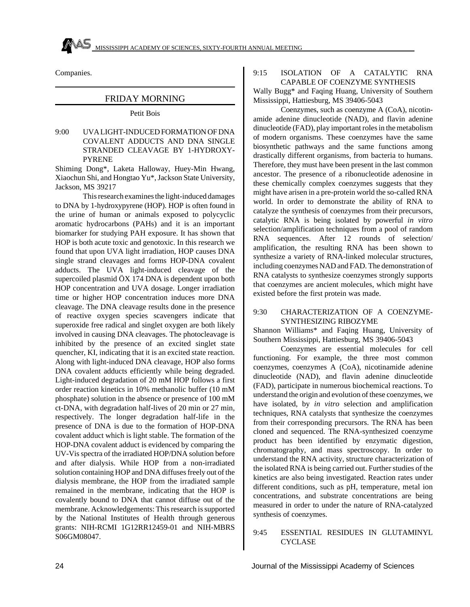

Companies.

#### FRIDAY MORNING

#### Petit Bois

9:00 UVA LIGHT-INDUCED FORMATION OF DNA COVALENT ADDUCTS AND DNA SINGLE STRANDED CLEAVAGE BY 1-HYDROXY-PYRENE

Shiming Dong\*, Laketa Halloway, Huey-Min Hwang, Xiaochun Shi, and Hongtao Yu\*, Jackson State University, Jackson, MS 39217

This research examines the light-induced damages to DNA by 1-hydroxypyrene (HOP). HOP is often found in the urine of human or animals exposed to polycyclic aromatic hydrocarbons (PAHs) and it is an important biomarker for studying PAH exposure. It has shown that HOP is both acute toxic and genotoxic. In this research we found that upon UVA light irradiation, HOP causes DNA single strand cleavages and forms HOP-DNA covalent adducts. The UVA light-induced cleavage of the supercoiled plasmid ÖX 174 DNA is dependent upon both HOP concentration and UVA dosage. Longer irradiation time or higher HOP concentration induces more DNA cleavage. The DNA cleavage results done in the presence of reactive oxygen species scavengers indicate that superoxide free radical and singlet oxygen are both likely involved in causing DNA cleavages. The photocleavage is inhibited by the presence of an excited singlet state quencher, KI, indicating that it is an excited state reaction. Along with light-induced DNA cleavage, HOP also forms DNA covalent adducts efficiently while being degraded. Light-induced degradation of 20 mM HOP follows a first order reaction kinetics in 10% methanolic buffer (10 mM phosphate) solution in the absence or presence of 100 mM ct-DNA, with degradation half-lives of 20 min or 27 min, respectively. The longer degradation half-life in the presence of DNA is due to the formation of HOP-DNA covalent adduct which is light stable. The formation of the HOP-DNA covalent adduct is evidenced by comparing the UV-Vis spectra of the irradiated HOP/DNA solution before and after dialysis. While HOP from a non-irradiated solution containing HOP and DNA diffuses freely out of the dialysis membrane, the HOP from the irradiated sample remained in the membrane, indicating that the HOP is covalently bound to DNA that cannot diffuse out of the membrane. Acknowledgements: This research is supported by the National Institutes of Health through generous grants: NIH-RCMI 1G12RR12459-01 and NIH-MBRS S06GM08047.

#### 9:15 ISOLATION OF A CATALYTIC RNA CAPABLE OF COENZYME SYNTHESIS

Wally Bugg\* and Faqing Huang, University of Southern Mississippi, Hattiesburg, MS 39406-5043

Coenzymes, such as coenzyme A (CoA), nicotinamide adenine dinucleotide (NAD), and flavin adenine dinucleotide (FAD), play important roles in the metabolism of modern organisms. These coenzymes have the same biosynthetic pathways and the same functions among drastically different organisms, from bacteria to humans. Therefore, they must have been present in the last common ancestor. The presence of a ribonucleotide adenosine in these chemically complex coenzymes suggests that they might have arisen in a pre-protein world the so-called RNA world. In order to demonstrate the ability of RNA to catalyze the synthesis of coenzymes from their precursors, catalytic RNA is being isolated by powerful *in vitro* selection/amplification techniques from a pool of random RNA sequences. After 12 rounds of selection/ amplification, the resulting RNA has been shown to synthesize a variety of RNA-linked molecular structures, including coenzymes NAD and FAD. The demonstration of RNA catalysts to synthesize coenzymes strongly supports that coenzymes are ancient molecules, which might have existed before the first protein was made.

#### 9:30 CHARACTERIZATION OF A COENZYME-SYNTHESIZING RIBOZYME

Shannon Williams\* and Faqing Huang, University of Southern Mississippi, Hattiesburg, MS 39406-5043

Coenzymes are essential molecules for cell functioning. For example, the three most common coenzymes, coenzymes A (CoA), nicotinamide adenine dinucleotide (NAD), and flavin adenine dinucleotide (FAD), participate in numerous biochemical reactions. To understand the origin and evolution of these coenzymes, we have isolated, by *in vitro* selection and amplification techniques, RNA catalysts that synthesize the coenzymes from their corresponding precursors. The RNA has been cloned and sequenced. The RNA-synthesized coenzyme product has been identified by enzymatic digestion, chromatography, and mass spectroscopy. In order to understand the RNA activity, structure characterization of the isolated RNA is being carried out. Further studies of the kinetics are also being investigated. Reaction rates under different conditions, such as pH, temperature, metal ion concentrations, and substrate concentrations are being measured in order to under the nature of RNA-catalyzed synthesis of coenzymes.

9:45 ESSENTIAL RESIDUES IN GLUTAMINYL CYCLASE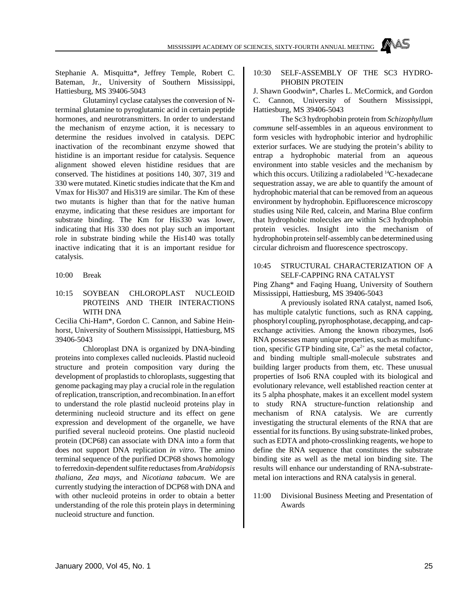MISSISSIPPI ACADEMY OF SCIENCES, SIXTY-FOURTH ANNUAL MEETING

Stephanie A. Misquitta\*, Jeffrey Temple, Robert C. Bateman, Jr., University of Southern Mississippi, Hattiesburg, MS 39406-5043

Glutaminyl cyclase catalyses the conversion of Nterminal glutamine to pyroglutamic acid in certain peptide hormones, and neurotransmitters. In order to understand the mechanism of enzyme action, it is necessary to determine the residues involved in catalysis. DEPC inactivation of the recombinant enzyme showed that histidine is an important residue for catalysis. Sequence alignment showed eleven histidine residues that are conserved. The histidines at positions 140, 307, 319 and 330 were mutated. Kinetic studies indicate that the Km and Vmax for His307 and His319 are similar. The Km of these two mutants is higher than that for the native human enzyme, indicating that these residues are important for substrate binding. The Km for His330 was lower, indicating that His 330 does not play such an important role in substrate binding while the His140 was totally inactive indicating that it is an important residue for catalysis.

#### 10:00 Break

10:15 SOYBEAN CHLOROPLAST NUCLEOID PROTEINS AND THEIR INTERACTIONS WITH DNA

Cecilia Chi-Ham\*, Gordon C. Cannon, and Sabine Heinhorst, University of Southern Mississippi, Hattiesburg, MS 39406-5043

Chloroplast DNA is organized by DNA-binding proteins into complexes called nucleoids. Plastid nucleoid structure and protein composition vary during the development of proplastids to chloroplasts, suggesting that genome packaging may play a crucial role in the regulation of replication, transcription, and recombination. In an effort to understand the role plastid nucleoid proteins play in determining nucleoid structure and its effect on gene expression and development of the organelle, we have purified several nucleoid proteins. One plastid nucleoid protein (DCP68) can associate with DNA into a form that does not support DNA replication *in vitro*. The amino terminal sequence of the purified DCP68 shows homology to ferredoxin-dependent sulfite reductases from *Arabidopsis thaliana, Zea mays,* and *Nicotiana tabacum*. We are currently studying the interaction of DCP68 with DNA and with other nucleoid proteins in order to obtain a better understanding of the role this protein plays in determining nucleoid structure and function.

#### 10:30 SELF-ASSEMBLY OF THE SC3 HYDRO-PHOBIN PROTEIN

J. Shawn Goodwin\*, Charles L. McCormick, and Gordon C. Cannon, University of Southern Mississippi, Hattiesburg, MS 39406-5043

The Sc3 hydrophobin protein from *Schizophyllum commune* self-assembles in an aqueous environment to form vesicles with hydrophobic interior and hydrophilic exterior surfaces. We are studying the protein's ability to entrap a hydrophobic material from an aqueous environment into stable vesicles and the mechanism by which this occurs. Utilizing a radiolabeled <sup>14</sup>C-hexadecane sequestration assay, we are able to quantify the amount of hydrophobic material that can be removed from an aqueous environment by hydrophobin. Epifluorescence microscopy studies using Nile Red, calcein, and Marina Blue confirm that hydrophobic molecules are within Sc3 hydrophobin protein vesicles. Insight into the mechanism of hydrophobin protein self-assembly can be determined using circular dichroism and fluorescence spectroscopy.

#### 10:45 STRUCTURAL CHARACTERIZATION OF A SELF-CAPPING RNA CATALYST

Ping Zhang\* and Faqing Huang, University of Southern Mississippi, Hattiesburg, MS 39406-5043

A previously isolated RNA catalyst, named Iso6, has multiple catalytic functions, such as RNA capping, phosphoryl coupling, pyrophosphotase, decapping, and capexchange activities. Among the known ribozymes, Iso6 RNA possesses many unique properties, such as multifunction, specific GTP binding site,  $Ca^{2+}$  as the metal cofactor, and binding multiple small-molecule substrates and building larger products from them, etc. These unusual properties of Iso6 RNA coupled with its biological and evolutionary relevance, well established reaction center at its 5 alpha phosphate, makes it an excellent model system to study RNA structure-function relationship and mechanism of RNA catalysis. We are currently investigating the structural elements of the RNA that are essential for its functions. By using substrate-linked probes, such as EDTA and photo-crosslinking reagents, we hope to define the RNA sequence that constitutes the substrate binding site as well as the metal ion binding site. The results will enhance our understanding of RNA-substratemetal ion interactions and RNA catalysis in general.

11:00 Divisional Business Meeting and Presentation of Awards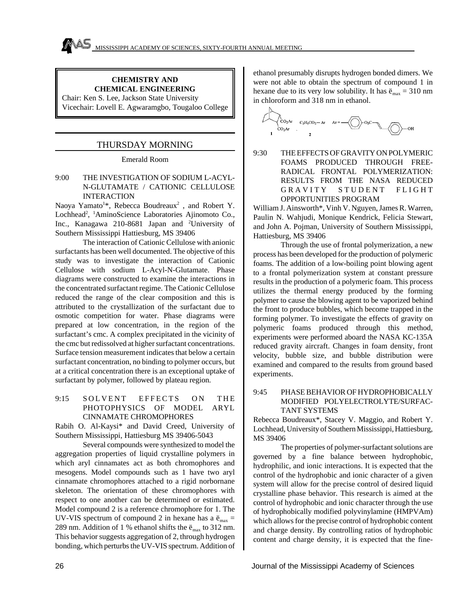#### **CHEMISTRY AND CHEMICAL ENGINEERING**

Chair: Ken S. Lee, Jackson State University Vicechair: Lovell E. Agwaramgbo, Tougaloo College

#### THURSDAY MORNING

Emerald Room

#### 9:00 THE INVESTIGATION OF SODIUM L-ACYL-N-GLUTAMATE / CATIONIC CELLULOSE INTERACTION

Naoya Yamato<sup>1\*</sup>, Rebecca Boudreaux<sup>2</sup>, and Robert Y. Lochhead<sup>2</sup>, <sup>1</sup>AminoScience Laboratories Ajinomoto Co., Inc., Kanagawa 210-8681 Japan and <sup>2</sup>University of Southern Mississippi Hattiesburg, MS 39406

The interaction of Cationic Cellulose with anionic surfactants has been well documented. The objective of this study was to investigate the interaction of Cationic Cellulose with sodium L-Acyl-N-Glutamate. Phase diagrams were constructed to examine the interactions in the concentrated surfactant regime. The Cationic Cellulose reduced the range of the clear composition and this is attributed to the crystallization of the surfactant due to osmotic competition for water. Phase diagrams were prepared at low concentration, in the region of the surfactant's cmc. A complex precipitated in the vicinity of the cmc but redissolved at higher surfactant concentrations. Surface tension measurement indicates that below a certain surfactant concentration, no binding to polymer occurs, but at a critical concentration there is an exceptional uptake of surfactant by polymer, followed by plateau region.

#### 9:15 SOLVENT EFFECTS ON THE PHOTOPHYSICS OF MODEL ARYL CINNAMATE CHROMOPHORES

Rabih O. Al-Kaysi\* and David Creed, University of Southern Mississippi, Hattiesburg MS 39406-5043

Several compounds were synthesized to model the aggregation properties of liquid crystalline polymers in which aryl cinnamates act as both chromophores and mesogens. Model compounds such as 1 have two aryl cinnamate chromophores attached to a rigid norbornane skeleton. The orientation of these chromophores with respect to one another can be determined or estimated. Model compound 2 is a reference chromophore for 1. The UV-VIS spectrum of compound 2 in hexane has a  $\ddot{e}_{max}$  = 289 nm. Addition of 1 % ethanol shifts the  $\ddot{e}_{\text{max}}$  to 312 nm. This behavior suggests aggregation of 2, through hydrogen bonding, which perturbs the UV-VIS spectrum. Addition of ethanol presumably disrupts hydrogen bonded dimers. We were not able to obtain the spectrum of compound 1 in hexane due to its very low solubility. It has  $\ddot{e}_{max} = 310$  nm in chloroform and 318 nm in ethanol.



9:30 THE EFFECTS OF GRAVITY ON POLYMERIC FOAMS PRODUCED THROUGH FREE-RADICAL FRONTAL POLYMERIZATION: RESULTS FROM THE NASA REDUCED GRAVITY STUDENT FLIGHT OPPORTUNITIES PROGRAM

William J. Ainsworth\*, Vinh V. Nguyen, James R. Warren, Paulin N. Wahjudi, Monique Kendrick, Felicia Stewart, and John A. Pojman, University of Southern Mississippi, Hattiesburg, MS 39406

Through the use of frontal polymerization, a new process has been developed for the production of polymeric foams. The addition of a low-boiling point blowing agent to a frontal polymerization system at constant pressure results in the production of a polymeric foam. This process utilizes the thermal energy produced by the forming polymer to cause the blowing agent to be vaporized behind the front to produce bubbles, which become trapped in the forming polymer. To investigate the effects of gravity on polymeric foams produced through this method, experiments were performed aboard the NASA KC-135A reduced gravity aircraft. Changes in foam density, front velocity, bubble size, and bubble distribution were examined and compared to the results from ground based experiments.

#### 9:45 PHASE BEHAVIOR OF HYDROPHOBICALLY MODIFIED POLYELECTROLYTE/SURFAC-TANT SYSTEMS

Rebecca Boudreaux\*, Stacey V. Maggio, and Robert Y. Lochhead, University of Southern Mississippi, Hattiesburg, MS 39406

The properties of polymer-surfactant solutions are governed by a fine balance between hydrophobic, hydrophilic, and ionic interactions. It is expected that the control of the hydrophobic and ionic character of a given system will allow for the precise control of desired liquid crystalline phase behavior. This research is aimed at the control of hydrophobic and ionic character through the use of hydrophobically modified polyvinylamine (HMPVAm) which allows for the precise control of hydrophobic content and charge density. By controlling ratios of hydrophobic content and charge density, it is expected that the fine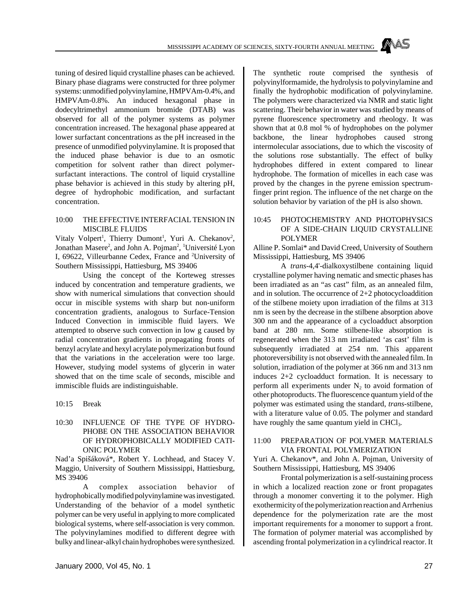tuning of desired liquid crystalline phases can be achieved. Binary phase diagrams were constructed for three polymer systems: unmodified polyvinylamine, HMPVAm-0.4%, and HMPVAm-0.8%. An induced hexagonal phase in dodecyltrimethyl ammonium bromide (DTAB) was observed for all of the polymer systems as polymer concentration increased. The hexagonal phase appeared at lower surfactant concentrations as the pH increased in the presence of unmodified polyvinylamine. It is proposed that the induced phase behavior is due to an osmotic competition for solvent rather than direct polymersurfactant interactions. The control of liquid crystalline phase behavior is achieved in this study by altering pH, degree of hydrophobic modification, and surfactant concentration.

#### 10:00 THE EFFECTIVE INTERFACIAL TENSION IN MISCIBLE FLUIDS

Vitaly Volpert<sup>1</sup>, Thierry Dumont<sup>1</sup>, Yuri A. Chekanov<sup>2</sup>, Jonathan Masere<sup>2</sup>, and John A. Pojman<sup>2</sup>, <sup>1</sup>Université Lyon I, 69622, Villeurbanne Cedex, France and <sup>2</sup>University of Southern Mississippi, Hattiesburg, MS 39406

Using the concept of the Korteweg stresses induced by concentration and temperature gradients, we show with numerical simulations that convection should occur in miscible systems with sharp but non-uniform concentration gradients, analogous to Surface-Tension Induced Convection in immiscible fluid layers. We attempted to observe such convection in low g caused by radial concentration gradients in propagating fronts of benzyl acrylate and hexyl acrylate polymerization but found that the variations in the acceleration were too large. However, studying model systems of glycerin in water showed that on the time scale of seconds, miscible and immiscible fluids are indistinguishable.

10:15 Break

#### 10:30 INFLUENCE OF THE TYPE OF HYDRO-PHOBE ON THE ASSOCIATION BEHAVIOR OF HYDROPHOBICALLY MODIFIED CATI-ONIC POLYMER

Nad'a Spišáková\*, Robert Y. Lochhead, and Stacey V. Maggio, University of Southern Mississippi, Hattiesburg, MS 39406

A complex association behavior of hydrophobically modified polyvinylamine was investigated. Understanding of the behavior of a model synthetic polymer can be very useful in applying to more complicated biological systems, where self-association is very common. The polyvinylamines modified to different degree with bulky and linear-alkyl chain hydrophobes were synthesized. The synthetic route comprised the synthesis of polyvinylformamide, the hydrolysis to polyvinylamine and finally the hydrophobic modification of polyvinylamine. The polymers were characterized via NMR and static light scattering. Their behavior in water was studied by means of pyrene fluorescence spectrometry and rheology. It was shown that at 0.8 mol % of hydrophobes on the polymer backbone, the linear hydrophobes caused strong intermolecular associations, due to which the viscosity of the solutions rose substantially. The effect of bulky hydrophobes differed in extent compared to linear hydrophobe. The formation of micelles in each case was proved by the changes in the pyrene emission spectrumfinger print region. The influence of the net charge on the solution behavior by variation of the pH is also shown.

#### 10:45 PHOTOCHEMISTRY AND PHOTOPHYSICS OF A SIDE-CHAIN LIQUID CRYSTALLINE POLYMER

Alline P. Somlai\* and David Creed, University of Southern Mississippi, Hattiesburg, MS 39406

A *trans*-4,4'-dialkoxystilbene containing liquid crystalline polymer having nematic and smectic phases has been irradiated as an "as cast" film, as an annealed film, and in solution. The occurrence of 2+2 photocycloaddition of the stilbene moiety upon irradiation of the films at 313 nm is seen by the decrease in the stilbene absorption above 300 nm and the appearance of a cycloadduct absorption band at 280 nm. Some stilbene-like absorption is regenerated when the 313 nm irradiated 'as cast' film is subsequently irradiated at 254 nm. This apparent photoreversibility is not observed with the annealed film. In solution, irradiation of the polymer at 366 nm and 313 nm induces 2+2 cycloadduct formation. It is necessary to perform all experiments under  $N_2$  to avoid formation of other photoproducts. The fluorescence quantum yield of the polymer was estimated using the standard, *trans*-stilbene, with a literature value of 0.05. The polymer and standard have roughly the same quantum yield in CHCl<sub>3</sub>.

#### 11:00 PREPARATION OF POLYMER MATERIALS VIA FRONTAL POLYMERIZATION

Yuri A. Chekanov\*, and John A. Pojman, University of Southern Mississippi, Hattiesburg, MS 39406

Frontal polymerization is a self-sustaining process in which a localized reaction zone or front propagates through a monomer converting it to the polymer. High exothermicity of the polymerization reaction and Arrhenius dependence for the polymerization rate are the most important requirements for a monomer to support a front. The formation of polymer material was accomplished by ascending frontal polymerization in a cylindrical reactor. It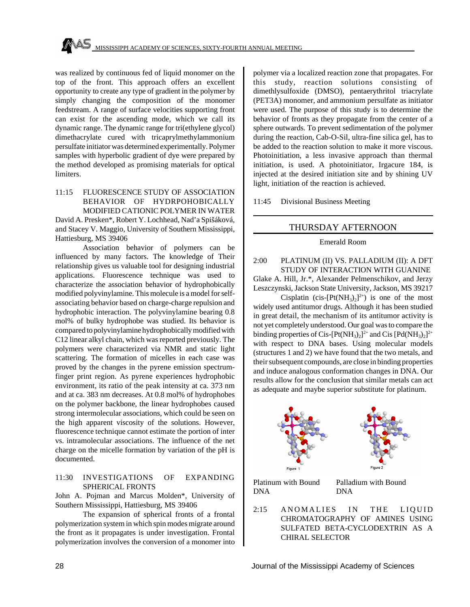was realized by continuous fed of liquid monomer on the top of the front. This approach offers an excellent opportunity to create any type of gradient in the polymer by simply changing the composition of the monomer feedstream. A range of surface velocities supporting front can exist for the ascending mode, which we call its dynamic range. The dynamic range for tri(ethylene glycol) dimethacrylate cured with tricaprylmethylammonium persulfate initiator was determined experimentally. Polymer samples with hyperbolic gradient of dye were prepared by the method developed as promising materials for optical limiters.

#### 11:15 FLUORESCENCE STUDY OF ASSOCIATION BEHAVIOR OF HYDRPOHOBICALLY MODIFIED CATIONIC POLYMER IN WATER David A. Presken\*, Robert Y. Lochhead, Nad'a Spišáková, and Stacey V. Maggio, University of Southern Mississippi,

Hattiesburg, MS 39406 Association behavior of polymers can be influenced by many factors. The knowledge of Their relationship gives us valuable tool for designing industrial applications. Fluorescence technique was used to characterize the association behavior of hydrophobically modified polyvinylamine. This molecule is a model for selfassociating behavior based on charge-charge repulsion and hydrophobic interaction. The polyvinylamine bearing 0.8 mol% of bulky hydrophobe was studied. Its behavior is compared to polyvinylamine hydrophobically modified with C12 linear alkyl chain, which was reported previously. The polymers were characterized via NMR and static light scattering. The formation of micelles in each case was proved by the changes in the pyrene emission spectrumfinger print region. As pyrene experiences hydrophobic environment, its ratio of the peak intensity at ca. 373 nm and at ca. 383 nm decreases. At 0.8 mol% of hydrophobes on the polymer backbone, the linear hydrophobes caused strong intermolecular associations, which could be seen on the high apparent viscosity of the solutions. However, fluorescence technique cannot estimate the portion of inter vs. intramolecular associations. The influence of the net charge on the micelle formation by variation of the pH is documented.

#### 11:30 INVESTIGATIONS OF EXPANDING SPHERICAL FRONTS

John A. Pojman and Marcus Molden\*, University of Southern Mississippi, Hattiesburg, MS 39406

The expansion of spherical fronts of a frontal polymerization system in which spin modes migrate around the front as it propagates is under investigation. Frontal polymerization involves the conversion of a monomer into polymer via a localized reaction zone that propagates. For this study, reaction solutions consisting of dimethlysulfoxide (DMSO), pentaerythritol triacrylate (PET3A) monomer, and ammonium persulfate as initiator were used. The purpose of this study is to determine the behavior of fronts as they propagate from the center of a sphere outwards. To prevent sedimentation of the polymer during the reaction, Cab-O-Sil, ultra-fine silica gel, has to be added to the reaction solution to make it more viscous. Photoinitiation, a less invasive approach than thermal initiation, is used. A photoinitiator, Irgacure 184, is injected at the desired initiation site and by shining UV light, initiation of the reaction is achieved.

11:45 Divisional Business Meeting

#### THURSDAY AFTERNOON

#### Emerald Room

2:00 PLATINUM (II) VS. PALLADIUM (II): A DFT STUDY OF INTERACTION WITH GUANINE Glake A. Hill, Jr.\*, Alexander Pelmenschikov, and Jerzy Leszczynski, Jackson State University, Jackson, MS 39217

Cisplatin (cis- $[Pt(NH_3)_2]^{2+}$ ) is one of the most widely used antitumor drugs. Although it has been studied in great detail, the mechanism of its antitumor activity is not yet completely understood. Our goal was to compare the binding properties of Cis-[Pt(NH<sub>3</sub>)<sub>2</sub>]<sup>2+</sup> and Cis [Pd(NH<sub>3</sub>)<sub>2</sub>]<sup>2+</sup> with respect to DNA bases. Using molecular models (structures 1 and 2) we have found that the two metals, and their subsequent compounds, are close in binding properties and induce analogous conformation changes in DNA. Our results allow for the conclusion that similar metals can act as adequate and maybe superior substitute for platinum.



Platinum with Bound DNA Palladium with Bound DNA

2:15 ANOMALIES IN THE LIQUID CHROMATOGRAPHY OF AMINES USING SULFATED BETA-CYCLODEXTRIN AS A CHIRAL SELECTOR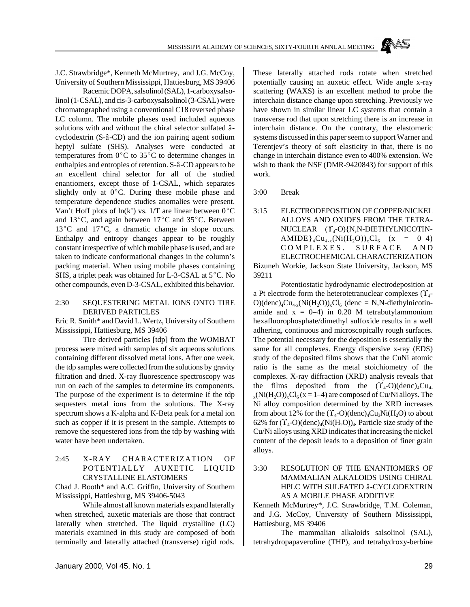J.C. Strawbridge\*, Kenneth McMurtrey, and J.G. McCoy, University of Southern Mississippi, Hattiesburg, MS 39406

Racemic DOPA, salsolinol (SAL), 1-carboxysalsolinol (1-CSAL), and cis-3-carboxysalsolinol (3-CSAL) were chromatographed using a conventional C18 reversed phase LC column. The mobile phases used included aqueous solutions with and without the chiral selector sulfated âcyclodextrin (S-â-CD) and the ion pairing agent sodium heptyl sulfate (SHS). Analyses were conducted at temperatures from  $0^{\circ}$ C to 35 $^{\circ}$ C to determine changes in enthalpies and entropies of retention. S-â-CD appears to be an excellent chiral selector for all of the studied enantiomers, except those of 1-CSAL, which separates slightly only at  $0^{\circ}$ C. During these mobile phase and temperature dependence studies anomalies were present. Van't Hoff plots of  $ln(k')$  vs. 1/T are linear between  $0^{\circ}C$ and  $13^{\circ}$ C, and again between  $17^{\circ}$ C and  $35^{\circ}$ C. Between  $13^{\circ}$ C and  $17^{\circ}$ C, a dramatic change in slope occurs. Enthalpy and entropy changes appear to be roughly constant irrespective of which mobile phase is used, and are taken to indicate conformational changes in the column's packing material. When using mobile phases containing SHS, a triplet peak was obtained for L-3-CSAL at  $5^{\circ}$ C. No other compounds, even D-3-CSAL, exhibited this behavior.

#### 2:30 SEQUESTERING METAL IONS ONTO TIRE DERIVED PARTICLES

Eric R. Smith\* and David L. Wertz, University of Southern Mississippi, Hattiesburg, MS 39406

Tire derived particles [tdp] from the WOMBAT process were mixed with samples of six aqueous solutions containing different dissolved metal ions. After one week, the tdp samples were collected from the solutions by gravity filtration and dried. X-ray fluorescence spectroscopy was run on each of the samples to determine its components. The purpose of the experiment is to determine if the tdp sequesters metal ions from the solutions. The X-ray spectrum shows a K-alpha and K-Beta peak for a metal ion such as copper if it is present in the sample. Attempts to remove the sequestered ions from the tdp by washing with water have been undertaken.

2:45 X-RAY CHARACTERIZATION OF POTENTIALLY AUXETIC LIQUID CRYSTALLINE ELASTOMERS

Chad J. Booth\* and A.C. Griffin, University of Southern Mississippi, Hattiesburg, MS 39406-5043

While almost all known materials expand laterally when stretched, auxetic materials are those that contract laterally when stretched. The liquid crystalline (LC) materials examined in this study are composed of both terminally and laterally attached (transverse) rigid rods.

These laterally attached rods rotate when stretched potentially causing an auxetic effect. Wide angle x-ray scattering (WAXS) is an excellent method to probe the interchain distance change upon stretching. Previously we have shown in similar linear LC systems that contain a transverse rod that upon stretching there is an increase in interchain distance. On the contrary, the elastomeric systems discussed in this paper seem to support Warner and Terentjev's theory of soft elasticity in that, there is no change in interchain distance even to 400% extension. We wish to thank the NSF (DMR-9420843) for support of this work.

3:00 Break

3:15 ELECTRODEPOSITION OF COPPER/NICKEL ALLOYS AND OXIDES FROM THE TETRA- $NUCLEAR$   $(\Upsilon_4$ -O){N,N-DIETHYLNICOTIN-AMIDE}<sub>4</sub>Cu<sub>4-x</sub>(Ni(H<sub>2</sub>O))<sub>x</sub>Cl<sub>6</sub> (x = 0–4) COMPLEXES. SURFACE AN D ELECTROCHEMICAL CHARACTERIZATION

Bizuneh Workie, Jackson State University, Jackson, MS 39211

Potentiostatic hydrodynamic electrodeposition at a Pt electrode form the heterotetranuclear complexes  $(\Upsilon_4)$  $O((denc)<sub>4</sub>Cu<sub>4-x</sub>(Ni(H<sub>2</sub>O))<sub>x</sub>Cl<sub>6</sub> (denc = N,N-diethylnicotin$ amide and  $x = 0-4$ ) in 0.20 M tetrabutylammonium hexafluorophosphate/dimethyl sulfoxide results in a well adhering, continuous and microscopically rough surfaces. The potential necessary for the deposition is essentially the same for all complexes. Energy dispersive x-ray (EDS) study of the deposited films shows that the CuNi atomic ratio is the same as the metal stoichiometry of the complexes. X-ray diffraction (XRD) analysis reveals that the films deposited from the  $(\Upsilon_4$ -O)(denc)<sub>4</sub>Cu<sub>4</sub>  $_{\rm x}$ (Ni(H<sub>2</sub>O))<sub>x</sub>Cl<sub>6</sub>(x = 1–4) are composed of Cu/Ni alloys. The Ni alloy composition determined by the XRD increases from about 12% for the  $(\Upsilon_4$ -O)(denc)<sub>4</sub>Cu<sub>3</sub>Ni(H<sub>2</sub>O) to about 62% for  $(\Upsilon_4$ -O)(denc)<sub>4</sub>(Ni(H<sub>2</sub>O))<sub>4</sub>. Particle size study of the Cu/Ni alloys using XRD indicates that increasing the nickel content of the deposit leads to a deposition of finer grain alloys.

#### 3:30 RESOLUTION OF THE ENANTIOMERS OF MAMMALIAN ALKALOIDS USING CHIRAL HPLC WITH SULFATED â-CYCLODEXTRIN AS A MOBILE PHASE ADDITIVE

Kenneth McMurtrey\*, J.C. Strawbridge, T.M. Coleman, and J.G. McCoy, University of Southern Mississippi, Hattiesburg, MS 39406

The mammalian alkaloids salsolinol (SAL), tetrahydropapaveroline (THP), and tetrahydroxy-berbine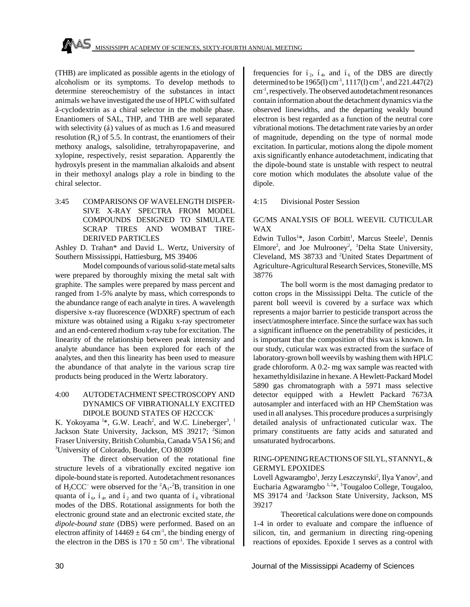(THB) are implicated as possible agents in the etiology of alcoholism or its symptoms. To develop methods to determine stereochemistry of the substances in intact animals we have investigated the use of HPLC with sulfated â-cyclodextrin as a chiral selector in the mobile phase. Enantiomers of SAL, THP, and THB are well separated with selectivity (á) values of as much as 1.6 and measured resolution  $(R_s)$  of 5.5. In contrast, the enantiomers of their methoxy analogs, salsolidine, tetrahyropapaverine, and xylopine, respectively, resist separation. Apparently the hydroxyls present in the mammalian alkaloids and absent in their methoxyl analogs play a role in binding to the chiral selector.

3:45 COMPARISONS OF WAVELENGTH DISPER-SIVE X-RAY SPECTRA FROM MODEL COMPOUNDS DESIGNED TO SIMULATE SCRAP TIRES AND WOMBAT TIRE-DERIVED PARTICLES

Ashley D. Trahan\* and David L. Wertz, University of Southern Mississippi, Hattiesburg, MS 39406

Model compounds of various solid-state metal salts were prepared by thoroughly mixing the metal salt with graphite. The samples were prepared by mass percent and ranged from 1-5% analyte by mass, which corresponds to the abundance range of each analyte in tires. A wavelength dispersive x-ray fluorescence (WDXRF) spectrum of each mixture was obtained using a Rigaku x-ray spectrometer and an end-centered rhodium x-ray tube for excitation. The linearity of the relationship between peak intensity and analyte abundance has been explored for each of the analytes, and then this linearity has been used to measure the abundance of that analyte in the various scrap tire products being produced in the Wertz laboratory.

#### 4:00 AUTODETACHMENT SPECTROSCOPY AND DYNAMICS OF VIBRATIONALLY EXCITED DIPOLE BOUND STATES OF H2CCCK-

K. Yokoyama<sup>1\*</sup>, G.W. Leach<sup>2</sup>, and W.C. Lineberger<sup>3</sup>, <sup>1</sup> Jackson State University, Jackson, MS 39217; <sup>2</sup>Simon Fraser University, British Columbia, Canada V5A I S6; and <sup>3</sup>University of Colorado, Boulder, CO 80309

The direct observation of the rotational fine structure levels of a vibrationally excited negative ion dipole-bound state is reported. Autodetachment resonances of  $H_2CC^-$  were observed for the  ${}^2A_1$ - ${}^2B_1$  transition in one quanta of  $i_{\omega}$ ,  $i_{\omega}$ , and  $i_{\omega}$  and two quanta of  $i_{\omega}$  vibrational modes of the DBS. Rotational assignments for both the electronic ground state and an electronic excited state, *the dipole-bound state* (DBS) were performed. Based on an electron affinity of  $14469 \pm 64$  cm<sup>-1</sup>, the binding energy of the electron in the DBS is  $170 \pm 50$  cm<sup>-1</sup>. The vibrational

frequencies for  $i_2$ ,  $i_4$ , and  $i_6$  of the DBS are directly determined to be 1965(l) cm-1 , 1117(l) cm-1 , and 221.447(2) cm-1 , respectively. The observed autodetachment resonances contain information about the detachment dynamics via the observed linewidths, and the departing weakly bound electron is best regarded as a function of the neutral core vibrational motions. The detachment rate varies by an order of magnitude, depending on the type of normal mode excitation. In particular, motions along the dipole moment axis significantly enhance autodetachment, indicating that the dipole-bound state is unstable with respect to neutral core motion which modulates the absolute value of the dipole.

#### 4:15 Divisional Poster Session

#### GC/MS ANALYSIS OF BOLL WEEVIL CUTICULAR WAX

Edwin Tullos<sup>1\*</sup>, Jason Corbitt<sup>1</sup>, Marcus Steele<sup>1</sup>, Dennis Elmore<sup>2</sup>, and Joe Mulrooney<sup>2</sup>, <sup>1</sup>Delta State University, Cleveland, MS 38733 and <sup>2</sup>United States Department of Agriculture-Agricultural Research Services, Stoneville, MS 38776

The boll worm is the most damaging predator to cotton crops in the Mississippi Delta. The cuticle of the parent boll weevil is covered by a surface wax which represents a major barrier to pesticide transport across the insect/atmosphere interface. Since the surface wax has such a significant influence on the penetrability of pesticides, it is important that the composition of this wax is known. In our study, cuticular wax was extracted from the surface of laboratory-grown boll weevils by washing them with HPLC grade chloroform. A 0.2- mg wax sample was reacted with hexamethyldisilazine in hexane. A Hewlett-Packard Model 5890 gas chromatograph with a 5971 mass selective detector equipped with a Hewlett Packard 7673A autosampler and interfaced with an HP ChemStation was used in all analyses. This procedure produces a surprisingly detailed analysis of unfractionated cuticular wax. The primary constituents are fatty acids and saturated and unsaturated hydrocarbons.

#### RING-OPENING REACTIONS OF SILYL, STANNYL, & GERMYL EPOXIDES

Lovell Agwaramgbo<sup>1</sup>, Jerzy Leszczynski<sup>2</sup>, Ilya Yanov<sup>2</sup>, and Eucharia Agwaramgbo  $1, 2*, 1$ Tougaloo College, Tougaloo, MS 39174 and <sup>2</sup>Jackson State University, Jackson, MS 39217

Theoretical calculations were done on compounds 1-4 in order to evaluate and compare the influence of silicon, tin, and germanium in directing ring-opening reactions of epoxides. Epoxide 1 serves as a control with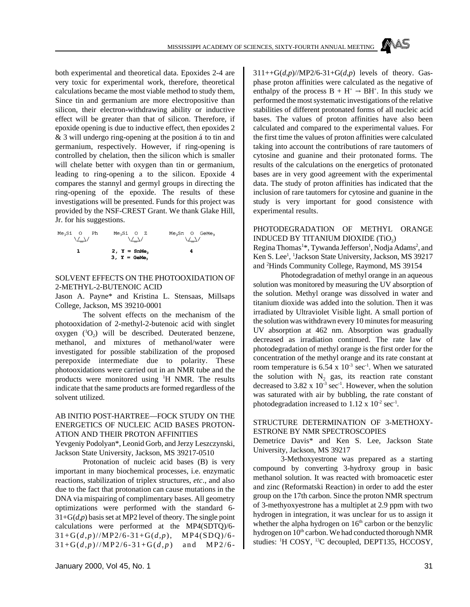both experimental and theoretical data. Epoxides 2-4 are very toxic for experimental work, therefore, theoretical calculations became the most viable method to study them, Since tin and germanium are more electropositive than silicon, their electron-withdrawing ability or inductive effect will be greater than that of silicon. Therefore, if epoxide opening is due to inductive effect, then epoxides 2 & 3 will undergo ring-opening at the position á to tin and germanium, respectively. However, if ring-opening is controlled by chelation, then the silicon which is smaller will chelate better with oxygen than tin or germanium, leading to ring-opening a to the silicon. Epoxide 4 compares the stannyl and germyl groups in directing the ring-opening of the epoxide. The results of these investigations will be presented. Funds for this project was provided by the NSF-CREST Grant. We thank Glake Hill, Jr. for his suggestions.

$$
\begin{matrix} \text{Me}_3\text{Si} & \text{O} & \text{Ph} & \text{Me}_3\text{Si} & \text{O} & \text{Z} & \text{Me}_3\text{Sn} & \text{O} & \text{GeMe}_3 \\ \text{Me}_3\text{Si} & \text{Me}_3 & \text{Me}_3 & \text{Me}_3 & \text{Me}_3 \\ \text{1} & \text{2, } \text{Y = SnMe}_3 & \text{4} & \\ \text{3, } \text{Y = GeMe}_3 & \text{4} & \text{Me}_3 & \text{Me}_3 \end{matrix}
$$

#### SOLVENT EFFECTS ON THE PHOTOOXIDATION OF 2-METHYL-2-BUTENOIC ACID

Jason A. Payne\* and Kristina L. Stensaas, Millsaps College, Jackson, MS 39210-0001

The solvent effects on the mechanism of the photooxidation of 2-methyl-2-butenoic acid with singlet oxygen  $(^{1}O_{2})$  will be described. Deuterated benzene, methanol, and mixtures of methanol/water were investigated for possible stabilization of the proposed perepoxide intermediate due to polarity. These photooxidations were carried out in an NMR tube and the products were monitored using <sup>1</sup>H NMR. The results indicate that the same products are formed regardless of the solvent utilized.

#### AB INITIO POST-HARTREE—FOCK STUDY ON THE ENERGETICS OF NUCLEIC ACID BASES PROTON-ATION AND THEIR PROTON AFFINITIES

Yevgeniy Podolyan\*, Leonid Gorb, and Jerzy Leszczynski, Jackson State University, Jackson, MS 39217-0510

Protonation of nucleic acid bases (B) is very important in many biochemical processes, i.e. enzymatic reactions, stabilization of triplex structures, *etc*., and also due to the fact that protonation can cause mutations in the DNA via mispairing of complimentary bases. All geometry optimizations were performed with the standard 6- 31+G(*d,p*) basis set at MP2 level of theory. The single point calculations were performed at the MP4(SDTQ)/6- 31+G(*d,p*)//MP2/6-31+G(*d,p*), MP4(SDQ)/6-  $31+G(d,p)//MP2/6-31+G(d,p)$  and MP2/6phase proton affinities were calculated as the negative of enthalpy of the process  $B + H^+ \Rightarrow BH^+$ . In this study we performed the most systematic investigations of the relative stabilities of different protonated forms of all nucleic acid bases. The values of proton affinities have also been calculated and compared to the experimental values. For the first time the values of proton affinities were calculated taking into account the contributions of rare tautomers of cytosine and guanine and their protonated forms. The results of the calculations on the energetics of protonated bases are in very good agreement with the experimental data. The study of proton affinities has indicated that the inclusion of rare tautomers for cytosine and guanine in the study is very important for good consistence with experimental results.

 $311++G(d,p)/MP2/6-31+G(d,p)$  levels of theory. Gas-

PHOTODEGRADATION OF METHYL ORANGE INDUCED BY TITANIUM DIOXIDE  $(\rm TiO_{2})$ 

Regina Thomas<sup>1\*</sup>, Tywanda Jefferson<sup>1</sup>, Nodja Adams<sup>2</sup>, and Ken S. Lee<sup>1</sup>, <sup>1</sup>Jackson State University, Jackson, MS 39217 and <sup>2</sup>Hinds Community College, Raymond, MS 39154

Photodegradation of methyl orange in an aqueous solution was monitored by measuring the UV absorption of the solution. Methyl orange was dissolved in water and titanium dioxide was added into the solution. Then it was irradiated by Ultraviolet Visible light. A small portion of the solution was withdrawn every 10 minutes for measuring UV absorption at 462 nm. Absorption was gradually decreased as irradiation continued. The rate law of photodegradation of methyl orange is the first order for the concentration of the methyl orange and its rate constant at room temperature is  $6.54 \times 10^{-3}$  sec<sup>-1</sup>. When we saturated the solution with  $N_2$  gas, its reaction rate constant decreased to 3.82 x  $10^{-3}$  sec<sup>-1</sup>. However, when the solution was saturated with air by bubbling, the rate constant of photodegradation increased to  $1.12 \times 10^{-2}$  sec<sup>-1</sup>.

#### STRUCTURE DETERMINATION OF 3-METHOXY-ESTRONE BY NMR SPECTROSCOPIES

Demetrice Davis\* and Ken S. Lee, Jackson State University, Jackson, MS 39217

3-Methoxyestrone was prepared as a starting compound by converting 3-hydroxy group in basic methanol solution. It was reacted with bromoacetic ester and zinc (Reformatski Reaction) in order to add the ester group on the 17th carbon. Since the proton NMR spectrum of 3-methyoxyestrone has a multiplet at 2.9 ppm with two hydrogen in integration, it was unclear for us to assign it whether the alpha hydrogen on  $16<sup>th</sup>$  carbon or the benzylic hydrogen on 10<sup>th</sup> carbon. We had conducted thorough NMR studies: <sup>1</sup>H COSY, <sup>13</sup>C decoupled, DEPT135, HCCOSY,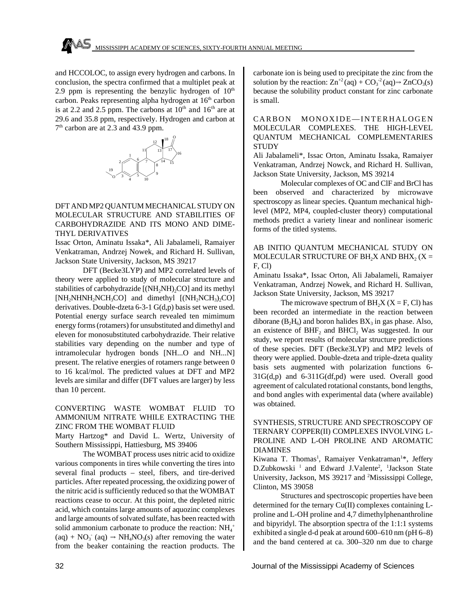and HCCOLOC, to assign every hydrogen and carbons. In conclusion, the spectra confirmed that a multiplet peak at 2.9 ppm is representing the benzylic hydrogen of  $10<sup>th</sup>$ carbon. Peaks representing alpha hydrogen at 16<sup>th</sup> carbon is at 2.2 and 2.5 ppm. The carbons at  $10^{th}$  and  $16^{th}$  are at 29.6 and 35.8 ppm, respectively. Hydrogen and carbon at 7<sup>th</sup> carbon are at 2.3 and 43.9 ppm.



#### DFT AND MP2 QUANTUM MECHANICAL STUDY ON MOLECULAR STRUCTURE AND STABILITIES OF CARBOHYDRAZIDE AND ITS MONO AND DIME-THYL DERIVATIVES

Issac Orton, Aminatu Issaka\*, Ali Jabalameli, Ramaiyer Venkatraman, Andrzej Nowek, and Richard H. Sullivan, Jackson State University, Jackson, MS 39217

DFT (Becke3LYP) and MP2 correlated levels of theory were applied to study of molecular structure and stabilities of carbohydrazide  $[(NH<sub>2</sub>NH)<sub>2</sub>CO]$  and its methyl [NH<sub>2</sub>NHNH<sub>2</sub>NCH<sub>3</sub>CO] and dimethyl [(NH<sub>2</sub>NCH<sub>3</sub>)<sub>2</sub>CO] derivatives. Double-dzeta 6-3-1 G(d,p) basis set were used. Potential energy surface search revealed ten mimimum energy forms (rotamers) for unsubstituted and dimethyl and eleven for monosubstituted carbohydrazide. Their relative stabilities vary depending on the number and type of intramolecular hydrogen bonds [NH...O and NH...N] present. The relative energies of rotamers range between 0 to 16 kcal/mol. The predicted values at DFT and MP2 levels are similar and differ (DFT values are larger) by less than 10 percent.

#### CONVERTING WASTE WOMBAT FLUID TO AMMONIUM NITRATE WHILE EXTRACTING THE ZINC FROM THE WOMBAT FLUID

Marty Hartzog\* and David L. Wertz, University of Southern Mississippi, Hattiesburg, MS 39406

The WOMBAT process uses nitric acid to oxidize various components in tires while converting the tires into several final products – steel, fibers, and tire-derived particles. After repeated processing, the oxidizing power of the nitric acid is sufficiently reduced so that the WOMBAT reactions cease to occur. At this point, the depleted nitric acid, which contains large amounts of aquozinc complexes and large amounts of solvated sulfate, has been reacted with solid ammonium carbonate to produce the reaction:  $NH_4$ <sup>+</sup>  $(aq) + NO_3$ <sup>-</sup>  $(aq) \rightarrow NH_4NO_3(s)$  after removing the water from the beaker containing the reaction products. The

carbonate ion is being used to precipitate the zinc from the solution by the reaction:  $\text{Zn}^{+2}$ (aq) +  $\text{CO}_3^{-2}$ (aq) $\Rightarrow$   $\text{ZnCO}_3(s)$ because the solubility product constant for zinc carbonate is small.

CARBON MONOXIDE—INTERHALOGEN MOLECULAR COMPLEXES. THE HIGH-LEVEL QUANTUM MECHANICAL COMPLEMENTARIES **STUDY** 

Ali Jabalameli\*, Issac Orton, Aminatu Issaka, Ramaiyer Venkatraman, Andrzej Nowck, and Richard H. Sullivan, Jackson State University, Jackson, MS 39214

Molecular complexes of OC and ClF and BrCl has been observed and characterized by microwave spectroscopy as linear species. Quantum mechanical highlevel (MP2, MP4, coupled-cluster theory) computational methods predict a variety linear and nonlinear isomeric forms of the titled systems.

#### AB INITIO QUANTUM MECHANICAL STUDY ON MOLECULAR STRUCTURE OF BH<sub>2</sub>X AND BHX<sub>2</sub> (X = F, Cl)

Aminatu Issaka\*, Issac Orton, Ali Jabalameli, Ramaiyer Venkatraman, Andrzej Nowek, and Richard H. Sullivan, Jackson State University, Jackson, MS 39217

The microwave spectrum of  $BH_2X$  ( $X = F$ , Cl) has been recorded an intermediate in the reaction between diborane ( $B_2H_6$ ) and boron halides  $BX_3$  in gas phase. Also, an existence of  $BHF_2$  and  $BHCl_2$  Was suggested. In our study, we report results of molecular structure predictions of these species. DFT (Becke3LYP) and MP2 levels of theory were applied. Double-dzeta and triple-dzeta quality basis sets augmented with polarization functions 6- 31G(d,p) and 6-311G(df,pd) were used. Overall good agreement of calculated rotational constants, bond lengths, and bond angles with experimental data (where available) was obtained.

#### SYNTHESIS, STRUCTURE AND SPECTROSCOPY OF TERNARY COPPER(II) COMPLEXES INVOLVING L-PROLINE AND L-OH PROLINE AND AROMATIC DIAMINES

Kiwana T. Thomas<sup>1</sup>, Ramaiyer Venkatraman<sup>1\*</sup>, Jeffery D.Zubkowski<sup>1</sup> and Edward J.Valente<sup>2</sup>, <sup>1</sup>Jackson State University, Jackson, MS 39217 and <sup>2</sup>Mississippi College, Clinton, MS 39058

Structures and spectroscopic properties have been determined for the ternary Cu(II) complexes containing Lproline and L-OH proline and 4,7 dimethylphenanthroline and bipyridyl. The absorption spectra of the 1:1:1 systems exhibited a single d-d peak at around 600–610 nm (pH 6–8) and the band centered at ca. 300–320 nm due to charge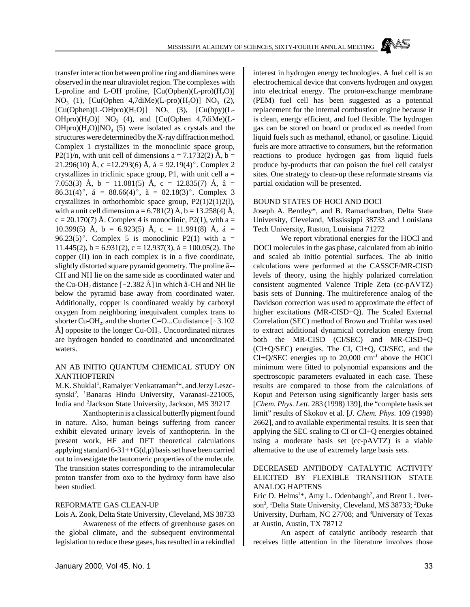transfer interaction between proline ring and diamines were observed in the near ultraviolet region. The complexes with L-proline and L-OH proline,  $[Cu(Ophen)(L-pro)(H,Q)]$  $NO_3$  (1), [Cu(Ophen 4,7diMe)(L-pro)(H<sub>2</sub>O)]  $NO_3$  (2),  $[Cu(Ophen)(L-OHpro)(H<sub>2</sub>O)]$  NO<sub>3</sub> (3),  $[Cu(bpy)(L-$ OHpro) $(H_2O)$ ] NO<sub>3</sub> (4), and [Cu(Ophen 4,7diMe)(L- $OHpro)(H<sub>2</sub>O)$ ]NO<sub>3</sub> (5) were isolated as crystals and the structures were determined by the X-ray diffraction method. Complex 1 crystallizes in the monoclinic space group, P2(1)/n, with unit cell of dimensions  $a = 7.1732(2)$  Å,  $b =$ 21.296(10) Å, c =12.293(6) Å, á = 92.19(4)°. Complex 2 crystallizes in triclinic space group, P1, with unit cell  $a =$ 7.053(3) Å, b = 11.081(5) Å, c = 12.835(7) Å, â = 86.31(4)°, á = 88.66(4)°, ã = 82.18(3)°. Complex 3 crystallizes in orthorhombic space group,  $P2(1)2(1)2(1)$ , with a unit cell dimension  $a = 6.781(2)$  Å,  $b = 13.258(4)$  Å,  $c = 20.170(7)$  Å. Complex 4 is monoclinic, P2(1), with a = 10.399(5) Å, b = 6.923(5) Å, c = 11.991(8) Å, á = 96.23(5)°. Complex 5 is monoclinic P2(1) with a = 11.445(2),  $b = 6.931(2)$ ,  $c = 12.937(3)$ ,  $\acute{a} = 100.05(2)$ . The copper (II) ion in each complex is in a five coordinate, slightly distorted square pyramid geometry. The proline â-- CH and NH lie on the same side as coordinated water and the Cu-OH<sub>2</sub> distance [~2.382 Å] in which  $\hat{a}$ -CH and NH lie below the pyramid base away from coordinated water. Additionally, copper is coordinated weakly by carboxyl oxygen from neighboring inequivalent complex trans to shorter Cu-OH<sub>2</sub>, and the shorter C=O...Cu distance [~3.102  $\rm \AA$ ] opposite to the longer Cu-OH<sub>2</sub>. Uncoordinated nitrates are hydrogen bonded to coordinated and uncoordinated waters.

#### AN AB INITIO QUANTUM CHEMICAL STUDY ON XANTHOPTERIN

M.K. Shuklal<sup>1</sup>, Ramaiyer Venkatraman<sup>2\*</sup>, and Jerzy Leszcsynski<sup>2</sup>, <sup>1</sup>Banaras Hindu University, Varanasi-221005, India and <sup>2</sup> Jackson State University, Jackson, MS 39217

Xanthopterin is a classical butterfly pigment found in nature. Also, human beings suffering from cancer exhibit elevated urinary levels of xanthopterin. In the present work, HF and DFT theoretical calculations applying standard  $6-31++G(d,p)$  basis set have been carried out to investigate the tautomeric properties of the molecule. The transition states corresponding to the intramolecular proton transfer from oxo to the hydroxy form have also been studied.

#### REFORMATE GAS CLEAN-UP

Lois A. Zook, Delta State University, Cleveland, MS 38733

Awareness of the effects of greenhouse gases on the global climate, and the subsequent environmental legislation to reduce these gases, has resulted in a rekindled interest in hydrogen energy technologies. A fuel cell is an electrochemical device that converts hydrogen and oxygen into electrical energy. The proton-exchange membrane (PEM) fuel cell has been suggested as a potential replacement for the internal combustion engine because it is clean, energy efficient, and fuel flexible. The hydrogen gas can be stored on board or produced as needed from liquid fuels such as methanol, ethanol, or gasoline. Liquid fuels are more attractive to consumers, but the reformation reactions to produce hydrogen gas from liquid fuels produce by-products that can poison the fuel cell catalyst sites. One strategy to clean-up these reformate streams via partial oxidation will be presented.

#### BOUND STATES OF HOCl AND DOCl

Joseph A. Bentley\*, and B. Ramachandran, Delta State University, Cleveland, Mississippi 38733 and Louisiana Tech University, Ruston, Louisiana 71272

We report vibrational energies for the HOCl and DOCl molecules in the gas phase, calculated from ab initio and scaled ab initio potential surfaces. The ab initio calculations were performed at the CASSCF/MR-CISD levels of theory, using the highly polarized correlation consistent augmented Valence Triple Zeta (cc-pAVTZ) basis sets of Dunning. The multireference analog of the Davidson correction was used to approximate the effect of higher excitations (MR-CISD+Q). The Scaled External Correlation (SEC) method of Brown and Truhlar was used to extract additional dynamical correlation energy from both the MR-CISD (CI/SEC) and MR-CISD+Q (CI+Q/SEC) energies. The CI, CI+Q, CI/SEC, and the  $CI+Q/SEC$  energies up to 20,000 cm<sup>-1</sup> above the HOCl minimum were fitted to polynomial expansions and the spectroscopic parameters evaluated in each case. These results are compared to those from the calculations of Koput and Peterson using significantly larger basis sets [*Chem. Phys. Lett*. 283 (1998) 139], the "complete basis set limit" results of Skokov et al. [*J. Chem. Phys*. 109 (1998) 2662], and to available experimental results. It is seen that applying the SEC scaling to CI or CI+Q energies obtained using a moderate basis set (cc-pAVTZ) is a viable alternative to the use of extremely large basis sets.

#### DECREASED ANTIBODY CATALYTIC ACTIVITY ELICITED BY FLEXIBLE TRANSITION STATE ANALOG HAPTENS

Eric D. Helms<sup>1\*</sup>, Amy L. Odenbaugh<sup>2</sup>, and Brent L. Iverson<sup>3</sup> , <sup>1</sup>Delta State University, Cleveland, MS 38733; <sup>2</sup>Duke University, Durham, NC 27708; and <sup>3</sup>University of Texas at Austin, Austin, TX 78712

An aspect of catalytic antibody research that receives little attention in the literature involves those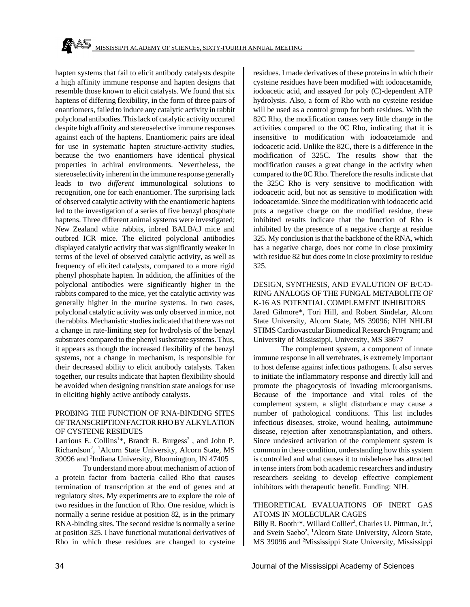hapten systems that fail to elicit antibody catalysts despite a high affinity immune response and hapten designs that resemble those known to elicit catalysts. We found that six haptens of differing flexibility, in the form of three pairs of enantiomers, failed to induce any catalytic activity in rabbit polyclonal antibodies. This lack of catalytic activity occured despite high affinity and stereoselective immune responses against each of the haptens. Enantiomeric pairs are ideal for use in systematic hapten structure-activity studies, because the two enantiomers have identical physical properties in achiral environments. Nevertheless, the stereoselectivity inherent in the immune response generally leads to two *different* immunological solutions to recognition, one for each enantiomer. The surprising lack of observed catalytic activity with the enantiomeric haptens led to the investigation of a series of five benzyl phosphate haptens. Three different animal systems were investigated; New Zealand white rabbits, inbred BALB/cJ mice and outbred ICR mice. The elicited polyclonal antibodies displayed catalytic activity that was significantly weaker in terms of the level of observed catalytic activity, as well as frequency of elicited catalysts, compared to a more rigid phenyl phosphate hapten. In addition, the affinities of the polyclonal antibodies were significantly higher in the rabbits compared to the mice, yet the catalytic activity was generally higher in the murine systems. In two cases, polyclonal catalytic activity was only observed in mice, not the rabbits. Mechanistic studies indicated that there was not a change in rate-limiting step for hydrolysis of the benzyl substrates compared to the phenyl susbstrate systems. Thus, it appears as though the increased flexibility of the benzyl systems, not a change in mechanism, is responsible for their decreased ability to elicit antibody catalysts. Taken together, our results indicate that hapten flexibility should be avoided when designing transition state analogs for use in eliciting highly active antibody catalysts.

#### PROBING THE FUNCTION OF RNA-BINDING SITES OF TRANSCRIPTION FACTOR RHO BY ALKYLATION OF CYSTEINE RESIDUES

Larrious E. Collins<sup>1\*</sup>, Brandt R. Burgess<sup>2</sup>, and John P. Richardson<sup>2</sup>, <sup>1</sup>Alcorn State University, Alcorn State, MS 39096 and <sup>2</sup> Indiana University, Bloomington, IN 47405

To understand more about mechanism of action of a protein factor from bacteria called Rho that causes termination of transcription at the end of genes and at regulatory sites. My experiments are to explore the role of two residues in the function of Rho. One residue, which is normally a serine residue at position 82, is in the primary RNA-binding sites. The second residue is normally a serine at position 325. I have functional mutational derivatives of Rho in which these residues are changed to cysteine residues. I made derivatives of these proteins in which their cysteine residues have been modified with iodoacetamide, iodoacetic acid, and assayed for poly (C)-dependent ATP hydrolysis. Also, a form of Rho with no cysteine residue will be used as a control group for both residues. With the 82C Rho, the modification causes very little change in the activities compared to the 0C Rho, indicating that it is insensitive to modification with iodoacetamide and iodoacetic acid. Unlike the 82C, there is a difference in the modification of 325C. The results show that the modification causes a great change in the activity when compared to the 0C Rho. Therefore the results indicate that the 325C Rho is very sensitive to modification with iodoacetic acid, but not as sensitive to modification with iodoacetamide. Since the modification with iodoacetic acid puts a negative charge on the modified residue, these inhibited results indicate that the function of Rho is inhibited by the presence of a negative charge at residue 325. My conclusion is that the backbone of the RNA, which has a negative charge, does not come in close proximity with residue 82 but does come in close proximity to residue 325.

DESIGN, SYNTHESIS, AND EVALUTION OF B/C/D-RING ANALOGS OF THE FUNGAL METABOLITE OF K-16 AS POTENTIAL COMPLEMENT INHIBITORS Jared Gilmore\*, Tori Hill, and Robert Sindelar, Alcorn State University, Alcorn State, MS 39096; NIH NHLBI STIMS Cardiovascular Biomedical Research Program; and University of Mississippi, University, MS 38677

The complement system, a component of innate immune response in all vertebrates, is extremely important to host defense against infectious pathogens. It also serves to initiate the inflammatory response and directly kill and promote the phagocytosis of invading microorganisms. Because of the importance and vital roles of the complement system, a slight disturbance may cause a number of pathological conditions. This list includes infectious diseases, stroke, wound healing, autoimmune disease, rejection after xenotransplantation, and others. Since undesired activation of the complement system is common in these condition, understanding how this system is controlled and what causes it to misbehave has attracted in tense inters from both academic researchers and industry researchers seeking to develop effective complement inhibitors with therapeutic benefit. Funding: NIH.

#### THEORETICAL EVALUATIONS OF INERT GAS ATOMS IN MOLECULAR CAGES

Billy R. Booth<sup>1\*</sup>, Willard Collier<sup>2</sup>, Charles U. Pittman, Jr.<sup>2</sup>, and Svein Saebo<sup>2</sup>, <sup>1</sup>Alcorn State University, Alcorn State, MS 39096 and 2Mississippi State University, Mississippi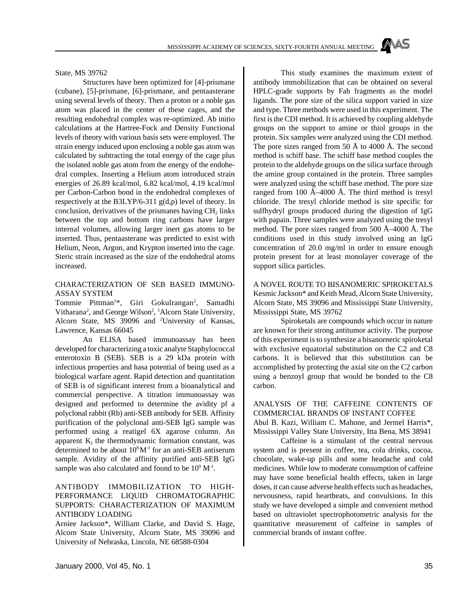State, MS 39762

Structures have been optimized for [4]-prismane (cubane), [5]-prismane, [6]-prismane, and pentaasterane using several levels of theory. Then a proton or a noble gas atom was placed in the center of these cages, and the resulting endohedral complex was re-optimized. Ab initio calculations at the Hartree-Fock and Density Functional levels of theory with various basis sets were employed. The strain energy induced upon enclosing a noble gas atom was calculated by subtracting the total energy of the cage plus the isolated noble gas atom from the energy of the endohedral complex. Inserting a Helium atom introduced strain energies of 26.89 kcal/mol, 6.82 kcal/mol, 4.19 kcal/mol per Carbon-Carbon bond in the endohedral complexes of respectively at the B3LYP/6-311 g(d,p) level of theory. In conclusion, derivatives of the prismanes having  $CH<sub>2</sub>$  links between the top and bottom ring carbons have larger internal volumes, allowing larger inert gas atoms to be inserted. Thus, pentaasterane was predicted to exist with Helium, Neon, Argon, and Krypton inserted into the cage. Steric strain increased as the size of the endohedral atoms increased.

#### CHARACTERIZATION OF SEB BASED IMMUNO-ASSAY SYSTEM

Tommie Pittman<sup>1\*</sup>, Giri Gokulrangan<sup>2</sup>, Samadhi Vitharana<sup>2</sup>, and George Wilson<sup>2</sup>, <sup>1</sup>Alcorn State University, Alcorn State, MS 39096 and <sup>2</sup>University of Kansas, Lawrence, Kansas 66045

An ELISA based immunoassay has been developed for characterizing a toxic analyte Staphylococcal enterotoxin B (SEB). SEB is a 29 kDa protein with infectious properties and hasa potential of being used as a biological warfare agent. Rapid detection and quantitation of SEB is of significant interest from a bioanalytical and commercial perspective. A titration immunoassay was designed and performed to determine the avidity pf a polyclonal rabbit (Rb) anti-SEB antibody for SEB. Affinity purification of the polyclonal anti-SEB IgG sample was performed using a reatigel 6X agarose column. An apparent  $K_f$  the thermodynamic formation constant, was determined to be about  $10^8 M^{-1}$  for an anti-SEB antiserum sample. Avidity of the affinity purified anti-SEB IgG sample was also calculated and found to be  $10^9$   $M^{-1}$ .

#### ANTIBODY IMMOBILIZATION TO HIGH-PERFORMANCE LIQUID CHROMATOGRAPHIC SUPPORTS: CHARACTERIZATION OF MAXIMUM ANTIBODY LOADING

Arniee Jackson\*, William Clarke, and David S. Hage, Alcorn State University, Alcorn State, MS 39096 and University of Nebraska, Lincoln, NE 68588-0304

This study examines the maximum extent of antibody immobilization that can be obtained on several HPLC-grade supports by Fab fragments as the model ligands. The pore size of the silica support varied in size and type. Three methods were used in this experiment. The first is the CDI method. It is achieved by coupling aldehyde groups on the support to amine or thiol groups in the protein. Six samples were analyzed using the CDI method. The pore sizes ranged from 50 Å to 4000 Å. The second method is schiff base. The schiff base method couples the protein to the aldehyde groups on the silica surface through the amine group contained in the protein. Three samples were analyzed using the schiff base method. The pore size ranged from 100  $\AA$ –4000  $\AA$ . The third method is tresyl chloride. The tresyl chloride method is site specific for sulfhydryl groups produced during the digestion of IgG with papain. Three samples were analyzed using the tresyl method. The pore sizes ranged from 500 Å–4000 Å. The conditions used in this study involved using an IgG concentration of 20.0 mg/ml in order to ensure enough protein present for at least monolayer coverage of the support silica particles.

A NOVEL ROUTE TO BISANOMERIC SPIROKETALS Kesmic Jackson\* and Keith Mead, Alcorn State University, Alcorn State, MS 39096 and Mississippi State University, Mississippi State, MS 39762

Spiroketals are compounds which occur in nature are known for their strong antitumor activity. The purpose of this experiment is to synthesize a bisanorneric spiroketal with exclusive equatorial substitution on the C2 and C8 carbons. It is believed that this substitution can be accomplished by protecting the axial site on the C2 carbon using a benzoyl group that would be bonded to the C8 carbon.

ANALYSIS OF THE CAFFEINE CONTENTS OF COMMERCIAL BRANDS OF INSTANT COFFEE

Abul B. Kazi, William C. Mahone, and Jermel Harris\*, Mississippi Valley State University, Itta Bena, MS 38941

Caffeine is a stimulant of the central nervous system and is present in coffee, tea, cola drinks, cocoa, chocolate, wake-up pills and some headache and cold medicines. While low to moderate consumption of caffeine may have some beneficial health effects, taken in large doses, it can cause adverse health effects such as headaches, nervousness, rapid heartbeats, and convulsions. In this study we have developed a simple and convenient method based on ultraviolet spectrophotometric analysis for the quantitative measurement of caffeine in samples of commercial brands of instant coffee.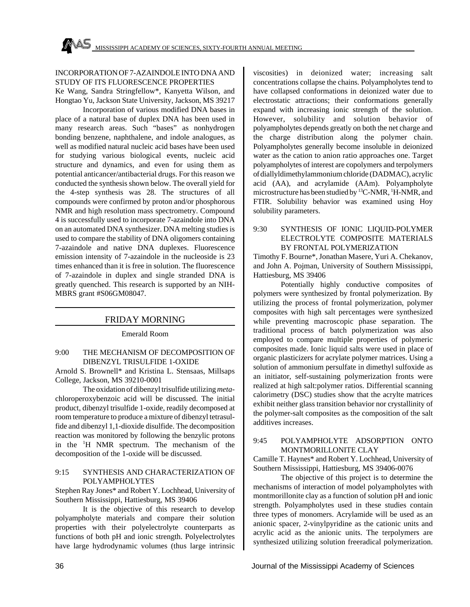#### INCORPORATION OF 7-AZAINDOLE INTO DNA AND STUDY OF ITS FLUORESCENCE PROPERTIES

Ke Wang, Sandra Stringfellow\*, Kanyetta Wilson, and Hongtao Yu, Jackson State University, Jackson, MS 39217

Incorporation of various modified DNA bases in place of a natural base of duplex DNA has been used in many research areas. Such "bases" as nonhydrogen bonding benzene, naphthalene, and indole analogues, as well as modified natural nucleic acid bases have been used for studying various biological events, nucleic acid structure and dynamics, and even for using them as potential anticancer/antibacterial drugs. For this reason we conducted the synthesis shown below. The overall yield for the 4-step synthesis was 28. The structures of all compounds were confirmed by proton and/or phosphorous NMR and high resolution mass spectrometry. Compound 4 is successfully used to incorporate 7-azaindole into DNA on an automated DNA synthesizer. DNA melting studies is used to compare the stability of DNA oligomers containing 7-azaindole and native DNA duplexes. Fluorescence emission intensity of 7-azaindole in the nucleoside is 23 times enhanced than it is free in solution. The fluorescence of 7-azaindole in duplex and single stranded DNA is greatly quenched. This research is supported by an NIH-MBRS grant #S06GM08047.

#### FRIDAY MORNING

Emerald Room

#### 9:00 THE MECHANISM OF DECOMPOSITION OF DIBENZYL TRISULFIDE 1-OXIDE

Arnold S. Brownell\* and Kristina L. Stensaas, Millsaps College, Jackson, MS 39210-0001

The oxidation of dibenzyl trisulfide utilizing *meta*chloroperoxybenzoic acid will be discussed. The initial product, dibenzyl trisulfide 1-oxide, readily decomposed at room temperature to produce a mixture of dibenzyl tetrasulfide and dibenzyl 1,1-dioxide disulfide. The decomposition reaction was monitored by following the benzylic protons in the <sup>1</sup>H NMR spectrum. The mechanism of the decomposition of the 1-oxide will be discussed.

#### 9:15 SYNTHESIS AND CHARACTERIZATION OF POLYAMPHOLYTES

Stephen Ray Jones\* and Robert Y. Lochhead, University of Southern Mississippi, Hattiesburg, MS 39406

It is the objective of this research to develop polyampholyte materials and compare their solution properties with their polyelectrolyte counterparts as functions of both pH and ionic strength. Polyelectrolytes have large hydrodynamic volumes (thus large intrinsic viscosities) in deionized water; increasing salt concentrations collapse the chains. Polyampholytes tend to have collapsed conformations in deionized water due to electrostatic attractions; their conformations generally expand with increasing ionic strength of the solution. However, solubility and solution behavior of polyampholytes depends greatly on both the net charge and the charge distribution along the polymer chain. Polyampholytes generally become insoluble in deionized water as the cation to anion ratio approaches one. Target polyampholytes of interest are copolymers and terpolymers of diallyldimethylammonium chloride (DADMAC), acrylic acid (AA), and acrylamide (AAm). Polyampholyte microstructure has been studied by <sup>13</sup>C-NMR, <sup>1</sup>H-NMR, and FTIR. Solubility behavior was examined using Hoy solubility parameters.

#### 9:30 SYNTHESIS OF IONIC LIQUID-POLYMER ELECTROLYTE COMPOSITE MATERIALS BY FRONTAL POLYMERIZATION

Timothy F. Bourne\*, Jonathan Masere, Yuri A. Chekanov, and John A. Pojman, University of Southern Mississippi, Hattiesburg, MS 39406

Potentially highly conductive composites of polymers were synthesized by frontal polymerization. By utilizing the process of frontal polymerization, polymer composites with high salt percentages were synthesized while preventing macroscopic phase separation. The traditional process of batch polymerization was also employed to compare multiple properties of polymeric composites made. Ionic liquid salts were used in place of organic plasticizers for acrylate polymer matrices. Using a solution of ammonium persulfate in dimethyl sulfoxide as an initiator, self-sustaining polymerization fronts were realized at high salt:polymer ratios. Differential scanning calorimetry (DSC) studies show that the acrylte matrices exhibit neither glass transition behavior nor crystallinity of the polymer-salt composites as the composition of the salt additives increases.

#### 9:45 POLYAMPHOLYTE ADSORPTION ONTO MONTMORILLONITE CLAY

Camille T. Haynes\* and Robert Y. Lochhead, University of Southern Mississippi, Hattiesburg, MS 39406-0076

The objective of this project is to determine the mechanisms of interaction of model polyampholytes with montmorillonite clay as a function of solution pH and ionic strength. Polyampholytes used in these studies contain three types of monomers. Acrylamide will be used as an anionic spacer, 2-vinylpyridine as the cationic units and acrylic acid as the anionic units. The terpolymers are synthesized utilizing solution freeradical polymerization.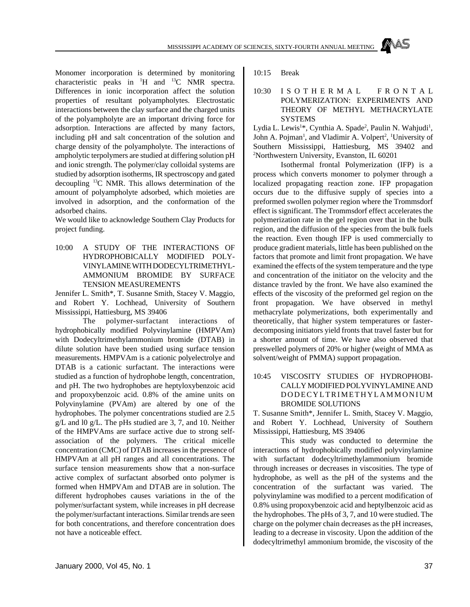Monomer incorporation is determined by monitoring characteristic peaks in  $H$  and  $H$ <sup>13</sup>C NMR spectra. Differences in ionic incorporation affect the solution properties of resultant polyampholytes. Electrostatic interactions between the clay surface and the charged units of the polyampholyte are an important driving force for adsorption. Interactions are affected by many factors, including pH and salt concentration of the solution and charge density of the polyampholyte. The interactions of ampholytic terpolymers are studied at differing solution pH and ionic strength. The polymer/clay colloidal systems are studied by adsorption isotherms, IR spectroscopy and gated decoupling <sup>13</sup>C NMR. This allows determination of the amount of polyampholyte adsorbed, which moieties are involved in adsorption, and the conformation of the adsorbed chains.

We would like to acknowledge Southern Clay Products for project funding.

10:00 A STUDY OF THE INTERACTIONS OF HYDROPHOBICALLY MODIFIED POLY-VINYLAMINE WITH DODECYLTRIMETHYL-AMMONIUM BROMIDE BY SURFACE TENSION MEASUREMENTS

Jennifer L. Smith\*, T. Susanne Smith, Stacey V. Maggio, and Robert Y. Lochhead, University of Southern Mississippi, Hattiesburg, MS 39406

The polymer-surfactant interactions of hydrophobically modified Polyvinylamine (HMPVAm) with Dodecyltrimethylammonium bromide (DTAB) in dilute solution have been studied using surface tension measurements. HMPVAm is a cationic polyelectrolye and DTAB is a cationic surfactant. The interactions were studied as a function of hydrophobe length, concentration, and pH. The two hydrophobes are heptyloxybenzoic acid and propoxybenzoic acid. 0.8% of the amine units on Polyvinylamine (PVAm) are altered by one of the hydrophobes. The polymer concentrations studied are 2.5 g/L and l0 g/L. The pHs studied are 3, 7, and 10. Neither of the HMPVAms are surface active due to strong selfassociation of the polymers. The critical micelle concentration (CMC) of DTAB increases in the presence of HMPVAm at all pH ranges and all concentrations. The surface tension measurements show that a non-surface active complex of surfactant absorbed onto polymer is formed when HMPVAm and DTAB are in solution. The different hydrophobes causes variations in the of the polymer/surfactant system, while increases in pH decrease the polymer/surfactant interactions. Similar trends are seen for both concentrations, and therefore concentration does not have a noticeable effect.

10:15 Break

#### 10:30 ISOTHERMAL FRONTA L POLYMERIZATION: EXPERIMENTS AND THEORY OF METHYL METHACRYLATE SYSTEMS

Lydia L. Lewis<sup>1\*</sup>, Cynthia A. Spade<sup>2</sup>, Paulin N. Wahjudi<sup>1</sup>, John A. Pojman<sup>1</sup>, and Vladimir A. Volpert<sup>2</sup>, <sup>1</sup>University of Southern Mississippi, Hattiesburg, MS 39402 and <sup>2</sup>Northwestern University, Evanston, IL 60201

Isothermal frontal Polymerization (IFP) is a process which converts monomer to polymer through a localized propagating reaction zone. IFP propagation occurs due to the diffusive supply of species into a preformed swollen polymer region where the Trommsdorf effect is significant. The Trommsdorf effect accelerates the polymerization rate in the gel region over that in the bulk region, and the diffusion of the species from the bulk fuels the reaction. Even though IFP is used commercially to produce gradient materials, little has been published on the factors that promote and limit front propagation. We have examined the effects of the system temperature and the type and concentration of the initiator on the velocity and the distance travled by the front. We have also examined the effects of the viscosity of the preformed gel region on the front propagation. We have observed in methyl methacrylate polymerizations, both experimentally and theoretically, that higher system temperatures or fasterdecomposing initiators yield fronts that travel faster but for a shorter amount of time. We have also observed that preswelled polymers of 20% or higher (weight of MMA as solvent/weight of PMMA) support propagation.

## 10:45 VISCOSITY STUDIES OF HYDROPHOBI-CALLY MODIFIED POLYVINYLAMINE AND DODECYLTRIMETHYLAMMONIUM BROMIDE SOLUTIONS

T. Susanne Smith\*, Jennifer L. Smith, Stacey V. Maggio, and Robert Y. Lochhead, University of Southern Mississippi, Hattiesburg, MS 39406

This study was conducted to determine the interactions of hydrophobically modified polyvinylamine with surfactant dodecyltrimethylammonium bromide through increases or decreases in viscosities. The type of hydrophobe, as well as the pH of the systems and the concentration of the surfactant was varied. The polyvinylamine was modified to a percent modification of 0.8% using propoxybenzoic acid and heptylbenzoic acid as the hydrophobes. The pHs of 3, 7, and 10 were studied. The charge on the polymer chain decreases as the pH increases, leading to a decrease in viscosity. Upon the addition of the dodecyltrimethyl ammonium bromide, the viscosity of the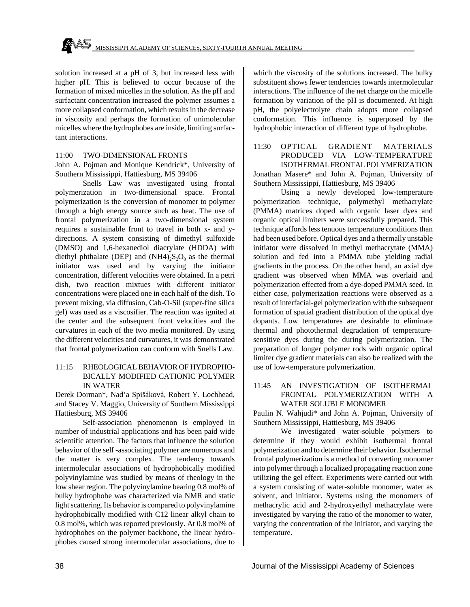solution increased at a pH of 3, but increased less with higher pH. This is believed to occur because of the formation of mixed micelles in the solution. As the pH and surfactant concentration increased the polymer assumes a more collapsed conformation, which results in the decrease in viscosity and perhaps the formation of unimolecular micelles where the hydrophobes are inside, limiting surfactant interactions.

#### 11:00 TWO-DIMENSIONAL FRONTS

John A. Pojman and Monique Kendrick\*, University of Southern Mississippi, Hattiesburg, MS 39406

Snells Law was investigated using frontal polymerization in two-dimensional space. Frontal polymerization is the conversion of monomer to polymer through a high energy source such as heat. The use of frontal polymerization in a two-dimensional system requires a sustainable front to travel in both x- and ydirections. A system consisting of dimethyl sulfoxide (DMSO) and 1,6-hexanediol diacrylate (HDDA) with diethyl phthalate (DEP) and  $(NH4)_2S_2O_8$  as the thermal initiator was used and by varying the initiator concentration, different velocities were obtained. In a petri dish, two reaction mixtues with different initiator concentrations were placed one in each half of the dish. To prevent mixing, via diffusion, Cab-O-Sil (super-fine silica gel) was used as a viscosifier. The reaction was ignited at the center and the subsequent front velocities and the curvatures in each of the two media monitored. By using the different velocities and curvatures, it was demonstrated that frontal polymerization can conform with Snells Law.

## 11:15 RHEOLOGICAL BEHAVIOR OF HYDROPHO-BICALLY MODIFIED CATIONIC POLYMER IN WATER

Derek Dorman\*, Nad'a Spišáková, Robert Y. Lochhead, and Stacey V. Maggio, University of Southern Mississippi Hattiesburg, MS 39406

Self-association phenomenon is employed in number of industrial applications and has been paid wide scientific attention. The factors that influence the solution behavior of the self -associating polymer are numerous and the matter is very complex. The tendency towards intermolecular associations of hydrophobically modified polyvinylamine was studied by means of rheology in the low shear region. The polyvinylamine bearing 0.8 mol% of bulky hydrophobe was characterized via NMR and static light scattering. Its behavior is compared to polyvinylamine hydrophobically modified with C12 linear alkyl chain to 0.8 mol%, which was reported previously. At 0.8 mol% of hydrophobes on the polymer backbone, the linear hydrophobes caused strong intermolecular associations, due to which the viscosity of the solutions increased. The bulky substituent shows fewer tendencies towards intermolecular interactions. The influence of the net charge on the micelle formation by variation of the pH is documented. At high pH, the polyelectrolyte chain adopts more collapsed conformation. This influence is superposed by the hydrophobic interaction of different type of hydrophobe.

11:30 OPTICAL GRADIENT MATERIALS PRODUCED VIA LOW-TEMPERATURE ISOTHERMAL FRONTAL POLYMERIZATION

Jonathan Masere\* and John A. Pojman, University of Southern Mississippi, Hattiesburg, MS 39406

Using a newly developed low-temperature polymerization technique, polymethyl methacrylate (PMMA) matrices doped with organic laser dyes and organic optical limiters were successfully prepared. This technique affords less tenuous temperature conditions than had been used before. Optical dyes and a thermally unstable initiator were dissolved in methyl methacrytate (MMA) solution and fed into a PMMA tube yielding radial gradients in the process. On the other hand, an axial dye gradient was observed when MMA was overlaid and polymerization effected from a dye-doped PMMA seed. In either case, polymerization reactions were observed as a result of interfacial-gel polymerization with the subsequent formation of spatial gradient distribution of the optical dye dopants. Low temperatures are desirable to eliminate thermal and photothermal degradation of temperaturesensitive dyes during the during polymerization. The preparation of longer polymer rods with organic optical limiter dye gradient materials can also be realized with the use of low-temperature polymerization.

## 11:45 AN INVESTIGATION OF ISOTHERMAL FRONTAL POLYMERIZATION WITH A WATER SOLUBLE MONOMER

Paulin N. Wahjudi\* and John A. Pojman, University of Southern Mississippi, Hattiesburg, MS 39406

We investigated water-soluble polymers to determine if they would exhibit isothermal frontal polymerization and to determine their behavior. Isothermal frontal polymerization is a method of converting monomer into polymer through a localized propagating reaction zone utilizing the gel effect. Experiments were carried out with a system consisting of water-soluble monomer, water as solvent, and initiator. Systems using the monomers of methacrylic acid and 2-hydroxyethyl methacrylate were investigated by varying the ratio of the monomer to water, varying the concentration of the initiator, and varying the temperature.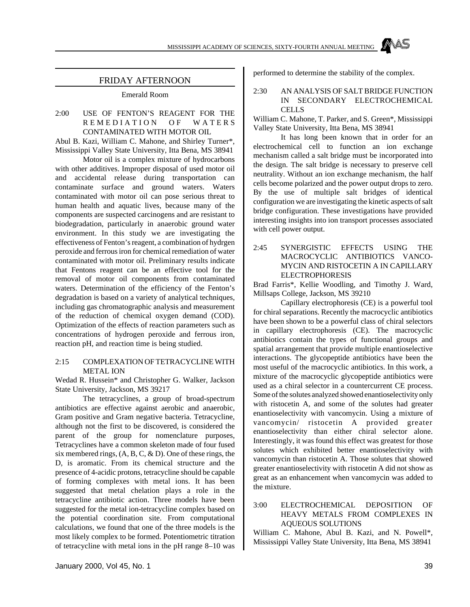

### FRIDAY AFTERNOON

Emerald Room

## 2:00 USE OF FENTON'S REAGENT FOR THE REMEDIATION OF WATER S CONTAMINATED WITH MOTOR OIL

Abul B. Kazi, William C. Mahone, and Shirley Turner\*, Mississippi Valley State University, Itta Bena, MS 38941

Motor oil is a complex mixture of hydrocarbons with other additives. Improper disposal of used motor oil and accidental release during transportation can contaminate surface and ground waters. Waters contaminated with motor oil can pose serious threat to human health and aquatic lives, because many of the components are suspected carcinogens and are resistant to biodegradation, particularly in anaerobic ground water environment. In this study we are investigating the effectiveness of Fenton's reagent, a combination of hydrgen peroxide and ferrous iron for chemical remediation of water contaminated with motor oil. Preliminary results indicate that Fentons reagent can be an effective tool for the removal of motor oil components from contaminated waters. Determination of the efficiency of the Fenton's degradation is based on a variety of analytical techniques, including gas chromatographic analysis and measurement of the reduction of chemical oxygen demand (COD). Optimization of the effects of reaction parameters such as concentrations of hydrogen peroxide and ferrous iron, reaction pH, and reaction time is being studied.

#### 2:15 COMPLEXATION OF TETRACYCLINE WITH METAL ION

Wedad R. Hussein\* and Christopher G. Walker, Jackson State University, Jackson, MS 39217

The tetracyclines, a group of broad-spectrum antibiotics are effective against aerobic and anaerobic, Gram positive and Gram negative bacteria. Tetracycline, although not the first to be discovered, is considered the parent of the group for nomenclature purposes, Tetracyclines have a common skeleton made of four fused six membered rings, (A, B, C, & D). One of these rings, the D, is aromatic. From its chemical structure and the presence of 4-acidic protons, tetracycline should be capable of forming complexes with metal ions. It has been suggested that metal chelation plays a role in the tetracycline antibiotic action. Three models have been suggested for the metal ion-tetracycline complex based on the potential coordination site. From computational calculations, we found that one of the three models is the most likely complex to be formed. Potentiometric titration of tetracycline with metal ions in the pH range 8–10 was performed to determine the stability of the complex.

#### 2:30 AN ANALYSIS OF SALT BRIDGE FUNCTION IN SECONDARY ELECTROCHEMICAL **CELLS**

William C. Mahone, T. Parker, and S. Green\*, Mississippi Valley State University, Itta Bena, MS 38941

It has long been known that in order for an electrochemical cell to function an ion exchange mechanism called a salt bridge must be incorporated into the design. The salt bridge is necessary to preserve cell neutrality. Without an ion exchange mechanism, the half cells become polarized and the power output drops to zero. By the use of multiple salt bridges of identical configuration we are investigating the kinetic aspects of salt bridge configuration. These investigations have provided interesting insights into ion transport processes associated with cell power output.

2:45 SYNERGISTIC EFFECTS USING THE MACROCYCLIC ANTIBIOTICS VANCO-MYCIN AND RISTOCETIN A IN CAPILLARY ELECTROPHORESIS

Brad Farris\*, Kellie Woodling, and Timothy J. Ward, Millsaps College, Jackson, MS 39210

Capillary electrophoresis (CE) is a powerful tool for chiral separations. Recently the macrocyclic antibiotics have been shown to be a powerful class of chiral selectors in capillary electrophoresis (CE). The macrocyclic antibiotics contain the types of functional groups and spatial arrangement that provide multiple enantioselective interactions. The glycopeptide antibiotics have been the most useful of the macrocyclic antibiotics. In this work, a mixture of the macrocyclic glycopeptide antibiotics were used as a chiral selector in a countercurrent CE process. Some of the solutes analyzed showed enantioselectivity only with ristocetin A, and some of the solutes had greater enantioselectivity with vancomycin. Using a mixture of vancomycin/ ristocetin A provided greater enantioselectivity than either chiral selector alone. Interestingly, it was found this effect was greatest for those solutes which exhibited better enantioselectivity with vancomycin than ristocetin A. Those solutes that showed greater enantioselectivity with ristocetin A did not show as great as an enhancement when vancomycin was added to the mixture.

## 3:00 ELECTROCHEMICAL DEPOSITION OF HEAVY METALS FROM COMPLEXES IN AQUEOUS SOLUTIONS

William C. Mahone, Abul B. Kazi, and N. Powell\*, Mississippi Valley State University, Itta Bena, MS 38941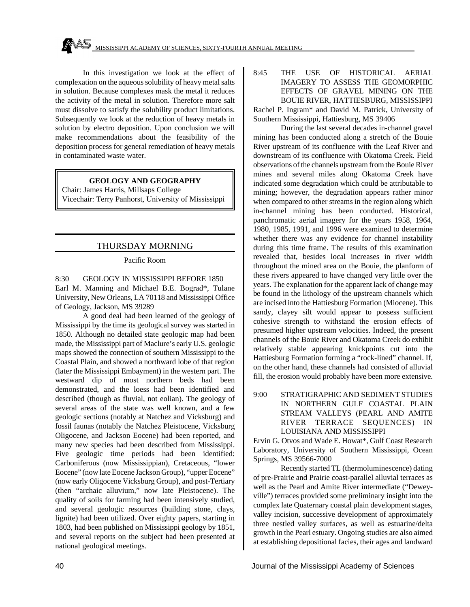In this investigation we look at the effect of complexation on the aqueous solubility of heavy metal salts in solution. Because complexes mask the metal it reduces the activity of the metal in solution. Therefore more salt must dissolve to satisfy the solubility product limitations. Subsequently we look at the reduction of heavy metals in solution by electro deposition. Upon conclusion we will make recommendations about the feasibility of the deposition process for general remediation of heavy metals in contaminated waste water.

## **GEOLOGY AND GEOGRAPHY**

Chair: James Harris, Millsaps College Vicechair: Terry Panhorst, University of Mississippi

# THURSDAY MORNING

## Pacific Room

8:30 GEOLOGY IN MISSISSIPPI BEFORE 1850 Earl M. Manning and Michael B.E. Bograd\*, Tulane University, New Orleans, LA 70118 and Mississippi Office of Geology, Jackson, MS 39289

A good deal had been learned of the geology of Mississippi by the time its geological survey was started in 1850. Although no detailed state geologic map had been made, the Mississippi part of Maclure's early U.S. geologic maps showed the connection of southern Mississippi to the Coastal Plain, and showed a northward lobe of that region (later the Mississippi Embayment) in the western part. The westward dip of most northern beds had been demonstrated, and the loess had been identified and described (though as fluvial, not eolian). The geology of several areas of the state was well known, and a few geologic sections (notably at Natchez and Vicksburg) and fossil faunas (notably the Natchez Pleistocene, Vicksburg Oligocene, and Jackson Eocene) had been reported, and many new species had been described from Mississippi. Five geologic time periods had been identified: Carboniferous (now Mississippian), Cretaceous, "lower Eocene" (now late Eocene Jackson Group), "upper Eocene" (now early Oligocene Vicksburg Group), and post-Tertiary (then "archaic alluvium," now late Pleistocene). The quality of soils for farming had been intensively studied, and several geologic resources (building stone, clays, lignite) had been utilized. Over eighty papers, starting in 1803, had been published on Mississippi geology by 1851, and several reports on the subject had been presented at national geological meetings.

8:45 THE USE OF HISTORICAL AERIAL IMAGERY TO ASSESS THE GEOMORPHIC EFFECTS OF GRAVEL MINING ON THE BOUIE RIVER, HATTIESBURG, MISSISSIPPI

Rachel P. Ingram\* and David M. Patrick, University of Southern Mississippi, Hattiesburg, MS 39406

During the last several decades in-channel gravel mining has been conducted along a stretch of the Bouie River upstream of its confluence with the Leaf River and downstream of its confluence with Okatoma Creek. Field observations of the channels upstream from the Bouie River mines and several miles along Okatoma Creek have indicated some degradation which could be attributable to mining; however, the degradation appears rather minor when compared to other streams in the region along which in-channel mining has been conducted. Historical, panchromatic aerial imagery for the years 1958, 1964, 1980, 1985, 1991, and 1996 were examined to determine whether there was any evidence for channel instability during this time frame. The results of this examination revealed that, besides local increases in river width throughout the mined area on the Bouie, the planform of these rivers appeared to have changed very little over the years. The explanation for the apparent lack of change may be found in the lithology of the upstream channels which are incised into the Hattiesburg Formation (Miocene). This sandy, clayey silt would appear to possess sufficient cohesive strength to withstand the erosion effects of presumed higher upstream velocities. Indeed, the present channels of the Bouie River and Okatoma Creek do exhibit relatively stable appearing knickpoints cut into the Hattiesburg Formation forming a "rock-lined" channel. If, on the other hand, these channels had consisted of alluvial fill, the erosion would probably have been more extensive.

## 9:00 STRATIGRAPHIC AND SEDIMENT STUDIES IN NORTHERN GULF COASTAL PLAIN STREAM VALLEYS (PEARL AND AMITE RIVER TERRACE SEQUENCES) IN LOUISIANA AND MISSISSIPPI

Ervin G. Otvos and Wade E. Howat\*, Gulf Coast Research Laboratory, University of Southern Mississippi, Ocean Springs, MS 39566-7000

Recently started TL (thermoluminescence) dating of pre-Prairie and Prairie coast-parallel alluvial terraces as well as the Pearl and Amite River intermediate ("Deweyville") terraces provided some preliminary insight into the complex late Quaternary coastal plain development stages, valley incision, successive development of approximately three nestled valley surfaces, as well as estuarine/delta growth in the Pearl estuary. Ongoing studies are also aimed at establishing depositional facies, their ages and landward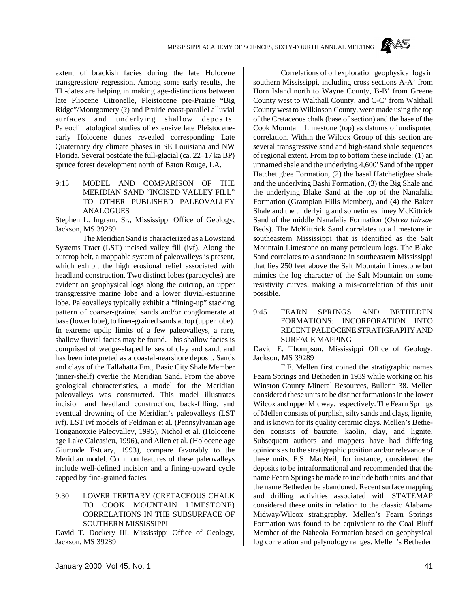extent of brackish facies during the late Holocene transgression/ regression. Among some early results, the TL-dates are helping in making age-distinctions between late Pliocene Citronelle, Pleistocene pre-Prairie "Big Ridge"/Montgomery (?) and Prairie coast-parallel alluvial surfaces and underlying shallow deposits. Paleoclimatological studies of extensive late Pleistoceneearly Holocene dunes revealed corresponding Late Quaternary dry climate phases in SE Louisiana and NW Florida. Several postdate the full-glacial (ca. 22–17 ka BP) spruce forest development north of Baton Rouge, LA.

9:15 MODEL AND COMPARISON OF THE MERIDIAN SAND "INCISED VALLEY FILL" TO OTHER PUBLISHED PALEOVALLEY ANALOGUES

Stephen L. Ingram, Sr., Mississippi Office of Geology, Jackson, MS 39289

The Meridian Sand is characterized as a Lowstand Systems Tract (LST) incised valley fill (ivf). Along the outcrop belt, a mappable system of paleovalleys is present, which exhibit the high erosional relief associated with headland construction. Two distinct lobes (paracycles) are evident on geophysical logs along the outcrop, an upper transgressive marine lobe and a lower fluvial-estuarine lobe. Paleovalleys typically exhibit a "fining-up" stacking pattern of coarser-grained sands and/or conglomerate at base (lower lobe), to finer-grained sands at top (upper lobe). In extreme updip limits of a few paleovalleys, a rare, shallow fluvial facies may be found. This shallow facies is comprised of wedge-shaped lenses of clay and sand, and has been interpreted as a coastal-nearshore deposit. Sands and clays of the Tallahatta Fm., Basic City Shale Member (inner-shelf) overlie the Meridian Sand. From the above geological characteristics, a model for the Meridian paleovalleys was constructed. This model illustrates incision and headland construction, back-filling, and eventual drowning of the Meridian's paleovalleys (LST ivf). LST ivf models of Feldman et al. (Pennsylvanian age Tonganoxxie Paleovalley, 1995), Nichol et al. (Holocene age Lake Calcasieu, 1996), and Allen et al. (Holocene age Giuronde Estuary, 1993), compare favorably to the Meridian model. Common features of these paleovalleys include well-defined incision and a fining-upward cycle capped by fine-grained facies.

## 9:30 LOWER TERTIARY (CRETACEOUS CHALK TO COOK MOUNTAIN LIMESTONE) CORRELATIONS IN THE SUBSURFACE OF SOUTHERN MISSISSIPPI

David T. Dockery III, Mississippi Office of Geology, Jackson, MS 39289

Correlations of oil exploration geophysical logs in southern Mississippi, including cross sections A-A' from Horn Island north to Wayne County, B-B' from Greene County west to Walthall County, and C-C' from Walthall County west to Wilkinson County, were made using the top of the Cretaceous chalk (base of section) and the base of the Cook Mountain Limestone (top) as datums of undisputed correlation. Within the Wilcox Group of this section are several transgressive sand and high-stand shale sequences of regional extent. From top to bottom these include: (1) an unnamed shale and the underlying 4,600' Sand of the upper Hatchetigbee Formation, (2) the basal Hatchetigbee shale and the underlying Bashi Formation, (3) the Big Shale and the underlying Blake Sand at the top of the Nanafalia Formation (Grampian Hills Member), and (4) the Baker Shale and the underlying and sometimes limey McKittrick Sand of the middle Nanafalia Formation (*Ostrea thirsae* Beds). The McKittrick Sand correlates to a limestone in southeastern Mississippi that is identified as the Salt Mountain Limestone on many petroleum logs. The Blake Sand correlates to a sandstone in southeastern Mississippi that lies 250 feet above the Salt Mountain Limestone but mimics the log character of the Salt Mountain on some resistivity curves, making a mis-correlation of this unit possible.

## 9:45 FEARN SPRINGS AND BETHEDEN FORMATIONS: INCORPORATION INTO RECENT PALEOCENE STRATIGRAPHY AND SURFACE MAPPING

David E. Thompson, Mississippi Office of Geology, Jackson, MS 39289

F.F. Mellen first coined the stratigraphic names Fearn Springs and Betheden in 1939 while working on his Winston County Mineral Resources, Bulletin 38. Mellen considered these units to be distinct formations in the lower Wilcox and upper Midway, respectively. The Fearn Springs of Mellen consists of purplish, silty sands and clays, lignite, and is known for its quality ceramic clays. Mellen's Betheden consists of bauxite, kaolin, clay, and lignite. Subsequent authors and mappers have had differing opinions as to the stratigraphic position and/or relevance of these units. F.S. MacNeil, for instance, considered the deposits to be intraformational and recommended that the name Fearn Springs be made to include both units, and that the name Betheden be abandoned. Recent surface mapping and drilling activities associated with STATEMAP considered these units in relation to the classic Alabama Midway/Wilcox stratigraphy. Mellen's Fearn Springs Formation was found to be equivalent to the Coal Bluff Member of the Naheola Formation based on geophysical log correlation and palynology ranges. Mellen's Betheden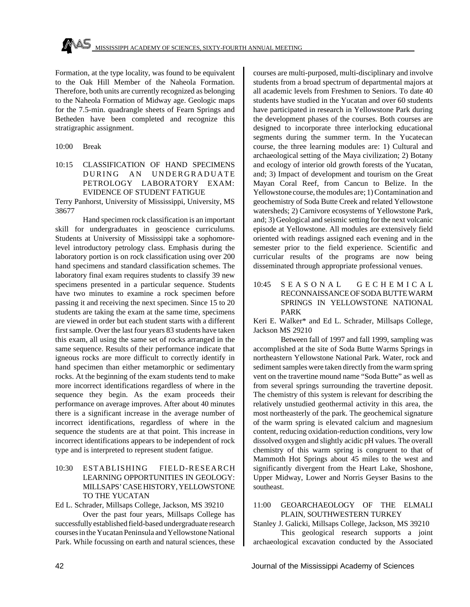Formation, at the type locality, was found to be equivalent to the Oak Hill Member of the Naheola Formation. Therefore, both units are currently recognized as belonging to the Naheola Formation of Midway age. Geologic maps for the 7.5-min. quadrangle sheets of Fearn Springs and Betheden have been completed and recognize this stratigraphic assignment.

- 10:00 Break
- 10:15 CLASSIFICATION OF HAND SPECIMENS DURING AN UNDERGRADUATE PETROLOGY LABORATORY EXAM: EVIDENCE OF STUDENT FATIGUE

Terry Panhorst, University of Mississippi, University, MS 38677

Hand specimen rock classification is an important skill for undergraduates in geoscience curriculums. Students at University of Mississippi take a sophomorelevel introductory petrology class. Emphasis during the laboratory portion is on rock classification using over 200 hand specimens and standard classification schemes. The laboratory final exam requires students to classify 39 new specimens presented in a particular sequence. Students have two minutes to examine a rock specimen before passing it and receiving the next specimen. Since 15 to 20 students are taking the exam at the same time, specimens are viewed in order but each student starts with a different first sample. Over the last four years 83 students have taken this exam, all using the same set of rocks arranged in the same sequence. Results of their performance indicate that igneous rocks are more difficult to correctly identify in hand specimen than either metamorphic or sedimentary rocks. At the beginning of the exam students tend to make more incorrect identifications regardless of where in the sequence they begin. As the exam proceeds their performance on average improves. After about 40 minutes there is a significant increase in the average number of incorrect identifications, regardless of where in the sequence the students are at that point. This increase in incorrect identifications appears to be independent of rock type and is interpreted to represent student fatigue.

## 10:30 ESTABLISHING FIELD-RESEARCH LEARNING OPPORTUNITIES IN GEOLOGY: MILLSAPS' CASE HISTORY, YELLOWSTONE TO THE YUCATAN

Ed L. Schrader, Millsaps College, Jackson, MS 39210

Over the past four years, Millsaps College has successfully established field-based undergraduate research courses in the Yucatan Peninsula and Yellowstone National Park. While focussing on earth and natural sciences, these courses are multi-purposed, multi-disciplinary and involve students from a broad spectrum of departmental majors at all academic levels from Freshmen to Seniors. To date 40 students have studied in the Yucatan and over 60 students have participated in research in Yellowstone Park during the development phases of the courses. Both courses are designed to incorporate three interlocking educational segments during the summer term. In the Yucatecan course, the three learning modules are: 1) Cultural and archaeological setting of the Maya civilization; 2) Botany and ecology of interior old growth forests of the Yucatan, and; 3) Impact of development and tourism on the Great Mayan Coral Reef, from Cancun to Belize. In the Yellowstone course, the modules are; 1) Contamination and geochemistry of Soda Butte Creek and related Yellowstone watersheds; 2) Carnivore ecosystems of Yellowstone Park, and; 3) Geological and seismic setting for the next volcanic episode at Yellowstone. All modules are extensively field oriented with readings assigned each evening and in the semester prior to the field experience. Scientific and curricular results of the programs are now being disseminated through appropriate professional venues.

10:45 SEASONAL GECHEMICA L RECONNAISSANCE OF SODA BUTTE WARM SPRINGS IN YELLOWSTONE NATIONAL PARK

Keri E. Walker\* and Ed L. Schrader, Millsaps College, Jackson MS 29210

Between fall of 1997 and fall 1999, sampling was accomplished at the site of Soda Butte Warms Springs in northeastern Yellowstone National Park. Water, rock and sediment samples were taken directly from the warm spring vent on the travertine mound name "Soda Butte" as well as from several springs surrounding the travertine deposit. The chemistry of this system is relevant for describing the relatively unstudied geothermal activity in this area, the most northeasterly of the park. The geochemical signature of the warm spring is elevated calcium and magnesium content, reducing oxidation-reduction conditions, very low dissolved oxygen and slightly acidic pH values. The overall chemistry of this warm spring is congruent to that of Mammoth Hot Springs about 45 miles to the west and significantly divergent from the Heart Lake, Shoshone, Upper Midway, Lower and Norris Geyser Basins to the southeast.

### 11:00 GEOARCHAEOLOGY OF THE ELMALI PLAIN, SOUTHWESTERN TURKEY

Stanley J. Galicki, Millsaps College, Jackson, MS 39210

This geological research supports a joint archaeological excavation conducted by the Associated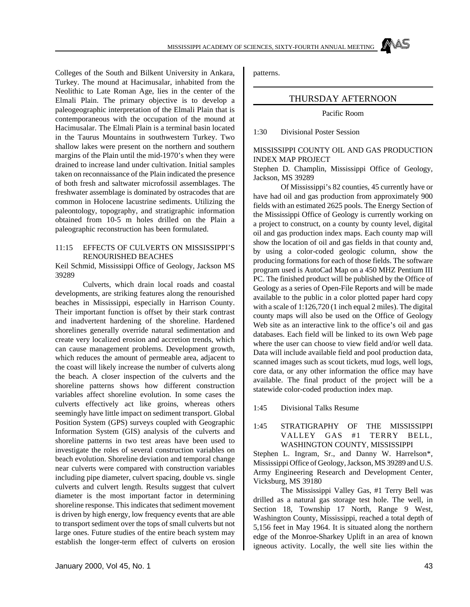Colleges of the South and Bilkent University in Ankara, Turkey. The mound at Hacimusalar, inhabited from the Neolithic to Late Roman Age, lies in the center of the Elmali Plain. The primary objective is to develop a paleogeographic interpretation of the Elmali Plain that is contemporaneous with the occupation of the mound at Hacimusalar. The Elmali Plain is a terminal basin located in the Taurus Mountains in southwestern Turkey. Two shallow lakes were present on the northern and southern margins of the Plain until the mid-1970's when they were drained to increase land under cultivation. Initial samples taken on reconnaissance of the Plain indicated the presence of both fresh and saltwater microfossil assemblages. The freshwater assemblage is dominated by ostracodes that are common in Holocene lacustrine sediments. Utilizing the paleontology, topography, and stratigraphic information obtained from 10-5 m holes drilled on the Plain a paleographic reconstruction has been formulated.

#### 11:15 EFFECTS OF CULVERTS ON MISSISSIPPI'S RENOURISHED BEACHES

Keil Schmid, Mississippi Office of Geology, Jackson MS 39289

Culverts, which drain local roads and coastal developments, are striking features along the renourished beaches in Mississippi, especially in Harrison County. Their important function is offset by their stark contrast and inadvertent hardening of the shoreline. Hardened shorelines generally override natural sedimentation and create very localized erosion and accretion trends, which can cause management problems. Development growth, which reduces the amount of permeable area, adjacent to the coast will likely increase the number of culverts along the beach. A closer inspection of the culverts and the shoreline patterns shows how different construction variables affect shoreline evolution. In some cases the culverts effectively act like groins, whereas others seemingly have little impact on sediment transport. Global Position System (GPS) surveys coupled with Geographic Information System (GIS) analysis of the culverts and shoreline patterns in two test areas have been used to investigate the roles of several construction variables on beach evolution. Shoreline deviation and temporal change near culverts were compared with construction variables including pipe diameter, culvert spacing, double vs. single culverts and culvert length. Results suggest that culvert diameter is the most important factor in determining shoreline response. This indicates that sediment movement is driven by high energy, low frequency events that are able to transport sediment over the tops of small culverts but not large ones. Future studies of the entire beach system may establish the longer-term effect of culverts on erosion

patterns.

## THURSDAY AFTERNOON

Pacific Room

1:30 Divisional Poster Session

#### MISSISSIPPI COUNTY OIL AND GAS PRODUCTION INDEX MAP PROJECT

Stephen D. Champlin, Mississippi Office of Geology, Jackson, MS 39289

Of Mississippi's 82 counties, 45 currently have or have had oil and gas production from approximately 900 fields with an estimated 2625 pools. The Energy Section of the Mississippi Office of Geology is currently working on a project to construct, on a county by county level, digital oil and gas production index maps. Each county map will show the location of oil and gas fields in that county and, by using a color-coded geologic column, show the producing formations for each of those fields. The software program used is AutoCad Map on a 450 MHZ Pentium III PC. The finished product will be published by the Office of Geology as a series of Open-File Reports and will be made available to the public in a color plotted paper hard copy with a scale of 1:126,720 (1 inch equal 2 miles). The digital county maps will also be used on the Office of Geology Web site as an interactive link to the office's oil and gas databases. Each field will be linked to its own Web page where the user can choose to view field and/or well data. Data will include available field and pool production data, scanned images such as scout tickets, mud logs, well logs, core data, or any other information the office may have available. The final product of the project will be a statewide color-coded production index map.

1:45 Divisional Talks Resume

#### 1:45 STRATIGRAPHY OF THE MISSISSIPPI VALLEY GAS #1 TERRY BELL, WASHINGTON COUNTY, MISSISSIPPI

Stephen L. Ingram, Sr., and Danny W. Harrelson\*, Mississippi Office of Geology, Jackson, MS 39289 and U.S. Army Engineering Research and Development Center, Vicksburg, MS 39180

The Mississippi Valley Gas, #1 Terry Bell was drilled as a natural gas storage test hole. The well, in Section 18, Township 17 North, Range 9 West, Washington County, Mississippi, reached a total depth of 5,156 feet in May 1964. It is situated along the northern edge of the Monroe-Sharkey Uplift in an area of known igneous activity. Locally, the well site lies within the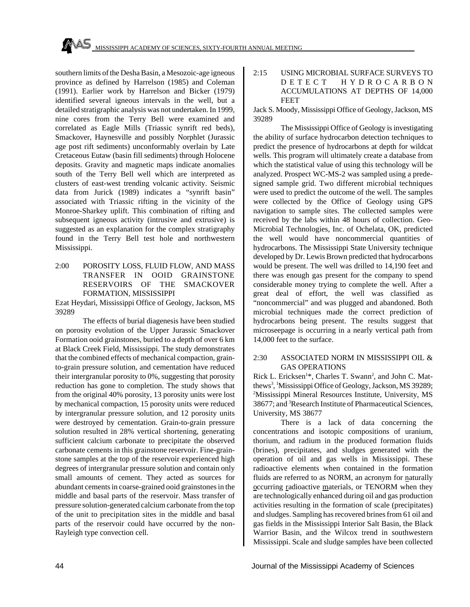southern limits of the Desha Basin, a Mesozoic-age igneous province as defined by Harrelson (1985) and Coleman (1991). Earlier work by Harrelson and Bicker (1979) identified several igneous intervals in the well, but a detailed stratigraphic analysis was not undertaken. In 1999, nine cores from the Terry Bell were examined and correlated as Eagle Mills (Triassic synrift red beds), Smackover, Haynesville and possibly Norphlet (Jurassic age post rift sediments) unconformably overlain by Late Cretaceous Eutaw (basin fill sediments) through Holocene deposits. Gravity and magnetic maps indicate anomalies south of the Terry Bell well which are interpreted as clusters of east-west trending volcanic activity. Seismic data from Jurick (1989) indicates a "synrift basin" associated with Triassic rifting in the vicinity of the Monroe-Sharkey uplift. This combination of rifting and subsequent igneous activity (intrusive and extrusive) is suggested as an explanation for the complex stratigraphy found in the Terry Bell test hole and northwestern Mississippi.

## 2:00 POROSITY LOSS, FLUID FLOW, AND MASS TRANSFER IN OOID GRAINSTONE RESERVOIRS OF THE SMACKOVER FORMATION, MISSISSIPPI

Ezat Heydari, Mississippi Office of Geology, Jackson, MS 39289

The effects of burial diagenesis have been studied on porosity evolution of the Upper Jurassic Smackover Formation ooid grainstones, buried to a depth of over 6 km at Black Creek Field, Mississippi. The study demonstrates that the combined effects of mechanical compaction, grainto-grain pressure solution, and cementation have reduced their intergranular porosity to 0%, suggesting that porosity reduction has gone to completion. The study shows that from the original 40% porosity, 13 porosity units were lost by mechanical compaction, 15 porosity units were reduced by intergranular pressure solution, and 12 porosity units were destroyed by cementation. Grain-to-grain pressure solution resulted in 28% vertical shortening, generating sufficient calcium carbonate to precipitate the observed carbonate cements in this grainstone reservoir. Fine-grainstone samples at the top of the reservoir experienced high degrees of intergranular pressure solution and contain only small amounts of cement. They acted as sources for abundant cements in coarse-grained ooid grainstones in the middle and basal parts of the reservoir. Mass transfer of pressure solution-generated calcium carbonate from the top of the unit to precipitation sites in the middle and basal parts of the reservoir could have occurred by the non-Rayleigh type convection cell.

### 2:15 USING MICROBIAL SURFACE SURVEYS TO DETECT HYDROCARBO N ACCUMULATIONS AT DEPTHS OF 14,000 FEET

Jack S. Moody, Mississippi Office of Geology, Jackson, MS 39289

The Mississippi Office of Geology is investigating the ability of surface hydrocarbon detection techniques to predict the presence of hydrocarbons at depth for wildcat wells. This program will ultimately create a database from which the statistical value of using this technology will be analyzed. Prospect WC-MS-2 was sampled using a predesigned sample grid. Two different microbial techniques were used to predict the outcome of the well. The samples were collected by the Office of Geology using GPS navigation to sample sites. The collected samples were received by the labs within 48 hours of collection. Geo-Microbial Technologies, Inc. of Ochelata, OK, predicted the well would have noncommercial quantities of hydrocarbons. The Mississippi State University technique developed by Dr. Lewis Brown predicted that hydrocarbons would be present. The well was drilled to 14,190 feet and there was enough gas present for the company to spend considerable money trying to complete the well. After a great deal of effort, the well was classified as "noncommercial" and was plugged and abandoned. Both microbial techniques made the correct prediction of hydrocarbons being present. The results suggest that microseepage is occurring in a nearly vertical path from 14,000 feet to the surface.

#### 2:30 ASSOCIATED NORM IN MISSISSIPPI OIL & GAS OPERATIONS

Rick L. Ericksen<sup>1\*</sup>, Charles T. Swann<sup>2</sup>, and John C. Matthews<sup>3</sup>, <sup>1</sup>Mississippi Office of Geology, Jackson, MS 39289; <sup>2</sup>Mississippi Mineral Resources Institute, University, MS 38677; and <sup>3</sup>Research Institute of Pharmaceutical Sciences, University, MS 38677

There is a lack of data concerning the concentrations and isotopic compositions of uranium, thorium, and radium in the produced formation fluids (brines), precipitates, and sludges generated with the operation of oil and gas wells in Mississippi. These radioactive elements when contained in the formation fluids are referred to as NORM, an acronym for naturally occurring radioactive materials, or TENORM when they are technologically enhanced during oil and gas production activities resulting in the formation of scale (precipitates) and sludges. Sampling has recovered brines from 61 oil and gas fields in the Mississippi Interior Salt Basin, the Black Warrior Basin, and the Wilcox trend in southwestern Mississippi. Scale and sludge samples have been collected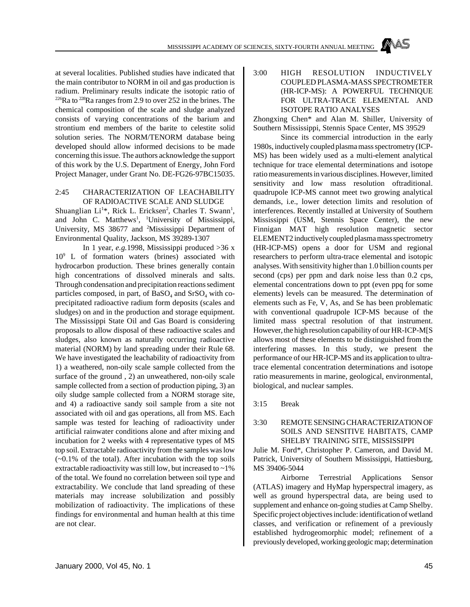at several localities. Published studies have indicated that the main contributor to NORM in oil and gas production is radium. Preliminary results indicate the isotopic ratio of  $226$ Ra to  $228$ Ra ranges from 2.9 to over 252 in the brines. The chemical composition of the scale and sludge analyzed consists of varying concentrations of the barium and strontium end members of the barite to celestite solid solution series. The NORM/TENORM database being developed should allow informed decisions to be made concerning this issue. The authors acknowledge the support of this work by the U.S. Department of Energy, John Ford Project Manager, under Grant No. DE-FG26-97BC15035.

#### 2:45 CHARACTERIZATION OF LEACHABILITY OF RADIOACTIVE SCALE AND SLUDGE

Shuanglian Li<sup>1\*</sup>, Rick L. Ericksen<sup>2</sup>, Charles T. Swann<sup>1</sup>, and John C. Matthews<sup>1</sup>, <sup>1</sup>University of Mississippi, University, MS 38677 and <sup>2</sup>Mississippi Department of Environmental Quality, Jackson, MS 39289-1307

In 1 year, *e.g.*1998, Mississippi produced >36 x 10<sup>9</sup> L of formation waters (brines) associated with hydrocarbon production. These brines generally contain high concentrations of dissolved minerals and salts. Through condensation and precipitation reactions sediment particles composed, in part, of  $BaSO_4$  and  $SrSO_4$  with coprecipitated radioactive radium form deposits (scales and sludges) on and in the production and storage equipment. The Mississippi State Oil and Gas Board is considering proposals to allow disposal of these radioactive scales and sludges, also known as naturally occurring radioactive material (NORM) by land spreading under their Rule 68. We have investigated the leachability of radioactivity from 1) a weathered, non-oily scale sample collected from the surface of the ground , 2) an unweathered, non-oily scale sample collected from a section of production piping, 3) an oily sludge sample collected from a NORM storage site, and 4) a radioactive sandy soil sample from a site not associated with oil and gas operations, all from MS. Each sample was tested for leaching of radioactivity under artificial rainwater conditions alone and after mixing and incubation for 2 weeks with 4 representative types of MS top soil. Extractable radioactivity from the samples was low  $(-0.1\%$  of the total). After incubation with the top soils extractable radioactivity was still low, but increased to ~1% of the total. We found no correlation between soil type and extractability. We conclude that land spreading of these materials may increase solubilization and possibly mobilization of radioactivity. The implications of these findings for environmental and human health at this time are not clear.

3:00 HIGH RESOLUTION INDUCTIVELY COUPLED PLASMA-MASS SPECTROMETER (HR-ICP-MS): A POWERFUL TECHNIQUE FOR ULTRA-TRACE ELEMENTAL AND ISOTOPE RATIO ANALYSES

Zhongxing Chen\* and Alan M. Shiller, University of Southern Mississippi, Stennis Space Center, MS 39529

Since its commercial introduction in the early 1980s, inductively coupled plasma mass spectrometry (ICP-MS) has been widely used as a multi-element analytical technique for trace elemental determinations and isotope ratio measurements in various disciplines. However, limited sensitivity and low mass resolution oftraditional. quadrupole ICP-MS cannot meet two growing analytical demands, i.e., lower detection limits and resolution of interferences. Recently installed at University of Southern Mississippi (USM, Stennis Space Center), the new Finnigan MAT high resolution magnetic sector ELEMENT2 inductively coupled plasma mass spectrometry (HR-ICP-MS) opens a door for USM and regional researchers to perform ultra-trace elemental and isotopic analyses. With sensitivity higher than 1.0 billion counts per second (cps) per ppm and dark noise less than 0.2 cps, elemental concentrations down to ppt (even ppq for some elements) levels can be measured. The determination of elements such as Fe, V, As, and Se has been problematic with conventional quadrupole ICP-MS because of the limited mass spectral resolution of that instrument. However, the high resolution capability of our HR-ICP-M[S allows most of these elements to be distinguished from the interfering masses. In this study, we present the performance of our HR-ICP-MS and its application to ultratrace elemental concentration determinations and isotope ratio measurements in marine, geological, environmental, biological, and nuclear samples.

3:15 Break

## 3:30 REMOTE SENSING CHARACTERIZATION OF SOILS AND SENSITIVE HABITATS, CAMP SHELBY TRAINING SITE, MISSISSIPPI

Julie M. Ford\*, Christopher P. Cameron, and David M. Patrick, University of Southern Mississippi, Hattiesburg, MS 39406-5044

Airborne Terrestrial Applications Sensor (ATLAS) imagery and HyMap hyperspectral imagery, as well as ground hyperspectral data, are being used to supplement and enhance on-going studies at Camp Shelby. Specific project objectives include: identification of wetland classes, and verification or refinement of a previously established hydrogeomorphic model; refinement of a previously developed, working geologic map; determination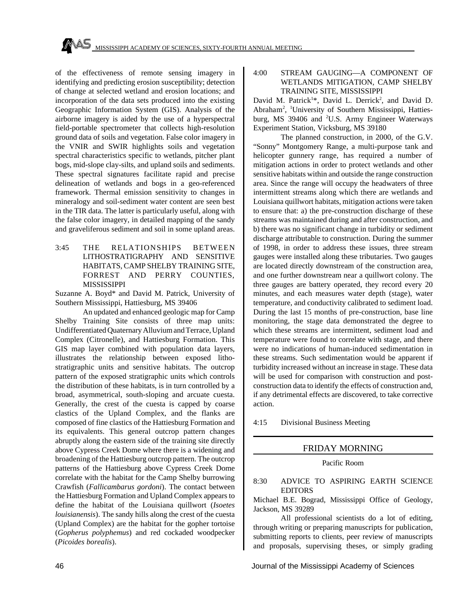of the effectiveness of remote sensing imagery in identifying and predicting erosion susceptibility; detection of change at selected wetland and erosion locations; and incorporation of the data sets produced into the existing Geographic Information System (GIS). Analysis of the airborne imagery is aided by the use of a hyperspectral field-portable spectrometer that collects high-resolution ground data of soils and vegetation. False color imagery in the VNIR and SWIR highlights soils and vegetation spectral characteristics specific to wetlands, pitcher plant bogs, mid-slope clay-silts, and upland soils and sediments. These spectral signatures facilitate rapid and precise delineation of wetlands and bogs in a geo-referenced framework. Thermal emission sensitivity to changes in mineralogy and soil-sediment water content are seen best in the TIR data. The latter is particularly useful, along with the false color imagery, in detailed mapping of the sandy and graveliferous sediment and soil in some upland areas.

3:45 THE RELATIONSHIPS BETWEEN LITHOSTRATIGRAPHY AND SENSITIVE HABITATS, CAMP SHELBY TRAINING SITE, FORREST AND PERRY COUNTIES, MISSISSIPPI

Suzanne A. Boyd\* and David M. Patrick, University of Southern Mississippi, Hattiesburg, MS 39406

An updated and enhanced geologic map for Camp Shelby Training Site consists of three map units: Undifferentiated Quaternary Alluvium and Terrace, Upland Complex (Citronelle), and Hattiesburg Formation. This GIS map layer combined with population data layers, illustrates the relationship between exposed lithostratigraphic units and sensitive habitats. The outcrop pattern of the exposed stratigraphic units which controls the distribution of these habitats, is in turn controlled by a broad, asymmetrical, south-sloping and arcuate cuesta. Generally, the crest of the cuesta is capped by coarse clastics of the Upland Complex, and the flanks are composed of fine clastics of the Hattiesburg Formation and its equivalents. This general outcrop pattern changes abruptly along the eastern side of the training site directly above Cypress Creek Dome where there is a widening and broadening of the Hattiesburg outcrop pattern. The outcrop patterns of the Hattiesburg above Cypress Creek Dome correlate with the habitat for the Camp Shelby burrowing Crawfish (*Fallicambarus gordoni*). The contact between the Hattiesburg Formation and Upland Complex appears to define the habitat of the Louisiana quillwort (*Isoetes louisianensis*). The sandy hills along the crest of the cuesta (Upland Complex) are the habitat for the gopher tortoise (*Gopherus polyphemus*) and red cockaded woodpecker (*Picoides borealis*).

### 4:00 STREAM GAUGING—A COMPONENT OF WETLANDS MITIGATION, CAMP SHELBY TRAINING SITE, MISSISSIPPI

David M. Patrick<sup>1\*</sup>, David L. Derrick<sup>2</sup>, and David D. Abraham<sup>2</sup> , 1University of Southern Mississippi, Hattiesburg, MS 39406 and <sup>2</sup>U.S. Army Engineer Waterways Experiment Station, Vicksburg, MS 39180

The planned construction, in 2000, of the G.V. "Sonny" Montgomery Range, a multi-purpose tank and helicopter gunnery range, has required a number of mitigation actions in order to protect wetlands and other sensitive habitats within and outside the range construction area. Since the range will occupy the headwaters of three intermittent streams along which there are wetlands and Louisiana quillwort habitats, mitigation actions were taken to ensure that: a) the pre-construction discharge of these streams was maintained during and after construction, and b) there was no significant change in turbidity or sediment discharge attributable to construction. During the summer of 1998, in order to address these issues, three stream gauges were installed along these tributaries. Two gauges are located directly downstream of the construction area, and one further downstream near a quillwort colony. The three gauges are battery operated, they record every 20 minutes, and each measures water depth (stage), water temperature, and conductivity calibrated to sediment load. During the last 15 months of pre-construction, base line monitoring, the stage data demonstrated the degree to which these streams are intermittent, sediment load and temperature were found to correlate with stage, and there were no indications of human-induced sedimentation in these streams. Such sedimentation would be apparent if turbidity increased without an increase in stage. These data will be used for comparison with construction and postconstruction data to identify the effects of construction and, if any detrimental effects are discovered, to take corrective action.

4:15 Divisional Business Meeting

## FRIDAY MORNING

#### Pacific Room

8:30 ADVICE TO ASPIRING EARTH SCIENCE EDITORS

Michael B.E. Bograd, Mississippi Office of Geology, Jackson, MS 39289

All professional scientists do a lot of editing, through writing or preparing manuscripts for publication, submitting reports to clients, peer review of manuscripts and proposals, supervising theses, or simply grading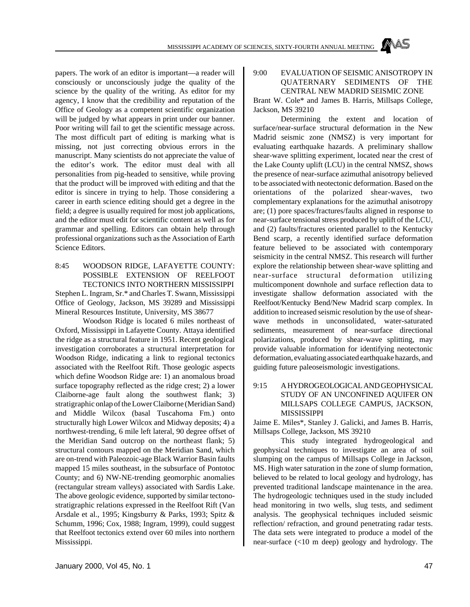papers. The work of an editor is important—a reader will consciously or unconsciously judge the quality of the science by the quality of the writing. As editor for my agency, I know that the credibility and reputation of the Office of Geology as a competent scientific organization will be judged by what appears in print under our banner. Poor writing will fail to get the scientific message across. The most difficult part of editing is marking what is missing, not just correcting obvious errors in the manuscript. Many scientists do not appreciate the value of the editor's work. The editor must deal with all personalities from pig-headed to sensitive, while proving that the product will be improved with editing and that the editor is sincere in trying to help. Those considering a career in earth science editing should get a degree in the field; a degree is usually required for most job applications, and the editor must edit for scientific content as well as for grammar and spelling. Editors can obtain help through professional organizations such as the Association of Earth Science Editors.

## 8:45 WOODSON RIDGE, LAFAYETTE COUNTY: POSSIBLE EXTENSION OF REELFOOT TECTONICS INTO NORTHERN MISSISSIPPI Stephen L. Ingram, Sr.\* and Charles T. Swann, Mississippi Office of Geology, Jackson, MS 39289 and Mississippi Mineral Resources Institute, University, MS 38677

Woodson Ridge is located 6 miles northeast of Oxford, Mississippi in Lafayette County. Attaya identified the ridge as a structural feature in 1951. Recent geological investigation corroborates a structural interpretation for Woodson Ridge, indicating a link to regional tectonics associated with the Reelfoot Rift. Those geologic aspects which define Woodson Ridge are: 1) an anomalous broad surface topography reflected as the ridge crest; 2) a lower Claiborne-age fault along the southwest flank; 3) stratigraphic onlap of the Lower Claiborne (Meridian Sand) and Middle Wilcox (basal Tuscahoma Fm.) onto structurally high Lower Wilcox and Midway deposits; 4) a northwest-trending, 6 mile left lateral, 90 degree offset of the Meridian Sand outcrop on the northeast flank; 5) structural contours mapped on the Meridian Sand, which are on-trend with Paleozoic-age Black Warrior Basin faults mapped 15 miles southeast, in the subsurface of Pontotoc County; and 6) NW-NE-trending geomorphic anomalies (rectangular stream valleys) associated with Sardis Lake. The above geologic evidence, supported by similar tectonostratigraphic relations expressed in the Reelfoot Rift (Van Arsdale et al., 1995; Kingsburry & Parks, 1993; Spitz & Schumm, 1996; Cox, 1988; Ingram, 1999), could suggest that Reelfoot tectonics extend over 60 miles into northern Mississippi.

#### 9:00 EVALUATION OF SEISMIC ANISOTROPY IN QUATERNARY SEDIMENTS OF THE CENTRAL NEW MADRID SEISMIC ZONE

Brant W. Cole\* and James B. Harris, Millsaps College, Jackson, MS 39210

Determining the extent and location of surface/near-surface structural deformation in the New Madrid seismic zone (NMSZ) is very important for evaluating earthquake hazards. A preliminary shallow shear-wave splitting experiment, located near the crest of the Lake County uplift (LCU) in the central NMSZ, shows the presence of near-surface azimuthal anisotropy believed to be associated with neotectonic deformation. Based on the orientations of the polarized shear-waves, two complementary explanations for the azimuthal anisotropy are; (1) pore spaces/fractures/faults aligned in response to near-surface tensional stress produced by uplift of the LCU, and (2) faults/fractures oriented parallel to the Kentucky Bend scarp, a recently identified surface deformation feature believed to be associated with contemporary seismicity in the central NMSZ. This research will further explore the relationship between shear-wave splitting and near-surface structural deformation utilizing multicomponent downhole and surface reflection data to investigate shallow deformation associated with the Reelfoot/Kentucky Bend/New Madrid scarp complex. In addition to increased seismic resolution by the use of shearwave methods in unconsolidated, water-saturated sediments, measurement of near-surface directional polarizations, produced by shear-wave splitting, may provide valuable information for identifying neotectonic deformation, evaluating associated earthquake hazards, and guiding future paleoseismologic investigations.

## 9:15 A HYDROGEOLOGICAL AND GEOPHYSICAL STUDY OF AN UNCONFINED AQUIFER ON MILLSAPS COLLEGE CAMPUS, JACKSON, MISSISSIPPI

Jaime E. Miles\*, Stanley J. Galicki, and James B. Harris, Millsaps College, Jackson, MS 39210

This study integrated hydrogeological and geophysical techniques to investigate an area of soil slumping on the campus of Millsaps College in Jackson, MS. High water saturation in the zone of slump formation, believed to be related to local geology and hydrology, has prevented traditional landscape maintenance in the area. The hydrogeologic techniques used in the study included head monitoring in two wells, slug tests, and sediment analysis. The geophysical techniques included seismic reflection/ refraction, and ground penetrating radar tests. The data sets were integrated to produce a model of the near-surface (<10 m deep) geology and hydrology. The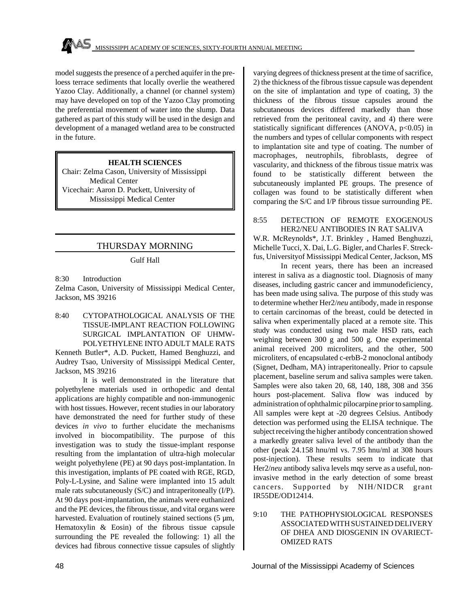model suggests the presence of a perched aquifer in the preloess terrace sediments that locally overlie the weathered Yazoo Clay. Additionally, a channel (or channel system) may have developed on top of the Yazoo Clay promoting the preferential movement of water into the slump. Data gathered as part of this study will be used in the design and development of a managed wetland area to be constructed in the future.

#### **HEALTH SCIENCES**

Chair: Zelma Cason, University of Mississippi Medical Center Vicechair: Aaron D. Puckett, University of Mississippi Medical Center

## THURSDAY MORNING

#### Gulf Hall

8:30 Introduction Zelma Cason, University of Mississippi Medical Center, Jackson, MS 39216

8:40 CYTOPATHOLOGICAL ANALYSIS OF THE TISSUE-IMPLANT REACTION FOLLOWING SURGICAL IMPLANTATION OF UHMW-POLYETHYLENE INTO ADULT MALE RATS

Kenneth Butler\*, A.D. Puckett, Hamed Benghuzzi, and Audrey Tsao, University of Mississippi Medical Center, Jackson, MS 39216

It is well demonstrated in the literature that polyethylene materials used in orthopedic and dental applications are highly compatible and non-immunogenic with host tissues. However, recent studies in our laboratory have demonstrated the need for further study of these devices *in vivo* to further elucidate the mechanisms involved in biocompatibility. The purpose of this investigation was to study the tissue-implant response resulting from the implantation of ultra-high molecular weight polyethylene (PE) at 90 days post-implantation. In this investigation, implants of PE coated with RGE, RGD, Poly-L-Lysine, and Saline were implanted into 15 adult male rats subcutaneously (S/C) and intraperitoneally (I/P). At 90 days post-implantation, the animals were euthanized and the PE devices, the fibrous tissue, and vital organs were harvested. Evaluation of routinely stained sections (5  $\mu$ m, Hematoxylin & Eosin) of the fibrous tissue capsule surrounding the PE revealed the following: 1) all the devices had fibrous connective tissue capsules of slightly varying degrees of thickness present at the time of sacrifice, 2) the thickness of the fibrous tissue capsule was dependent on the site of implantation and type of coating, 3) the thickness of the fibrous tissue capsules around the subcutaneous devices differed markedly than those retrieved from the peritoneal cavity, and 4) there were statistically significant differences (ANOVA, p<0.05) in the numbers and types of cellular components with respect to implantation site and type of coating. The number of macrophages, neutrophils, fibroblasts, degree of vascularity, and thickness of the fibrous tissue matrix was found to be statistically different between the subcutaneously implanted PE groups. The presence of collagen was found to be statistically different when comparing the S/C and I/P fibrous tissue surrounding PE.

#### 8:55 DETECTION OF REMOTE EXOGENOUS HER2/NEU ANTIBODIES IN RAT SALIVA

W.R. McReynolds\*, J.T. Brinkley , Hamed Benghuzzi, Michelle Tucci, X. Dai, L.G. Bigler, and Charles F. Streckfus, Universityof Mississippi Medical Center, Jackson, MS

In recent years, there has been an increased interest in saliva as a diagnostic tool. Diagnosis of many diseases, including gastric cancer and immunodeficiency, has been made using saliva. The purpose of this study was to determine whether Her2/*neu* antibody, made in response to certain carcinomas of the breast, could be detected in saliva when experimentally placed at a remote site. This study was conducted using two male HSD rats, each weighing between 300 g and 500 g. One experimental animal received 200 microliters, and the other, 500 microliters, of encapsulated c-erbB-2 monoclonal antibody (Signet, Dedham, MA) intraperitoneally. Prior to capsule placement, baseline serum and saliva samples were taken. Samples were also taken 20, 68, 140, 188, 308 and 356 hours post-placement. Saliva flow was induced by administration of ophthalmic pilocarpine prior to sampling. All samples were kept at -20 degrees Celsius. Antibody detection was performed using the ELISA technique. The subject receiving the higher antibody concentration showed a markedly greater saliva level of the antibody than the other (peak 24.158 hnu/ml vs. 7.95 hnu/ml at 308 hours post-injection). These results seem to indicate that Her2/*neu* antibody saliva levels mqy serve as a useful, noninvasive method in the early detection of some breast cancers. Supported by NIH/NIDCR grant IR55DE/OD12414.

9:10 THE PATHOPHYSIOLOGICAL RESPONSES ASSOCIATED WITH SUSTAINED DELIVERY OF DHEA AND DIOSGENIN IN OVARIECT-OMIZED RATS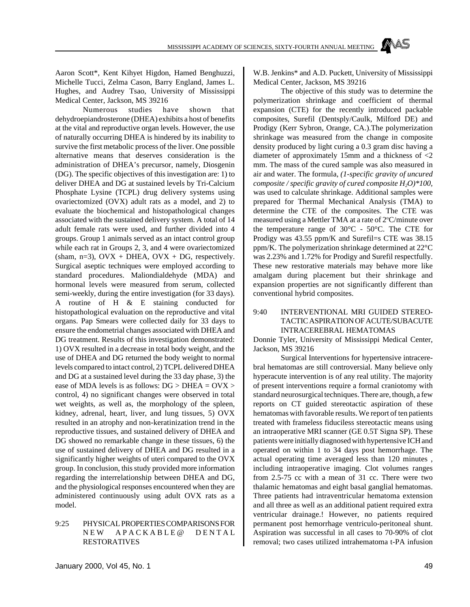MAS MISSISSIPPI ACADEMY OF SCIENCES, SIXTY-FOURTH ANNUAL MEETING

Aaron Scott\*, Kent Kihyet Higdon, Hamed Benghuzzi, Michelle Tucci, Zelma Cason, Barry England, James L. Hughes, and Audrey Tsao, University of Mississippi Medical Center, Jackson, MS 39216

Numerous studies have shown that dehydroepiandrosterone (DHEA) exhibits a host of benefits at the vital and reproductive organ levels. However, the use of naturally occurring DHEA is hindered by its inability to survive the first metabolic process of the liver. One possible alternative means that deserves consideration is the administration of DHEA's precursor, namely, Diosgenin (DG). The specific objectives of this investigation are: 1) to deliver DHEA and DG at sustained levels by Tri-Calcium Phosphate Lysine (TCPL) drug delivery systems using ovariectomized (OVX) adult rats as a model, and 2) to evaluate the biochemical and histopathological changes associated with the sustained delivery system. A total of 14 adult female rats were used, and further divided into 4 groups. Group 1 animals served as an intact control group while each rat in Groups 2, 3, and 4 were ovariectomized (sham, n=3),  $Ovx + DHEA$ ,  $OVX + DG$ , respectively. Surgical aseptic techniques were employed according to standard procedures. Maliondialdehyde (MDA) and hormonal levels were measured from serum, collected semi-weekly, during the entire investigation (for 33 days). A routine of H & E staining conducted for histopathological evaluation on the reproductive and vital organs. Pap Smears were collected daily for 33 days to ensure the endometrial changes associated with DHEA and DG treatment. Results of this investigation demonstrated: 1) OVX resulted in a decrease in total body weight, and the use of DHEA and DG returned the body weight to normal levels compared to intact control, 2) TCPL delivered DHEA and DG at a sustained level during the 33 day phase, 3) the ease of MDA levels is as follows: DG > DHEA = OVX > control, 4) no significant changes were observed in total wet weights, as well as, the morphology of the spleen, kidney, adrenal, heart, liver, and lung tissues, 5) OVX resulted in an atrophy and non-keratinization trend in the reproductive tissues, and sustained delivery of DHEA and DG showed no remarkable change in these tissues, 6) the use of sustained delivery of DHEA and DG resulted in a significantly higher weights of uteri compared to the OVX group. In conclusion, this study provided more information regarding the interrelationship between DHEA and DG, and the physiological responses encountered when they are administered continuously using adult OVX rats as a model.

### 9:25 PHYSICAL PROPERTIES COMPARISONS FOR NEW APACKABLE@ DENTAL RESTORATIVES

W.B. Jenkins\* and A.D. Puckett, University of Mississippi Medical Center, Jackson, MS 39216

The objective of this study was to determine the polymerization shrinkage and coefficient of thermal expansion (CTE) for the recently introduced packable composites, Surefil (Dentsply/Caulk, Milford DE) and Prodigy (Kerr Sybron, Orange, CA.).The polymerization shrinkage was measured from the change in composite density produced by light curing a 0.3 gram disc having a diameter of approximately 15mm and a thickness of <2 mm. The mass of the cured sample was also measured in air and water. The formula, *(1-specific gravity of uncured composite / specific gravity of cured composite H2O)\*100,* was used to calculate shrinkage. Additional samples were prepared for Thermal Mechanical Analysis (TMA) to determine the CTE of the composites. The CTE was measured using a Mettler TMA at a rate of 2°C/minute over the temperature range of  $30^{\circ}$ C -  $50^{\circ}$ C. The CTE for Prodigy was 43.55 ppm/K and Surefil=s CTE was 38.15 ppm/K. The polymerization shrinkage determined at 22°C was 2.23% and 1.72% for Prodigy and Surefil respectfully. These new restorative materials may behave more like amalgam during placement but their shrinkage and expansion properties are not significantly different than conventional hybrid composites.

## 9:40 INTERVENTIONAL MRI GUIDED STEREO-TACTIC ASPIRATION OF ACUTE/SUBACUTE INTRACEREBRAL HEMATOMAS

Donnie Tyler, University of Mississippi Medical Center, Jackson, MS 39216

Surgical Interventions for hypertensive intracerebral hematomas are still controversial. Many believe only hyperacute intervention is of any real utility. The majority of present interventions require a formal craniotomy with standard neurosurgical techniques. There are, though, a few reports on CT guided stereotactic aspiration of these hematomas with favorable results. We report of ten patients treated with frameless fiduciless stereotactic means using an intraoperative MRI scanner (GE 0.5T Signa SP). These patients were initially diagnosed with hypertensive ICH and operated on within 1 to 34 days post hemorrhage. The actual operating time averaged less than 120 minutes , including intraoperative imaging. Clot volumes ranges from 2.5-75 cc with a mean of 31 cc. There were two thalamic hematomas and eight basal ganglial hematomas. Three patients had intraventricular hematoma extension and all three as well as an additional patient required extra ventricular drainage.! However, no patients required permanent post hemorrhage ventriculo-peritoneal shunt. Aspiration was successful in all cases to 70-90% of clot removal; two cases utilized intrahematoma t-PA infusion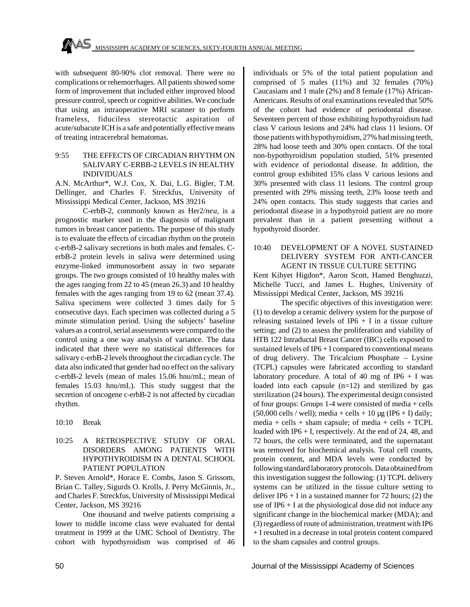with subsequent 80-90% clot removal. There were no complications or rehemorrhages. All patients showed some form of improvement that included either improved blood pressure control, speech or cognitive abilities. We conclude that using an intraoperative MRI scanner to perform frameless, fiduciless stereotactic aspiration of acute/subacute ICH is a safe and potentially effective means of treating intracerebral hematomas.

#### 9:55 THE EFFECTS OF CIRCADIAN RHYTHM ON SALIVARY C-ERBB-2 LEVELS IN HEALTHY INDIVIDUALS

A.N. McArthur\*, W.J. Cox, X. Dai, L.G. Bigler, T.M. Dellinger, and Charles F. Streckfus, University of Mississippi Medical Center, Jackson, MS 39216

C-erbB-2, commonly known as Her2/*neu*, is a prognostic marker used in the diagnosis of malignant tumors in breast cancer patients. The purpose of this study is to evaluate the effects of circadian rhythm on the protein c-erbB-2 salivary secretions in both males and females. CerbB-2 protein levels in saliva were determined using enzyme-linked immunosorbent assay in two separate groups. The two groups consisted of 10 healthy males with the ages ranging from 22 to 45 (mean 26.3) and 10 healthy females with the ages ranging from 19 to 62 (mean 37.4). Saliva specimens were collected 3 times daily for 5 consecutive days. Each specimen was collected during a 5 minute stimulation period. Using the subjects' baseline values as a control, serial assessments were compared to the control using a one way analysis of variance. The data indicated that there were no statistical differences for salivary c-erbB-2 levels throughout the circadian cycle. The data also indicated that gender had no effect on the salivary c-erbB-2 levels (mean of males 15.06 hnu/mL; mean of females 15.03 hnu/mL). This study suggest that the secretion of oncogene c-erbB-2 is not affected by circadian rhythm.

10:10 Break

## 10:25 A RETROSPECTIVE STUDY OF ORAL DISORDERS AMONG PATIENTS WITH HYPOTHYROIDISM IN A DENTAL SCHOOL PATIENT POPULATION

P. Steven Arnold\*, Horace E. Combs, Jason S. Grissom, Brian C. Talley, Sigurds O. Krolls, J. Perry McGinnis, Jr., and Charles F. Streckfus, University of Mississippi Medical Center, Jackson, MS 39216

One thousand and twelve patients comprising a lower to middle income class were evaluated for dental treatment in 1999 at the UMC School of Dentistry. The cohort with hypothyroidism was comprised of 46 individuals or 5% of the total patient population and comprised of 5 males (11%) and 32 females (70%) Caucasians and 1 male (2%) and 8 female (17%) African-Americans. Results of oral examinations revealed that 50% of the cohort had evidence of periodontal disease. Seventeen percent of those exhibiting hypothyroidism had class V carious lesions and 24% had class 11 lesions. Of those patients with hypothyroidism, 27% had missing teeth, 28% had loose teeth and 30% open contacts. Of the total non-hypothyroidism population studied, 51% presented with evidence of periodontal disease. In addition, the control group exhibited 15% class V carious lesions and 30% presented with class 11 lesions. The control group presented with 29% missing teeth, 23% loose teeth and 24% open contacts. This study suggests that caries and periodontal disease in a hypothyroid patient are no more prevalent than in a patient presenting without a hypothyroid disorder.

#### 10:40 DEVELOPMENT OF A NOVEL SUSTAINED DELIVERY SYSTEM FOR ANTI-CANCER AGENT IN TISSUE CULTURE SETTING

Kent Kihyet Higdon\*, Aaron Scott, Hamed Benghuzzi, Michelle Tucci, and James L. Hughes, University of Mississippi Medical Center, Jackson, MS 39216

The specific objectives of this investigation were: (1) to develop a ceramic delivery system for the purpose of releasing sustained levels of IP6  $+$  I in a tissue culture setting; and (2) to assess the proliferation and viability of HTB 122 Intraductal Breast Cancer (IBC) cells exposed to sustained levels of IP6 + I compared to conventional means of drug delivery. The Tricalcium Phosphate – Lysine (TCPL) capsules were fabricated according to standard laboratory procedure. A total of 40 mg of IP6  $+$  I was loaded into each capsule (n=12) and sterilized by gas sterilization (24 hours). The experimental design consisted of four groups: Groups 1-4 were consisted of media + cells  $(50,000 \text{ cells} / \text{well})$ ; media + cells + 10 µg (IP6 + I) daily; media + cells + sham capsule; of media + cells +  $TCPL$ loaded with IP6 + I, respectively. At the end of 24, 48, and 72 hours, the cells were terminated, and the supernatant was removed for biochemical analysis. Total cell counts, protein content, and MDA levels were conducted by following standard laboratory protocols. Data obtained from this investigation suggest the following: (1) TCPL delivery systems can be utilized in the tissue culture setting to deliver IP6 + I in a sustained manner for 72 hours; (2) the use of  $IP6 + I$  at the physiological dose did not induce any significant change in the biochemical marker (MDA); and (3) regardless of route of administration, treatment with IP6 + I resulted in a decrease in total protein content compared to the sham capsules and control groups.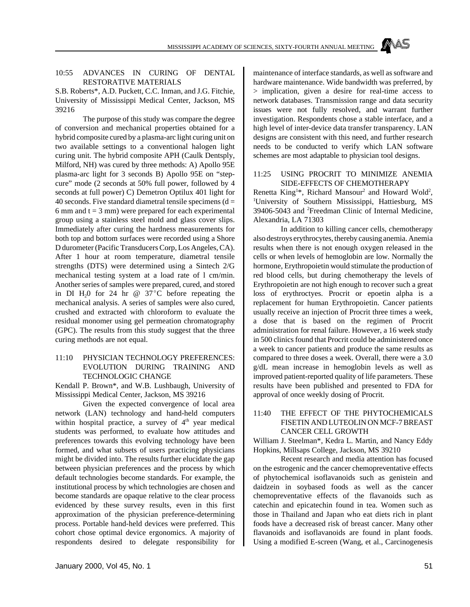### 10:55 ADVANCES IN CURING OF DENTAL RESTORATIVE MATERIALS

S.B. Roberts\*, A.D. Puckett, C.C. Inman, and J.G. Fitchie, University of Mississippi Medical Center, Jackson, MS 39216

The purpose of this study was compare the degree of conversion and mechanical properties obtained for a hybrid composite cured by a plasma-arc light curing unit on two available settings to a conventional halogen light curing unit. The hybrid composite APH (Caulk Dentsply, Milford, NH) was cured by three methods: A) Apollo 95E plasma-arc light for 3 seconds B) Apollo 95E on "stepcure" mode (2 seconds at 50% full power, followed by 4 seconds at full power) C) Demetron Optilux 401 light for 40 seconds. Five standard diametral tensile specimens  $(d =$ 6 mm and  $t = 3$  mm) were prepared for each experimental group using a stainless steel mold and glass cover slips. Immediately after curing the hardness measurements for both top and bottom surfaces were recorded using a Shore D durometer (Pacific Transducers Corp, Los Angeles, CA). After 1 hour at room temperature, diametral tensile strengths (DTS) were determined using a Sintech 2/G mechanical testing system at a load rate of l cm/min. Another series of samples were prepared, cured, and stored in DI H<sub>2</sub>0 for 24 hr  $\omega$  37<sup>°</sup>C before repeating the mechanical analysis. A series of samples were also cured, crushed and extracted with chloroform to evaluate the residual monomer using gel permeation chromatography (GPC). The results from this study suggest that the three curing methods are not equal.

## 11:10 PHYSICIAN TECHNOLOGY PREFERENCES: EVOLUTION DURING TRAINING AND TECHNOLOGIC CHANGE

Kendall P. Brown\*, and W.B. Lushbaugh, University of Mississippi Medical Center, Jackson, MS 39216

Given the expected convergence of local area network (LAN) technology and hand-held computers within hospital practice, a survey of  $4<sup>th</sup>$  year medical students was performed, to evaluate how attitudes and preferences towards this evolving technology have been formed, and what subsets of users practicing physicians might be divided into. The results further elucidate the gap between physician preferences and the process by which default technologies become standards. For example, the institutional process by which technologies are chosen and become standards are opaque relative to the clear process evidenced by these survey results, even in this first approximation of the physician preference-determining process. Portable hand-held devices were preferred. This cohort chose optimal device ergonomics. A majority of respondents desired to delegate responsibility for

maintenance of interface standards, as well as software and hardware maintenance. Wide bandwidth was preferred, by > implication, given a desire for real-time access to network databases. Transmission range and data security issues were not fully resolved, and warrant further investigation. Respondents chose a stable interface, and a high level of inter-device data transfer transparency. LAN designs are consistent with this need, and further research needs to be conducted to verify which LAN software schemes are most adaptable to physician tool designs.

#### 11:25 USING PROCRIT TO MINIMIZE ANEMIA SIDE-EFFECTS OF CHEMOTHERAPY

Renetta King<sup>1\*</sup>, Richard Mansour<sup>2</sup> and Howard Wold<sup>2</sup>, <sup>1</sup>University of Southern Mississippi, Hattiesburg, MS 39406-5043 and <sup>2</sup>Freedman Clinic of Internal Medicine, Alexandria, LA 71303

In addition to killing cancer cells, chemotherapy also destroys erythrocytes, thereby causing anemia. Anemia results when there is not enough oxygen released in the cells or when levels of hemoglobin are low. Normally the hormone, Erythropoietin would stimulate the production of red blood cells, but during chemotherapy the levels of Erythropoietin are not high enough to recover such a great loss of erythroctyes. Procrit or epoetin alpha is a replacement for human Erythropoietin. Cancer patients usually receive an injection of Procrit three times a week, a dose that is based on the regimen of Procrit administration for renal failure. However, a 16 week study in 500 clinics found that Procrit could be administered once a week to cancer patients and produce the same results as compared to three doses a week. Overall, there were a 3.0 g/dL mean increase in hemoglobin levels as well as improved patient-reported quality of life parameters. These results have been published and presented to FDA for approval of once weekly dosing of Procrit.

## 11:40 THE EFFECT OF THE PHYTOCHEMICALS FISETIN AND LUTEOLIN ON MCF-7 BREAST CANCER CELL GROWTH

William J. Steelman\*, Kedra L. Martin, and Nancy Eddy Hopkins, Millsaps College, Jackson, MS 39210

Recent research and media attention has focused on the estrogenic and the cancer chemopreventative effects of phytochemical isoflavanoids such as genistein and daidzein in soybased foods as well as the cancer chemopreventative effects of the flavanoids such as catechin and epicatechin found in tea. Women such as those in Thailand and Japan who eat diets rich in plant foods have a decreased risk of breast cancer. Many other flavanoids and isoflavanoids are found in plant foods. Using a modified E-screen (Wang, et al., Carcinogenesis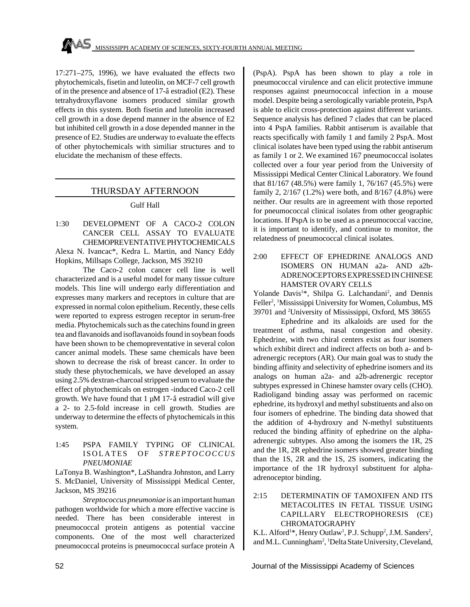$17:271-275$ , 1996), we have evaluated the effects two phytochemicals, fisetin and luteolin, on MCF-7 cell growth of in the presence and absence of 17-â estradiol (E2). These tetrahydroxyflavone isomers produced similar growth effects in this system. Both fisetin and luteolin increased cell growth in a dose depend manner in the absence of E2 but inhibited cell growth in a dose depended manner in the presence of E2. Studies are underway to evaluate the effects of other phytochemicals with similiar structures and to elucidate the mechanism of these effects.

## THURSDAY AFTERNOON

### Gulf Hall

1:30 DEVELOPMENT OF A CACO-2 COLON CANCER CELL ASSAY TO EVALUATE CHEMOPREVENTATIVE PHYTOCHEMICALS Alexa N. Ivancac\*, Kedra L. Martin, and Nancy Eddy

Hopkins, Millsaps College, Jackson, MS 39210

The Caco-2 colon cancer cell line is well characterized and is a useful model for many tissue culture models. This line will undergo early differentiation and expresses many markers and receptors in culture that are expressed in normal colon epithelium. Recently, these cells were reported to express estrogen receptor in serum-free media. Phytochemicals such as the catechins found in green tea and flavanoids and isoflavanoids found in soybean foods have been shown to be chemopreventative in several colon cancer animal models. These same chemicals have been shown to decrease the risk of breast cancer. In order to study these phytochemicals, we have developed an assay using 2.5% dextran-charcoal stripped serum to evaluate the effect of phytochemicals on estrogen -induced Caco-2 cell growth. We have found that 1 µM 17-â estradiol will give a 2- to 2.5-fold increase in cell growth. Studies are underway to determine the effects of phytochemicals in this system.

1:45 PSPA FAMILY TYPING OF CLINICAL ISOLATES OF *STREPTOCOCCUS PNEUMONIAE*

LaTonya B. Washington\*, LaShandra Johnston, and Larry S. McDaniel, University of Mississippi Medical Center, Jackson, MS 39216

*Streptococcus pneumoniae* is an important human pathogen worldwide for which a more effective vaccine is needed. There has been considerable interest in pneumococcal protein antigens as potential vaccine components. One of the most well characterized pneumococcal proteins is pneumococcal surface protein A

(PspA). PspA has been shown to play a role in pneumococcal virulence and can elicit protective immune responses against pneurnococcal infection in a mouse model. Despite being a serologically variable protein, PspA is able to elicit cross-protection against different variants. Sequence analysis has defined 7 clades that can be placed into 4 PspA families. Rabbit antiserum is available that reacts specifically with family 1 and family 2 PspA. Most clinical isolates have been typed using the rabbit antiserum as family 1 or 2. We examined 167 pneumococcal isolates collected over a four year period from the University of Mississippi Medical Center Clinical Laboratory. We found that 81/167 (48.5%) were family 1, 76/167 (45.5%) were family 2, 2/167 (1.2%) were both, and 8/167 (4.8%) were neither. Our results are in agreement with those reported for pneumococcal clinical isolates from other geographic locations. If PspA is to be used as a pneumococcal vaccine, it is important to identify, and continue to monitor, the relatedness of pneumococcal clinical isolates.

2:00 EFFECT OF EPHEDRINE ANALOGS AND ISOMERS ON HUMAN a2a- AND a2b-ADRENOCEPTORS EXPRESSED IN CHINESE HAMSTER OVARY CELLS

Yolande Davis<sup>1\*</sup>, Shilpa G. Lalchandani<sup>2</sup>, and Dennis Feller<sup>2</sup>, <sup>1</sup>Mississippi University for Women, Columbus, MS 39701 and <sup>2</sup>University of Mississippi, Oxford, MS 38655

Ephedrine and its alkaloids are used for the treatment of asthma, nasal congestion and obesity. Ephedrine, with two chiral centers exist as four isomers which exhibit direct and indirect affects on both a- and badrenergic receptors (AR). Our main goal was to study the binding affinity and selectivity of ephedrine isomers and its analogs on human a2a- and a2b-adrenergic receptor subtypes expressed in Chinese hamster ovary cells (CHO). Radioligand binding assay was performed on racemic ephedrine, its hydroxyl and methyl substituents and also on four isomers of ephedrine. The binding data showed that the addition of 4-hydroxry and N-methyl substituents reduced the binding affinity of ephedrine on the alphaadrenergic subtypes. Also among the isomers the 1R, 2S and the 1R, 2R ephedrine isomers showed greater binding than the 1S, 2R and the 1S, 2S isomers, indicating the importance of the 1R hydroxyl substituent for alphaadrenoceptor binding.

## 2:15 DETERMINATIN OF TAMOXIFEN AND ITS METACOLITES IN FETAL TISSUE USING CAPILLARY ELECTROPHORESIS (CE) CHROMATOGRAPHY

K.L. Alford<sup>1\*</sup>, Henry Outlaw<sup>1</sup>, P.J. Schupp<sup>2</sup>, J.M. Sanders<sup>2</sup>, and M.L. Cunningham<sup>2</sup>, <sup>1</sup>Delta State University, Cleveland,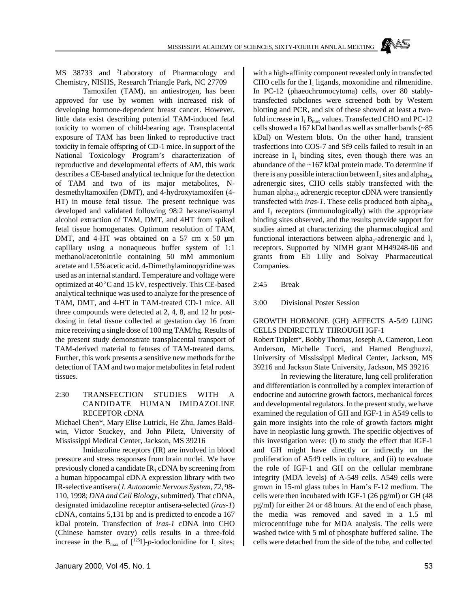MISSISSIPPI ACADEMY OF SCIENCES, SIXTY-FOURTH ANNUAL MEETING

MS 38733 and <sup>2</sup>Laboratory of Pharmacology and Chemistry, NISHS, Research Triangle Park, NC 27709

Tamoxifen (TAM), an antiestrogen, has been approved for use by women with increased risk of developing hormone-dependent breast cancer. However, little data exist describing potential TAM-induced fetal toxicity to women of child-bearing age. Transplacental exposure of TAM has been linked to reproductive tract toxicity in female offspring of CD-1 mice. In support of the National Toxicology Program's characterization of reproductive and developmental effects of AM, this work describes a CE-based analytical technique for the detection of TAM and two of its major metabolites, Ndesmethyltamoxifen (DMT), and 4-hydroxytamoxifen (4- HT) in mouse fetal tissue. The present technique was developed and validated following 98:2 hexane/isoamyl alcohol extraction of TAM, DMT, and 4HT from spiked fetal tissue homogenates. Optimum resolution of TAM, DMT, and 4-HT was obtained on a 57 cm x 50  $\mu$ m capillary using a nonaqueous buffer system of 1:1 methanol/acetonitrile containing 50 mM ammonium acetate and 1.5% acetic acid. 4-Dimethylaminopyridine was used as an internal standard. Temperature and voltage were optimized at  $40^{\circ}$ C and 15 kV, respectively. This CE-based analytical technique was used to analyze for the presence of TAM, DMT, and 4-HT in TAM-treated CD-1 mice. All three compounds were detected at 2, 4, 8, and 12 hr postdosing in fetal tissue collected at gestation day 16 from mice receiving a single dose of 100 mg TAM/hg. Results of the present study demonstrate transplacental transport of TAM-derived material to fetuses of TAM-treated dams. Further, this work presents a sensitive new methods for the detection of TAM and two major metabolites in fetal rodent tissues.

## 2:30 TRANSFECTION STUDIES WITH A CANDIDATE HUMAN IMIDAZOLINE RECEPTOR cDNA

Michael Chen\*, Mary Elise Lutrick, He Zhu, James Baldwin, Victor Stuckey, and John Piletz, University of Mississippi Medical Center, Jackson, MS 39216

Imidazoline receptors (IR) are involved in blood pressure and stress responses from brain nuclei. We have previously cloned a candidate  $IR<sub>1</sub>$  cDNA by screening from a human hippocampal cDNA expression library with two IR-selective antisera (*J. Autonomic Nervous System, 72,* 98- 110, 1998; *DNA and Cell Biology*, submitted). That cDNA, designated imidazoline receptor antisera-selected (*iras-1*) cDNA, contains 5,131 bp and is predicted to encode a 167 kDal protein. Transfection of *iras-1* cDNA into CHO (Chinese hamster ovary) cells results in a three-fold increase in the  $B_{\text{max}}$  of  $\left[\right]^{125}I]-p$ -iodoclonidine for  $I_1$  sites; with a high-affinity component revealed only in transfected CHO cells for the  $I_1$  ligands, moxonidine and rilmenidine. In PC-12 (phaeochromocytoma) cells, over 80 stablytransfected subclones were screened both by Western blotting and PCR, and six of these showed at least a twofold increase in  $I_1 B_{max}$  values. Transfected CHO and PC-12 cells showed a 167 kDal band as well as smaller bands (~85 kDal) on Western blots. On the other hand, transient trasfections into COS-7 and Sf9 cells failed to result in an increase in  $I_1$  binding sites, even though there was an abundance of the ~167 kDal protein made. To determine if there is any possible interaction between  $\mathrm{I}_1$  sites and alpha<sub>2A</sub> adrenergic sites, CHO cells stably transfected with the human alpha<sub>2A</sub> adrenergic receptor cDNA were transiently transfected with *iras-1*. These cells produced both alpha<sub>2A</sub> and  $I_1$  receptors (immunologically) with the appropriate binding sites observed, and the results provide support for studies aimed at characterizing the pharmacological and functional interactions between alpha<sub>2</sub>-adrenergic and  $I_1$ receptors. Supported by NIMH grant MH49248-06 and grants from Eli Lilly and Solvay Pharmaceutical Companies.

2:45 Break

3:00 Divisional Poster Session

#### GROWTH HORMONE (GH) AFFECTS A-549 LUNG CELLS INDIRECTLY THROUGH IGF-1

Robert Triplett\*, Bobby Thomas, Joseph A. Cameron, Leon Anderson, Michelle Tucci, and Hamed Benghuzzi, University of Mississippi Medical Center, Jackson, MS 39216 and Jackson State University, Jackson, MS 39216

In reviewing the literature, lung cell proliferation and differentiation is controlled by a complex interaction of endocrine and autocrine growth factors, mechanical forces and developmental regulators. In the present study, we have examined the regulation of GH and IGF-1 in A549 cells to gain more insights into the role of growth factors might have in neoplastic lung growth. The specific objectives of this investigation were: (I) to study the effect that IGF-1 and GH might have directly or indirectly on the proliferation of A549 cells in culture, and (ii) to evaluate the role of IGF-1 and GH on the cellular membrane integrity (MDA levels) of A-549 cells. A549 cells were grown in 15-ml glass tubes in Ham's F-12 medium. The cells were then incubated with IGF-1 (26 pg/ml) or GH (48 pg/ml) for either 24 or 48 hours. At the end of each phase, the media was removed and saved in a 1.5 ml microcentrifuge tube for MDA analysis. The cells were washed twice with 5 ml of phosphate buffered saline. The cells were detached from the side of the tube, and collected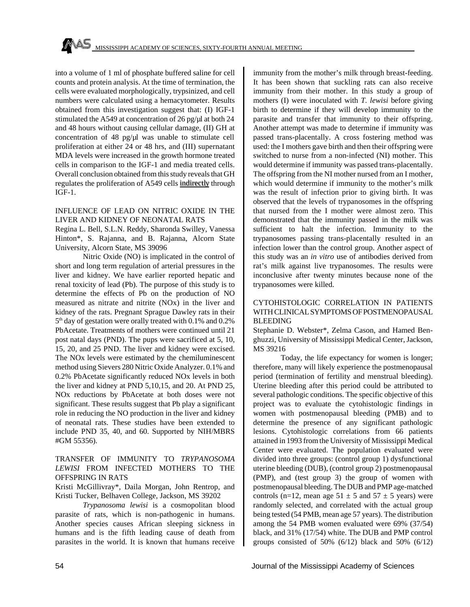into a volume of 1 ml of phosphate buffered saline for cell counts and protein analysis. At the time of termination, the cells were evaluated morphologically, trypsinized, and cell numbers were calculated using a hemacytometer. Results obtained from this investigation suggest that: (I) IGF-1 stimulated the A549 at concentration of 26 pg/ $\mu$ l at both 24 and 48 hours without causing cellular damage, (II) GH at concentration of 48 pg/ $\mu$ l was unable to stimulate cell proliferation at either 24 or 48 hrs, and (III) supernatant MDA levels were increased in the growth hormone treated cells in comparison to the IGF-1 and media treated cells. Overall conclusion obtained from this study reveals that GH regulates the proliferation of A549 cells indirectly through IGF-1.

### INFLUENCE OF LEAD ON NITRIC OXIDE IN THE LIVER AND KIDNEY OF NEONATAL RATS

Regina L. Bell, S.L.N. Reddy, Sharonda Swilley, Vanessa Hinton\*, S. Rajanna, and B. Rajanna, Alcorn State University, Alcorn State, MS 39096

Nitric Oxide (NO) is implicated in the control of short and long term regulation of arterial pressures in the liver and kidney. We have earlier reported hepatic and renal toxicity of lead (Pb). The purpose of this study is to determine the effects of Pb on the production of NO measured as nitrate and nitrite (NOx) in the liver and kidney of the rats. Pregnant Sprague Dawley rats in their 5<sup>th</sup> day of gestation were orally treated with 0.1% and 0.2% PbAcetate. Treatments of mothers were continued until 21 post natal days (PND). The pups were sacrificed at 5, 10, 15, 20, and 25 PND. The liver and kidney were excised. The NOx levels were estimated by the chemiluminescent method using Sievers 280 Nitric Oxide Analyzer. 0.1% and 0.2% PbAcetate significantly reduced NOx levels in both the liver and kidney at PND 5,10,15, and 20. At PND 25, NOx reductions by PbAcetate at both doses were not significant. These results suggest that Pb play a significant role in reducing the NO production in the liver and kidney of neonatal rats. These studies have been extended to include PND 35, 40, and 60. Supported by NIH/MBRS #GM 55356).

## TRANSFER OF IMMUNITY TO *TRYPANOSOMA LEWISI* FROM INFECTED MOTHERS TO THE OFFSPRING IN RATS

Kristi McGillivray\*, Daila Morgan, John Rentrop, and Kristi Tucker, Belhaven College, Jackson, MS 39202

*Trypanosoma lewisi* is a cosmopolitan blood parasite of rats, which is non-pathogenic in humans. Another species causes African sleeping sickness in humans and is the fifth leading cause of death from parasites in the world. It is known that humans receive immunity from the mother's milk through breast-feeding. It has been shown that suckling rats can also receive immunity from their mother. In this study a group of mothers (I) were inoculated with *T. lewisi* before giving birth to determine if they will develop immunity to the parasite and transfer that immunity to their offspring. Another attempt was made to determine if immunity was passed trans-placentally. A cross fostering method was used: the I mothers gave birth and then their offspring were switched to nurse from a non-infected (NI) mother. This would determine if immunity was passed trans-placentally. The offspring from the NI mother nursed from an I mother, which would determine if immunity to the mother's milk was the result of infection prior to giving birth. It was observed that the levels of trypanosomes in the offspring that nursed from the I mother were almost zero. This demonstrated that the immunity passed in the milk was sufficient to halt the infection. Immunity to the trypanosomes passing trans-placentally resulted in an infection lower than the control group. Another aspect of this study was an *in vitro* use of antibodies derived from rat's milk against live trypanosomes. The results were inconclusive after twenty minutes because none of the trypanosomes were killed.

## CYTOHISTOLOGIC CORRELATION IN PATIENTS WITH CLINICAL SYMPTOMS OF POSTMENOPAUSAL BLEEDING

Stephanie D. Webster\*, Zelma Cason, and Hamed Benghuzzi, University of Mississippi Medical Center, Jackson, MS 39216

Today, the life expectancy for women is longer; therefore, many will likely experience the postmenopausal period (termination of fertility and menstrual bleeding). Uterine bleeding after this period could be attributed to several pathologic conditions. The specific objective of this project was to evaluate the cytohistologic findings in women with postmenopausal bleeding (PMB) and to determine the presence of any significant pathologic lesions. Cytohistologic correlations from 66 patients attained in 1993 from the University of Mississippi Medical Center were evaluated. The population evaluated were divided into three groups: (control group 1) dysfunctional uterine bleeding (DUB), (control group 2) postmenopausal (PMP), and (test group 3) the group of women with postmenopausal bleeding. The DUB and PMP age-matched controls (n=12, mean age  $51 \pm 5$  and  $57 \pm 5$  years) were randomly selected, and correlated with the actual group being tested (54 PMB, mean age 57 years). The distribution among the 54 PMB women evaluated were 69% (37/54) black, and 31% (17/54) white. The DUB and PMP control groups consisted of 50%  $(6/12)$  black and 50%  $(6/12)$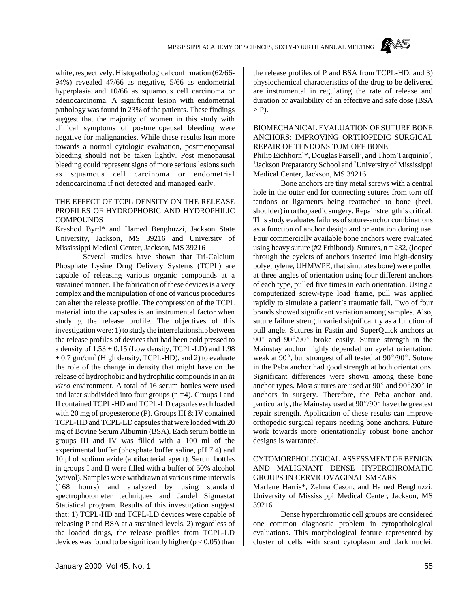white, respectively. Histopathological confirmation (62/66- 94%) revealed 47/66 as negative, 5/66 as endometrial hyperplasia and 10/66 as squamous cell carcinoma or adenocarcinoma. A significant lesion with endometrial pathology was found in 23% of the patients. These findings suggest that the majority of women in this study with clinical symptoms of postmenopausal bleeding were negative for malignancies. While these results lean more towards a normal cytologic evaluation, postmenopausal bleeding should not be taken lightly. Post menopausal bleeding could represent signs of more serious lesions such as squamous cell carcinoma or endometrial adenocarcinoma if not detected and managed early.

## THE EFFECT OF TCPL DENSITY ON THE RELEASE PROFILES OF HYDROPHOBIC AND HYDROPHILIC COMPOUNDS

Krashod Byrd\* and Hamed Benghuzzi, Jackson State University, Jackson, MS 39216 and University of Mississippi Medical Center, Jackson, MS 39216

Several studies have shown that Tri-Calcium Phosphate Lysine Drug Delivery Systems (TCPL) are capable of releasing various organic compounds at a sustained manner. The fabrication of these devices is a very complex and the manipulation of one of various procedures can alter the release profile. The compression of the TCPL material into the capsules is an instrumental factor when studying the release profile. The objectives of this investigation were: 1) to study the interrelationship between the release profiles of devices that had been cold pressed to a density of  $1.53 \pm 0.15$  (Low density, TCPL-LD) and  $1.98$  $\pm$  0.7 gm/cm<sup>3</sup> (High density, TCPL-HD), and 2) to evaluate the role of the change in density that might have on the release of hydrophobic and hydrophilic compounds in an *in vitro* environment. A total of 16 serum bottles were used and later subdivided into four groups  $(n = 4)$ . Groups I and II contained TCPL-HD and TCPL-LD capsules each loaded with 20 mg of progesterone (P). Groups III & IV contained TCPL-HD and TCPL-LD capsules that were loaded with 20 mg of Bovine Serum Albumin (BSA). Each serum bottle in groups III and IV was filled with a 100 ml of the experimental buffer (phosphate buffer saline, pH 7.4) and 10 µl of sodium azide (antibacterial agent). Serum bottles in groups I and II were filled with a buffer of 50% alcohol (wt/vol). Samples were withdrawn at various time intervals (168 hours) and analyzed by using standard spectrophotometer techniques and Jandel Sigmastat Statistical program. Results of this investigation suggest that: 1) TCPL-HD and TCPL-LD devices were capable of releasing P and BSA at a sustained levels, 2) regardless of the loaded drugs, the release profiles from TCPL-LD devices was found to be significantly higher ( $p < 0.05$ ) than

the release profiles of P and BSA from TCPL-HD, and 3) physiochemical characteristics of the drug to be delivered are instrumental in regulating the rate of release and duration or availability of an effective and safe dose (BSA  $>$  P).

#### BIOMECHANICAL EVALUATION OF SUTURE BONE ANCHORS: IMPROVING ORTHOPEDIC SURGICAL REPAIR OF TENDONS TOM OFF BONE

Philip Eichhorn<sup>1\*</sup>, Douglas Parsell<sup>2</sup>, and Thom Tarquinio<sup>2</sup>, <sup>1</sup>Jackson Preparatory School and <sup>2</sup>University of Mississippi Medical Center, Jackson, MS 39216

Bone anchors are tiny metal screws with a central hole in the outer end for connecting sutures from torn off tendons or ligaments being reattached to bone (heel, shoulder) in orthopaedic surgery. Repair strength is critical. This study evaluates failures of suture-anchor combinations as a function of anchor design and orientation during use. Four commercially available bone anchors were evaluated using heavy suture (#2 Ethibond). Sutures,  $n = 232$ , (looped through the eyelets of anchors inserted into high-density polyethylene, UHMWPE, that simulates bone) were pulled at three angles of orientation using four different anchors of each type, pulled five times in each orientation. Using a computerized screw-type load frame, pull was applied rapidly to simulate a patient's traumatic fall. Two of four brands showed significant variation among samples. Also, suture failure strength varied significantly as a function of pull angle. Sutures in Fastin and SuperQuick anchors at  $90^{\circ}$  and  $90^{\circ}/90^{\circ}$  broke easily. Suture strength in the Mainstay anchor highly depended on eyelet orientation: weak at  $90^{\circ}$ , but strongest of all tested at  $90^{\circ}/90^{\circ}$ . Suture in the Peba anchor had good strength at both orientations. Significant differences were shown among these bone anchor types. Most sutures are used at  $90^{\circ}$  and  $90^{\circ}/90^{\circ}$  in anchors in surgery. Therefore, the Peba anchor and, particularly, the Mainstay used at  $90^{\circ}/90^{\circ}$  have the greatest repair strength. Application of these results can improve orthopedic surgical repairs needing bone anchors. Future work towards more orientationally robust bone anchor designs is warranted.

## CYTOMORPHOLOGICAL ASSESSMENT OF BENIGN AND MALIGNANT DENSE HYPERCHROMATIC GROUPS IN CERVICOVAGINAL SMEARS

Marlene Harris\*, Zelma Cason, and Hamed Benghuzzi, University of Mississippi Medical Center, Jackson, MS 39216

Dense hyperchromatic cell groups are considered one common diagnostic problem in cytopathological evaluations. This morphological feature represented by cluster of cells with scant cytoplasm and dark nuclei.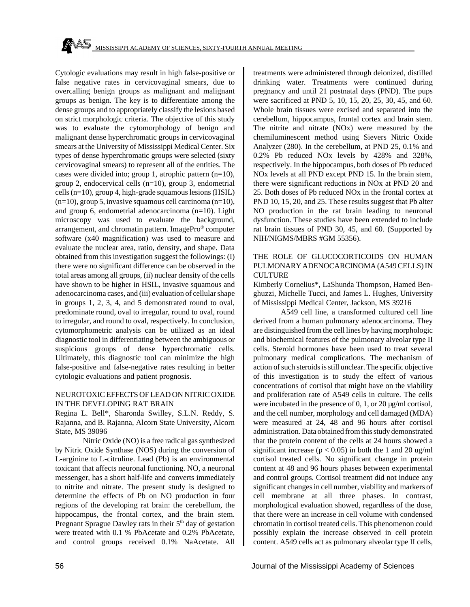Cytologic evaluations may result in high false-positive or false negative rates in cervicovaginal smears, due to overcalling benign groups as malignant and malignant groups as benign. The key is to differentiate among the dense groups and to appropriately classify the lesions based on strict morphologic criteria. The objective of this study was to evaluate the cytomorphology of benign and malignant dense hyperchromatic groups in cervicovaginal smears at the University of Mississippi Medical Center. Six types of dense hyperchromatic groups were selected (sixty cervicovaginal smears) to represent all of the entities. The cases were divided into; group 1, atrophic pattern  $(n=10)$ , group 2, endocervical cells (n=10), group 3, endometrial cells (n=10), group 4, high-grade squamous lesions (HSIL) (n=10), group 5, invasive squamous cell carcinoma (n=10), and group 6, endometrial adenocarcinoma (n=10). Light microscopy was used to evaluate the background, arrangement, and chromatin pattern. ImagePro® computer software (x40 magnification) was used to measure and evaluate the nuclear area, ratio, density, and shape. Data obtained from this investigation suggest the followings: (I) there were no significant difference can be observed in the total areas among all groups, (ii) nuclear density of the cells have shown to be higher in HSIL, invasive squamous and adenocarcinoma cases, and (iii) evaluation of cellular shape in groups 1, 2, 3, 4, and 5 demonstrated round to oval, predominate round, oval to irregular, round to oval, round to irregular, and round to oval, respectively. In conclusion, cytomorphometric analysis can be utilized as an ideal diagnostic tool in differentiating between the ambiguous or suspicious groups of dense hyperchromatic cells. Ultimately, this diagnostic tool can minimize the high false-positive and false-negative rates resulting in better cytologic evaluations and patient prognosis.

### NEUROTOXIC EFFECTS OF LEAD ON NITRIC OXIDE IN THE DEVELOPING RAT BRAIN

Regina L. Bell\*, Sharonda Swilley, S.L.N. Reddy, S. Rajanna, and B. Rajanna, Alcorn State University, Alcorn State, MS 39096

Nitric Oxide (NO) is a free radical gas synthesized by Nitric Oxide Synthase (NOS) during the conversion of L-arginine to L-citruline. Lead (Pb) is an environmental toxicant that affects neuronal functioning. NO, a neuronal messenger, has a short half-life and converts immediately to nitrite and nitrate. The present study is designed to determine the effects of Pb on NO production in four regions of the developing rat brain: the cerebellum, the hippocampus, the frontal cortex, and the brain stem. Pregnant Sprague Dawley rats in their 5<sup>th</sup> day of gestation were treated with 0.1 % PbAcetate and 0.2% PbAcetate, and control groups received 0.1% NaAcetate. All treatments were administered through deionized, distilled drinking water. Treatments were continued during pregnancy and until 21 postnatal days (PND). The pups were sacrificed at PND 5, 10, 15, 20, 25, 30, 45, and 60. Whole brain tissues were excised and separated into the cerebellum, hippocampus, frontal cortex and brain stem. The nitrite and nitrate (NOx) were measured by the chemiluminescent method using Sievers Nitric Oxide Analyzer (280). In the cerebellum, at PND 25, 0.1% and 0.2% Pb reduced NOx levels by 428% and 328%, respectively. In the hippocampus, both doses of Pb reduced NOx levels at all PND except PND 15. In the brain stem, there were significant reductions in NOx at PND 20 and 25. Both doses of Pb reduced NOx in the frontal cortex at PND 10, 15, 20, and 25. These results suggest that Pb alter NO production in the rat brain leading to neuronal dysfunction. These studies have been extended to include rat brain tissues of PND 30, 45, and 60. (Supported by NIH/NIGMS/MBRS #GM 55356).

## THE ROLE OF GLUCOCORTICOIDS ON HUMAN PULMONARY ADENOCARCINOMA (A549 CELLS) IN **CULTURE**

Kimberly Cornelius\*, LaShunda Thompson, Hamed Benghuzzi, Michelle Tucci, and James L. Hughes, University of Mississippi Medical Center, Jackson, MS 39216

A549 cell line, a transformed cultured cell line derived from a human pulmonary adenocarcinoma. They are distinguished from the cell lines by having morphologic and biochemical features of the pulmonary alveolar type II cells. Steroid hormones have been used to treat several pulmonary medical complications. The mechanism of action of such steroids is still unclear. The specific objective of this investigation is to study the effect of various concentrations of cortisol that might have on the viability and proliferation rate of A549 cells in culture. The cells were incubated in the presence of 0, 1, or 20 µg/ml cortisol, and the cell number, morphology and cell damaged (MDA) were measured at 24, 48 and 96 hours after cortisol administration. Data obtained from this study demonstrated that the protein content of the cells at 24 hours showed a significant increase ( $p < 0.05$ ) in both the 1 and 20 ug/ml cortisol treated cells. No significant change in protein content at 48 and 96 hours phases between experimental and control groups. Cortisol treatment did not induce any significant changes in cell number, viability and markers of cell membrane at all three phases. In contrast, morphological evaluation showed, regardless of the dose, that there were an increase in cell volume with condensed chromatin in cortisol treated cells. This phenomenon could possibly explain the increase observed in cell protein content. A549 cells act as pulmonary alveolar type II cells,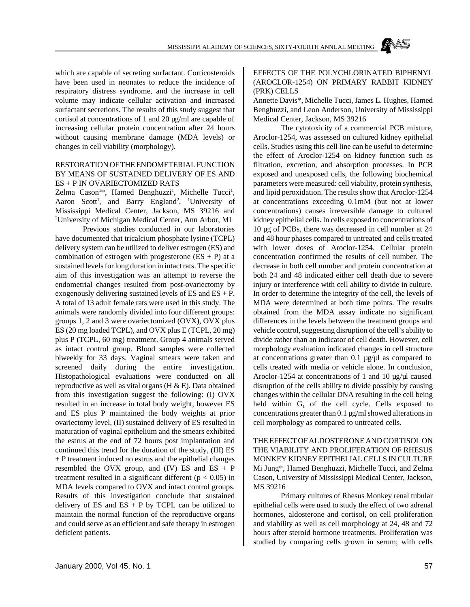which are capable of secreting surfactant. Corticosteroids have been used in neonates to reduce the incidence of respiratory distress syndrome, and the increase in cell volume may indicate cellular activation and increased surfactant secretions. The results of this study suggest that cortisol at concentrations of 1 and 20 µg/ml are capable of increasing cellular protein concentration after 24 hours without causing membrane damage (MDA levels) or changes in cell viability (morphology).

## RESTORATION OF THE ENDOMETERIAL FUNCTION BY MEANS OF SUSTAINED DELIVERY OF ES AND ES + P IN OVARIECTOMIZED RATS

Zelma Cason<sup>1\*</sup>, Hamed Benghuzzi<sup>1</sup>, Michelle Tucci<sup>1</sup>, Aaron Scott<sup>1</sup>, and Barry England<sup>2</sup>, <sup>1</sup>University of Mississippi Medical Center, Jackson, MS 39216 and <sup>2</sup>University of Michigan Medical Center, Ann Arbor, MI

Previous studies conducted in our laboratories have documented that tricalcium phosphate lysine (TCPL) delivery system can be utilized to deliver estrogen (ES) and combination of estrogen with progesterone  $(ES + P)$  at a sustained levels for long duration in intact rats. The specific aim of this investigation was an attempt to reverse the endometrial changes resulted from post-ovariectomy by exogenously delivering sustained levels of ES and  $ES + P$ . A total of 13 adult female rats were used in this study. The animals were randomly divided into four different groups: groups 1, 2 and 3 were ovariectomized (OVX), OVX plus ES (20 mg loaded TCPL), and OVX plus E (TCPL, 20 mg) plus P (TCPL, 60 mg) treatment. Group 4 animals served as intact control group. Blood samples were collected biweekly for 33 days. Vaginal smears were taken and screened daily during the entire investigation. Histopathological evaluations were conducted on all reproductive as well as vital organs (H & E). Data obtained from this investigation suggest the following: (I) OVX resulted in an increase in total body weight, however ES and ES plus P maintained the body weights at prior ovariectomy level, (II) sustained delivery of ES resulted in maturation of vaginal epithelium and the smears exhibited the estrus at the end of 72 hours post implantation and continued this trend for the duration of the study, (III) ES + P treatment induced no estrus and the epithelial changes resembled the OVX group, and (IV) ES and ES  $+$  P treatment resulted in a significant different ( $p < 0.05$ ) in MDA levels compared to OVX and intact control groups. Results of this investigation conclude that sustained delivery of ES and  $ES + P$  by TCPL can be utilized to maintain the normal function of the reproductive organs and could serve as an efficient and safe therapy in estrogen deficient patients.

#### EFFECTS OF THE POLYCHLORINATED BIPHENYL (AROCLOR-1254) ON PRIMARY RABBIT KIDNEY (PRK) CELLS

Annette Davis\*, Michelle Tucci, James L. Hughes, Hamed Benghuzzi, and Leon Anderson, University of Mississippi Medical Center, Jackson, MS 39216

The cytotoxicity of a commercial PCB mixture, Aroclor-1254, was assessed on cultured kidney epithelial cells. Studies using this cell line can be useful to determine the effect of Aroclor-1254 on kidney function such as filtration, excretion, and absorption processes. In PCB exposed and unexposed cells, the following biochemical parameters were measured: cell viability, protein synthesis, and lipid peroxidation. The results show that Aroclor-1254 at concentrations exceeding 0.1mM (but not at lower concentrations) causes irreversible damage to cultured kidney epithelial cells. In cells exposed to concentrations of 10 µg of PCBs, there was decreased in cell number at 24 and 48 hour phases compared to untreated and cells treated with lower doses of Aroclor-1254. Cellular protein concentration confirmed the results of cell number. The decrease in both cell number and protein concentration at both 24 and 48 indicated either cell death due to severe injury or interference with cell ability to divide in culture. In order to determine the integrity of the cell, the levels of MDA were determined at both time points. The results obtained from the MDA assay indicate no significant differences in the levels between the treatment groups and vehicle control, suggesting disruption of the cell's ability to divide rather than an indicator of cell death. However, cell morphology evaluation indicated changes in cell structure at concentrations greater than  $0.1 \mu g/\mu l$  as compared to cells treated with media or vehicle alone. In conclusion, Aroclor-1254 at concentrations of 1 and 10  $\mu$ g/ $\mu$ l caused disruption of the cells ability to divide possibly by causing changes within the cellular DNA resulting in the cell being held within  $G_1$  of the cell cycle. Cells exposed to concentrations greater than 0.1 µg/ml showed alterations in cell morphology as compared to untreated cells.

THE EFFECT OF ALDOSTERONE AND CORTISOL ON THE VIABILITY AND PROLIFERATION OF RHESUS MONKEY KIDNEY EPITHELIAL CELLS IN CULTURE Mi Jung\*, Hamed Benghuzzi, Michelle Tucci, and Zelma Cason, University of Mississippi Medical Center, Jackson, MS 39216

Primary cultures of Rhesus Monkey renal tubular epithelial cells were used to study the effect of two adrenal hormones, aldosterone and cortisol, on cell proliferation and viability as well as cell morphology at 24, 48 and 72 hours after steroid hormone treatments. Proliferation was studied by comparing cells grown in serum; with cells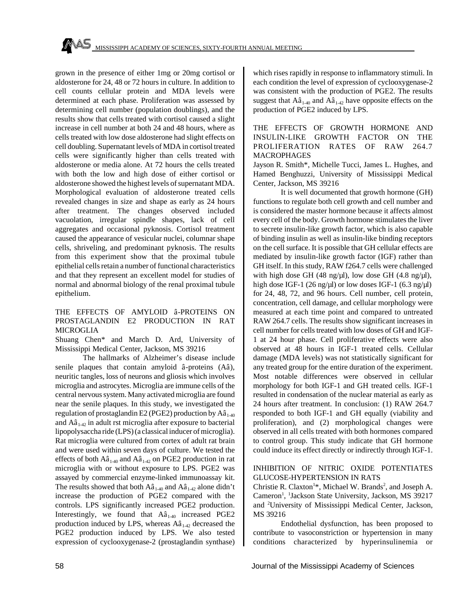grown in the presence of either 1mg or 20mg cortisol or aldosterone for 24, 48 or 72 hours in culture. In addition to cell counts cellular protein and MDA levels were determined at each phase. Proliferation was assessed by determining cell number (population doublings), and the results show that cells treated with cortisol caused a slight increase in cell number at both 24 and 48 hours, where as cells treated with low dose aldosterone had slight effects on cell doubling. Supernatant levels of MDA in cortisol treated cells were significantly higher than cells treated with aldosterone or media alone. At 72 hours the cells treated with both the low and high dose of either cortisol or aldosterone showed the highest levels of supernatant MDA. Morphological evaluation of aldosterone treated cells revealed changes in size and shape as early as 24 hours after treatment. The changes observed included vacuolation, irregular spindle shapes, lack of cell aggregates and occasional pyknosis. Cortisol treatment caused the appearance of vesicular nuclei, columnar shape cells, shriveling, and predominant pyknosis. The results from this experiment show that the proximal tubule epithelial cells retain a number of functional characteristics and that they represent an excellent model for studies of normal and abnormal biology of the renal proximal tubule epithelium.

## THE EFFECTS OF AMYLOID â-PROTEINS ON PROSTAGLANDIN E2 PRODUCTION IN RAT MICROGLIA

Shuang Chen\* and March D. Ard, University of Mississippi Medical Center, Jackson, MS 39216

The hallmarks of Alzheimer's disease include senile plaques that contain amyloid â-proteins (Aâ), neuritic tangles, loss of neurons and gliosis which involves microglia and astrocytes. Microglia are immune cells of the central nervous system. Many activated microglia are found near the senile plaques. In this study, we investigated the regulation of prostaglandin E2 (PGE2) production by  $A\hat{a}_{1-40}$ and  $A\hat{a}_{1,42}$  in adult rst microglia after exposure to bacterial lipopolysaccha ride (LPS) (a classical inducer of microglia). Rat microglia were cultured from cortex of adult rat brain and were used within seven days of culture. We tested the effects of both  $A\hat{a}_{1-40}$  and  $A\hat{a}_{1-42}$  on PGE2 production in rat microglia with or without exposure to LPS. PGE2 was assayed by commercial enzyme-linked immunoassay kit. The results showed that both  $A\hat{a}_{1-40}$  and  $A\hat{a}_{1-42}$  alone didn't increase the production of PGE2 compared with the controls. LPS significantly increased PGE2 production. Interestingly, we found that  $A\hat{a}_{1-40}$  increased PGE2 production induced by LPS, whereas  $A\hat{a}_{1,4}$  decreased the PGE2 production induced by LPS. We also tested expression of cyclooxygenase-2 (prostaglandin synthase)

which rises rapidly in response to inflammatory stimuli. In each condition the level of expression of cyclooxygenase-2 was consistent with the production of PGE2. The results suggest that  $A\hat{a}_{1-40}$  and  $A\hat{a}_{1-42}$  have opposite effects on the production of PGE2 induced by LPS.

### THE EFFECTS OF GROWTH HORMONE AND INSULIN-LIKE GROWTH FACTOR ON THE PROLIFERATION RATES OF RAW 264.7 MACROPHAGES

Jayson R. Smith\*, Michelle Tucci, James L. Hughes, and Hamed Benghuzzi, University of Mississippi Medical Center, Jackson, MS 39216

It is well documented that growth hormone (GH) functions to regulate both cell growth and cell number and is considered the master hormone because it affects almost every cell of the body. Growth hormone stimulates the liver to secrete insulin-like growth factor, which is also capable of binding insulin as well as insulin-like binding receptors on the cell surface. It is possible that GH cellular effects are mediated by insulin-like growth factor (IGF) rather than GH itself. In this study, RAW f264.7 cells were challenged with high dose GH (48 ng/µl), low dose GH (4.8 ng/µl), high dose IGF-1 (26 ng/ $\mu$ l) or low doses IGF-1 (6.3 ng/ $\mu$ l) for 24, 48, 72, and 96 hours. Cell number, cell protein, concentration, cell damage, and cellular morphology were measured at each time point and compared to untreated RAW 264.7 cells. The results show significant increases in cell number for cells treated with low doses of GH and IGF-1 at 24 hour phase. Cell proliferative effects were also observed at 48 hours in IGF-1 treated cells. Cellular damage (MDA levels) was not statistically significant for any treated group for the entire duration of the experiment. Most notable differences were observed in cellular morphology for both IGF-1 and GH treated cells. IGF-1 resulted in condensation of the nuclear material as early as 24 hours after treatment. In conclusion: (1) RAW 264.7 responded to both IGF-1 and GH equally (viability and proliferation), and (2) morphological changes were observed in all cells treated with both hormones compared to control group. This study indicate that GH hormone could induce its effect directly or indirectly through IGF-1.

## INHIBITION OF NITRIC OXIDE POTENTIATES GLUCOSE-HYPERTENSION IN RATS

Christie R. Claxton<sup>1\*</sup>, Michael W. Brands<sup>2</sup>, and Joseph A. Cameron<sup>1</sup>, <sup>1</sup>Jackson State University, Jackson, MS 39217 and <sup>2</sup>University of Mississippi Medical Center, Jackson, MS 39216

Endothelial dysfunction, has been proposed to contribute to vasoconstriction or hypertension in many conditions characterized by hyperinsulinemia or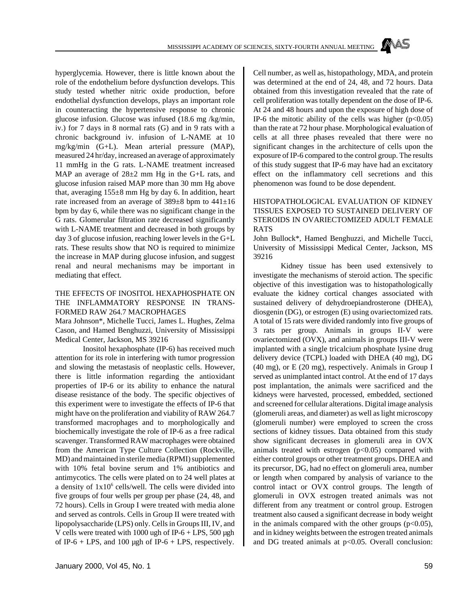hyperglycemia. However, there is little known about the role of the endothelium before dysfunction develops. This study tested whether nitric oxide production, before endothelial dysfunction develops, plays an important role in counteracting the hypertensive response to chronic glucose infusion. Glucose was infused (18.6 mg /kg/min, iv.) for 7 days in 8 normal rats (G) and in 9 rats with a chronic background iv. infusion of L-NAME at 10 mg/kg/min (G+L). Mean arterial pressure (MAP), measured 24 hr/day, increased an average of approximately 11 mmHg in the G rats. L-NAME treatment increased MAP an average of  $28\pm2$  mm Hg in the G+L rats, and glucose infusion raised MAP more than 30 mm Hg above that, averaging  $155\pm8$  mm Hg by day 6. In addition, heart rate increased from an average of 389±8 bpm to 441±16 bpm by day 6, while there was no significant change in the G rats. Glomerular filtration rate decreased significantly with L-NAME treatment and decreased in both groups by day 3 of glucose infusion, reaching lower levels in the G+L rats. These results show that NO is required to minimize the increase in MAP during glucose infusion, and suggest renal and neural mechanisms may be important in mediating that effect.

#### THE EFFECTS OF INOSITOL HEXAPHOSPHATE ON THE INFLAMMATORY RESPONSE IN TRANS-FORMED RAW 264.7 MACROPHAGES

Mara Johnson\*, Michelle Tucci, James L. Hughes, Zelma Cason, and Hamed Benghuzzi, University of Mississippi Medical Center, Jackson, MS 39216

Inositol hexaphosphate (IP-6) has received much attention for its role in interfering with tumor progression and slowing the metastasis of neoplastic cells. However, there is little information regarding the antioxidant properties of IP-6 or its ability to enhance the natural disease resistance of the body. The specific objectives of this experiment were to investigate the effects of IP-6 that might have on the proliferation and viability of RAW 264.7 transformed macrophages and to morphologically and biochemically investigate the role of IP-6 as a free radical scavenger. Transformed RAW macrophages were obtained from the American Type Culture Collection (Rockville, MD) and maintained in sterile media (RPMI) supplemented with 10% fetal bovine serum and 1% antibiotics and antimycotics. The cells were plated on to 24 well plates at a density of  $1x10^6$  cells/well. The cells were divided into five groups of four wells per group per phase (24, 48, and 72 hours). Cells in Group I were treated with media alone and served as controls. Cells in Group II were treated with lipopolysaccharide (LPS) only. Cells in Groups III, IV, and V cells were treated with 1000 ugh of IP-6 + LPS, 500 µgh of IP-6 + LPS, and 100 µgh of IP-6 + LPS, respectively.

Cell number, as well as, histopathology, MDA, and protein was determined at the end of 24, 48, and 72 hours. Data obtained from this investigation revealed that the rate of cell proliferation was totally dependent on the dose of IP-6. At 24 and 48 hours and upon the exposure of high dose of IP-6 the mitotic ability of the cells was higher  $(p<0.05)$ than the rate at 72 hour phase. Morphological evaluation of cells at all three phases revealed that there were no significant changes in the architecture of cells upon the exposure of IP-6 compared to the control group. The results of this study suggest that IP-6 may have had an excitatory effect on the inflammatory cell secretions and this phenomenon was found to be dose dependent.

## HISTOPATHOLOGICAL EVALUATION OF KIDNEY TISSUES EXPOSED TO SUSTAINED DELIVERY OF STEROIDS IN OVARIECTOMIZED ADULT FEMALE RATS

John Bullock\*, Hamed Benghuzzi, and Michelle Tucci, University of Mississippi Medical Center, Jackson, MS 39216

Kidney tissue has been used extensively to investigate the mechanisms of steroid action. The specific objective of this investigation was to histopathologically evaluate the kidney cortical changes associated with sustained delivery of dehydroepiandrosterone (DHEA), diosgenin (DG), or estrogen (E) using ovariectomized rats. A total of 15 rats were divided randomly into five groups of 3 rats per group. Animals in groups II-V were ovariectomized (OVX), and animals in groups III-V were implanted with a single tricalcium phosphate lysine drug delivery device (TCPL) loaded with DHEA (40 mg), DG (40 mg), or E (20 mg), respectively. Animals in Group I served as unimplanted intact control. At the end of 17 days post implantation, the animals were sacrificed and the kidneys were harvested, processed, embedded, sectioned and screened for cellular alterations. Digital image analysis (glomeruli areas, and diameter) as well as light microscopy (glomeruli number) were employed to screen the cross sections of kidney tissues. Data obtained from this study show significant decreases in glomeruli area in OVX animals treated with estrogen  $(p<0.05)$  compared with either control groups or other treatment groups. DHEA and its precursor, DG, had no effect on glomeruli area, number or length when compared by analysis of variance to the control intact or OVX control groups. The length of glomeruli in OVX estrogen treated animals was not different from any treatment or control group. Estrogen treatment also caused a significant decrease in body weight in the animals compared with the other groups  $(p<0.05)$ , and in kidney weights between the estrogen treated animals and DG treated animals at  $p<0.05$ . Overall conclusion: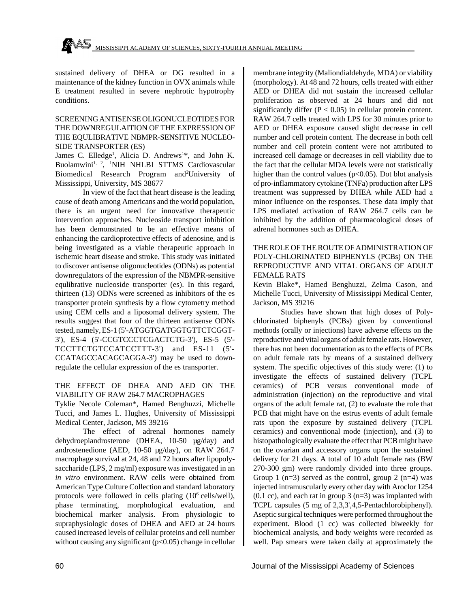sustained delivery of DHEA or DG resulted in a maintenance of the kidney function in OVX animals while E treatment resulted in severe nephrotic hypotrophy conditions.

## SCREENING ANTISENSE OLIGONUCLEOTIDES FOR THE DOWNREGULAITION OF THE EXPRESSION OF THE EQULIBRATIVE NBMPR-SENSITIVE NUCLEO-SIDE TRANSPORTER (ES)

James C. Elledge<sup>1</sup>, Alicia D. Andrews<sup>1\*</sup>, and John K. Buolamwini<sup>1, 2</sup>, <sup>1</sup>NIH NHLBI STTMS Cardiovascular Biomedical Research Program and<sup>2</sup>University of Mississippi, University, MS 38677

In view of the fact that heart disease is the leading cause of death among Americans and the world population, there is an urgent need for innovative therapeutic intervention approaches. Nucleoside transport inhibition has been demonstrated to be an effective means of enhancing the cardioprotective effects of adenosine, and is being investigated as a viable therapeutic approach in ischemic heart disease and stroke. This study was initiated to discover antisense oligonucleotides (ODNs) as potential downregulators of the expression of the NBMPR-sensitive equlibrative nucleoside transporter (es). In this regard, thirteen (13) ODNs were screened as inhibitors of the es transporter protein synthesis by a flow cytometry method using CEM cells and a liposomal delivery system. The results suggest that four of the thirteen antisense ODNs tested, namely, ES-1 (5'-ATGGTGATGGTGTTCTCGGT-3'), ES-4 (5'-CCGTCCCTCGACTCTG-3'), ES-5 (5'- TCCTTCTGTCCATCCTTT-3') and ES-11 (5'- CCATAGCCACAGCAGGA-3') may be used to downregulate the cellular expression of the es transporter.

## THE EFFECT OF DHEA AND AED ON THE VIABILITY OF RAW 264.7 MACROPHAGES

Tyklie Necole Coleman\*, Hamed Benghuzzi, Michelle Tucci, and James L. Hughes, University of Mississippi Medical Center, Jackson, MS 39216

The effect of adrenal hormones namely dehydroepiandrosterone (DHEA, 10-50 µg/day) and androstenedione (AED, 10-50 µg/day), on RAW 264.7 macrophage survival at 24, 48 and 72 hours after lipopolysaccharide (LPS, 2 mg/ml) exposure was investigated in an *in vitro* environment. RAW cells were obtained from American Type Culture Collection and standard laboratory protocols were followed in cells plating (10<sup>6</sup> cells/well), phase terminating, morphological evaluation, and biochemical marker analysis. From physiologic to supraphysiologic doses of DHEA and AED at 24 hours caused increased levels of cellular proteins and cell number without causing any significant  $(p<0.05)$  change in cellular membrane integrity (Maliondialdehyde, MDA) or viability (morphology). At 48 and 72 hours, cells treated with either AED or DHEA did not sustain the increased cellular proliferation as observed at 24 hours and did not significantly differ  $(P < 0.05)$  in cellular protein content. RAW 264.7 cells treated with LPS for 30 minutes prior to AED or DHEA exposure caused slight decrease in cell number and cell protein content. The decrease in both cell number and cell protein content were not attributed to increased cell damage or decreases in cell viability due to the fact that the cellular MDA levels were not statistically higher than the control values ( $p<0.05$ ). Dot blot analysis of pro-inflammatory cytokine (TNFa) production after LPS treatment was suppressed by DHEA while AED had a minor influence on the responses. These data imply that LPS mediated activation of RAW 264.7 cells can be inhibited by the addition of pharmacological doses of adrenal hormones such as DHEA.

## THE ROLE OF THE ROUTE OF ADMINISTRATION OF POLY-CHLORINATED BIPHENYLS (PCBs) ON THE REPRODUCTIVE AND VITAL ORGANS OF ADULT FEMALE RATS

Kevin Blake\*, Hamed Benghuzzi, Zelma Cason, and Michelle Tucci, University of Mississippi Medical Center, Jackson, MS 39216

Studies have shown that high doses of Polychlorinated biphenyls (PCBs) given by conventional methods (orally or injections) have adverse effects on the reproductive and vital organs of adult female rats. However, there has not been documentation as to the effects of PCBs on adult female rats by means of a sustained delivery system. The specific objectives of this study were: (1) to investigate the effects of sustained delivery (TCPL ceramics) of PCB versus conventional mode of administration (injection) on the reproductive and vital organs of the adult female rat, (2) to evaluate the role that PCB that might have on the estrus events of adult female rats upon the exposure by sustained delivery (TCPL ceramics) and conventional mode (injection), and (3) to histopathologically evaluate the effect that PCB might have on the ovarian and accessory organs upon the sustained delivery for 21 days. A total of 10 adult female rats (BW 270-300 gm) were randomly divided into three groups. Group 1 ( $n=3$ ) served as the control, group 2 ( $n=4$ ) was injected intramuscularly every other day with Aroclor 1254  $(0.1 \text{ cc})$ , and each rat in group 3 (n=3) was implanted with TCPL capsules (5 mg of 2,3,3',4,5-Pentachlorobiphenyl). Aseptic surgical techniques were performed throughout the experiment. Blood (1 cc) was collected biweekly for biochemical analysis, and body weights were recorded as well. Pap smears were taken daily at approximately the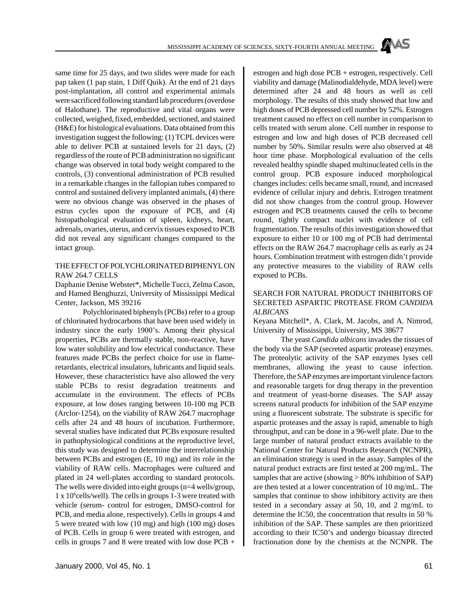

#### THE EFFECT OF POLYCHLORINATED BIPHENYL ON RAW 264.7 CELLS

Daphanie Denise Webster\*, Michelle Tucci, Zelma Cason, and Hamed Benghuzzi, University of Mississippi Medical Center, Jackson, MS 39216

Polychlorinated biphenyls (PCBs) refer to a group of chlorinated hydrocarbons that have been used widely in industry since the early 1900's. Among their physical properties, PCBs are thermally stable, non-reactive, have low water solubility and low electrical conductance. These features made PCBs the perfect choice for use in flameretardants, electrical insulators, lubricants and liquid seals. However, these characteristics have also allowed the very stable PCBs to resist degradation treatments and accumulate in the environment. The effects of PCBs exposure, at low doses ranging between 10-100 mg PCB (Arclor-1254), on the viability of RAW 264.7 macrophage cells after 24 and 48 hours of incubation. Furthermore, several studies have indicated that PCBs exposure resulted in pathophysiological conditions at the reproductive level, this study was designed to determine the interrelationship between PCBs and estrogen (E, 10 mg) and its role in the viability of RAW cells. Macrophages were cultured and plated in 24 well-plates according to standard protocols. The wells were divided into eight groups (n=4 wells/group, 1 x 10<sup>6</sup>cells/well). The cells in groups 1-3 were treated with vehicle (serum- control for estrogen, DMSO-control for PCB, and media alone, respectively). Cells in groups 4 and 5 were treated with low (10 mg) and high (100 mg) doses of PCB. Cells in group 6 were treated with estrogen, and cells in groups 7 and 8 were treated with low dose PCB +

estrogen and high dose PCB + estrogen, respectively. Cell viability and damage (Malinodialdehyde, MDA level) were determined after 24 and 48 hours as well as cell morphology. The results of this study showed that low and high doses of PCB depressed cell number by 52%. Estrogen treatment caused no effect on cell number in comparison to cells treated with serum alone. Cell number in response to estrogen and low and high doses of PCB decreased cell number by 50%. Similar results were also observed at 48 hour time phase. Morphological evaluation of the cells revealed healthy spindle shaped multinucleated cells in the control group. PCB exposure induced morphological changes includes: cells became small, round, and increased evidence of cellular injury and debris. Estrogen treatment did not show changes from the control group. However estrogen and PCB treatments caused the cells to become round, tightly compact nuclei with evidence of cell fragmentation. The results of this investigation showed that exposure to either 10 or 100 mg of PCB had detrimental effects on the RAW 264.7 macrophage cells as early as 24 hours. Combination treatment with estrogen didn't provide any protective measures to the viability of RAW cells exposed to PCBs.

#### SEARCH FOR NATURAL PRODUCT INHIBITORS OF SECRETED ASPARTIC PROTEASE FROM *CANDIDA ALBICANS*

Keyana Mitchell\*, A. Clark, M. Jacobs, and A. Nimrod, University of Mississippi, University, MS 38677

The yeast *Candida albicans* invades the tissues of the body via the SAP (secreted aspartic protease) enzymes. The proteolytic activity of the SAP enzymes lyses cell membranes, allowing the yeast to cause infection. Therefore, the SAP enzymes are important virulence factors and reasonable targets for drug therapy in the prevention and treatment of yeast-borne diseases. The SAP assay screens natural products for inhibition of the SAP enzyme using a fluorescent substrate. The substrate is specific for aspartic proteases and the assay is rapid, amenable to high throughput, and can be done in a 96-well plate. Due to the large number of natural product extracts available to the National Center for Natural Products Research (NCNPR), an elimination strategy is used in the assay. Samples of the natural product extracts are first tested at 200 mg/mL. The samples that are active (showing  $> 80\%$  inhibition of SAP) are then tested at a lower concentration of 10 mg/mL. The samples that continue to show inhibitory activity are then tested in a secondary assay at 50, 10, and 2 mg/mL to determine the IC50, the concentration that results in 50 % inhibition of the SAP. These samples are then prioritized according to their IC50's and undergo bioassay directed fractionation done by the chemists at the NCNPR. The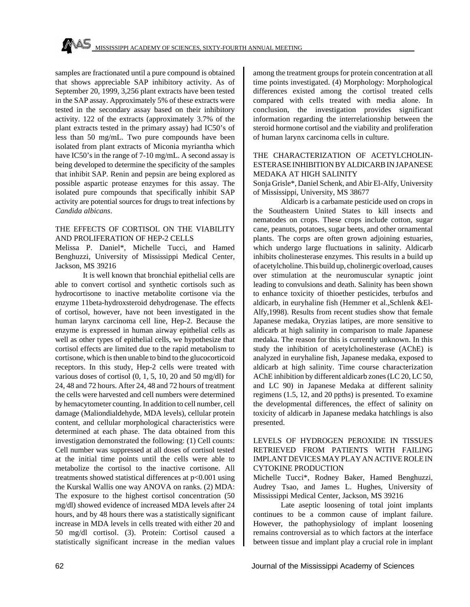samples are fractionated until a pure compound is obtained that shows appreciable SAP inhibitory activity. As of September 20, 1999, 3,256 plant extracts have been tested in the SAP assay. Approximately 5% of these extracts were tested in the secondary assay based on their inhibitory activity. 122 of the extracts (approximately 3.7% of the plant extracts tested in the primary assay) had IC50's of less than 50 mg/mL. Two pure compounds have been isolated from plant extracts of Miconia myriantha which have IC50's in the range of 7-10 mg/mL. A second assay is being developed to determine the specificity of the samples that inhibit SAP. Renin and pepsin are being explored as possible aspartic protease enzymes for this assay. The isolated pure compounds that specifically inhibit SAP activity are potential sources for drugs to treat infections by *Candida albicans*.

#### THE EFFECTS OF CORTISOL ON THE VIABILITY AND PROLIFERATION OF HEP-2 CELLS

Melissa P. Daniel\*, Michelle Tucci, and Hamed Benghuzzi, University of Mississippi Medical Center, Jackson, MS 39216

It is well known that bronchial epithelial cells are able to convert cortisol and synthetic cortisols such as hydrocortisone to inactive metabolite cortisone via the enzyme 11beta-hydroxsteroid dehydrogenase. The effects of cortisol, however, have not been investigated in the human larynx carcinoma cell line, Hep-2. Because the enzyme is expressed in human airway epithelial cells as well as other types of epithelial cells, we hypothesize that cortisol effects are limited due to the rapid metabolism to cortisone, which is then unable to bind to the glucocorticoid receptors. In this study, Hep-2 cells were treated with various doses of cortisol (0, 1, 5, 10, 20 and 50 mg/dl) for 24, 48 and 72 hours. After 24, 48 and 72 hours of treatment the cells were harvested and cell numbers were determined by hemacytometer counting. In addition to cell number, cell damage (Maliondialdehyde, MDA levels), cellular protein content, and cellular morphological characteristics were determined at each phase. The data obtained from this investigation demonstrated the following: (1) Cell counts: Cell number was suppressed at all doses of cortisol tested at the initial time points until the cells were able to metabolize the cortisol to the inactive cortisone. All treatments showed statistical differences at p<0.001 using the Kurskal Wallis one way ANOVA on ranks. (2) MDA: The exposure to the highest cortisol concentration (50 mg/dl) showed evidence of increased MDA levels after 24 hours, and by 48 hours there was a statistically significant increase in MDA levels in cells treated with either 20 and 50 mg/dl cortisol. (3). Protein: Cortisol caused a statistically significant increase in the median values

among the treatment groups for protein concentration at all time points investigated. (4) Morphology: Morphological differences existed among the cortisol treated cells compared with cells treated with media alone. In conclusion, the investigation provides significant information regarding the interrelationship between the steroid hormone cortisol and the viability and proliferation of human larynx carcinoma cells in culture.

## THE CHARACTERIZATION OF ACETYLCHOLIN-ESTERASE INHIBITION BY ALDICARB IN JAPANESE MEDAKA AT HIGH SALINITY

Sonja Grisle\*, Daniel Schenk, and Abir El-Alfy, University of Mississippi, University, MS 38677

Aldicarb is a carbamate pesticide used on crops in the Southeastern United States to kill insects and nematodes on crops. These crops include cotton, sugar cane, peanuts, potatoes, sugar beets, and other ornamental plants. The corps are often grown adjoining estuaries, which undergo large fluctuations in salinity. Aldicarb inhibits cholinesterase enzymes. This results in a build up of acetylcholine. This build up, cholinergic overload, causes over stimulation at the neuromuscular synaptic joint leading to convulsions and death. Salinity has been shown to enhance toxicity of thioether pesticides, terbufos and aldicarb, in euryhaline fish (Hemmer et al.,Schlenk &El-Alfy,1998). Results from recent studies show that female Japanese medaka, Oryzias latipes, are more sensitive to aldicarb at high salinity in comparison to male Japanese medaka. The reason for this is currently unknown. In this study the inhibition of acetylcholinesterase (AChE) is analyzed in euryhaline fish, Japanese medaka, exposed to aldicarb at high salinity. Time course characterization AChE inhibition by different aldicarb zones (LC 20, LC 50, and LC 90) in Japanese Medaka at different salinity regimens (1.5, 12, and 20 ppths) is presented. To examine the developmental differences, the effect of salinity on toxicity of aldicarb in Japanese medaka hatchlings is also presented.

#### LEVELS OF HYDROGEN PEROXIDE IN TISSUES RETRIEVED FROM PATIENTS WITH FAILING IMPLANT DEVICES MAY PLAY AN ACTIVE ROLE IN CYTOKINE PRODUCTION

Michelle Tucci\*, Rodney Baker, Hamed Benghuzzi, Audrey Tsao, and James L. Hughes, University of Mississippi Medical Center, Jackson, MS 39216

Late aseptic loosening of total joint implants continues to be a common cause of implant failure. However, the pathophysiology of implant loosening remains controversial as to which factors at the interface between tissue and implant play a crucial role in implant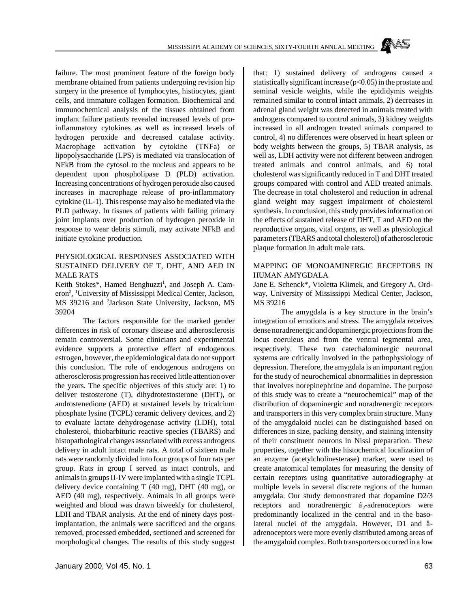failure. The most prominent feature of the foreign body membrane obtained from patients undergoing revision hip surgery in the presence of lymphocytes, histiocytes, giant cells, and immature collagen formation. Biochemical and immunochemical analysis of the tissues obtained from implant failure patients revealed increased levels of proinflammatory cytokines as well as increased levels of hydrogen peroxide and decreased catalase activity. Macrophage activation by cytokine (TNFa) or lipopolysaccharide (LPS) is mediated via translocation of NFkB from the cytosol to the nucleus and appears to be dependent upon phospholipase D (PLD) activation. Increasing concentrations of hydrogen peroxide also caused increases in macrophage release of pro-inflammatory cytokine (IL-1). This response may also be mediated via the PLD pathway. In tissues of patients with failing primary joint implants over production of hydrogen peroxide in response to wear debris stimuli, may activate NFkB and initiate cytokine production.

#### PHYSIOLOGICAL RESPONSES ASSOCIATED WITH SUSTAINED DELIVERY OF T, DHT, AND AED IN MALE RATS

Keith Stokes\*, Hamed Benghuzzi<sup>1</sup>, and Joseph A. Cameron<sup>2</sup>, <sup>1</sup>University of Mississippi Medical Center, Jackson, MS 39216 and <sup>2</sup>Jackson State University, Jackson, MS 39204

The factors responsible for the marked gender differences in risk of coronary disease and atherosclerosis remain controversial. Some clinicians and experimental evidence supports a protective effect of endogenous estrogen, however, the epidemiological data do not support this conclusion. The role of endogenous androgens on atherosclerosis progression has received little attention over the years. The specific objectives of this study are: 1) to deliver testosterone (T), dihydrotestosterone (DHT), or androstenedione (AED) at sustained levels by tricalcium phosphate lysine (TCPL) ceramic delivery devices, and 2) to evaluate lactate dehydrogenase activity (LDH), total cholesterol, thiobarbituric reactive species (TBARS) and histopathological changes associated with excess androgens delivery in adult intact male rats. A total of sixteen male rats were randomly divided into four groups of four rats per group. Rats in group I served as intact controls, and animals in groups II-IV were implanted with a single TCPL delivery device containing T (40 mg), DHT (40 mg), or AED (40 mg), respectively. Animals in all groups were weighted and blood was drawn biweekly for cholesterol, LDH and TBAR analysis. At the end of ninety days postimplantation, the animals were sacrificed and the organs removed, processed embedded, sectioned and screened for morphological changes. The results of this study suggest

January 2000, Vol 45, No. 1 63

that: 1) sustained delivery of androgens caused a statistically significant increase (p<0.05) in the prostate and seminal vesicle weights, while the epididymis weights remained similar to control intact animals, 2) decreases in adrenal gland weight was detected in animals treated with androgens compared to control animals, 3) kidney weights increased in all androgen treated animals compared to control, 4) no differences were observed in heart spleen or body weights between the groups, 5) TBAR analysis, as well as, LDH activity were not different between androgen treated animals and control animals, and 6) total cholesterol was significantly reduced in T and DHT treated groups compared with control and AED treated animals. The decrease in total cholesterol and reduction in adrenal gland weight may suggest impairment of cholesterol synthesis. In conclusion, this study provides information on the effects of sustained release of DHT, T and AED on the reproductive organs, vital organs, as well as physiological parameters (TBARS and total cholesterol) of atherosclerotic plaque formation in adult male rats.

#### MAPPING OF MONOAMINERGIC RECEPTORS IN HUMAN AMYGDALA

Jane E. Schenck\*, Violetta Klimek, and Gregory A. Ordway, University of Mississippi Medical Center, Jackson, MS 39216

The amygdala is a key structure in the brain's integration of emotions and stress. The amygdala receives dense noradrenergic and dopaminergic projections from the locus coeruleus and from the ventral tegmental area, respectively. These two catechalominergic neuronal systems are critically involved in the pathophysiology of depression. Therefore, the amygdala is an important region for the study of neurochemical abnormalities in depression that involves norepinephrine and dopamine. The purpose of this study was to create a "neurochemical" map of the distribution of dopaminergic and noradrenergic receptors and transporters in this very complex brain structure. Many of the amygdaloid nuclei can be distinguished based on differences in size, packing density, and staining intensity of their constituent neurons in Nissl preparation. These properties, together with the histochemical localization of an enzyme (acetylcholinesterase) marker, were used to create anatomical templates for measuring the density of certain receptors using quantitative autoradiography at multiple levels in several discrete regions of the human amygdala. Our study demonstrated that dopamine D2/3 receptors and noradrenergic  $\acute{a}_2$ -adrenoceptors were predominantly localized in the central and in the basolateral nuclei of the amygdala. However, D1 and âadrenoceptors were more evenly distributed among areas of the amygaloid complex. Both transporters occurred in a low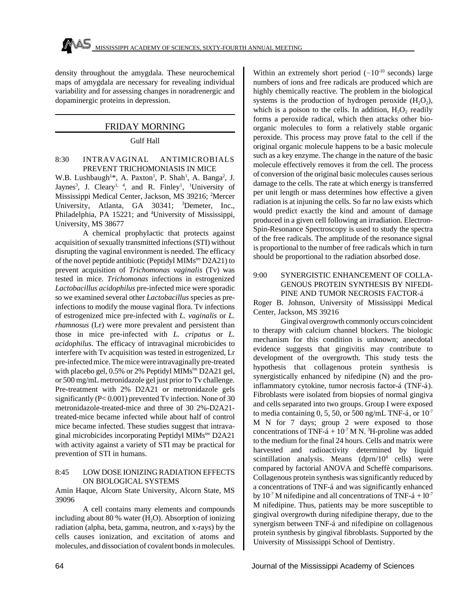density throughout the amygdala. These neurochemical maps of amygdala are necessary for revealing individual variability and for assessing changes in noradrenergic and dopaminergic proteins in depression.

## FRIDAY MORNING

## Gulf Hall

### 8:30 INTRAVAGINAL ANTIMICROBIALS PREVENT TRICHOMONIASIS IN MICE

W.B. Lushbaugh<sup>1\*</sup>, A. Paxton<sup>1</sup>, P. Shah<sup>1</sup>, A. Banga<sup>2</sup>, J. Jaynes<sup>3</sup>, J. Cleary<sup>1, 4</sup>, and R. Finley<sup>1</sup>, <sup>1</sup>University of Mississippi Medical Center, Jackson, MS 39216; <sup>2</sup>Mercer University, Atlanta, GA 30341; <sup>3</sup>Demeter, Inc., Philadelphia, PA 15221; and <sup>4</sup>University of Mississippi, University, MS 38677

A chemical prophylactic that protects against acquisition of sexually transmitted infections (STI) without disrupting the vaginal environment is needed. The efficacy of the novel peptide antibiotic (Peptidyl MIMstm D2A21) to prevent acquisition of *Trichomonas vaginalis* (Tv) was tested in mice. *Trichomonas* infections in estrogenized *Lactobacillus acidophilus* pre-infected mice were sporadic so we examined several other *Lactobacillus* species as preinfections to modify the mouse vaginal flora. Tv infections of estrogenized mice pre-infected with *L. vaginalis* or *L. rhamnosus* (Lr) were more prevalent and persistent than those in mice pre-infected with *L. cripatus* or *L. acidophilus*. The efficacy of intravaginal microbicides to interfere with Tv acquisition was tested in estrogenized, Lr pre-infected mice. The mice were intravaginally pre-treated with placebo gel, 0.5% or 2% Peptidyl MIMs<sup>tm</sup> D2A21 gel, or 500 mg/mL metronidazole gel just prior to Tv challenge*.* Pre-treatment with 2% D2A21 or metronidazole gels significantly (P< 0.001) prevented Tv infection. None of 30 metronidazole-treated-mice and three of 30 2%-D2A21 treated-mice became infected while about half of control mice became infected. These studies suggest that intravaginal microbicides incorporating Peptidyl MIMstm D2A21 with activity against a variety of STI may be practical for prevention of STI in humans.

#### 8:45 LOW DOSE IONIZING RADIATION EFFECTS ON BIOLOGICAL SYSTEMS

Amin Haque, Alcorn State University, Alcorn State, MS 39096

A cell contains many elements and compounds including about 80 % water  $(H_2O)$ . Absorption of ionizing radiation (alpha, beta, gamma, neutron, and x-rays) by the cells causes ionization, and excitation of atoms and molecules, and dissociation of covalent bonds in molecules.

Within an extremely short period  $(-10^{-10} \text{ seconds})$  large numbers of ions and free radicals are produced which are highly chemically reactive. The problem in the biological systems is the production of hydrogen peroxide  $(H_2O_2)$ , which is a poison to the cells. In addition,  $H_2O_2$  readily forms a peroxide radical, which then attacks other bioorganic molecules to form a relatively stable organic peroxide. This process may prove fatal to the cell if the original organic molecule happens to be a basic molecule such as a key enzyme. The change in the nature of the basic molecule effectively removes it from the cell. The process of conversion of the original basic molecules causes serious damage to the cells. The rate at which energy is transferred per unit length or mass determines how effective a given radiation is at injuning the cells. So far no law exists which would predict exactly the kind and amount of damage produced in a given cell following an irradiation. Electron-Spin-Resonance Spectroscopy is used to study the spectra of the free radicals. The amplitude of the resonance signal is proportional to the number of free radicals which in turn should be proportional to the radiation absorbed dose.

## 9:00 SYNERGISTIC ENHANCEMENT OF COLLA-GENOUS PROTEIN SYNTHESIS BY NIFEDI-PINE AND TUMOR NECROSIS FACTOR-á

Roger B. Johnson, University of Mississippi Medical Center, Jackson, MS 39216

Gingival overgrowth commonly occurs coincident to therapy with calcium channel blockers. The biologic mechanism for this condition is unknown; anecdotal evidence suggests that gingivitis may contribute to development of the overgrowth. This study tests the hypothesis that collagenous protein synthesis is synergistically enhanced by nifedipine (N) and the proinflammatory cytokine, tumor necrosis factor-á (TNF-á). Fibroblasts were isolated from biopsies of normal gingiva and cells separated into two groups. Group I were exposed to media containing 0, 5, 50, or 500 ng/mL TNF-á, or  $10^{-7}$ M N for 7 days; group 2 were exposed to those concentrations of TNF- $\acute{a}$  + 10<sup>-7</sup> M N.<sup>3</sup>H-proline was added to the medium for the final 24 hours. Cells and matrix were harvested and radioactivity determined by liquid scintillation analysis. Means  $(dprn/10<sup>4</sup>$  cells) were compared by factorial ANOVA and Scheffè comparisons. Collagenous protein synthesis was significantly reduced by a concentrations of TNF-á and was significantly enhanced by  $10^{-7}$  M nifedipine and all concentrations of TNF- $\acute{a}$  +  $10^{-7}$ M nifedipine. Thus, patients may be more susceptible to gingival overgrowth during nifedipine therapy, due to the synergism between TNF-á and nifedipine on collagenous protein synthesis by gingival fibroblasts. Supported by the University of Mississippi School of Dentistry.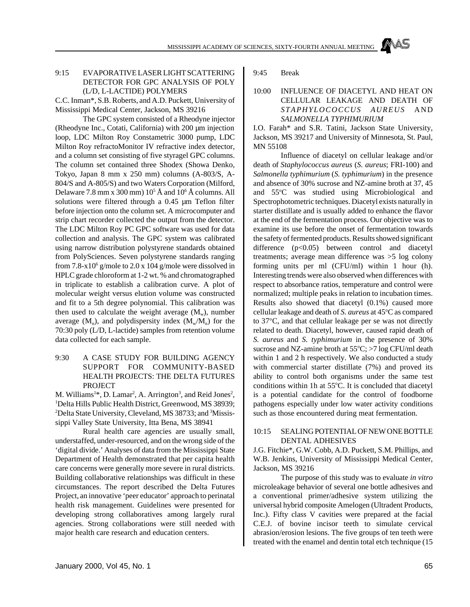## 9:15 EVAPORATIVE LASER LIGHT SCATTERING DETECTOR FOR GPC ANALYSIS OF POLY (L/D, L-LACTIDE) POLYMERS

C.C. Inman\*, S.B. Roberts, and A.D. Puckett, University of Mississippi Medical Center, Jackson, MS 39216

The GPC system consisted of a Rheodyne injector (Rheodyne Inc., Cotati, California) with 200 µm injection loop, LDC Milton Roy Constametric 3000 pump, LDC Milton Roy refractoMonitor IV refractive index detector, and a column set consisting of five styragel GPC columns. The column set contained three Shodex (Showa Denko, Tokyo, Japan 8 mm x 250 mm) columns (A-803/S, A-804/S and A-805/S) and two Waters Corporation (Milford, Delaware 7.8 mm x 300 mm)  $10^5$  Å and  $10^6$  Å columns. All solutions were filtered through a 0.45 µm Teflon filter before injection onto the column set. A microcomputer and strip chart recorder collected the output from the detector. The LDC Milton Roy PC GPC software was used for data collection and analysis. The GPC system was calibrated using narrow distribution polystyrene standards obtained from PolySciences. Seven polystyrene standards ranging from  $7.8 - x10^6$  g/mole to  $2.0 \times 104$  g/mole were dissolved in HPLC grade chloroform at 1-2 wt. % and chromatographed in triplicate to establish a calibration curve. A plot of molecular weight versus elution volume was constructed and fit to a 5th degree polynomial. This calibration was then used to calculate the weight average  $(M_w)$ , number average  $(M_n)$ , and polydispersity index  $(M_w/M_n)$  for the 70:30 poly (L/D, L-lactide) samples from retention volume data collected for each sample.

## 9:30 A CASE STUDY FOR BUILDING AGENCY SUPPORT FOR COMMUNITY-BASED HEALTH PROJECTS: THE DELTA FUTURES **PROJECT**

M. Williams<sup>1\*</sup>, D. Lamar<sup>2</sup>, A. Arrington<sup>3</sup>, and Reid Jones<sup>2</sup>, <sup>1</sup>Delta Hills Public Health District, Greenwood, MS 38939; <sup>2</sup>Delta State University, Cleveland, MS 38733; and <sup>3</sup>Mississippi Valley State University, Itta Bena, MS 38941

Rural health care agencies are usually small, understaffed, under-resourced, and on the wrong side of the 'digital divide.' Analyses of data from the Mississippi State Department of Health demonstrated that per capita health care concerns were generally more severe in rural districts. Building collaborative relationships was difficult in these circumstances. The report described the Delta Futures Project, an innovative 'peer educator' approach to perinatal health risk management. Guidelines were presented for developing strong collaboratives among largely rural agencies. Strong collaborations were still needed with major health care research and education centers.

9:45 Break

#### 10:00 INFLUENCE OF DIACETYL AND HEAT ON CELLULAR LEAKAGE AND DEATH OF *STAPHYLOCOCCUS AUREUS* AND *SALMONELLA TYPHIMURIUM*

I.O. Farah\* and S.R. Tatini, Jackson State University, Jackson, MS 39217 and University of Minnesota, St. Paul, MN 55108

Influence of diacetyl on cellular leakage and/or death of *Staphylococcus aureus* (*S. aureus*; FRI-100) and *Salmonella typhimurium* (*S. typhimurium*) in the presence and absence of 30% sucrose and NZ-amine broth at 37, 45 and 55<sup>o</sup>C was studied using Microbiological and Spectrophotometric techniques. Diacetyl exists naturally in starter distillate and is usually added to enhance the flavor at the end of the fermentation process. Our objective was to examine its use before the onset of fermentation towards the safety of fermented products. Results showed significant difference (p<0.05) between control and diacetyl treatments; average mean difference was >5 log colony forming units per ml (CFU/ml) within 1 hour (h). Interesting trends were also observed when differences with respect to absorbance ratios, temperature and control were normalized; multiple peaks in relation to incubation times. Results also showed that diacetyl (0.1%) caused more cellular leakage and death of *S. aureus* at 45°C as compared to 37<sup>o</sup>C, and that cellular leakage per se was not directly related to death. Diacetyl, however, caused rapid death of *S. aureus* and *S. typhimurium* in the presence of 30% sucrose and NZ-amine broth at  $55^{\circ}$ C; >7 log CFU/ml death within 1 and 2 h respectively. We also conducted a study with commercial starter distillate (7%) and proved its ability to control both organisms under the same test conditions within 1h at  $55^{\circ}$ C. It is concluded that diacetyl is a potential candidate for the control of foodborne pathogens especially under low water activity conditions such as those encountered during meat fermentation.

#### 10:15 SEALING POTENTIAL OF NEW ONE BOTTLE DENTAL ADHESIVES

J.G. Fitchie\*, G.W. Cobb, A.D. Puckett, S.M. Phillips, and W.B. Jenkins, University of Mississippi Medical Center, Jackson, MS 39216

The purpose of this study was to evaluate *in vitro* microleakage behavior of several one bottle adhesives and a conventional primer/adhesive system utilizing the universal hybrid composite Amelogen (Ultradent Products, Inc.). Fifty class V cavities were prepared at the facial C.E.J. of bovine incisor teeth to simulate cervical abrasion/erosion lesions. The five groups of ten teeth were treated with the enamel and dentin total etch technique (15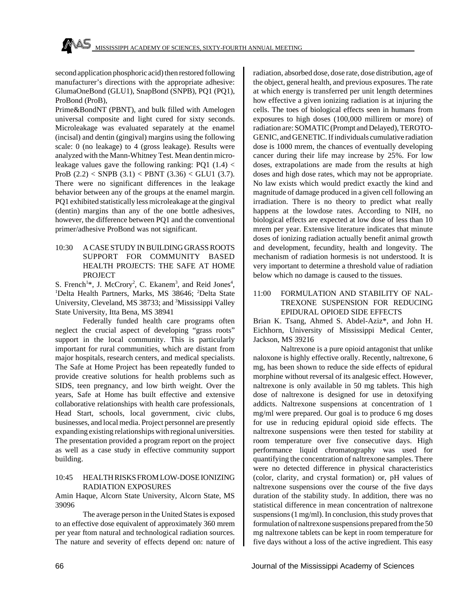second application phosphoric acid) then restored following manufacturer's directions with the appropriate adhesive: GlumaOneBond (GLU1), SnapBond (SNPB), PQ1 (PQ1), ProBond (ProB),

Prime&BondNT (PBNT), and bulk filled with Amelogen universal composite and light cured for sixty seconds. Microleakage was evaluated separately at the enamel (incisal) and dentin (gingival) margins using the following scale: 0 (no leakage) to 4 (gross leakage). Results were analyzed with the Mann-Whitney Test. Mean dentin microleakage values gave the following ranking: PQ1  $(1.4)$  < ProB  $(2.2)$  < SNPB  $(3.1)$  < PBNT  $(3.36)$  < GLU1  $(3.7)$ . There were no significant differences in the leakage behavior between any of the groups at the enamel margin. PQ1 exhibited statistically less microleakage at the gingival (dentin) margins than any of the one bottle adhesives, however, the difference between PQ1 and the conventional primer/adhesive ProBond was not significant.

10:30 A CASE STUDY IN BUILDING GRASS ROOTS SUPPORT FOR COMMUNITY BASED HEALTH PROJECTS: THE SAFE AT HOME PROJECT

S. French<sup>1\*</sup>, J. McCrory<sup>2</sup>, C. Ekanem<sup>3</sup>, and Reid Jones<sup>4</sup>, <sup>1</sup>Delta Health Partners, Marks, MS 38646; <sup>2</sup>Delta State University, Cleveland, MS 38733; and <sup>3</sup>Mississippi Valley State University, Itta Bena, MS 38941

Federally funded health care programs often neglect the crucial aspect of developing "grass roots" support in the local community. This is particularly important for rural communities, which are distant from major hospitals, research centers, and medical specialists. The Safe at Home Project has been repeatedly funded to provide creative solutions for health problems such as SIDS, teen pregnancy, and low birth weight. Over the years, Safe at Home has built effective and extensive collaborative relationships with health care professionals, Head Start, schools, local government, civic clubs, businesses, and local media. Project personnel are presently expanding existing relationships with regional universities. The presentation provided a program report on the project as well as a case study in effective community support building.

## 10:45 HEALTH RISKS FROM LOW-DOSE IONIZING RADIATION EXPOSURES

Amin Haque, Alcorn State University, Alcorn State, MS 39096

The average person in the United States is exposed to an effective dose equivalent of approximately 360 mrem per year ftom natural and technological radiation sources. The nature and severity of effects depend on: nature of radiation, absorbed dose, dose rate, dose distribution, age of the object, general health, and previous exposures. The rate at which energy is transferred per unit length determines how effective a given ionizing radiation is at injuring the cells. The toes of biological effects seen in humans from exposures to high doses (100,000 millirem or more) of radiation are: SOMATIC (Prompt and Delayed), TEROTO-GENIC, and GENETIC. If individuals cumulative radiation dose is 1000 mrem, the chances of eventually developing cancer during their life may increase by 25%. For low doses, extrapolations are made from the results at high doses and high dose rates, which may not be appropriate. No law exists which would predict exactly the kind and magnitude of damage produced in a given cell following an irradiation. There is no theory to predict what really happens at the lowdose rates. According to NIH, no biological effects are expected at low dose of less than 10 mrem per year. Extensive literature indicates that minute doses of ionizing radiation actually benefit animal growth and development, fecundity, health and longevity. The mechanism of radiation hormesis is not understood. It is very important to determine a threshold value of radiation below which no damage is caused to the tissues.

## 11:00 FORMULATION AND STABILITY OF NAL-TREXONE SUSPENSION FOR REDUCING EPIDURAL OPIOED SIDE EFFECTS

Brian K. Tsang, Ahmed S. Abdel-Aziz\*, and John H. Eichhorn, University of Mississippi Medical Center, Jackson, MS 39216

Naltrexone is a pure opioid antagonist that unlike naloxone is highly effective orally. Recently, naltrexone, 6 mg, has been shown to reduce the side effects of epidural morphine without reversal of its analgesic effect. However, naltrexone is only available in 50 mg tablets. This high dose of naltrexone is designed for use in detoxifying addicts. Naltrexone suspensions at concentration of 1 mg/ml were prepared. Our goal is to produce 6 mg doses for use in reducing epidural opioid side effects. The naltrexone suspensions were then tested for stability at room temperature over five consecutive days. High performance liquid chromatography was used for quantifying the concentration of naltrexone samples. There were no detected difference in physical characteristics (color, clarity, and crystal formation) or, pH values of naltrexone suspensions over the course of the five days duration of the stability study. In addition, there was no statistical difference in mean concentration of naltrexone suspensions (1 mg/ml). In conclusion, this study proves that formulation of naltrexone suspensions prepared from the 50 mg naltrexone tablets can be kept in room temperature for five days without a loss of the active ingredient. This easy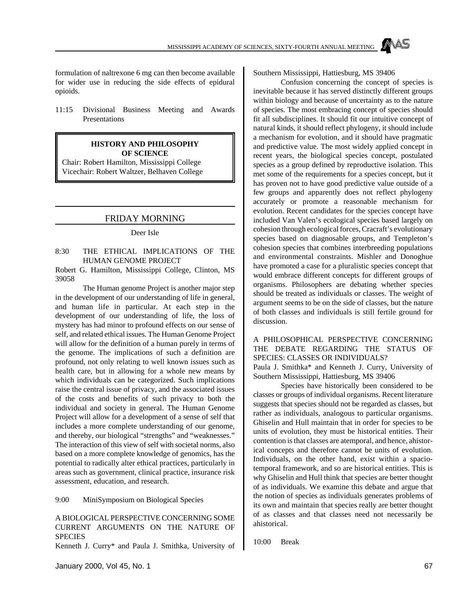formulation of naltrexone 6 mg can then become available for wider use in reducing the side effects of epidural opioids.

11:15 Divisional Business Meeting and Awards Presentations

#### **HISTORY AND PHILOSOPHY OF SCIENCE**

Chair: Robert Hamilton, Mississippi College Vicechair: Robert Waltzer, Belhaven College

### FRIDAY MORNING

#### Deer Isle

#### 8:30 THE ETHICAL IMPLICATIONS OF THE HUMAN GENOME PROJECT

Robert G. Hamilton, Mississippi College, Clinton, MS 39058

The Human genome Project is another major step in the development of our understanding of life in general, and human life in particular. At each step in the development of our understanding of life, the loss of mystery has had minor to profound effects on our sense of self, and related ethical issues. The Human Genome Project will allow for the definition of a human purely in terms of the genome. The implications of such a definition are profound, not only relating to well known issues such as health care, but in allowing for a whole new means by which individuals can be categorized. Such implications raise the central issue of privacy, and the associated issues of the costs and benefits of such privacy to both the individual and society in general. The Human Genome Project will allow for a development of a sense of self that includes a more complete understanding of our genome, and thereby, our biological "strengths" and "weaknesses." The interaction of this view of self with societal norms, also based on a more complete knowledge of genomics, has the potential to radically alter ethical practices, particularly in areas such as government, clinical practice, insurance risk assessment, education, and research.

9:00 MiniSymposium on Biological Species

### A BIOLOGICAL PERSPECTIVE CONCERNING SOME CURRENT ARGUMENTS ON THE NATURE OF **SPECIES**

Kenneth J. Curry\* and Paula J. Smithka, University of

Southern Mississippi, Hattiesburg, MS 39406

Confusion concerning the concept of species is inevitable because it has served distinctly different groups within biology and because of uncertainty as to the nature of species. The most embracing concept of species should fit all subdisciplines. It should fit our intuitive concept of natural kinds, it should reflect phylogeny, it should include a mechanism for evolution, and it should have pragmatic and predictive value. The most widely applied concept in recent years, the biological species concept, postulated species as a group defined by reproductive isolation. This met some of the requirements for a species concept, but it has proven not to have good predictive value outside of a few groups and apparently does not reflect phylogeny accurately or promote a reasonable mechanism for evolution. Recent candidates for the species concept have included Van Valen's ecological species based largely on cohesion through ecological forces, Cracraft's evolutionary species based on diagnosable groups, and Templeton's cohesion species that combines interbreeding populations and environmental constraints. Mishler and Donoghue have promoted a case for a pluralistic species concept that would embrace different concepts for different groups of organisms. Philosophers are debating whether species should be treated as individuals or classes. The weight of argument seems to be on the side of classes, but the nature of both classes and individuals is still fertile ground for discussion.

A PHILOSOPHICAL PERSPECTIVE CONCERNING THE DEBATE REGARDING THE STATUS OF SPECIES: CLASSES OR INDIVIDUALS? Paula J. Smithka\* and Kenneth J. Curry, University of Southern Mississippi, Hattiesburg, MS 39406

Species have historically been considered to be classes or groups of individual organisms. Recent literature suggests that species should not be regarded as classes, but rather as individuals, analogous to particular organisms. Ghiselin and Hull maintain that in order for species to be units of evolution, they must be historical entities. Their contention is that classes are atemporal, and hence, ahistorical concepts and therefore cannot be units of evolution. Individuals, on the other hand, exist within a spaciotemporal framework, and so are historical entities. This is why Ghiselin and Hull think that species are better thought of as individuals. We examine this debate and argue that the notion of species as individuals generates problems of its own and maintain that species really are better thought of as classes and that classes need not necessarily be ahistorical.

10:00 Break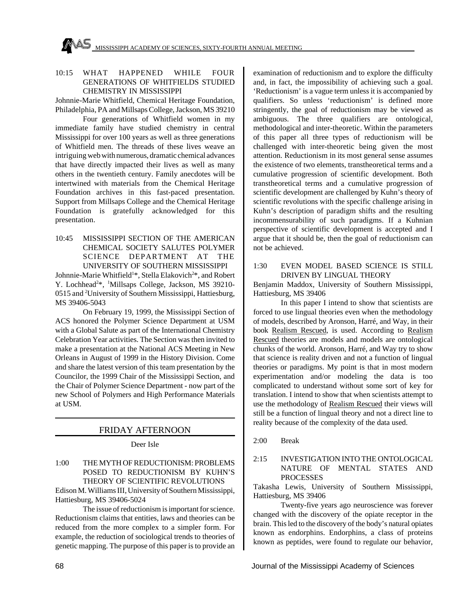

## 10:15 WHAT HAPPENED WHILE FOUR GENERATIONS OF WHITFIELDS STUDIED CHEMISTRY IN MISSISSIPPI

Johnnie-Marie Whitfield, Chemical Heritage Foundation, Philadelphia, PA and Millsaps College, Jackson, MS 39210

Four generations of Whitfield women in my immediate family have studied chemistry in central Mississippi for over 100 years as well as three generations of Whitfield men. The threads of these lives weave an intriguing web with numerous, dramatic chemical advances that have directly impacted their lives as well as many others in the twentieth century. Family anecdotes will be intertwined with materials from the Chemical Heritage Foundation archives in this fast-paced presentation. Support from Millsaps College and the Chemical Heritage Foundation is gratefully acknowledged for this presentation.

10:45 MISSISSIPPI SECTION OF THE AMERICAN CHEMICAL SOCIETY SALUTES POLYMER SCIENCE DEPARTMENT AT THE UNIVERSITY OF SOUTHERN MISSISSIPPI

Johnnie-Marie Whitfield<sup>1</sup>\*, Stella Elakovich<sup>2</sup>\*, and Robert Y. Lochhead<sup>2\*</sup>, <sup>1</sup>Millsaps College, Jackson, MS 39210-0515 and <sup>2</sup>University of Southern Mississippi, Hattiesburg, MS 39406-5043

On February 19, 1999, the Mississippi Section of ACS honored the Polymer Science Department at USM with a Global Salute as part of the International Chemistry Celebration Year activities. The Section was then invited to make a presentation at the National ACS Meeting in New Orleans in August of 1999 in the History Division. Come and share the latest version of this team presentation by the Councilor, the 1999 Chair of the Mississippi Section, and the Chair of Polymer Science Department - now part of the new School of Polymers and High Performance Materials at USM.

## FRIDAY AFTERNOON

### Deer Isle

1:00 THE MYTH OF REDUCTIONISM: PROBLEMS POSED TO REDUCTIONISM BY KUHN'S THEORY OF SCIENTIFIC REVOLUTIONS

Edison M. Williams III, University of Southern Mississippi, Hattiesburg, MS 39406-5024

The issue of reductionism is important for science. Reductionism claims that entities, laws and theories can be reduced from the more complex to a simpler form. For example, the reduction of sociological trends to theories of genetic mapping. The purpose of this paper is to provide an

examination of reductionism and to explore the difficulty and, in fact, the impossibility of achieving such a goal. 'Reductionism' is a vague term unless it is accompanied by qualifiers. So unless 'reductionism' is defined more stringently, the goal of reductionism may be viewed as ambiguous. The three qualifiers are ontological, methodological and inter-theoretic. Within the parameters of this paper all three types of reductionism will be challenged with inter-theoretic being given the most attention. Reductionism in its most general sense assumes the existence of two elements, transtheoretical terms and a cumulative progression of scientific development. Both transtheoretical terms and a cumulative progression of scientific development are challenged by Kuhn's theory of scientific revolutions with the specific challenge arising in Kuhn's description of paradigm shifts and the resulting incommensurability of such paradigms. If a Kuhnian perspective of scientific development is accepted and I argue that it should be, then the goal of reductionism can not be achieved.

## 1:30 EVEN MODEL BASED SCIENCE IS STILL DRIVEN BY LINGUAL THEORY

Benjamin Maddox, University of Southern Mississippi, Hattiesburg, MS 39406

In this paper I intend to show that scientists are forced to use lingual theories even when the methodology of models, described by Aronson, Harré, and Way, in their book Realism Rescued, is used. According to Realism Rescued theories are models and models are ontological chunks of the world. Aronson, Harré, and Way try to show that science is reality driven and not a function of lingual theories or paradigms. My point is that in most modern experimentation and/or modeling the data is too complicated to understand without some sort of key for translation. I intend to show that when scientists attempt to use the methodology of Realism Rescued their views will still be a function of lingual theory and not a direct line to reality because of the complexity of the data used.

2:00 Break

## 2:15 INVESTIGATION INTO THE ONTOLOGICAL NATURE OF MENTAL STATES AND PROCESSES

Takasha Lewis, University of Southern Mississippi, Hattiesburg, MS 39406

Twenty-five years ago neuroscience was forever changed with the discovery of the opiate receptor in the brain. This led to the discovery of the body's natural opiates known as endorphins. Endorphins, a class of proteins known as peptides, were found to regulate our behavior,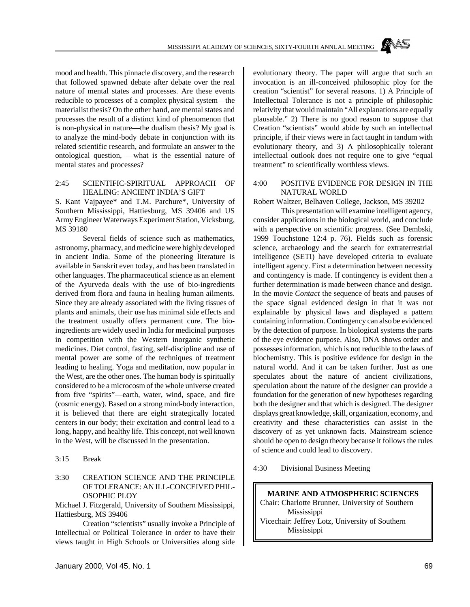mood and health. This pinnacle discovery, and the research that followed spawned debate after debate over the real nature of mental states and processes. Are these events reducible to processes of a complex physical system—the materialist thesis? On the other hand, are mental states and processes the result of a distinct kind of phenomenon that is non-physical in nature—the dualism thesis? My goal is to analyze the mind-body debate in conjunction with its related scientific research, and formulate an answer to the ontological question, —what is the essential nature of mental states and processes?

#### 2:45 SCIENTIFIC-SPIRITUAL APPROACH OF HEALING: ANCIENT INDIA'S GIFT

S. Kant Vajpayee\* and T.M. Parchure\*, University of Southern Mississippi, Hattiesburg, MS 39406 and US Army Engineer Waterways Experiment Station, Vicksburg, MS 39180

Several fields of science such as mathematics, astronomy, pharmacy, and medicine were highly developed in ancient India. Some of the pioneering literature is available in Sanskrit even today, and has been translated in other languages. The pharmaceutical science as an element of the Ayurveda deals with the use of bio-ingredients derived from flora and fauna in healing human ailments. Since they are already associated with the living tissues of plants and animals, their use has minimal side effects and the treatment usually offers permanent cure. The bioingredients are widely used in India for medicinal purposes in competition with the Western inorganic synthetic medicines. Diet control, fasting, self-discipline and use of mental power are some of the techniques of treatment leading to healing. Yoga and meditation, now popular in the West, are the other ones. The human body is spiritually considered to be a microcosm of the whole universe created from five "spirits"—earth, water, wind, space, and fire (cosmic energy). Based on a strong mind-body interaction, it is believed that there are eight strategically located centers in our body; their excitation and control lead to a long, happy, and healthy life. This concept, not well known in the West, will be discussed in the presentation.

3:15 Break

## 3:30 CREATION SCIENCE AND THE PRINCIPLE OF TOLERANCE: AN ILL-CONCEIVED PHIL-OSOPHIC PLOY

Michael J. Fitzgerald, University of Southern Mississippi, Hattiesburg, MS 39406

Creation "scientists" usually invoke a Principle of Intellectual or Political Tolerance in order to have their views taught in High Schools or Universities along side evolutionary theory. The paper will argue that such an invocation is an ill-conceived philosophic ploy for the creation "scientist" for several reasons. 1) A Principle of Intellectual Tolerance is not a principle of philosophic relativity that would maintain "All explanations are equally plausable." 2) There is no good reason to suppose that Creation "scientists" would abide by such an intellectual principle, if their views were in fact taught in tandum with evolutionary theory, and 3) A philosophically tolerant intellectual outlook does not require one to give "equal treatment" to scientifically worthless views.

#### 4:00 POSITIVE EVIDENCE FOR DESIGN IN THE NATURAL WORLD

Robert Waltzer, Belhaven College, Jackson, MS 39202

This presentation will examine intelligent agency, consider applications in the biological world, and conclude with a perspective on scientific progress. (See Dembski, 1999 Touchstone 12:4 p. 76). Fields such as forensic science, archaeology and the search for extraterrestrial intelligence (SETI) have developed criteria to evaluate intelligent agency. First a determination between necessity and contingency is made. If contingency is evident then a further determination is made between chance and design. In the movie *Contact* the sequence of beats and pauses of the space signal evidenced design in that it was not explainable by physical laws and displayed a pattern containing information. Contingency can also be evidenced by the detection of purpose. In biological systems the parts of the eye evidence purpose. Also, DNA shows order and possesses information, which is not reducible to the laws of biochemistry. This is positive evidence for design in the natural world. And it can be taken further. Just as one speculates about the nature of ancient civilizations, speculation about the nature of the designer can provide a foundation for the generation of new hypotheses regarding both the designer and that which is designed. The designer displays great knowledge, skill, organization, economy, and creativity and these characteristics can assist in the discovery of as yet unknown facts. Mainstream science should be open to design theory because it follows the rules of science and could lead to discovery.

4:30 Divisional Business Meeting

**MARINE AND ATMOSPHERIC SCIENCES** Chair: Charlotte Brunner, University of Southern Mississippi Vicechair: Jeffrey Lotz, University of Southern Mississippi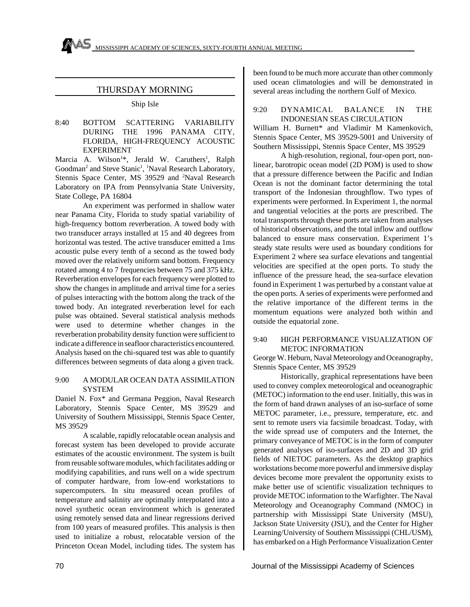## THURSDAY MORNING

#### Ship Isle

8:40 BOTTOM SCATTERING VARIABILITY DURING THE 1996 PANAMA CITY, FLORIDA, HIGH-FREQUENCY ACOUSTIC EXPERIMENT

Marcia A. Wilson<sup>1\*</sup>, Jerald W. Caruthers<sup>1</sup>, Ralph Goodman<sup>2</sup> and Steve Stanic<sup>1</sup>, <sup>1</sup>Naval Research Laboratory, Stennis Space Center, MS 39529 and <sup>2</sup>Naval Research Laboratory on IPA from Pennsylvania State University, State College, PA 16804

An experiment was performed in shallow water near Panama City, Florida to study spatial variability of high-frequency bottom reverberation. A towed body with two transducer arrays installed at 15 and 40 degrees from horizontal was tested. The active transducer emitted a 1ms acoustic pulse every tenth of a second as the towed body moved over the relatively uniform sand bottom. Frequency rotated among 4 to 7 frequencies between 75 and 375 kHz. Reverberation envelopes for each frequency were plotted to show the changes in amplitude and arrival time for a series of pulses interacting with the bottom along the track of the towed body. An integrated reverberation level for each pulse was obtained. Several statistical analysis methods were used to determine whether changes in the reverberation probability density function were sufficient to indicate a difference in seafloor characteristics encountered. Analysis based on the chi-squared test was able to quantify differences between segments of data along a given track.

#### 9:00 A MODULAR OCEAN DATA ASSIMILATION SYSTEM

Daniel N. Fox\* and Germana Peggion, Naval Research Laboratory, Stennis Space Center, MS 39529 and University of Southern Mississippi, Stennis Space Center, MS 39529

A scalable, rapidly relocatable ocean analysis and forecast system has been developed to provide accurate estimates of the acoustic environment. The system is built from reusable software modules, which facilitates adding or modifying capabilities, and runs well on a wide spectrum of computer hardware, from low-end workstations to supercomputers. In situ measured ocean profiles of temperature and salinity are optimally interpolated into a novel synthetic ocean environment which is generated using remotely sensed data and linear regressions derived from 100 years of measured profiles. This analysis is then used to initialize a robust, relocatable version of the Princeton Ocean Model, including tides. The system has been found to be much more accurate than other commonly used ocean climatologies and will be demonstrated in several areas including the northern Gulf of Mexico.

#### 9:20 DYNAMICAL BALANCE IN THE INDONESIAN SEAS CIRCULATION

William H. Burnett\* and Vladimir M Kamenkovich, Stennis Space Center, MS 39529-5001 and University of Southern Mississippi, Stennis Space Center, MS 39529

A high-resolution, regional, four-open port, nonlinear, barotropic ocean model (2D POM) is used to show that a pressure difference between the Pacific and Indian Ocean is not the dominant factor determining the total transport of the Indonesian throughflow. Two types of experiments were performed. In Experiment 1, the normal and tangential velocities at the ports are prescribed. The total transports through these ports are taken from analyses of historical observations, and the total inflow and outflow balanced to ensure mass conservation. Experiment 1's steady state results were used as boundary conditions for Experiment 2 where sea surface elevations and tangential velocities are specified at the open ports. To study the influence of the pressure head, the sea-surface elevation found in Experiment 1 was perturbed by a constant value at the open ports. A series of experiments were performed and the relative importance of the different terms in the momentum equations were analyzed both within and outside the equatorial zone.

### 9:40 HIGH PERFORMANCE VISUALIZATION OF METOC INFORMATION

George W. Heburn, Naval Meteorology and Oceanography, Stennis Space Center, MS 39529

Historically, graphical representations have been used to convey complex meteorological and oceanographic (METOC) information to the end user. Initially, this was in the form of hand drawn analyses of an iso-surface of some METOC parameter, i.e., pressure, temperature, etc. and sent to remote users via facsimile broadcast. Today, with the wide spread use of computers and the Internet, the primary conveyance of METOC is in the form of computer generated analyses of iso-surfaces and 2D and 3D grid fields of NIETOC parameters. As the desktop graphics workstations become more powerful and immersive display devices become more prevalent the opportunity exists to make better use of scientific visualization techniques to provide METOC information to the Warfighter. The Naval Meteorology and Oceanography Command (NMOC) in partnership with Mississippi State University (MSU), Jackson State University (JSU), and the Center for Higher Learning/University of Southern Mississippi (CHL/USM), has embarked on a High Performance Visualization Center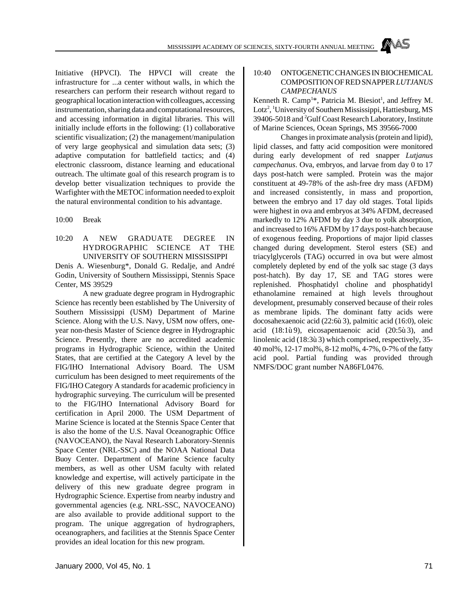Initiative (HPVCI). The HPVCI will create the infrastructure for ...a center without walls, in which the researchers can perform their research without regard to geographical location interaction with colleagues, accessing instrumentation, sharing data and computational resources, and accessing information in digital libraries. This will initially include efforts in the following: (1) collaborative scientific visualization; (2) the management/manipulation of very large geophysical and simulation data sets; (3) adaptive computation for battlefield tactics; and (4) electronic classroom, distance learning and educational outreach. The ultimate goal of this research program is to develop better visualization techniques to provide the Warfighter with the METOC information needed to exploit the natural environmental condition to his advantage.

10:00 Break

10:20 A NEW GRADUATE DEGREE IN HYDROGRAPHIC SCIENCE AT THE UNIVERSITY OF SOUTHERN MISSISSIPPI

Denis A. Wiesenburg\*, Donald G. Redalje, and André Godin, University of Southern Mississippi, Stennis Space Center, MS 39529

A new graduate degree program in Hydrographic Science has recently been established by The University of Southern Mississippi (USM) Department of Marine Science. Along with the U.S. Navy, USM now offers, oneyear non-thesis Master of Science degree in Hydrographic Science. Presently, there are no accredited academic programs in Hydrographic Science, within the United States, that are certified at the Category A level by the FIG/IHO International Advisory Board. The USM curriculum has been designed to meet requirements of the FIG/IHO Category A standards for academic proficiency in hydrographic surveying. The curriculum will be presented to the FIG/IHO International Advisory Board for certification in April 2000. The USM Department of Marine Science is located at the Stennis Space Center that is also the home of the U.S. Naval Oceanographic Office (NAVOCEANO), the Naval Research Laboratory-Stennis Space Center (NRL-SSC) and the NOAA National Data Buoy Center. Department of Marine Science faculty members, as well as other USM faculty with related knowledge and expertise, will actively participate in the delivery of this new graduate degree program in Hydrographic Science. Expertise from nearby industry and governmental agencies (e.g. NRL-SSC, NAVOCEANO) are also available to provide additional support to the program. The unique aggregation of hydrographers, oceanographers, and facilities at the Stennis Space Center provides an ideal location for this new program.

## 10:40 ONTOGENETIC CHANGES IN BIOCHEMICAL COMPOSITION OF RED SNAPPER *LUTJANUS CAMPECHANUS*

Kenneth R. Camp<sup>1\*</sup>, Patricia M. Biesiot<sup>1</sup>, and Jeffrey M. Lotz<sup>2</sup>, <sup>1</sup>University of Southern Mississippi, Hattiesburg, MS 39406-5018 and <sup>2</sup>Gulf Coast Research Laboratory, Institute of Marine Sciences, Ocean Springs, MS 39566-7000

Changes in proximate analysis (protein and lipid), lipid classes, and fatty acid composition were monitored during early development of red snapper *Lutjanus campechanus*. Ova, embryos, and larvae from day 0 to 17 days post-hatch were sampled. Protein was the major constituent at 49-78% of the ash-free dry mass (AFDM) and increased consistently, in mass and proportion, between the embryo and 17 day old stages. Total lipids were highest in ova and embryos at 34% AFDM, decreased markedly to 12% AFDM by day 3 due to yolk absorption, and increased to 16% AFDM by 17 days post-hatch because of exogenous feeding. Proportions of major lipid classes changed during development. Sterol esters (SE) and triacylglycerols (TAG) occurred in ova but were almost completely depleted by end of the yolk sac stage (3 days post-hatch). By day 17, SE and TAG stores were replenished. Phosphatidyl choline and phosphatidyl ethanolamine remained at high levels throughout development, presumably conserved because of their roles as membrane lipids. The dominant fatty acids were docosahexaenoic acid (22:6ù 3), palmitic acid (16:0), oleic acid (18:1ù 9), eicosapentaenoic acid (20:5ù 3), and linolenic acid (18:3ù 3) which comprised, respectively, 35- 40 mol%, 12-17 mol%, 8-12 mol%, 4-7%, 0-7% of the fatty acid pool. Partial funding was provided through NMFS/DOC grant number NA86FL0476.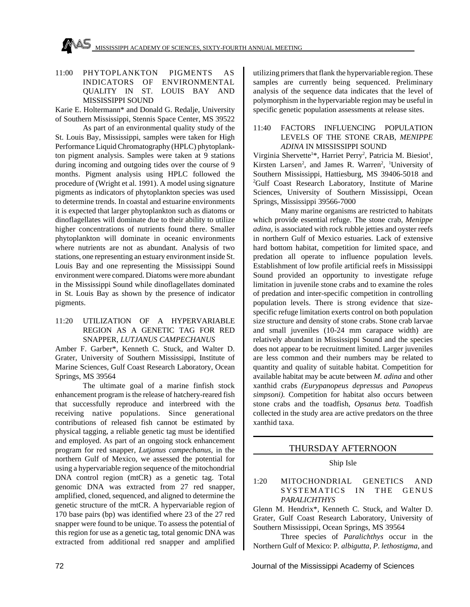MAS MISSISSIPPI ACADEMY OF SCIENCES, SIXTY-FOURTH ANNUAL MEETING

## 11:00 PHYTOPLANKTON PIGMENTS AS INDICATORS OF ENVIRONMENTAL QUALITY IN ST. LOUIS BAY AND MISSISSIPPI SOUND

Karie E. Holtermann\* and Donald G. Redalje, University of Southern Mississippi, Stennis Space Center, MS 39522

As part of an environmental quality study of the St. Louis Bay, Mississippi, samples were taken for High Performance Liquid Chromatography (HPLC) phytoplankton pigment analysis. Samples were taken at 9 stations during incoming and outgoing tides over the course of 9 months. Pigment analysis using HPLC followed the procedure of (Wright et al. 1991). A model using signature pigments as indicators of phytoplankton species was used to determine trends. In coastal and estuarine environments it is expected that larger phytoplankton such as diatoms or dinoflagellates will dominate due to their ability to utilize higher concentrations of nutrients found there. Smaller phytoplankton will dominate in oceanic environments where nutrients are not as abundant. Analysis of two stations, one representing an estuary environment inside St. Louis Bay and one representing the Mississippi Sound environment were compared. Diatoms were more abundant in the Mississippi Sound while dinoflagellates dominated in St. Louis Bay as shown by the presence of indicator pigments.

## 11:20 UTILIZATION OF A HYPERVARIABLE REGION AS A GENETIC TAG FOR RED SNAPPER, *LUTJANUS CAMPECHANUS*

Amber F. Garber\*, Kenneth C. Stuck, and Walter D. Grater, University of Southern Mississippi, Institute of Marine Sciences, Gulf Coast Research Laboratory, Ocean Springs, MS 39564

The ultimate goal of a marine finfish stock enhancement program is the release of hatchery-reared fish that successfully reproduce and interbreed with the receiving native populations. Since generational contributions of released fish cannot be estimated by physical tagging, a reliable genetic tag must be identified and employed. As part of an ongoing stock enhancement program for red snapper, *Lutjanus campechanus*, in the northern Gulf of Mexico, we assessed the potential for using a hypervariable region sequence of the mitochondrial DNA control region (mtCR) as a genetic tag. Total genomic DNA was extracted from 27 red snapper, amplified, cloned, sequenced, and aligned to determine the genetic structure of the mtCR. A hypervariable region of 170 base pairs (bp) was identified where 23 of the 27 red snapper were found to be unique. To assess the potential of this region for use as a genetic tag, total genomic DNA was extracted from additional red snapper and amplified

utilizing primers that flank the hypervariable region. These samples are currently being sequenced. Preliminary analysis of the sequence data indicates that the level of polymorphism in the hypervariable region may be useful in specific genetic population assessments at release sites.

#### 11:40 FACTORS INFLUENCING POPULATION LEVELS OF THE STONE CRAB, *MENIPPE ADINA* IN MISSISSIPPI SOUND

Virginia Shervette<sup>1\*</sup>, Harriet Perry<sup>2</sup>, Patricia M. Biesiot<sup>1</sup>, Kirsten Larsen<sup>2</sup>, and James R. Warren<sup>2</sup>, <sup>1</sup>University of Southern Mississippi, Hattiesburg, MS 39406-5018 and <sup>2</sup>Gulf Coast Research Laboratory, Institute of Marine Sciences, University of Southern Mississippi, Ocean Springs, Mississippi 39566-7000

Many marine organisms are restricted to habitats which provide essential refuge. The stone crab, *Menippe adina*, is associated with rock rubble jetties and oyster reefs in northern Gulf of Mexico estuaries. Lack of extensive hard bottom habitat, competition for limited space, and predation all operate to influence population levels. Establishment of low profile artificial reefs in Mississippi Sound provided an opportunity to investigate refuge limitation in juvenile stone crabs and to examine the roles of predation and inter-specific competition in controlling population levels. There is strong evidence that sizespecific refuge limitation exerts control on both population size structure and density of stone crabs. Stone crab larvae and small juveniles (10-24 mm carapace width) are relatively abundant in Mississippi Sound and the species does not appear to be recruitment limited. Larger juveniles are less common and their numbers may be related to quantity and quality of suitable habitat. Competition for available habitat may be acute between *M. adina* and other xanthid crabs *(Eurypanopeus depressus* and *Panopeus simpsoni).* Competition for habitat also occurs between stone crabs and the toadfish, *Opsanus beta.* Toadfish collected in the study area are active predators on the three xanthid taxa.

## THURSDAY AFTERNOON

### Ship Isle

1:20 MITOCHONDRIAL GENETICS AND SYSTEMATICS IN THE GENUS *PARALICHTHYS*

Glenn M. Hendrix\*, Kenneth C. Stuck, and Walter D. Grater, Gulf Coast Research Laboratory, University of Southern Mississippi, Ocean Springs, MS 39564

Three species of *Paralichthys* occur in the Northern Gulf of Mexico: P*. albigutta*, *P. lethostigma*, and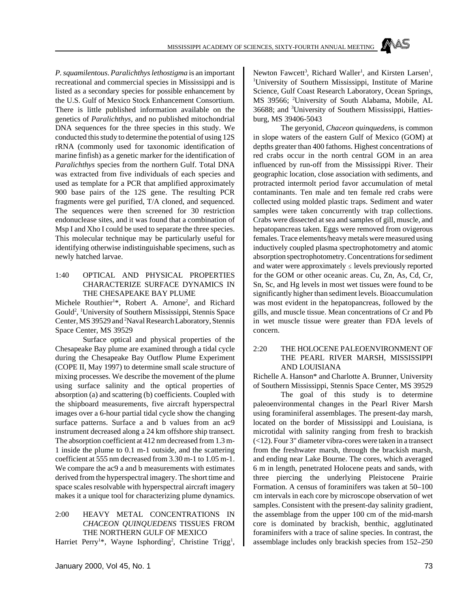*P. squamilentous*. *Paralichthys lethostigma* is an important recreational and commercial species in Mississippi and is listed as a secondary species for possible enhancement by the U.S. Gulf of Mexico Stock Enhancement Consortium. There is little published information available on the genetics of *Paralichthys*, and no published mitochondrial DNA sequences for the three species in this study. We conducted this study to determine the potential of using 12S rRNA (commonly used for taxonomic identification of marine finfish) as a genetic marker for the identification of *Paralichthys* species from the northern Gulf. Total DNA was extracted from five individuals of each species and used as template for a PCR that amplified approximately 900 base pairs of the 12S gene. The resulting PCR fragments were gel purified, T/A cloned, and sequenced. The sequences were then screened for 30 restriction endonuclease sites, and it was found that a combination of Msp I and Xho I could be used to separate the three species. This molecular technique may be particularly useful for identifying otherwise indistinguishable specimens, such as newly hatched larvae.

#### 1:40 OPTICAL AND PHYSICAL PROPERTIES CHARACTERIZE SURFACE DYNAMICS IN THE CHESAPEAKE BAY PLUME

Michele Routhier<sup>1\*</sup>, Robert A. Arnone<sup>2</sup>, and Richard Gould<sup>2</sup>, <sup>1</sup>University of Southern Mississippi, Stennis Space Center, MS 39529 and <sup>2</sup>Naval Research Laboratory, Stennis Space Center, MS 39529

Surface optical and physical properties of the Chesapeake Bay plume are examined through a tidal cycle during the Chesapeake Bay Outflow Plume Experiment (COPE II, May 1997) to determine small scale structure of mixing processes. We describe the movement of the plume using surface salinity and the optical properties of absorption (a) and scattering (b) coefficients. Coupled with the shipboard measurements, five aircraft hyperspectral images over a 6-hour partial tidal cycle show the changing surface patterns. Surface a and b values from an ac9 instrument decreased along a 24 km offshore ship transect. The absorption coefficient at 412 nm decreased from 1.3 m-1 inside the plume to 0.1 m-1 outside, and the scattering coefficient at 555 nm decreased from 3.30 m-1 to 1.05 m-1. We compare the ac9 a and b measurements with estimates derived from the hyperspectral imagery. The short time and space scales resolvable with hyperspectral aircraft imagery makes it a unique tool for characterizing plume dynamics.

# 2:00 HEAVY METAL CONCENTRATIONS IN *CHACEON QUINQUEDENS* TISSUES FROM THE NORTHERN GULF OF MEXICO

Harriet Perry<sup>1\*</sup>, Wayne Isphording<sup>2</sup>, Christine Trigg<sup>1</sup>,

Newton Fawcett<sup>3</sup>, Richard Waller<sup>1</sup>, and Kirsten Larsen<sup>1</sup>, <sup>1</sup>University of Southern Mississippi, Institute of Marine Science, Gulf Coast Research Laboratory, Ocean Springs, MS 39566; <sup>2</sup>University of South Alabama, Mobile, AL 36688; and 3University of Southern Mississippi, Hattiesburg, MS 39406-5043

The geryonid, *Chaceon quinquedens*, is common in slope waters of the eastern Gulf of Mexico (GOM) at depths greater than 400 fathoms. Highest concentrations of red crabs occur in the north central GOM in an area influenced by run-off from the Mississippi River. Their geographic location, close association with sediments, and protracted intermolt period favor accumulation of metal contaminants. Ten male and ten female red crabs were collected using molded plastic traps. Sediment and water samples were taken concurrently with trap collections. Crabs were dissected at sea and samples of gill, muscle, and hepatopancreas taken. Eggs were removed from ovigerous females. Trace elements/heavy metals were measured using inductively coupled plasma spectrophotometry and atomic absorption spectrophotometry. Concentrations for sediment and water were approximately  $\leq$  levels previously reported for the GOM or other oceanic areas. Cu, Zn, As, Cd, Cr, Sn, Sc, and Hg levels in most wet tissues were found to be significantly higher than sediment levels. Bioaccumulation was most evident in the hepatopancreas, followed by the gills, and muscle tissue. Mean concentrations of Cr and Pb in wet muscle tissue were greater than FDA levels of concern.

#### 2:20 THE HOLOCENE PALEOENVIRONMENT OF THE PEARL RIVER MARSH, MISSISSIPPI AND LOUISIANA

Richelle A. Hanson\* and Charlotte A. Brunner, University of Southern Mississippi, Stennis Space Center, MS 39529

The goal of this study is to determine paleoenvironmental changes in the Pearl River Marsh using foraminiferal assemblages. The present-day marsh, located on the border of Mississippi and Louisiana, is microtidal with salinity ranging from fresh to brackish (<12). Four 3" diameter vibra-cores were taken in a transect from the freshwater marsh, through the brackish marsh, and ending near Lake Bourne. The cores, which averaged 6 m in length, penetrated Holocene peats and sands, with three piercing the underlying Pleistocene Prairie Formation. A census of foraminifers was taken at 50–100 cm intervals in each core by microscope observation of wet samples. Consistent with the present-day salinity gradient, the assemblage from the upper 100 cm of the mid-marsh core is dominated by brackish, benthic, agglutinated foraminifers with a trace of saline species. In contrast, the assemblage includes only brackish species from 152–250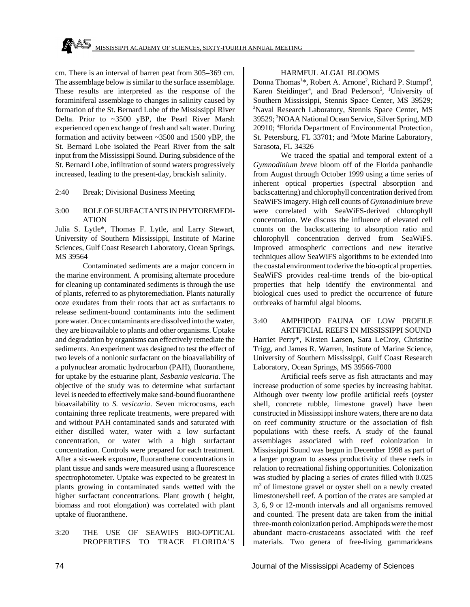cm. There is an interval of barren peat from 305–369 cm. The assemblage below is similar to the surface assemblage. These results are interpreted as the response of the foraminiferal assemblage to changes in salinity caused by formation of the St. Bernard Lobe of the Mississippi River Delta. Prior to ~3500 yBP, the Pearl River Marsh experienced open exchange of fresh and salt water. During formation and activity between ~3500 and 1500 yBP, the St. Bernard Lobe isolated the Pearl River from the salt input from the Mississippi Sound. During subsidence of the St. Bernard Lobe, infiltration of sound waters progressively increased, leading to the present-day, brackish salinity.

2:40 Break; Divisional Business Meeting

#### 3:00 ROLE OF SURFACTANTS IN PHYTOREMEDI-ATION

Julia S. Lytle\*, Thomas F. Lytle, and Larry Stewart, University of Southern Mississippi, Institute of Marine Sciences, Gulf Coast Research Laboratory, Ocean Springs, MS 39564

Contaminated sediments are a major concern in the marine environment. A promising alternate procedure for cleaning up contaminated sediments is through the use of plants, referred to as phytoremediation. Plants naturally ooze exudates from their roots that act as surfactants to release sediment-bound contaminants into the sediment pore water. Once contaminants are dissolved into the water, they are bioavailable to plants and other organisms. Uptake and degradation by organisms can effectively remediate the sediments. An experiment was designed to test the effect of two levels of a nonionic surfactant on the bioavailability of a polynuclear aromatic hydrocarbon (PAH), fluoranthene, for uptake by the estuarine plant, *Sesbania vesicaria*. The objective of the study was to determine what surfactant level is needed to effectively make sand-bound fluoranthene bioavailability to *S. vesicaria*. Seven microcosms, each containing three replicate treatments, were prepared with and without PAH contaminated sands and saturated with either distilled water, water with a low surfactant concentration, or water with a high surfactant concentration. Controls were prepared for each treatment. After a six-week exposure, fluoranthene concentrations in plant tissue and sands were measured using a fluorescence spectrophotometer. Uptake was expected to be greatest in plants growing in contaminated sands wetted with the higher surfactant concentrations. Plant growth ( height, biomass and root elongation) was correlated with plant uptake of fluoranthene.

3:20 THE USE OF SEAWIFS BIO-OPTICAL PROPERTIES TO TRACE FLORIDA'S

#### HARMFUL ALGAL BLOOMS

Donna Thomas<sup>1\*</sup>, Robert A. Arnone<sup>2</sup>, Richard P. Stumpf<sup>3</sup>, Karen Steidinger<sup>4</sup>, and Brad Pederson<sup>5</sup>, <sup>1</sup>University of Southern Mississippi, Stennis Space Center, MS 39529; <sup>2</sup>Naval Research Laboratory, Stennis Space Center, MS 39529; <sup>3</sup>NOAA National Ocean Service, Silver Spring, MD 20910; <sup>4</sup>Florida Department of Environmental Protection, St. Petersburg, FL 33701; and <sup>5</sup>Mote Marine Laboratory, Sarasota, FL 34326

We traced the spatial and temporal extent of a *Gymnodinium breve* bloom off of the Florida panhandle from August through October 1999 using a time series of inherent optical properties (spectral absorption and backscattering) and chlorophyll concentration derived from SeaWiFS imagery. High cell counts of *Gymnodinium breve* were correlated with SeaWiFS-derived chlorophyll concentration. We discuss the influence of elevated cell counts on the backscattering to absorption ratio and chlorophyll concentration derived from SeaWiFS. Improved atmospheric corrections and new iterative techniques allow SeaWiFS algorithms to be extended into the coastal environment to derive the bio-optical properties. SeaWiFS provides real-time trends of the bio-optical properties that help identify the environmental and biological cues used to predict the occurrence of future outbreaks of harmful algal blooms.

3:40 AMPHIPOD FAUNA OF LOW PROFILE ARTIFICIAL REEFS IN MISSISSIPPI SOUND Harriet Perry\*, Kirsten Larsen, Sara LeCroy, Christine Trigg, and James R. Warren, Institute of Marine Science, University of Southern Mississippi, Gulf Coast Research Laboratory, Ocean Springs, MS 39566-7000

Artificial reefs serve as fish attractants and may increase production of some species by increasing habitat. Although over twenty low profile artificial reefs (oyster shell, concrete rubble, limestone gravel) have been constructed in Mississippi inshore waters, there are no data on reef community structure or the association of fish populations with these reefs. A study of the faunal assemblages associated with reef colonization in Mississippi Sound was begun in December 1998 as part of a larger program to assess productivity of these reefs in relation to recreational fishing opportunities. Colonization was studied by placing a series of crates filled with 0.025 m<sup>3</sup> of limestone gravel or oyster shell on a newly created limestone/shell reef. A portion of the crates are sampled at 3, 6, 9 or 12-month intervals and all organisms removed and counted. The present data are taken from the initial three-month colonization period. Amphipods were the most abundant macro-crustaceans associated with the reef materials. Two genera of free-living gammarideans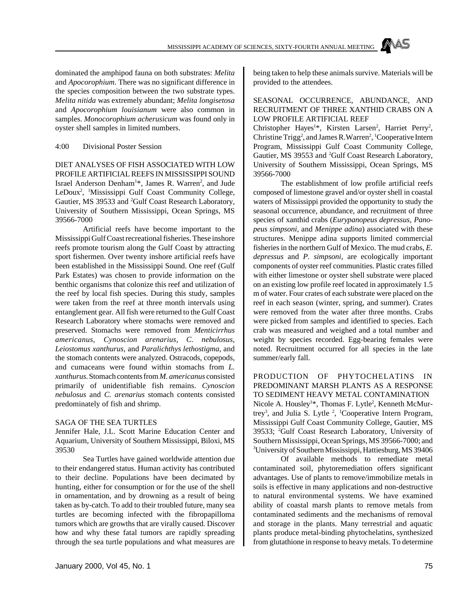dominated the amphipod fauna on both substrates: *Melita* and *Apocorophium*. There was no significant difference in the species composition between the two substrate types. *Melita nitida* was extremely abundant; *Melita longisetosa* and *Apocorophium louisianum* were also common in samples. *Monocorophium acherusicum* was found only in oyster shell samples in limited numbers.

4:00 Divisional Poster Session

DIET ANALYSES OF FISH ASSOCIATED WITH LOW PROFILE ARTIFICIAL REEFS IN MISSISSIPPI SOUND Israel Anderson Denham<sup>1\*</sup>, James R. Warren<sup>2</sup>, and Jude LeDoux<sup>2</sup>, <sup>1</sup>Mississippi Gulf Coast Community College, Gautier, MS 39533 and <sup>2</sup>Gulf Coast Research Laboratory, University of Southern Mississippi, Ocean Springs, MS 39566-7000

Artificial reefs have become important to the Mississippi Gulf Coast recreational fisheries. These inshore reefs promote tourism along the Gulf Coast by attracting sport fishermen. Over twenty inshore artificial reefs have been established in the Mississippi Sound. One reef (Gulf Park Estates) was chosen to provide information on the benthic organisms that colonize this reef and utilization of the reef by local fish species. During this study, samples were taken from the reef at three month intervals using entanglement gear. All fish were returned to the Gulf Coast Research Laboratory where stomachs were removed and preserved. Stomachs were removed from *Menticirrhus americanus*, *Cynoscion arenarius*, *C. nebulosus*, *Leiostomus xanthurus*, and *Paralichthys lethostigma*, and the stomach contents were analyzed. Ostracods, copepods, and cumaceans were found within stomachs from *L. xanthurus*. Stomach contents from *M. americanus* consisted primarily of unidentifiable fish remains. *Cynoscion nebulosus* and *C. arenarius* stomach contents consisted predominately of fish and shrimp.

#### SAGA OF THE SEA TURTLES

Jennifer Hale, J.L. Scott Marine Education Center and Aquarium, University of Southern Mississippi, Biloxi, MS 39530

Sea Turtles have gained worldwide attention due to their endangered status. Human activity has contributed to their decline. Populations have been decimated by hunting, either for consumption or for the use of the shell in ornamentation, and by drowning as a result of being taken as by-catch. To add to their troubled future, many sea turtles are becoming infected with the fibropapilloma tumors which are growths that are virally caused. Discover how and why these fatal tumors are rapidly spreading through the sea turtle populations and what measures are being taken to help these animals survive. Materials will be provided to the attendees.

#### SEASONAL OCCURRENCE, ABUNDANCE, AND RECRUITMENT OF THREE XANTHID CRABS ON A LOW PROFILE ARTIFICIAL REEF

Christopher Hayes<sup>1\*</sup>, Kirsten Larsen<sup>2</sup>, Harriet Perry<sup>2</sup>, Christine Trigg<sup>2</sup>, and James R. Warren<sup>2</sup>, <sup>1</sup>Cooperative Intern Program, Mississippi Gulf Coast Community College, Gautier, MS 39553 and <sup>2</sup>Gulf Coast Research Laboratory, University of Southern Mississippi, Ocean Springs, MS 39566-7000

The establishment of low profile artificial reefs composed of limestone gravel and/or oyster shell in coastal waters of Mississippi provided the opportunity to study the seasonal occurrence, abundance, and recruitment of three species of xanthid crabs (*Eurypanopeus depressus*, *Panopeus simpsoni*, and *Menippe adina*) associated with these structures. Menippe adina supports limited commercial fisheries in the northern Gulf of Mexico. The mud crabs, *E. depressus* and *P. simpsoni*, are ecologically important components of oyster reef communities. Plastic crates filled with either limestone or oyster shell substrate were placed on an existing low profile reef located in approximately 1.5 m of water. Four crates of each substrate were placed on the reef in each season (winter, spring, and summer). Crates were removed from the water after three months. Crabs were picked from samples and identified to species. Each crab was measured and weighed and a total number and weight by species recorded. Egg-bearing females were noted. Recruitment occurred for all species in the late summer/early fall.

PRODUCTION OF PHYTOCHELATINS IN PREDOMINANT MARSH PLANTS AS A RESPONSE TO SEDIMENT HEAVY METAL CONTAMINATION Nicole A. Housley<sup>1\*</sup>, Thomas F. Lytle<sup>2</sup>, Kenneth McMurtrey<sup>3</sup>, and Julia S. Lytle <sup>2</sup>, <sup>1</sup>Cooperative Intern Program, Mississippi Gulf Coast Community College, Gautier, MS 39533; <sup>2</sup>Gulf Coast Research Laboratory, University of Southern Mississippi, Ocean Springs, MS 39566-7000; and <sup>3</sup>University of Southern Mississippi, Hattiesburg, MS 39406

Of available methods to remediate metal contaminated soil, phytoremediation offers significant advantages. Use of plants to remove/immobilize metals in soils is effective in many applications and non-destructive to natural environmental systems. We have examined ability of coastal marsh plants to remove metals from contaminated sediments and the mechanisms of removal and storage in the plants. Many terrestrial and aquatic plants produce metal-binding phytochelatins, synthesized from glutathione in response to heavy metals. To determine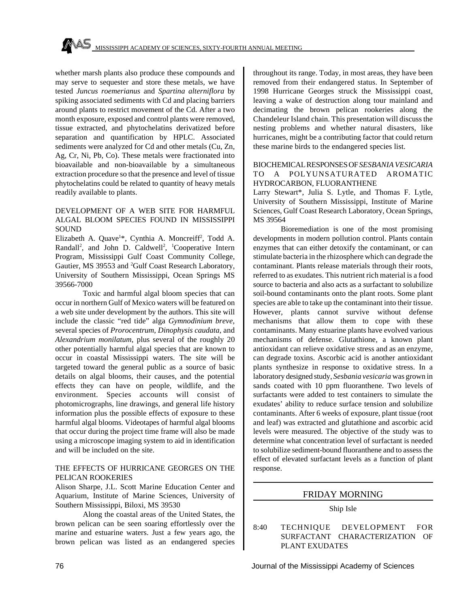whether marsh plants also produce these compounds and may serve to sequester and store these metals, we have tested *Juncus roemerianus* and *Spartina alterniflora* by spiking associated sediments with Cd and placing barriers around plants to restrict movement of the Cd. After a two month exposure, exposed and control plants were removed, tissue extracted, and phytochelatins derivatized before separation and quantification by HPLC. Associated sediments were analyzed for Cd and other metals (Cu, Zn, Ag, Cr, Ni, Pb, Co). These metals were fractionated into bioavailable and non-bioavailable by a simultaneous extraction procedure so that the presence and level of tissue phytochelatins could be related to quantity of heavy metals readily available to plants.

#### DEVELOPMENT OF A WEB SITE FOR HARMFUL ALGAL BLOOM SPECIES FOUND IN MISSISSIPPI SOUND

Elizabeth A. Quave<sup>1\*</sup>, Cynthia A. Moncreiff<sup>2</sup>, Todd A. Randall<sup>2</sup>, and John D. Caldwell<sup>2</sup>, <sup>1</sup>Cooperative Intern Program, Mississippi Gulf Coast Community College, Gautier, MS 39553 and <sup>2</sup>Gulf Coast Research Laboratory, University of Southern Mississippi, Ocean Springs MS 39566-7000

Toxic and harmful algal bloom species that can occur in northern Gulf of Mexico waters will be featured on a web site under development by the authors. This site will include the classic "red tide" alga *Gymnodinium breve*, several species of *Prorocentrum*, *Dinophysis caudata*, and *Alexandrium monilatum*, plus several of the roughly 20 other potentially harmful algal species that are known to occur in coastal Mississippi waters. The site will be targeted toward the general public as a source of basic details on algal blooms, their causes, and the potential effects they can have on people, wildlife, and the environment. Species accounts will consist of photomicrographs, line drawings, and general life history information plus the possible effects of exposure to these harmful algal blooms. Videotapes of harmful algal blooms that occur during the project time frame will also be made using a microscope imaging system to aid in identification and will be included on the site.

#### THE EFFECTS OF HURRICANE GEORGES ON THE PELICAN ROOKERIES

Alison Sharpe, J.L. Scott Marine Education Center and Aquarium, Institute of Marine Sciences, University of Southern Mississippi, Biloxi, MS 39530

Along the coastal areas of the United States, the brown pelican can be seen soaring effortlessly over the marine and estuarine waters. Just a few years ago, the brown pelican was listed as an endangered species throughout its range. Today, in most areas, they have been removed from their endangered status. In September of 1998 Hurricane Georges struck the Mississippi coast, leaving a wake of destruction along tour mainland and decimating the brown pelican rookeries along the Chandeleur Island chain. This presentation will discuss the nesting problems and whether natural disasters, like hurricanes, might be a contributing factor that could return these marine birds to the endangered species list.

#### BIOCHEMICAL RESPONSES OF *SESBANIA VESICARIA* TO A POLYUNSATURATED AROMATIC HYDROCARBON, FLUORANTHENE

Larry Stewart\*, Julia S. Lytle, and Thomas F. Lytle, University of Southern Mississippi, Institute of Marine Sciences, Gulf Coast Research Laboratory, Ocean Springs, MS 39564

Bioremediation is one of the most promising developments in modern pollution control. Plants contain enzymes that can either detoxify the contaminant, or can stimulate bacteria in the rhizosphere which can degrade the contaminant. Plants release materials through their roots, referred to as exudates. This nutrient rich material is a food source to bacteria and also acts as a surfactant to solubilize soil-bound contaminants onto the plant roots. Some plant species are able to take up the contaminant into their tissue. However, plants cannot survive without defense mechanisms that allow them to cope with these contaminants. Many estuarine plants have evolved various mechanisms of defense. Glutathione, a known plant antioxidant can relieve oxidative stress and as an enzyme, can degrade toxins. Ascorbic acid is another antioxidant plants synthesize in response to oxidative stress. In a laboratory designed study, *Sesbania vesicaria* was grown in sands coated with 10 ppm fluoranthene. Two levels of surfactants were added to test containers to simulate the exudates' ability to reduce surface tension and solubilize contaminants. After 6 weeks of exposure, plant tissue (root and leaf) was extracted and glutathione and ascorbic acid levels were measured. The objective of the study was to determine what concentration level of surfactant is needed to solubilize sediment-bound fluoranthene and to assess the effect of elevated surfactant levels as a function of plant response.

# FRIDAY MORNING

#### Ship Isle

8:40 TECHNIQUE DEVELOPMENT FOR SURFACTANT CHARACTERIZATION OF PLANT EXUDATES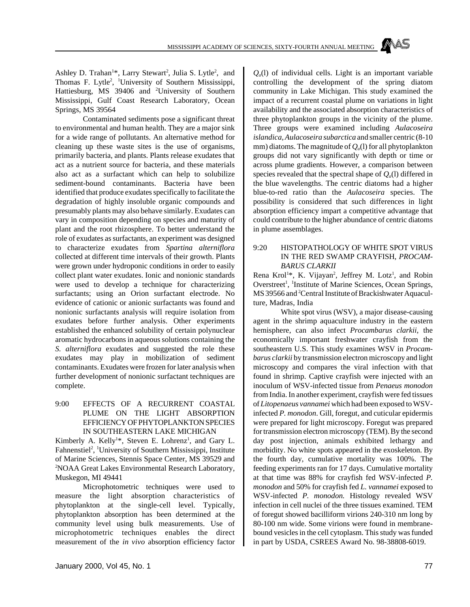Ashley D. Trahan<sup>1\*</sup>, Larry Stewart<sup>2</sup>, Julia S. Lytle<sup>2</sup>, and Thomas F. Lytle<sup>2</sup>, <sup>1</sup>University of Southern Mississippi, Hattiesburg, MS 39406 and <sup>2</sup>University of Southern Mississippi, Gulf Coast Research Laboratory, Ocean Springs, MS 39564

Contaminated sediments pose a significant threat to environmental and human health. They are a major sink for a wide range of pollutants. An alternative method for cleaning up these waste sites is the use of organisms, primarily bacteria, and plants. Plants release exudates that act as a nutrient source for bacteria, and these materials also act as a surfactant which can help to solubilize sediment-bound contaminants. Bacteria have been identified that produce exudates specifically to facilitate the degradation of highly insoluble organic compounds and presumably plants may also behave similarly. Exudates can vary in composition depending on species and maturity of plant and the root rhizosphere. To better understand the role of exudates as surfactants, an experiment was designed to characterize exudates from *Spartina alterniflora* collected at different time intervals of their growth. Plants were grown under hydroponic conditions in order to easily collect plant water exudates. Ionic and nonionic standards were used to develop a technique for characterizing surfactants; using an Orion surfactant electrode. No evidence of cationic or anionic surfactants was found and nonionic surfactants analysis will require isolation from exudates before further analysis. Other experiments established the enhanced solubility of certain polynuclear aromatic hydrocarbons in aqueous solutions containing the *S. alterniflora* exudates and suggested the role these exudates may play in mobilization of sediment contaminants. Exudates were frozen for later analysis when further development of nonionic surfactant techniques are complete.

#### 9:00 EFFECTS OF A RECURRENT COASTAL PLUME ON THE LIGHT ABSORPTION EFFICIENCY OF PHYTOPLANKTON SPECIES IN SOUTHEASTERN LAKE MICHIGAN

Kimberly A. Kelly<sup>1\*</sup>, Steven E. Lohrenz<sup>1</sup>, and Gary L. Fahnenstiel<sup>2</sup>, <sup>1</sup>University of Southern Mississippi, Institute of Marine Sciences, Stennis Space Center, MS 39529 and <sup>2</sup>NOAA Great Lakes Environmental Research Laboratory, Muskegon, MI 49441

Microphotometric techniques were used to measure the light absorption characteristics of phytoplankton at the single-cell level. Typically, phytoplankton absorption has been determined at the community level using bulk measurements. Use of microphotometric techniques enables the direct measurement of the *in vivo* absorption efficiency factor

 $Q_a(1)$  of individual cells. Light is an important variable controlling the development of the spring diatom community in Lake Michigan. This study examined the impact of a recurrent coastal plume on variations in light availability and the associated absorption characteristics of three phytoplankton groups in the vicinity of the plume. Three groups were examined including *Aulacoseira islandica, Aulacoseira subarctica* and smaller centric (8-10 mm) diatoms. The magnitude of  $Q_a(1)$  for all phytoplankton groups did not vary significantly with depth or time or across plume gradients. However, a comparison between species revealed that the spectral shape of  $Q_a(1)$  differed in the blue wavelengths. The centric diatoms had a higher blue-to-red ratio than the *Aulacoseira* species. The possibility is considered that such differences in light absorption efficiency impart a competitive advantage that could contribute to the higher abundance of centric diatoms in plume assemblages.

#### 9:20 HISTOPATHOLOGY OF WHITE SPOT VIRUS IN THE RED SWAMP CRAYFISH, *PROCAM-BARUS CLARKII*

Rena Krol<sup>1\*</sup>, K. Vijayan<sup>2</sup>, Jeffrey M. Lotz<sup>1</sup>, and Robin Overstreet<sup>1</sup>, <sup>1</sup>Institute of Marine Sciences, Ocean Springs, MS 39566 and <sup>2</sup>Central Institute of Brackishwater Aquaculture, Madras, India

White spot virus (WSV), a major disease-causing agent in the shrimp aquaculture industry in the eastern hemisphere, can also infect *Procambarus clarkii*, the economically important freshwater crayfish from the southeastern U.S. This study examines WSV in *Procambarus clarkii* by transmission electron microscopy and light microscopy and compares the viral infection with that found in shrimp. Captive crayfish were injected with an inoculum of WSV-infected tissue from *Penaeus monodon* from India. In another experiment, crayfish were fed tissues of *Litopenaeus vannamei* which had been exposed to WSVinfected *P. monodon*. Gill, foregut, and cuticular epidermis were prepared for light microscopy. Foregut was prepared for transmission electron microscopy (TEM). By the second day post injection, animals exhibited lethargy and morbidity. No white spots appeared in the exoskeleton. By the fourth day, cumulative mortality was 100%. The feeding experiments ran for 17 days. Cumulative mortality at that time was 88% for crayfish fed WSV-infected *P. monodon* and 50% for crayfish fed *L. vannamei* exposed to WSV-infected *P. monodon.* Histology revealed WSV infection in cell nuclei of the three tissues examined. TEM of foregut showed bacilliform virions 240-310 nm long by 80-100 nm wide. Some virions were found in membranebound vesicles in the cell cytoplasm. This study was funded in part by USDA, CSREES Award No. 98-38808-6019.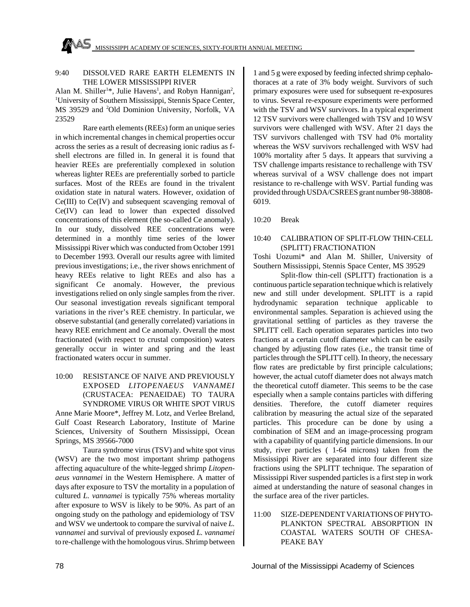# 9:40 DISSOLVED RARE EARTH ELEMENTS IN THE LOWER MISSISSIPPI RIVER

Alan M. Shiller<sup>1\*</sup>, Julie Havens<sup>1</sup>, and Robyn Hannigan<sup>2</sup>, <sup>1</sup>University of Southern Mississippi, Stennis Space Center, MS 39529 and <sup>2</sup>Old Dominion University, Norfolk, VA 23529

Rare earth elements (REEs) form an unique series in which incremental changes in chemical properties occur across the series as a result of decreasing ionic radius as fshell electrons are filled in. In general it is found that heavier REEs are preferentially complexed in solution whereas lighter REEs are preferentially sorbed to particle surfaces. Most of the REEs are found in the trivalent oxidation state in natural waters. However, oxidation of Ce(III) to Ce(IV) and subsequent scavenging removal of Ce(IV) can lead to lower than expected dissolved concentrations of this element (the so-called Ce anomaly). In our study, dissolved REE concentrations were determined in a monthly time series of the lower Mississippi River which was conducted from October 1991 to December 1993. Overall our results agree with limited previous investigations; i.e., the river shows enrichment of heavy REEs relative to light REEs and also has a significant Ce anomaly. However, the previous investigations relied on only single samples from the river. Our seasonal investigation reveals significant temporal variations in the river's REE chemistry. In particular, we observe substantial (and generally correlated) variations in heavy REE enrichment and Ce anomaly. Overall the most fractionated (with respect to crustal composition) waters generally occur in winter and spring and the least fractionated waters occur in summer.

# 10:00 RESISTANCE OF NAIVE AND PREVIOUSLY EXPOSED *LITOPENAEUS VANNAMEI* (CRUSTACEA: PENAEIDAE) TO TAURA SYNDROME VIRUS OR WHITE SPOT VIRUS

Anne Marie Moore\*, Jeffrey M. Lotz, and Verlee Breland, Gulf Coast Research Laboratory, Institute of Marine Sciences, University of Southern Mississippi, Ocean Springs, MS 39566-7000

Taura syndrome virus (TSV) and white spot virus (WSV) are the two most important shrimp pathogens affecting aquaculture of the white-legged shrimp *Litopenaeus vannamei* in the Western Hemisphere. A matter of days after exposure to TSV the mortality in a population of cultured *L. vannamei* is typically 75% whereas mortality after exposure to WSV is likely to be 90%. As part of an ongoing study on the pathology and epidemiology of TSV and WSV we undertook to compare the survival of naive *L. vannamei* and survival of previously exposed *L. vannamei* to re-challenge with the homologous virus. Shrimp between 1 and 5 g were exposed by feeding infected shrimp cephalothoraces at a rate of 3% body weight. Survivors of such primary exposures were used for subsequent re-exposures to virus. Several re-exposure experiments were performed with the TSV and WSV survivors. In a typical experiment 12 TSV survivors were challenged with TSV and 10 WSV survivors were challenged with WSV. After 21 days the TSV survivors challenged with TSV had 0% mortality whereas the WSV survivors rechallenged with WSV had 100% mortality after 5 days. It appears that surviving a TSV challenge imparts resistance to rechallenge with TSV whereas survival of a WSV challenge does not impart resistance to re-challenge with WSV. Partial funding was provided through USDA/CSREES grant number 98-38808- 6019.

10:20 Break

# 10:40 CALIBRATION OF SPLIT-FLOW THIN-CELL (SPLITT) FRACTIONATION

Toshi Uozumi\* and Alan M. Shiller, University of Southern Mississippi, Stennis Space Center, MS 39529

Split-flow thin-cell (SPLITT) fractionation is a continuous particle separation technique which is relatively new and still under development. SPLITT is a rapid hydrodynamic separation technique applicable to environmental samples. Separation is achieved using the gravitational settling of particles as they traverse the SPLITT cell. Each operation separates particles into two fractions at a certain cutoff diameter which can be easily changed by adjusting flow rates (i.e., the transit time of particles through the SPLITT cell). In theory, the necessary flow rates are predictable by first principle calculations; however, the actual cutoff diameter does not always match the theoretical cutoff diameter. This seems to be the case especially when a sample contains particles with differing densities. Therefore, the cutoff diameter requires calibration by measuring the actual size of the separated particles. This procedure can be done by using a combination of SEM and an image-processing program with a capability of quantifying particle dimensions. In our study, river particles ( 1-64 microns) taken from the Mississippi River are separated into four different size fractions using the SPLITT technique. The separation of Mississippi River suspended particles is a first step in work aimed at understanding the nature of seasonal changes in the surface area of the river particles.

#### 11:00 SIZE-DEPENDENT VARIATIONS OF PHYTO-PLANKTON SPECTRAL ABSORPTION IN COASTAL WATERS SOUTH OF CHESA-PEAKE BAY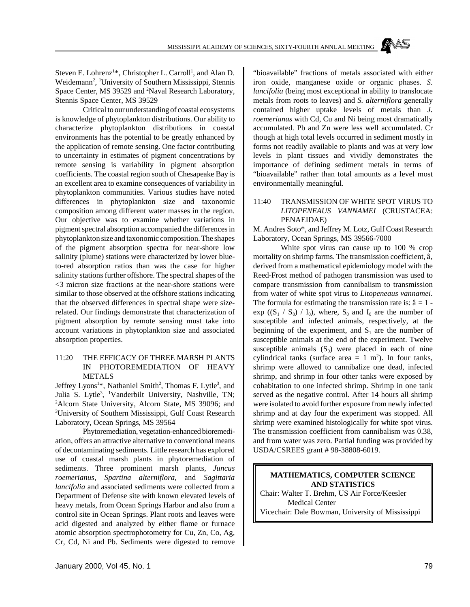MISSISSIPPI ACADEMY OF SCIENCES, SIXTY-FOURTH ANNUAL MEETING

Steven E. Lohrenz<sup>1\*</sup>, Christopher L. Carroll<sup>1</sup>, and Alan D. Weidemann<sup>2</sup>, <sup>1</sup>University of Southern Mississippi, Stennis Space Center, MS 39529 and <sup>2</sup>Naval Research Laboratory, Stennis Space Center, MS 39529

Critical to our understanding of coastal ecosystems is knowledge of phytoplankton distributions. Our ability to characterize phytoplankton distributions in coastal environments has the potential to be greatly enhanced by the application of remote sensing. One factor contributing to uncertainty in estimates of pigment concentrations by remote sensing is variability in pigment absorption coefficients. The coastal region south of Chesapeake Bay is an excellent area to examine consequences of variability in phytoplankton communities. Various studies have noted differences in phytoplankton size and taxonomic composition among different water masses in the region. Our objective was to examine whether variations in pigment spectral absorption accompanied the differences in phytoplankton size and taxonomic composition. The shapes of the pigment absorption spectra for near-shore low salinity (plume) stations were characterized by lower blueto-red absorption ratios than was the case for higher salinity stations further offshore. The spectral shapes of the <3 micron size fractions at the near-shore stations were similar to those observed at the offshore stations indicating that the observed differences in spectral shape were sizerelated. Our findings demonstrate that characterization of pigment absorption by remote sensing must take into account variations in phytoplankton size and associated absorption properties.

#### 11:20 THE EFFICACY OF THREE MARSH PLANTS IN PHOTOREMEDIATION OF HEAVY METALS

Jeffrey Lyons<sup>1\*</sup>, Nathaniel Smith<sup>2</sup>, Thomas F. Lytle<sup>3</sup>, and Julia S. Lytle<sup>3</sup>, <sup>1</sup>Vanderbilt University, Nashville, TN; <sup>2</sup>Alcorn State University, Alcorn State, MS 39096; and <sup>3</sup>University of Southern Mississippi, Gulf Coast Research Laboratory, Ocean Springs, MS 39564

Phytoremediation, vegetation-enhanced bioremediation, offers an attractive alternative to conventional means of decontaminating sediments. Little research has explored use of coastal marsh plants in phytoremediation of sediments. Three prominent marsh plants, *Juncus roemerianus*, *Spartina alterniflora*, and *Sagittaria lancifolia* and associated sediments were collected from a Department of Defense site with known elevated levels of heavy metals, from Ocean Springs Harbor and also from a control site in Ocean Springs. Plant roots and leaves were acid digested and analyzed by either flame or furnace atomic absorption spectrophotometry for Cu, Zn, Co, Ag, Cr, Cd, Ni and Pb. Sediments were digested to remove "bioavailable" fractions of metals associated with either iron oxide, manganese oxide or organic phases. *S. lancifolia* (being most exceptional in ability to translocate metals from roots to leaves) and *S. alterniflora* generally contained higher uptake levels of metals than *J. roemerianus* with Cd, Cu and Ni being most dramatically accumulated. Pb and Zn were less well accumulated. Cr though at high total levels occurred in sediment mostly in forms not readily available to plants and was at very low levels in plant tissues and vividly demonstrates the importance of defining sediment metals in terms of "bioavailable" rather than total amounts as a level most environmentally meaningful.

#### 11:40 TRANSMISSION OF WHITE SPOT VIRUS TO *LITOPENEAUS VANNAMEI* (CRUSTACEA: PENAEIDAE)

M. Andres Soto\*, and Jeffrey M. Lotz, Gulf Coast Research Laboratory, Ocean Springs, MS 39566-7000

White spot virus can cause up to 100 % crop mortality on shrimp farms. The transmission coefficient, â, derived from a mathematical epidemiology model with the Reed-Frost method of pathogen transmission was used to compare transmission from cannibalism to transmission from water of white spot virus to *Litopeneaus vannamei*. The formula for estimating the transmission rate is:  $\hat{a} = 1$  - $\exp ((S_1 / S_0) / I_0)$ , where,  $S_0$  and  $I_0$  are the number of susceptible and infected animals, respectively, at the beginning of the experiment, and  $S_1$  are the number of susceptible animals at the end of the experiment. Twelve susceptible animals  $(S_0)$  were placed in each of nine cylindrical tanks (surface area  $= 1$  m<sup>2</sup>). In four tanks, shrimp were allowed to cannibalize one dead, infected shrimp, and shrimp in four other tanks were exposed by cohabitation to one infected shrimp. Shrimp in one tank served as the negative control. After 14 hours all shrimp were isolated to avoid further exposure from newly infected shrimp and at day four the experiment was stopped. All shrimp were examined histologically for white spot virus. The transmission coefficient from cannibalism was 0.38, and from water was zero. Partial funding was provided by USDA/CSREES grant # 98-38808-6019.

#### **MATHEMATICS, COMPUTER SCIENCE AND STATISTICS**

Chair: Walter T. Brehm, US Air Force/Keesler Medical Center Vicechair: Dale Bowman, University of Mississippi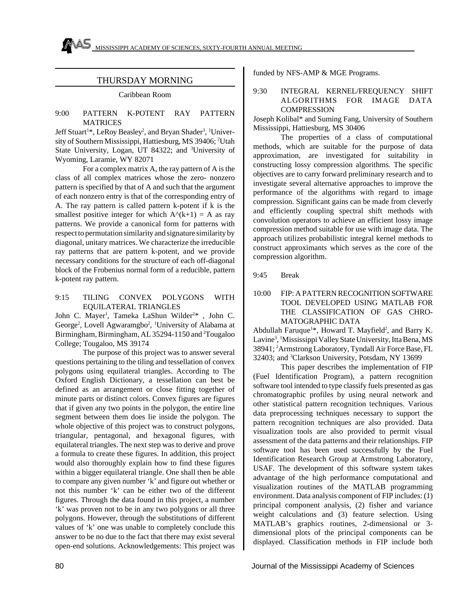# THURSDAY MORNING

#### Caribbean Room

#### 9:00 PATTERN K-POTENT RAY PATTERN **MATRICES**

Jeff Stuart<sup>1\*</sup>, LeRoy Beasley<sup>2</sup>, and Bryan Shader<sup>3</sup>, <sup>1</sup>University of Southern Mississippi, Hattiesburg, MS 39406; <sup>2</sup>Utah State University, Logan, UT 84322; and <sup>3</sup>University of Wyoming, Laramie, WY 82071

For a complex matrix A, the ray pattern of A is the class of all complex matrices whose the zero- nonzero pattern is specified by that of A and such that the argument of each nonzero entry is that of the corresponding entry of A. The ray pattern is called pattern k-potent if k is the smallest positive integer for which  $A^{\wedge}(k+1) = A$  as ray patterns. We provide a canonical form for patterns with respect to permutation similarity and signature similarity by diagonal, unitary matrices. We characterize the irreducible ray patterns that are pattern k-potent, and we provide necessary conditions for the structure of each off-diagonal block of the Frobenius normal form of a reducible, pattern k-potent ray pattern.

#### 9:15 TILING CONVEX POLYGONS WITH EQUILATERAL TRIANGLES

John C. Mayer<sup>1</sup>, Tameka LaShun Wilder<sup>2\*</sup>, John C. George<sup>2</sup>, Lovell Agwaramgbo<sup>2</sup>, <sup>1</sup>University of Alabama at Birmingham, Birmingham, AL 35294-1150 and <sup>2</sup>Tougaloo College; Tougaloo, MS 39174

The purpose of this project was to answer several questions pertaining to the tiling and tessellation of convex polygons using equilateral triangles. According to The Oxford English Dictionary, a tessellation can best be defined as an arrangement or close fitting together of minute parts or distinct colors. Convex figures are figures that if given any two points in the polygon, the entire line segment between them does lie inside the polygon. The whole objective of this project was to construct polygons, triangular, pentagonal, and hexagonal figures, with equilateral triangles. The next step was to derive and prove a formula to create these figures. In addition, this project would also thoroughly explain how to find these figures within a bigger equilateral triangle. One shall then be able to compare any given number 'k' and figure out whether or not this number 'k' can be either two of the different figures. Through the data found in this project, a number 'k' was proven not to be in any two polygons or all three polygons. However, through the substitutions of different values of 'k' one was unable to completely conclude this answer to be no due to the fact that there may exist several open-end solutions. Acknowledgements: This project was funded by NFS-AMP & MGE Programs.

#### 9:30 INTEGRAL KERNEL/FREQUENCY SHIFT ALGORITHMS FOR IMAGE DATA **COMPRESSION**

Joseph Kolibal\* and Suming Fang, University of Southern Mississippi, Hattiesburg, MS 30406

The properties of a class of computational methods, which are suitable for the purpose of data approximation, are investigated for suitability in constructing lossy compression algorithms. The specific objectives are to carry forward preliminary research and to investigate several alternative approaches to improve the performance of the algorithms with regard to image compression. Significant gains can be made from cleverly and efficiently coupling spectral shift methods with convolution operators to achieve an efficient lossy image compression method suitable for use with image data. The approach utilizes probabilistic integral kernel methods to construct approximants which serves as the core of the compression algorithm.

- 9:45 Break
- 10:00 FIP: A PATTERN RECOGNITION SOFTWARE TOOL DEVELOPED USING MATLAB FOR THE CLASSIFICATION OF GAS CHRO-MATOGRAPHIC DATA

Abdullah Faruque<sup>1\*</sup>, Howard T. Mayfield<sup>2</sup>, and Barry K. Lavine<sup>3</sup>, <sup>1</sup>Mississippi Valley State University, Itta Bena, MS 38941; <sup>2</sup>Armstrong Laboratory, Tyndall Air Force Base, FL 32403; and <sup>3</sup>Clarkson University, Potsdam, NY 13699

This paper describes the implementation of FIP (Fuel Identification Program), a pattern recognition software tool intended to type classify fuels presented as gas chromatographic profiles by using neural network and other statistical pattern recognition techniques. Various data preprocessing techniques necessary to support the pattern recognition techniques are also provided. Data visualization tools are also provided to permit visual assessment of the data patterns and their relationships. FIP software tool has been used successfully by the Fuel Identification Research Group at Armstrong Laboratory, USAF. The development of this software system takes advantage of the high performance computational and visualization routines of the MATLAB programming environment. Data analysis component of FIP includes: (1) principal component analysis, (2) fisher and variance weight calculations and (3) feature selection. Using MATLAB's graphics routines, 2-dimensional or 3 dimensional plots of the principal components can be displayed. Classification methods in FIP include both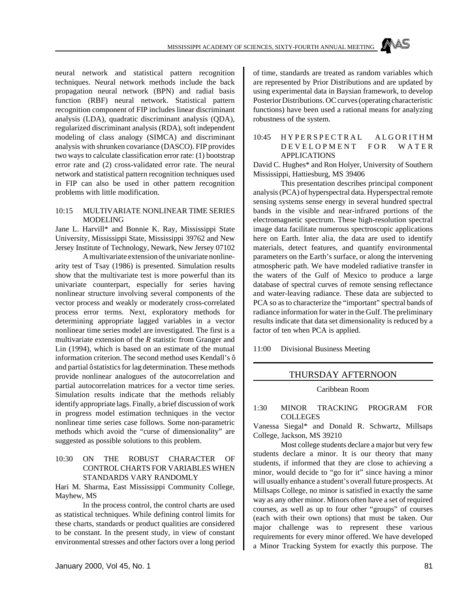neural network and statistical pattern recognition techniques. Neural network methods include the back propagation neural network (BPN) and radial basis function (RBF) neural network. Statistical pattern recognition component of FIP includes linear discriminant analysis (LDA), quadratic discriminant analysis (QDA), regularized discriminant analysis (RDA), soft independent modeling of class analogy (SIMCA) and discriminant analysis with shrunken covariance (DASCO). FIP provides two ways to calculate classification error rate: (1) bootstrap error rate and (2) cross-validated error rate. The neural network and statistical pattern recognition techniques used in FIP can also be used in other pattern recognition problems with little modification.

#### 10:15 MULTIVARIATE NONLINEAR TIME SERIES MODELING

Jane L. Harvill\* and Bonnie K. Ray, Mississippi State University, Mississippi State, Mississippi 39762 and New Jersey Institute of Technology, Newark, New Jersey 07102

A multivariate extension of the univariate nonlinearity test of Tsay (1986) is presented. Simulation results show that the multivariate test is more powerful than its univariate counterpart, especially for series having nonlinear structure involving several components of the vector process and weakly or moderately cross-correlated process error terms. Next, exploratory methods for determining appropriate lagged variables in a vector nonlinear time series model are investigated. The first is a multivariate extension of the *R* statistic from Granger and Lin (1994), which is based on an estimate of the mutual information criterion. The second method uses Kendall's ô and partial ô statistics for lag determination. These methods provide nonlinear analogues of the autocorrelation and partial autocorrelation matrices for a vector time series. Simulation results indicate that the methods reliably identify appropriate lags. Finally, a brief discussion of work in progress model estimation techniques in the vector nonlinear time series case follows. Some non-parametric methods which avoid the "curse of dimensionality" are suggested as possible solutions to this problem.

#### 10:30 ON THE ROBUST CHARACTER OF CONTROL CHARTS FOR VARIABLES WHEN STANDARDS VARY RANDOMLY

Hari M. Sharma, East Mississippi Community College, Mayhew, MS

In the process control, the control charts are used as statistical techniques. While defining control limits for these charts, standards or product qualities are considered to be constant. In the present study, in view of constant environmental stresses and other factors over a long period

of time, standards are treated as random variables which are represented by Prior Distributions and are updated by using experimental data in Baysian framework, to develop Posterior Distributions. OC curves (operating characteristic functions) have been used a rational means for analyzing robustness of the system.

#### 10:45 HYPERSPECTRAL ALGORITHM DEVELOPMENT FOR WATER APPLICATIONS

David C. Hughes\* and Ron Holyer, University of Southern Mississippi, Hattiesburg, MS 39406

This presentation describes principal component analysis (PCA) of hyperspectral data. Hyperspectral remote sensing systems sense energy in several hundred spectral bands in the visible and near-infrared portions of the electromagnetic spectrum. These high-resolution spectral image data facilitate numerous spectroscopic applications here on Earth. Inter alia, the data are used to identify materials, detect features, and quantify environmental parameters on the Earth's surface, or along the intervening atmospheric path. We have modeled radiative transfer in the waters of the Gulf of Mexico to produce a large database of spectral curves of remote sensing reflectance and water-leaving radiance. These data are subjected to PCA so as to characterize the "important" spectral bands of radiance information for water in the Gulf. The preliminary results indicate that data set dimensionality is reduced by a factor of ten when PCA is applied.

11:00 Divisional Business Meeting

# THURSDAY AFTERNOON

#### Caribbean Room

#### 1:30 MINOR TRACKING PROGRAM FOR **COLLEGES**

Vanessa Siegal\* and Donald R. Schwartz, Millsaps College, Jackson, MS 39210

Most college students declare a major but very few students declare a minor. It is our theory that many students, if informed that they are close to achieving a minor, would decide to "go for it" since having a minor will usually enhance a student's overall future prospects. At Millsaps College, no minor is satisfied in exactly the same way as any other minor. Minors often have a set of required courses, as well as up to four other "groups" of courses (each with their own options) that must be taken. Our major challenge was to represent these various requirements for every minor offered. We have developed a Minor Tracking System for exactly this purpose. The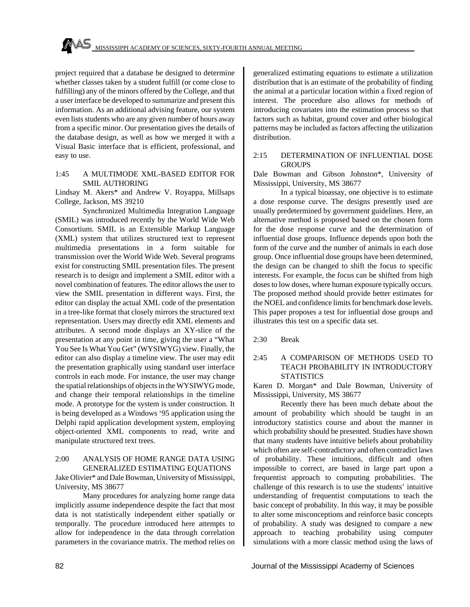project required that a database be designed to determine whether classes taken by a student fulfill (or come close to fulfilling) any of the minors offered by the College, and that a user interface be developed to summarize and present this information. As an additional advising feature, our system even lists students who are any given number of hours away from a specific minor. Our presentation gives the details of the database design, as well as how we merged it with a Visual Basic interface that is efficient, professional, and easy to use.

#### 1:45 A MULTIMODE XML-BASED EDITOR FOR SMIL AUTHORING

Lindsay M. Akers\* and Andrew V. Royappa, Millsaps College, Jackson, MS 39210

Synchronized Multimedia Integration Language (SMIL) was introduced recently by the World Wide Web Consortium. SMIL is an Extensible Markup Language (XML) system that utilizes structured text to represent multimedia presentations in a form suitable for transmission over the World Wide Web. Several programs exist for constructing SMIL presentation files. The present research is to design and implement a SMIL editor with a novel combination of features. The editor allows the user to view the SMIL presentation in different ways. First, the editor can display the actual XML code of the presentation in a tree-like format that closely mirrors the structured text representation. Users may directly edit XML elements and attributes. A second mode displays an XY-slice of the presentation at any point in time, giving the user a "What You See Is What You Get" (WYSIWYG) view. Finally, the editor can also display a timeline view. The user may edit the presentation graphically using standard user interface controls in each mode. For instance, the user may change the spatial relationships of objects in the WYSIWYG mode, and change their temporal relationships in the timeline mode. A prototype for the system is under construction. It is being developed as a Windows '95 application using the Delphi rapid application development system, employing object-oriented XML components to read, write and manipulate structured text trees.

#### 2:00 ANALYSIS OF HOME RANGE DATA USING GENERALIZED ESTIMATING EQUATIONS

Jake Olivier\* and Dale Bowman, University of Mississippi, University, MS 38677

Many procedures for analyzing home range data implicitly assume independence despite the fact that most data is not statistically independent either spatially or temporally. The procedure introduced here attempts to allow for independence in the data through correlation parameters in the covariance matrix. The method relies on generalized estimating equations to estimate a utilization distribution that is an estimate of the probability of finding the animal at a particular location within a fixed region of interest. The procedure also allows for methods of introducing covariates into the estimation process so that factors such as habitat, ground cover and other biological patterns may be included as factors affecting the utilization distribution.

#### 2:15 DETERMINATION OF INFLUENTIAL DOSE **GROUPS**

Dale Bowman and Gibson Johnston\*, University of Mississippi, University, MS 38677

In a typical bioassay, one objective is to estimate a dose response curve. The designs presently used are usually predetermined by government guidelines. Here, an alternative method is proposed based on the chosen form for the dose response curve and the determination of influential dose groups. Influence depends upon both the form of the curve and the number of animals in each dose group. Once influential dose groups have been determined, the design can be changed to shift the focus to specific interests. For example, the focus can be shifted from high doses to low doses, where human exposure typically occurs. The proposed method should provide better estimates for the NOEL and confidence limits for benchmark dose levels. This paper proposes a test for influential dose groups and illustrates this test on a specific data set.

2:30 Break

#### 2:45 A COMPARISON OF METHODS USED TO TEACH PROBABILITY IN INTRODUCTORY **STATISTICS**

Karen D. Morgan\* and Dale Bowman, University of Mississippi, University, MS 38677

Recently there has been much debate about the amount of probability which should be taught in an introductory statistics course and about the manner in which probability should be presented. Studies have shown that many students have intuitive beliefs about probability which often are self-contradictory and often contradict laws of probability. These intuitions, difficult and often impossible to correct, are based in large part upon a frequentist approach to computing probabilities. The challenge of this research is to use the students' intuitive understanding of frequentist computations to teach the basic concept of probability. In this way, it may be possible to alter some misconceptions and reinforce basic concepts of probability. A study was designed to compare a new approach to teaching probability using computer simulations with a more classic method using the laws of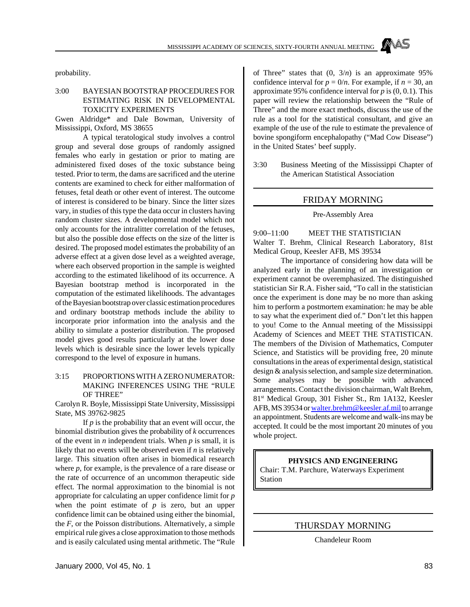probability.

#### 3:00 BAYESIAN BOOTSTRAP PROCEDURES FOR ESTIMATING RISK IN DEVELOPMENTAL TOXICITY EXPERIMENTS

Gwen Aldridge\* and Dale Bowman, University of Mississippi, Oxford, MS 38655

A typical teratological study involves a control group and several dose groups of randomly assigned females who early in gestation or prior to mating are administered fixed doses of the toxic substance being tested. Prior to term, the dams are sacrificed and the uterine contents are examined to check for either malformation of fetuses, fetal death or other event of interest. The outcome of interest is considered to be binary. Since the litter sizes vary, in studies of this type the data occur in clusters having random cluster sizes. A developmental model which not only accounts for the intralitter correlation of the fetuses, but also the possible dose effects on the size of the litter is desired. The proposed model estimates the probability of an adverse effect at a given dose level as a weighted average, where each observed proportion in the sample is weighted according to the estimated likelihood of its occurrence. A Bayesian bootstrap method is incorporated in the computation of the estimated likelihoods. The advantages of the Bayesian bootstrap over classic estimation procedures and ordinary bootstrap methods include the ability to incorporate prior information into the analysis and the ability to simulate a posterior distribution. The proposed model gives good results particularly at the lower dose levels which is desirable since the lower levels typically correspond to the level of exposure in humans.

#### 3:15 PROPORTIONS WITH A ZERO NUMERATOR: MAKING INFERENCES USING THE "RULE OF THREE"

Carolyn R. Boyle, Mississippi State University, Mississippi State, MS 39762-9825

If *p* is the probability that an event will occur, the binomial distribution gives the probability of *k* occurrences of the event in *n* independent trials. When *p* is small, it is likely that no events will be observed even if *n* is relatively large. This situation often arises in biomedical research where *p*, for example, is the prevalence of a rare disease or the rate of occurrence of an uncommon therapeutic side effect. The normal approximation to the binomial is not appropriate for calculating an upper confidence limit for *p* when the point estimate of *p* is zero, but an upper confidence limit can be obtained using either the binomial, the *F*, or the Poisson distributions. Alternatively, a simple empirical rule gives a close approximation to those methods and is easily calculated using mental arithmetic. The "Rule of Three" states that  $(0, 3/n)$  is an approximate 95% confidence interval for  $p = 0/n$ . For example, if  $n = 30$ , an approximate 95% confidence interval for *p* is (0, 0.1). This paper will review the relationship between the "Rule of Three" and the more exact methods, discuss the use of the rule as a tool for the statistical consultant, and give an example of the use of the rule to estimate the prevalence of bovine spongiform encephalopathy ("Mad Cow Disease") in the United States' beef supply.

3:30 Business Meeting of the Mississippi Chapter of the American Statistical Association

#### FRIDAY MORNING

#### Pre-Assembly Area

9:00–11:00 MEET THE STATISTICIAN Walter T. Brehm, Clinical Research Laboratory, 81st Medical Group, Keesler AFB, MS 39534

The importance of considering how data will be analyzed early in the planning of an investigation or experiment cannot be overemphasized. The distinguished statistician Sir R.A. Fisher said, "To call in the statistician once the experiment is done may be no more than asking him to perform a postmortem examination: he may be able to say what the experiment died of." Don't let this happen to you! Come to the Annual meeting of the Mississippi Academy of Sciences and MEET THE STATISTICAN. The members of the Division of Mathematics, Computer Science, and Statistics will be providing free, 20 minute consultations in the areas of experimental design, statistical design & analysis selection, and sample size determination. Some analyses may be possible with advanced arrangements. Contact the division chairman, Walt Brehm, 81st Medical Group, 301 Fisher St., Rm 1A132, Keesler AFB, MS 39534 or walter.brehm@keesler.af.mil to arrange an appointment. Students are welcome and walk-ins may be accepted. It could be the most important 20 minutes of you whole project.

#### **PHYSICS AND ENGINEERING**

Chair: T.M. Parchure, Waterways Experiment Station

# THURSDAY MORNING

Chandeleur Room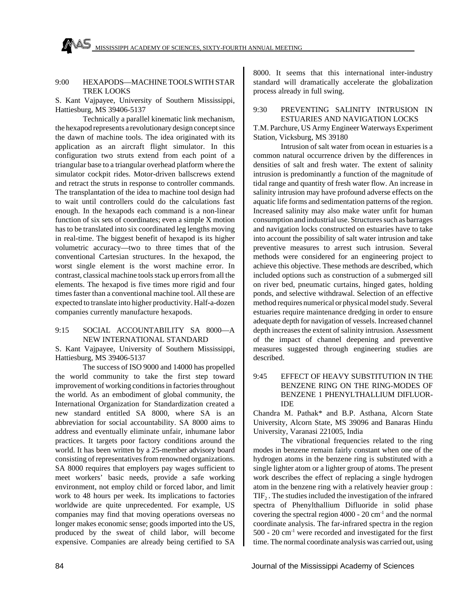#### 9:00 HEXAPODS—MACHINE TOOLS WITH STAR TREK LOOKS

S. Kant Vajpayee, University of Southern Mississippi, Hattiesburg, MS 39406-5137

Technically a parallel kinematic link mechanism, the hexapod represents a revolutionary design concept since the dawn of machine tools. The idea originated with its application as an aircraft flight simulator. In this configuration two struts extend from each point of a triangular base to a triangular overhead platform where the simulator cockpit rides. Motor-driven ballscrews extend and retract the struts in response to controller commands. The transplantation of the idea to machine tool design had to wait until controllers could do the calculations fast enough. In the hexapods each command is a non-linear function of six sets of coordinates; even a simple X motion has to be translated into six coordinated leg lengths moving in real-time. The biggest benefit of hexapod is its higher volumetric accuracy—two to three times that of the conventional Cartesian structures. In the hexapod, the worst single element is the worst machine error. In contrast, classical machine tools stack up errors from all the elements. The hexapod is five times more rigid and four times faster than a conventional machine tool. All these are expected to translate into higher productivity. Half-a-dozen companies currently manufacture hexapods.

#### 9:15 SOCIAL ACCOUNTABILITY SA 8000—A NEW INTERNATIONAL STANDARD

S. Kant Vajpayee, University of Southern Mississippi, Hattiesburg, MS 39406-5137

The success of ISO 9000 and 14000 has propelled the world community to take the first step toward improvement of working conditions in factories throughout the world. As an embodiment of global community, the International Organization for Standardization created a new standard entitled SA 8000, where SA is an abbreviation for social accountability. SA 8000 aims to address and eventually eliminate unfair, inhumane labor practices. It targets poor factory conditions around the world. It has been written by a 25-member advisory board consisting of representatives from renowned organizations. SA 8000 requires that employers pay wages sufficient to meet workers' basic needs, provide a safe working environment, not employ child or forced labor, and limit work to 48 hours per week. Its implications to factories worldwide are quite unprecedented. For example, US companies may find that moving operations overseas no longer makes economic sense; goods imported into the US, produced by the sweat of child labor, will become expensive. Companies are already being certified to SA 8000. It seems that this international inter-industry standard will dramatically accelerate the globalization process already in full swing.

#### 9:30 PREVENTING SALINITY INTRUSION IN ESTUARIES AND NAVIGATION LOCKS

T.M. Parchure, US Army Engineer Waterways Experiment Station, Vicksburg, MS 39180

Intrusion of salt water from ocean in estuaries is a common natural occurrence driven by the differences in densities of salt and fresh water. The extent of salinity intrusion is predominantly a function of the magnitude of tidal range and quantity of fresh water flow. An increase in salinity intrusion may have profound adverse effects on the aquatic life forms and sedimentation patterns of the region. Increased salinity may also make water unfit for human consumption and industrial use. Structures such as barrages and navigation locks constructed on estuaries have to take into account the possibility of salt water intrusion and take preventive measures to arrest such intrusion. Several methods were considered for an engineering project to achieve this objective. These methods are described, which included options such as construction of a submerged sill on river bed, pneumatic curtains, hinged gates, holding ponds, and selective withdrawal. Selection of an effective method requires numerical or physical model study. Several estuaries require maintenance dredging in order to ensure adequate depth for navigation of vessels. Increased channel depth increases the extent of salinity intrusion. Assessment of the impact of channel deepening and preventive measures suggested through engineering studies are described.

#### 9:45 EFFECT OF HEAVY SUBSTITUTION IN THE BENZENE RING ON THE RING-MODES OF BENZENE 1 PHENYLTHALLIUM DIFLUOR-IDE

Chandra M. Pathak\* and B.P. Asthana, Alcorn State University, Alcorn State, MS 39096 and Banaras Hindu University, Varanasi 221005, India

The vibrational frequencies related to the ring modes in benzene remain fairly constant when one of the hydrogen atoms in the benzene ring is substituted with a single lighter atom or a lighter group of atoms. The present work describes the effect of replacing a single hydrogen atom in the benzene ring with a relatively heavier group :  $TIF<sub>2</sub>$ . The studies included the investigation of the infrared spectra of Phenylthallium Difluoride in solid phase covering the spectral region  $4000 - 20$  cm<sup>-1</sup> and the normal coordinate analysis. The far-infrared spectra in the region 500 - 20 cm-1 were recorded and investigated for the first time. The normal coordinate analysis was carried out, using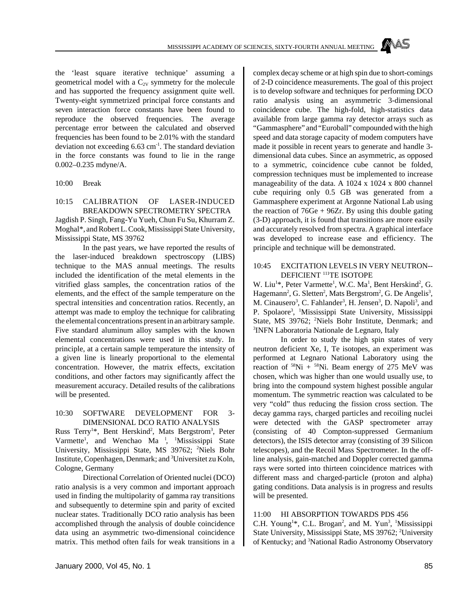the 'least square iterative technique' assuming a geometrical model with a  $C_{2V}$  symmetry for the molecule and has supported the frequency assignment quite well. Twenty-eight symmetrized principal force constants and seven interaction force constants have been found to reproduce the observed frequencies. The average percentage error between the calculated and observed frequencies has been found to be 2.01% with the standard deviation not exceeding 6.63 cm-1 . The standard deviation in the force constants was found to lie in the range 0.002–0.235 mdyne/A.

10:00 Break

10:15 CALIBRATION OF LASER-INDUCED BREAKDOWN SPECTROMETRY SPECTRA Jagdish P. Singh, Fang-Yu Yueh, Chun Fu Su, Khurram Z. Moghal\*, and Robert L. Cook, Mississippi State University, Mississippi State, MS 39762

In the past years, we have reported the results of the laser-induced breakdown spectroscopy (LIBS) technique to the MAS annual meetings. The results included the identification of the metal elements in the vitrified glass samples, the concentration ratios of the elements, and the effect of the sample temperature on the spectral intensities and concentration ratios. Recently, an attempt was made to employ the technique for calibrating the elemental concentrations present in an arbitrary sample. Five standard aluminum alloy samples with the known elemental concentrations were used in this study. In principle, at a certain sample temperature the intensity of a given line is linearly proportional to the elemental concentration. However, the matrix effects, excitation conditions, and other factors may significantly affect the measurement accuracy. Detailed results of the calibrations will be presented.

#### 10:30 SOFTWARE DEVELOPMENT FOR 3- DIMENSIONAL DCO RATIO ANALYSIS

Russ Terry<sup>1\*</sup>, Bent Herskind<sup>2</sup>, Mats Bergstrom<sup>3</sup>, Peter Varmette<sup>1</sup>, and Wenchao Ma<sup>1</sup>, <sup>1</sup>Mississippi State University, Mississippi State, MS 39762; <sup>2</sup>Niels Bohr Institute, Copenhagen, Denmark; and <sup>3</sup>Universitet zu Koln, Cologne, Germany

Directional Correlation of Oriented nuclei (DCO) ratio analysis is a very common and important approach used in finding the multipolarity of gamma ray transitions and subsequently to determine spin and parity of excited nuclear states. Traditionally DCO ratio analysis has been accomplished through the analysis of double coincidence data using an asymmetric two-dimensional coincidence matrix. This method often fails for weak transitions in a complex decay scheme or at high spin due to short-comings of 2-D coincidence measurements. The goal of this project is to develop software and techniques for performing DCO ratio analysis using an asymmetric 3-dimensional coincidence cube. The high-fold, high-statistics data available from large gamma ray detector arrays such as "Gammasphere" and "Euroball" compounded with the high speed and data storage capacity of modem computers have made it possible in recent years to generate and handle 3 dimensional data cubes. Since an asymmetric, as opposed to a symmetric, coincidence cube cannot be folded, compression techniques must be implemented to increase manageability of the data. A 1024 x 1024 x 800 channel cube requiring only 0.5 GB was generated from a Gammasphere experiment at Argonne National Lab using the reaction of  $76Ge + 96Zr$ . By using this double gating (3-D) approach, it is found that transitions are more easily and accurately resolved from spectra. A graphical interface was developed to increase ease and efficiency. The principle and technique will be demonstrated.

#### 10:45 EXCITATION LEVELS IN VERY NEUTRON-- DEFICIENT<sup>111</sup>TE ISOTOPE

W. Liu<sup>1\*</sup>, Peter Varmette<sup>1</sup>, W.C. Ma<sup>1</sup>, Bent Herskind<sup>2</sup>, G. Hagemann<sup>2</sup>, G. Sletten<sup>2</sup>, Mats Bergstrom<sup>2</sup>, G. De Angelis<sup>3</sup>, M. Cinausero<sup>3</sup>, C. Fahlander<sup>3</sup>, H. Jensen<sup>3</sup>, D. Napoli<sup>3</sup>, and P. Spolaore<sup>3</sup>, <sup>1</sup>Mississippi State University, Mississippi State, MS 39762; <sup>2</sup>Niels Bohr Institute, Denmark; and 3 INFN Laboratoria Nationale de Legnaro, Italy

In order to study the high spin states of very neutron deficient Xe, I, Te isotopes, an experiment was performed at Legnaro National Laboratory using the reaction of  $58Ni + 58Ni$ . Beam energy of 275 MeV was chosen, which was higher than one would usually use, to bring into the compound system highest possible angular momentum. The symmetric reaction was calculated to be very "cold" thus reducing the fission cross section. The decay gamma rays, charged particles and recoiling nuclei were detected with the GASP spectrometer array (consisting of 40 Compton-suppressed Germanium detectors), the ISIS detector array (consisting of 39 Silicon telescopes), and the Recoil Mass Spectrometer. In the offline analysis, gain-matched and Doppler corrected gamma rays were sorted into thirteen coincidence matrices with different mass and charged-particle (proton and alpha) gating conditions. Data analysis is in progress and results will be presented.

#### 11:00 HI ABSORPTION TOWARDS PDS 456

C.H. Young<sup>1\*</sup>, C.L. Brogan<sup>2</sup>, and M. Yun<sup>3</sup>, <sup>1</sup>Mississippi State University, Mississippi State, MS 39762; <sup>2</sup>University of Kentucky; and 3National Radio Astronomy Observatory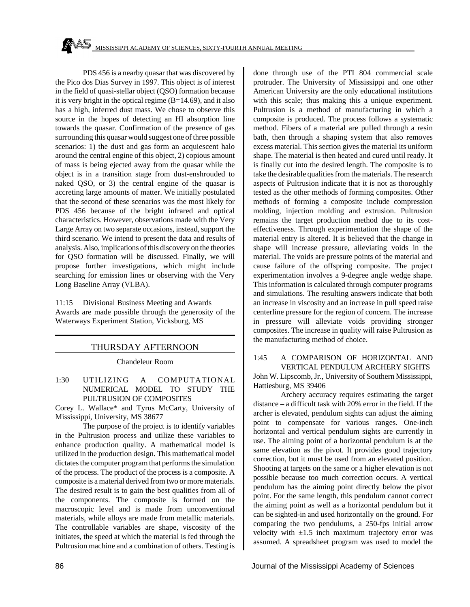PDS 456 is a nearby quasar that was discovered by the Pico dos Dias Survey in 1997. This object is of interest in the field of quasi-stellar object (QSO) formation because it is very bright in the optical regime (B=14.69), and it also has a high, inferred dust mass. We chose to observe this source in the hopes of detecting an HI absorption line towards the quasar. Confirmation of the presence of gas surrounding this quasar would suggest one of three possible scenarios: 1) the dust and gas form an acquiescent halo around the central engine of this object, 2) copious amount of mass is being ejected away from the quasar while the object is in a transition stage from dust-enshrouded to naked QSO, or 3) the central engine of the quasar is accreting large amounts of matter. We initially postulated that the second of these scenarios was the most likely for PDS 456 because of the bright infrared and optical characteristics. However, observations made with the Very Large Array on two separate occasions, instead, support the third scenario. We intend to present the data and results of analysis. Also, implications of this discovery on the theories for QSO formation will be discussed. Finally, we will propose further investigations, which might include searching for emission lines or observing with the Very Long Baseline Array (VLBA).

11:15 Divisional Business Meeting and Awards Awards are made possible through the generosity of the Waterways Experiment Station, Vicksburg, MS

# THURSDAY AFTERNOON

Chandeleur Room

1:30 UTILIZING A COMPUTATIONAL NUMERICAL MODEL TO STUDY THE PULTRUSION OF COMPOSITES

Corey L. Wallace\* and Tyrus McCarty, University of Mississippi, University, MS 38677

The purpose of the project is to identify variables in the Pultrusion process and utilize these variables to enhance production quality. A mathematical model is utilized in the production design. This mathematical model dictates the computer program that performs the simulation of the process. The product of the process is a composite. A composite is a material derived from two or more materials. The desired result is to gain the best qualities from all of the components. The composite is formed on the macroscopic level and is made from unconventional materials, while alloys are made from metallic materials. The controllable variables are shape, viscosity of the initiates, the speed at which the material is fed through the Pultrusion machine and a combination of others. Testing is done through use of the PTI 804 commercial scale protruder. The University of Mississippi and one other American University are the only educational institutions with this scale; thus making this a unique experiment. Pultrusion is a method of manufacturing in which a composite is produced. The process follows a systematic method. Fibers of a material are pulled through a resin bath, then through a shaping system that also removes excess material. This section gives the material its uniform shape. The material is then heated and cured until ready. It is finally cut into the desired length. The composite is to take the desirable qualities from the materials. The research aspects of Pultrusion indicate that it is not as thoroughly tested as the other methods of forming composites. Other methods of forming a composite include compression molding, injection molding and extrusion. Pultrusion remains the target production method due to its costeffectiveness. Through experimentation the shape of the material entry is altered. It is believed that the change in shape will increase pressure, alleviating voids in the material. The voids are pressure points of the material and cause failure of the offspring composite. The project experimentation involves a 9-degree angle wedge shape. This information is calculated through computer programs and simulations. The resulting answers indicate that both an increase in viscosity and an increase in pull speed raise centerline pressure for the region of concern. The increase in pressure will alleviate voids providing stronger composites. The increase in quality will raise Pultrusion as the manufacturing method of choice.

1:45 A COMPARISON OF HORIZONTAL AND VERTICAL PENDULUM ARCHERY SIGHTS John W. Lipscomb, Jr., University of Southern Mississippi, Hattiesburg, MS 39406

Archery accuracy requires estimating the target distance – a difficult task with 20% error in the field. If the archer is elevated, pendulum sights can adjust the aiming point to compensate for various ranges. One-inch horizontal and vertical pendulum sights are currently in use. The aiming point of a horizontal pendulum is at the same elevation as the pivot. It provides good trajectory correction, but it must be used from an elevated position. Shooting at targets on the same or a higher elevation is not possible because too much correction occurs. A vertical pendulum has the aiming point directly below the pivot point. For the same length, this pendulum cannot correct the aiming point as well as a horizontal pendulum but it can be sighted-in and used horizontally on the ground. For comparing the two pendulums, a 250-fps initial arrow velocity with  $\pm 1.5$  inch maximum trajectory error was assumed. A spreadsheet program was used to model the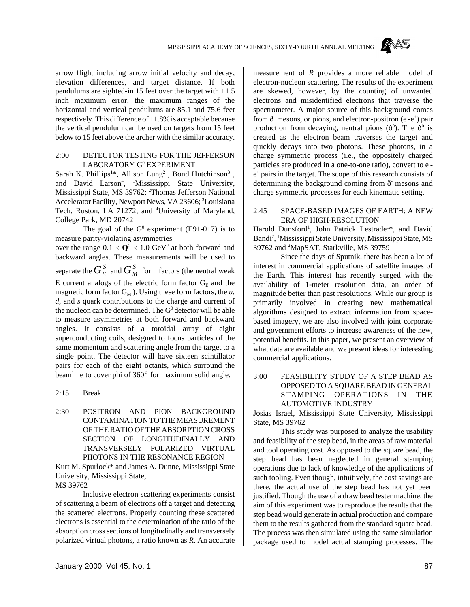arrow flight including arrow initial velocity and decay, elevation differences, and target distance. If both pendulums are sighted-in 15 feet over the target with  $\pm 1.5$ inch maximum error, the maximum ranges of the horizontal and vertical pendulums are 85.1 and 75.6 feet respectively. This difference of 11.8% is acceptable because the vertical pendulum can be used on targets from 15 feet below to 15 feet above the archer with the similar accuracy.

#### 2:00 DETECTOR TESTING FOR THE JEFFERSON LABORATORY G<sup>0</sup> EXPERIMENT

Sarah K. Phillips<sup>1\*</sup>, Allison Lung<sup>2</sup>, Bond Hutchinson<sup>3</sup>, and David Larson<sup>4</sup>, <sup>1</sup>Mississippi State University, Mississippi State, MS 39762; <sup>2</sup>Thomas Jefferson National Accelerator Facility, Newport News, VA 23606; <sup>3</sup>Louisiana Tech, Ruston, LA 71272; and <sup>4</sup>University of Maryland, College Park, MD 20742

The goal of the  $G^0$  experiment (E91-017) is to measure parity-violating asymmetries

over the range  $0.1 \le Q^2 \le 1.0$  GeV<sup>2</sup> at both forward and backward angles. These measurements will be used to separate the  $G_E^S$  and  $G_M^S$  form factors (the neutral weak E current analogs of the electric form factor  $G<sub>E</sub>$  and the magnetic form factor  $G_M$ ). Using these form factors, the *u*, *d*, and *s* quark contributions to the charge and current of the nucleon can be determined. The  $G^0$  detector will be able to measure asymmetries at both forward and backward angles. It consists of a toroidal array of eight superconducting coils, designed to focus particles of the same momentum and scattering angle from the target to a single point. The detector will have sixteen scintillator pairs for each of the eight octants, which surround the beamline to cover phi of  $360^{\circ}$  for maximum solid angle.

- 2:15 Break
- 2:30 POSITRON AND PION BACKGROUND CONTAMINATION TO THE MEASUREMENT OF THE RATIO OF THE ABSORPTION CROSS SECTION OF LONGITUDINALLY AND TRANSVERSELY POLARIZED VIRTUAL PHOTONS IN THE RESONANCE REGION

Kurt M. Spurlock\* and James A. Dunne, Mississippi State University, Mississippi State,

MS 39762

Inclusive electron scattering experiments consist of scattering a beam of electrons off a target and detecting the scattered electrons. Properly counting these scattered electrons is essential to the determination of the ratio of the absorption cross sections of longitudinally and transversely polarized virtual photons, a ratio known as *R*. An accurate measurement of *R* provides a more reliable model of electron-nucleon scattering. The results of the experiment are skewed, however, by the counting of unwanted electrons and misidentified electrons that traverse the spectrometer. A major source of this background comes from  $\delta$  mesons, or pions, and electron-positron (e-e<sup>+</sup>) pair production from decaying, neutral pions ( $\delta^0$ ). The  $\delta^0$  is created as the electron beam traverses the target and quickly decays into two photons. These photons, in a charge symmetric process (i.e., the oppositely charged particles are produced in a one-to-one ratio), convert to ee + pairs in the target. The scope of this research consists of determining the background coming from  $\delta$  mesons and charge symmetric processes for each kinematic setting.

#### 2:45 SPACE-BASED IMAGES OF EARTH: A NEW ERA OF HIGH-RESOLUTION

Harold Dunsford<sup>1</sup>, John Patrick Lestrade<sup>1\*</sup>, and David Bandi<sup>2</sup>, <sup>1</sup>Mississippi State University, Mississippi State, MS 39762 and <sup>2</sup>MapSAT, Starkville, MS 39759

Since the days of Sputnik, there has been a lot of interest in commercial applications of satellite images of the Earth. This interest has recently surged with the availability of 1-meter resolution data, an order of magnitude better than past resolutions. While our group is primarily involved in creating new mathematical algorithms designed to extract information from spacebased imagery, we are also involved with joint corporate and government efforts to increase awareness of the new, potential benefits. In this paper, we present an overview of what data are available and we present ideas for interesting commercial applications.

#### 3:00 FEASIBILITY STUDY OF A STEP BEAD AS OPPOSED TO A SQUARE BEAD IN GENERAL STAMPING OPERATIONS IN THE AUTOMOTIVE INDUSTRY

Josias Israel, Mississippi State University, Mississippi State, MS 39762

This study was purposed to analyze the usability and feasibility of the step bead, in the areas of raw material and tool operating cost. As opposed to the square bead, the step bead has been neglected in general stamping operations due to lack of knowledge of the applications of such tooling. Even though, intuitively, the cost savings are there, the actual use of the step bead has not yet been justified. Though the use of a draw bead tester machine, the aim of this experiment was to reproduce the results that the step bead would generate in actual production and compare them to the results gathered from the standard square bead. The process was then simulated using the same simulation package used to model actual stamping processes. The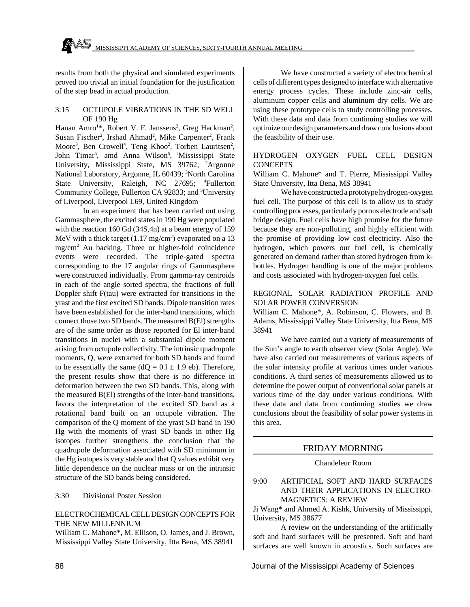results from both the physical and simulated experiments proved too trivial an initial foundation for the justification of the step bead in actual production.

#### 3:15 OCTUPOLE VIBRATIONS IN THE SD WELL OF 190 Hg

Hanan Amro<sup>1\*</sup>, Robert V. F. Janssens<sup>2</sup>, Greg Hackman<sup>2</sup>, Susan Fischer<sup>2</sup>, Irshad Ahmad<sup>2</sup>, Mike Carpenter<sup>2</sup>, Frank Moore<sup>3</sup>, Ben Crowell<sup>4</sup>, Teng Khoo<sup>2</sup>, Torben Lauritsen<sup>2</sup>, John Timar<sup>5</sup>, amd Anna Wilson<sup>5</sup>, <sup>I</sup>Mississippi State University, Mississippi State, MS 39762; <sup>2</sup>Argonne National Laboratory, Argonne, IL 60439; <sup>3</sup>North Carolina State University, Raleigh, NC 27695; <sup>4</sup>Fullerton Community College, Fullerton CA 92833; and <sup>5</sup>University of Liverpool, Liverpool L69, United Kingdom

In an experiment that has been carried out using Gammasphere, the excited states in 190 Hg were populated with the reaction 160 Gd (34S,4n) at a beam energy of 159 MeV with a thick target  $(1.17 \text{ mg/cm}^2)$  evaporated on a 13 mg/cm<sup>2</sup> Au backing. Three or higher-fold coincidence events were recorded. The triple-gated spectra corresponding to the 17 angular rings of Gammasphere were constructed individually. From gamma-ray centroids in each of the angle sorted spectra, the fractions of full Doppler shift F(tau) were extracted for transitions in the yrast and the first excited SD bands. Dipole transition rates have been established for the inter-band transitions, which connect those two SD bands. The measured B(El) strengths are of the same order as those reported for El inter-band transitions in nuclei with a substantial dipole moment arising from octupole collectivity. The intrinsic quadrupole moments, Q, were extracted for both SD bands and found to be essentially the same  $(dQ = 0.1 \pm 1.9 \text{ eb})$ . Therefore, the present results show that there is no difference in deformation between the two SD bands. This, along with the measured B(El) strengths of the inter-band transitions, favors the interpretation of the excited SD band as a rotational band built on an octupole vibration. The comparison of the Q moment of the yrast SD band in 190 Hg with the moments of yrast SD bands in other Hg isotopes further strengthens the conclusion that the quadrupole deformation associated with SD minimum in the Hg isotopes is very stable and that Q values exhibit very little dependence on the nuclear mass or on the intrinsic structure of the SD bands being considered.

#### 3:30 Divisional Poster Session

#### ELECTROCHEMICAL CELL DESIGN CONCEPTS FOR THE NEW MILLENNIUM

William C. Mahone\*, M. Ellison, O. James, and J. Brown, Mississippi Valley State University, Itta Bena, MS 38941

We have constructed a variety of electrochemical cells of different types designed to interface with alternative energy process cycles. These include zinc-air cells, aluminum copper cells and aluminum dry cells. We are using these prototype cells to study controlling processes. With these data and data from continuing studies we will optimize our design parameters and draw conclusions about the feasibility of their use.

#### HYDROGEN OXYGEN FUEL CELL DESIGN **CONCEPTS**

William C. Mahone\* and T. Pierre, Mississippi Valley State University, Itta Bena, MS 38941

We have constructed a prototype hydrogen-oxygen fuel cell. The purpose of this cell is to allow us to study controlling processes, particularly porous electrode and salt bridge design. Fuel cells have high promise for the future because they are non-polluting, and highly efficient with the promise of providing low cost electricity. Also the hydrogen, which powers our fuel cell, is chemically generated on demand rather than stored hydrogen from kbottles. Hydrogen handling is one of the major problems and costs associated with hydrogen-oxygen fuel cells.

#### REGIONAL SOLAR RADIATION PROFILE AND SOLAR POWER CONVERSION

William C. Mahone\*, A. Robinson, C. Flowers, and B. Adams, Mississippi Valley State University, Itta Bena, MS 38941

We have carried out a variety of measurements of the Sun's angle to earth observer view (Solar Angle). We have also carried out measurements of various aspects of the solar intensity profile at various times under various conditions. A third series of measurements allowed us to determine the power output of conventional solar panels at various time of the day under various conditions. With these data and data from continuing studies we draw conclusions about the feasibility of solar power systems in this area.

# FRIDAY MORNING

#### Chandeleur Room

9:00 ARTIFICIAL SOFT AND HARD SURFACES AND THEIR APPLICATIONS IN ELECTRO-MAGNETICS: A REVIEW

Ji Wang\* and Ahmed A. Kishk, University of Mississippi, University, MS 38677

A review on the understanding of the artificially soft and hard surfaces will be presented. Soft and hard surfaces are well known in acoustics. Such surfaces are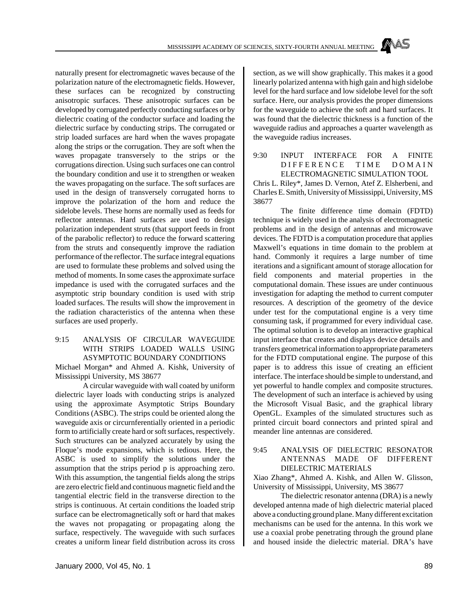naturally present for electromagnetic waves because of the polarization nature of the electromagnetic fields. However, these surfaces can be recognized by constructing anisotropic surfaces. These anisotropic surfaces can be developed by corrugated perfectly conducting surfaces or by dielectric coating of the conductor surface and loading the dielectric surface by conducting strips. The corrugated or strip loaded surfaces are hard when the waves propagate along the strips or the corrugation. They are soft when the waves propagate transversely to the strips or the corrugations direction. Using such surfaces one can control the boundary condition and use it to strengthen or weaken the waves propagating on the surface. The soft surfaces are used in the design of transversely corrugated horns to improve the polarization of the horn and reduce the sidelobe levels. These horns are normally used as feeds for reflector antennas. Hard surfaces are used to design polarization independent struts (that support feeds in front of the parabolic reflector) to reduce the forward scattering from the struts and consequently improve the radiation performance of the reflector. The surface integral equations are used to formulate these problems and solved using the method of moments. In some cases the approximate surface impedance is used with the corrugated surfaces and the asymptotic strip boundary condition is used with strip loaded surfaces. The results will show the improvement in the radiation characteristics of the antenna when these surfaces are used properly.

#### 9:15 ANALYSIS OF CIRCULAR WAVEGUIDE WITH STRIPS LOADED WALLS USING ASYMPTOTIC BOUNDARY CONDITIONS

Michael Morgan\* and Ahmed A. Kishk, University of Mississippi University, MS 38677

A circular waveguide with wall coated by uniform dielectric layer loads with conducting strips is analyzed using the approximate Asymptotic Strips Boundary Conditions (ASBC). The strips could be oriented along the waveguide axis or circurnferentially oriented in a periodic form to artificially create hard or soft surfaces, respectively. Such structures can be analyzed accurately by using the Floque's mode expansions, which is tedious. Here, the ASBC is used to simplify the solutions under the assumption that the strips period p is approaching zero. With this assumption, the tangential fields along the strips are zero electric field and continuous magnetic field and the tangential electric field in the transverse direction to the strips is continuous. At certain conditions the loaded strip surface can be electromagnetically soft or hard that makes the waves not propagating or propagating along the surface, respectively. The waveguide with such surfaces creates a uniform linear field distribution across its cross section, as we will show graphically. This makes it a good linearly polarized antenna with high gain and high sidelobe level for the hard surface and low sidelobe level for the soft surface. Here, our analysis provides the proper dimensions for the waveguide to achieve the soft and hard surfaces. It was found that the dielectric thickness is a function of the waveguide radius and approaches a quarter wavelength as the waveguide radius increases.

9:30 INPUT INTERFACE FOR A FINITE DIFFERENCE TIME DOMAIN ELECTROMAGNETIC SIMULATION TOOL Chris L. Riley\*, James D. Vernon, Atef Z. Elsherbeni, and Charles E. Smith, University of Mississippi, University, MS 38677

The finite difference time domain (FDTD) technique is widely used in the analysis of electromagnetic problems and in the design of antennas and microwave devices. The FDTD is a computation procedure that applies Maxwell's equations in time domain to the problem at hand. Commonly it requires a large number of time iterations and a significant amount of storage allocation for field components and material properties in the computational domain. These issues are under continuous investigation for adapting the method to current computer resources. A description of the geometry of the device under test for the computational engine is a very time consuming task, if programmed for every individual case. The optimal solution is to develop an interactive graphical input interface that creates and displays device details and transfers geometrical information to appropriate parameters for the FDTD computational engine. The purpose of this paper is to address this issue of creating an efficient interface. The interface should be simple to understand, and yet powerful to handle complex and composite structures. The development of such an interface is achieved by using the Microsoft Visual Basic, and the graphical library OpenGL. Examples of the simulated structures such as printed circuit board connectors and printed spiral and meander line antennas are considered.

#### 9:45 ANALYSIS OF DIELECTRIC RESONATOR ANTENNAS MADE OF DIFFERENT DIELECTRIC MATERIALS

Xiao Zhang\*, Ahmed A. Kishk, and Allen W. Glisson, University of Mississippi, University, MS 38677

The dielectric resonator antenna (DRA) is a newly developed antenna made of high dielectric material placed above a conducting ground plane. Many different excitation mechanisms can be used for the antenna. In this work we use a coaxial probe penetrating through the ground plane and housed inside the dielectric material. DRA's have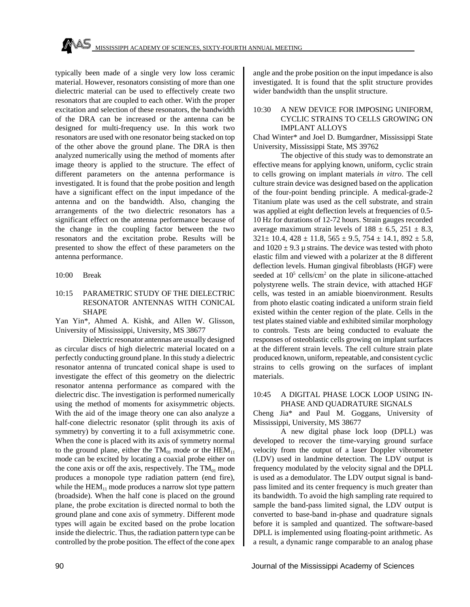typically been made of a single very low loss ceramic material. However, resonators consisting of more than one dielectric material can be used to effectively create two resonators that are coupled to each other. With the proper excitation and selection of these resonators, the bandwidth of the DRA can be increased or the antenna can be designed for multi-frequency use. In this work two resonators are used with one resonator being stacked on top of the other above the ground plane. The DRA is then analyzed numerically using the method of moments after image theory is applied to the structure. The effect of different parameters on the antenna performance is investigated. It is found that the probe position and length have a significant effect on the input impedance of the antenna and on the bandwidth. Also, changing the arrangements of the two dielectric resonators has a significant effect on the antenna performance because of the change in the coupling factor between the two resonators and the excitation probe. Results will be presented to show the effect of these parameters on the antenna performance.

#### 10:00 Break

#### 10:15 PARAMETRIC STUDY OF THE DIELECTRIC RESONATOR ANTENNAS WITH CONICAL SHAPE

Yan Yin\*, Ahmed A. Kishk, and Allen W. Glisson, University of Mississippi, University, MS 38677

Dielectric resonator antennas are usually designed as circular discs of high dielectric material located on a perfectly conducting ground plane. In this study a dielectric resonator antenna of truncated conical shape is used to investigate the effect of this geometry on the dielectric resonator antenna performance as compared with the dielectric disc. The investigation is performed numerically using the method of moments for axisymmetric objects. With the aid of the image theory one can also analyze a half-cone dielectric resonator (split through its axis of symmetry) by converting it to a full axisymmetric cone. When the cone is placed with its axis of symmetry normal to the ground plane, either the  $TM_{01}$  mode or the  $HEM_{11}$ mode can be excited by locating a coaxial probe either on the cone axis or off the axis, respectively. The  $TM_{01}$  mode produces a monopole type radiation pattern (end fire), while the  $HEM_{11}$  mode produces a narrow slot type pattern (broadside). When the half cone is placed on the ground plane, the probe excitation is directed normal to both the ground plane and cone axis of symmetry. Different mode types will again be excited based on the probe location inside the dielectric. Thus, the radiation pattern type can be controlled by the probe position. The effect of the cone apex angle and the probe position on the input impedance is also investigated. It is found that the split structure provides wider bandwidth than the unsplit structure.

#### 10:30 A NEW DEVICE FOR IMPOSING UNIFORM, CYCLIC STRAINS TO CELLS GROWING ON IMPLANT ALLOYS

Chad Winter\* and Joel D. Bumgardner, Mississippi State University, Mississippi State, MS 39762

The objective of this study was to demonstrate an effective means for applying known, uniform, cyclic strain to cells growing on implant materials *in vitro*. The cell culture strain device was designed based on the application of the four-point bending principle. A medical-grade-2 Titanium plate was used as the cell substrate, and strain was applied at eight deflection levels at frequencies of 0.5-10 Hz for durations of 12-72 hours. Strain gauges recorded average maximum strain levels of  $188 \pm 6.5$ ,  $251 \pm 8.3$ ,  $321 \pm 10.4$ ,  $428 \pm 11.8$ ,  $565 \pm 9.5$ ,  $754 \pm 14.1$ ,  $892 \pm 5.8$ , and  $1020 \pm 9.3 \mu$  strains. The device was tested with photo elastic film and viewed with a polarizer at the 8 different deflection levels. Human gingival fibroblasts (HGF) were seeded at  $10^5$  cells/cm<sup>2</sup> on the plate in silicone-attached polystyrene wells. The strain device, with attached HGF cells, was tested in an amiable bioenvironment. Results from photo elastic coating indicated a uniform strain field existed within the center region of the plate. Cells in the test plates stained viable and exhibited similar morphology to controls. Tests are being conducted to evaluate the responses of osteoblastic cells growing on implant surfaces at the different strain levels. The cell culture strain plate produced known, uniform, repeatable, and consistent cyclic strains to cells growing on the surfaces of implant materials.

#### 10:45 A DIGITAL PHASE LOCK LOOP USING IN-PHASE AND QUADRATURE SIGNALS

Cheng Jia\* and Paul M. Goggans, University of Mississippi, University, MS 38677

A new digital phase lock loop (DPLL) was developed to recover the time-varying ground surface velocity from the output of a laser Doppler vibrometer (LDV) used in landmine detection. The LDV output is frequency modulated by the velocity signal and the DPLL is used as a demodulator. The LDV output signal is bandpass limited and its center frequency is much greater than its bandwidth. To avoid the high sampling rate required to sample the band-pass limited signal, the LDV output is converted to base-band in-phase and quadrature signals before it is sampled and quantized. The software-based DPLL is implemented using floating-point arithmetic. As a result, a dynamic range comparable to an analog phase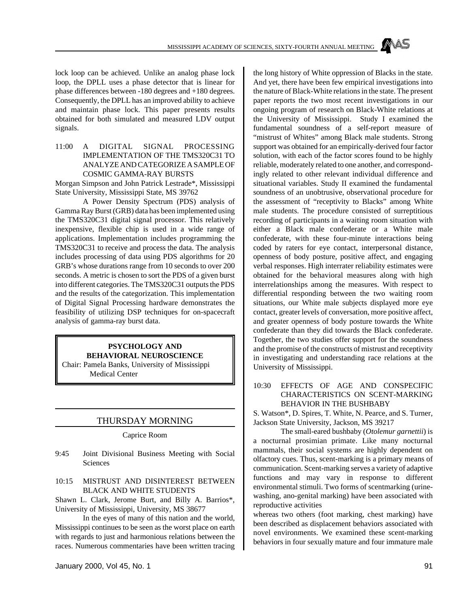lock loop can be achieved. Unlike an analog phase lock loop, the DPLL uses a phase detector that is linear for phase differences between -180 degrees and +180 degrees. Consequently, the DPLL has an improved ability to achieve and maintain phase lock. This paper presents results obtained for both simulated and measured LDV output signals.

11:00 A DIGITAL SIGNAL PROCESSING IMPLEMENTATION OF THE TMS320C31 TO ANALYZE AND CATEGORIZE A SAMPLE OF COSMIC GAMMA-RAY BURSTS

Morgan Simpson and John Patrick Lestrade\*, Mississippi State University, Mississippi State, MS 39762

A Power Density Spectrum (PDS) analysis of Gamma Ray Burst (GRB) data has been implemented using the TMS320C31 digital signal processor. This relatively inexpensive, flexible chip is used in a wide range of applications. Implementation includes programming the TMS320C31 to receive and process the data. The analysis includes processing of data using PDS algorithms for 20 GRB's whose durations range from 10 seconds to over 200 seconds. A metric is chosen to sort the PDS of a given burst into different categories. The TMS320C31 outputs the PDS and the results of the categorization. This implementation of Digital Signal Processing hardware demonstrates the feasibility of utilizing DSP techniques for on-spacecraft analysis of gamma-ray burst data.

#### **PSYCHOLOGY AND BEHAVIORAL NEUROSCIENCE** Chair: Pamela Banks, University of Mississippi Medical Center

# THURSDAY MORNING

Caprice Room

9:45 Joint Divisional Business Meeting with Social Sciences

#### 10:15 MISTRUST AND DISINTEREST BETWEEN BLACK AND WHITE STUDENTS

Shawn L. Clark, Jerome Burt, and Billy A. Barrios\*, University of Mississippi, University, MS 38677

In the eyes of many of this nation and the world, Mississippi continues to be seen as the worst place on earth with regards to just and harmonious relations between the races. Numerous commentaries have been written tracing the long history of White oppression of Blacks in the state. And yet, there have been few empirical investigations into the nature of Black-White relations in the state. The present paper reports the two most recent investigations in our ongoing program of research on Black-White relations at the University of Mississippi. Study I examined the fundamental soundness of a self-report measure of "mistrust of Whites" among Black male students. Strong support was obtained for an empirically-derived four factor solution, with each of the factor scores found to be highly reliable, moderately related to one another, and correspondingly related to other relevant individual difference and situational variables. Study II examined the fundamental soundness of an unobtrusive, observational procedure for the assessment of "receptivity to Blacks" among White male students. The procedure consisted of surreptitious recording of participants in a waiting room situation with either a Black male confederate or a White male confederate, with these four-minute interactions being coded by raters for eye contact, interpersonal distance, openness of body posture, positive affect, and engaging verbal responses. High interrater reliability estimates were obtained for the behavioral measures along with high interrelationships among the measures. With respect to differential responding between the two waiting room situations, our White male subjects displayed more eye contact, greater levels of conversation, more positive affect, and greater openness of body posture towards the White confederate than they did towards the Black confederate. Together, the two studies offer support for the soundness and the promise of the constructs of mistrust and receptivity in investigating and understanding race relations at the University of Mississippi.

#### 10:30 EFFECTS OF AGE AND CONSPECIFIC CHARACTERISTICS ON SCENT-MARKING BEHAVIOR IN THE BUSHBABY

S. Watson\*, D. Spires, T. White, N. Pearce, and S. Turner, Jackson State University, Jackson, MS 39217

The small-eared bushbaby (*Otolemur garnettii*) is a nocturnal prosimian primate. Like many nocturnal mammals, their social systems are highly dependent on olfactory cues. Thus, scent-marking is a primary means of communication. Scent-marking serves a variety of adaptive functions and may vary in response to different environmental stimuli. Two forms of scentmarking (urinewashing, ano-genital marking) have been associated with reproductive activities

whereas two others (foot marking, chest marking) have been described as displacement behaviors associated with novel environments. We examined these scent-marking behaviors in four sexually mature and four immature male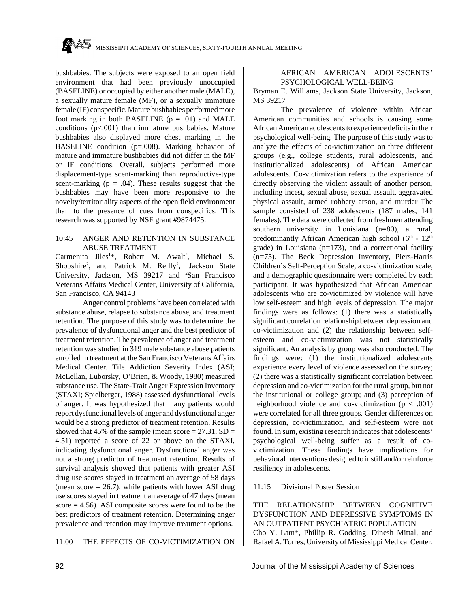bushbabies. The subjects were exposed to an open field environment that had been previously unoccupied (BASELINE) or occupied by either another male (MALE), a sexually mature female (MF), or a sexually immature female (IF) conspecific. Mature bushbabies performed more foot marking in both BASELINE  $(p = .01)$  and MALE conditions  $(p<.001)$  than immature bushbabies. Mature bushbabies also displayed more chest marking in the BASELINE condition (p=.008). Marking behavior of mature and immature bushbabies did not differ in the MF or IF conditions. Overall, subjects performed more displacement-type scent-marking than reproductive-type scent-marking ( $p = .04$ ). These results suggest that the bushbabies may have been more responsive to the novelty/territoriality aspects of the open field environment than to the presence of cues from conspecifics. This research was supported by NSF grant #9874475.

#### 10:45 ANGER AND RETENTION IN SUBSTANCE ABUSE TREATMENT

Carmenita Jiles<sup>1\*</sup>, Robert M. Awalt<sup>2</sup>, Michael S. Shopshire<sup>2</sup>, and Patrick M. Reilly<sup>2</sup>, <sup>1</sup>Jackson State University, Jackson, MS 39217 and <sup>2</sup>San Francisco Veterans Affairs Medical Center, University of California, San Francisco, CA 94143

Anger control problems have been correlated with substance abuse, relapse to substance abuse, and treatment retention. The purpose of this study was to determine the prevalence of dysfunctional anger and the best predictor of treatment retention. The prevalence of anger and treatment retention was studied in 319 male substance abuse patients enrolled in treatment at the San Francisco Veterans Affairs Medical Center. Tile Addiction Severity Index (ASI; McLellan, Luborsky, O'Brien, & Woody, 1980) measured substance use. The State-Trait Anger Expression Inventory (STAXI; Spielberger, 1988) assessed dysfunctional levels of anger. It was hypothesized that many patients would report dysfunctional levels of anger and dysfunctional anger would be a strong predictor of treatment retention. Results showed that 45% of the sample (mean score  $= 27.31$ , SD  $=$ 4.51) reported a score of 22 or above on the STAXI, indicating dysfunctional anger. Dysfunctional anger was not a strong predictor of treatment retention. Results of survival analysis showed that patients with greater ASI drug use scores stayed in treatment an average of 58 days (mean score  $= 26.7$ ), while patients with lower ASI drug use scores stayed in treatment an average of 47 days (mean score  $= 4.56$ ). ASI composite scores were found to be the best predictors of treatment retention. Determining anger prevalence and retention may improve treatment options.

# 11:00 THE EFFECTS OF CO-VICTIMIZATION ON

#### AFRICAN AMERICAN ADOLESCENTS' PSYCHOLOGICAL WELL-BEING

Bryman E. Williams, Jackson State University, Jackson, MS 39217

The prevalence of violence within African American communities and schools is causing some African American adolescents to experience deficits in their psychological well-being. The purpose of this study was to analyze the effects of co-victimization on three different groups (e.g., college students, rural adolescents, and institutionalized adolescents) of African American adolescents. Co-victimization refers to the experience of directly observing the violent assault of another person, including incest, sexual abuse, sexual assault, aggravated physical assault, armed robbery arson, and murder The sample consisted of 238 adolescents (187 males, 141 females). The data were collected from freshmen attending southern university in Louisiana (n=80), a rural, predominantly African American high school ( $6<sup>th</sup>$  -  $12<sup>th</sup>$ grade) in Louisiana (n=173), and a correctional facility (n=75). The Beck Depression Inventory, Piers-Harris Children's Self-Perception Scale, a co-victimization scale, and a demographic questionnaire were completed by each participant. It was hypothesized that African American adolescents who are co-victimized by violence will have low self-esteem and high levels of depression. The major findings were as follows: (1) there was a statistically significant correlation relationship between depression and co-victimization and (2) the relationship between selfesteem and co-victimization was not statistically significant. An analysis by group was also conducted. The findings were: (1) the institutionalized adolescents experience every level of violence assessed on the survey; (2) there was a statistically significant correlation between depression and co-victimization for the rural group, but not the institutional or college group; and (3) perception of neighborhood violence and co-victimization  $(p < .001)$ were correlated for all three groups. Gender differences on depression, co-victimization, and self-esteem were not found. In sum, existing research indicates that adolescents' psychological well-being suffer as a result of covictimization. These findings have implications for behavioral interventions designed to instill and/or reinforce resiliency in adolescents.

#### 11:15 Divisional Poster Session

THE RELATIONSHIP BETWEEN COGNITIVE DYSFUNCTION AND DEPRESSIVE SYMPTOMS IN AN OUTPATIENT PSYCHIATRIC POPULATION Cho Y. Lam\*, Phillip R. Godding, Dinesh Mittal, and Rafael A. Torres, University of Mississippi Medical Center,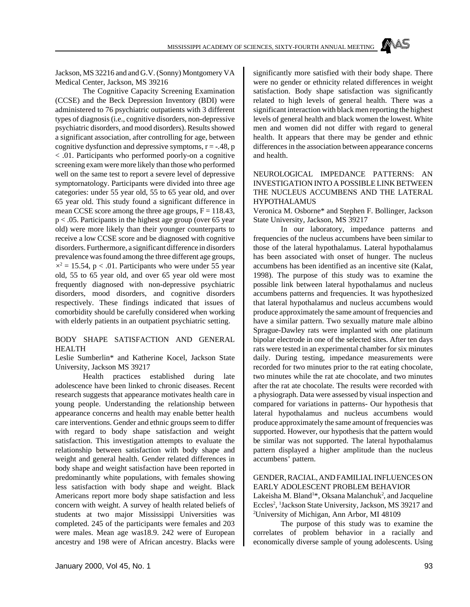MISSISSIPPI ACADEMY OF SCIENCES, SIXTY-FOURTH ANNUAL MEETING

Jackson, MS 32216 and and G.V. (Sonny) Montgomery VA Medical Center, Jackson, MS 39216

The Cognitive Capacity Screening Examination (CCSE) and the Beck Depression Inventory (BDI) were administered to 76 psychiatric outpatients with 3 different types of diagnosis (i.e., cognitive disorders, non-depressive psychiatric disorders, and mood disorders). Results showed a significant association, after controlling for age, between cognitive dysfunction and depressive symptoms,  $r = -0.48$ , p < .01. Participants who performed poorly-on a cognitive screening exam were more likely than those who performed well on the same test to report a severe level of depressive symptornatology. Participants were divided into three age categories: under 55 year old, 55 to 65 year old, and over 65 year old. This study found a significant difference in mean CCSE score among the three age groups,  $F = 118.43$ , p < .05. Participants in the highest age group (over 65 year old) were more likely than their younger counterparts to receive a low CCSE score and be diagnosed with cognitive disorders. Furthermore, a significant difference in disorders prevalence was found among the three different age groups,  $x^2 = 15.54$ , p < .01. Participants who were under 55 year old, 55 to 65 year old, and over 65 year old were most frequently diagnosed with non-depressive psychiatric disorders, mood disorders, and cognitive disorders respectively. These findings indicated that issues of comorbidity should be carefully considered when working with elderly patients in an outpatient psychiatric setting.

#### BODY SHAPE SATISFACTION AND GENERAL HEALTH

Leslie Sumberlin\* and Katherine Kocel, Jackson State University, Jackson MS 39217

Health practices established during late adolescence have been linked to chronic diseases. Recent research suggests that appearance motivates health care in young people. Understanding the relationship between appearance concerns and health may enable better health care interventions. Gender and ethnic groups seem to differ with regard to body shape satisfaction and weight satisfaction. This investigation attempts to evaluate the relationship between satisfaction with body shape and weight and general health. Gender related differences in body shape and weight satisfaction have been reported in predominantly white populations, with females showing less satisfaction with body shape and weight. Black Americans report more body shape satisfaction and less concern with weight. A survey of health related beliefs of students at two major Mississippi Universities was completed. 245 of the participants were females and 203 were males. Mean age was18.9. 242 were of European ancestry and 198 were of African ancestry. Blacks were significantly more satisfied with their body shape. There were no gender or ethnicity related differences in weight satisfaction. Body shape satisfaction was significantly related to high levels of general health. There was a significant interaction with black men reporting the highest levels of general health and black women the lowest. White men and women did not differ with regard to general health. It appears that there may be gender and ethnic differences in the association between appearance concerns and health.

#### NEUROLOGICAL IMPEDANCE PATTERNS: AN INVESTIGATION INTO A POSSIBLE LINK BETWEEN THE NUCLEUS ACCUMBENS AND THE LATERAL HYPOTHALAMUS

Veronica M. Osborne\* and Stephen F. Bollinger, Jackson State University, Jackson, MS 39217

In our laboratory, impedance patterns and frequencies of the nucleus accumbens have been similar to those of the lateral hypothalamus. Lateral hypothalamus has been associated with onset of hunger. The nucleus accumbens has been identified as an incentive site (Kalat, 1998). The purpose of this study was to examine the possible link between lateral hypothalamus and nucleus accumbens patterns and frequencies. It was hypothesized that lateral hypothalamus and nucleus accumbens would produce approximately the same amount of frequencies and have a similar pattern. Two sexually mature male albino Sprague-Dawley rats were implanted with one platinum bipolar electrode in one of the selected sites. After ten days rats were tested in an experimental chamber for six minutes daily. During testing, impedance measurements were recorded for two minutes prior to the rat eating chocolate, two minutes while the rat ate chocolate, and two minutes after the rat ate chocolate. The results were recorded with a physiograph. Data were assessed by visual inspection and compared for variations in patterns- Our hypothesis that lateral hypothalamus and nucleus accumbens would produce approximately the same amount of frequencies was supported. However, our hypothesis that the pattern would be similar was not supported. The lateral hypothalamus pattern displayed a higher amplitude than the nucleus accumbens' pattern.

#### GENDER, RACIAL, AND FAMILIAL INFLUENCES ON EARLY ADOLESCENT PROBLEM BEHAVIOR

Lakeisha M. Bland<sup>1\*</sup>, Oksana Malanchuk<sup>2</sup>, and Jacqueline Eccles<sup>2</sup>, <sup>1</sup>Jackson State University, Jackson, MS 39217 and <sup>2</sup>University of Michigan, Ann Arbor, MI 48109

The purpose of this study was to examine the correlates of problem behavior in a racially and economically diverse sample of young adolescents. Using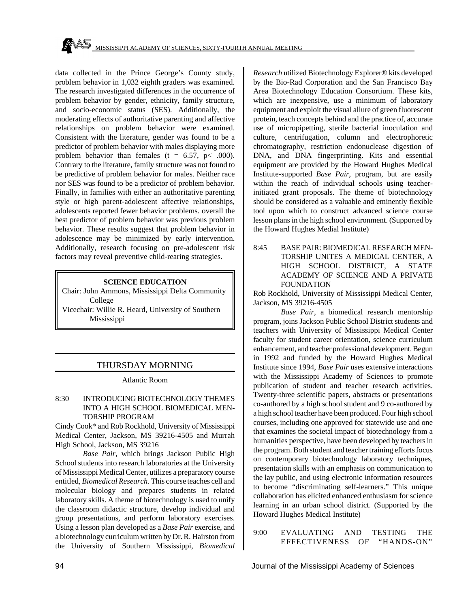data collected in the Prince George's County study, problem behavior in 1,032 eighth graders was examined. The research investigated differences in the occurrence of problem behavior by gender, ethnicity, family structure, and socio-economic status (SES). Additionally, the moderating effects of authoritative parenting and affective relationships on problem behavior were examined. Consistent with the literature, gender was found to be a predictor of problem behavior with males displaying more problem behavior than females (t =  $6.57$ , p< .000). Contrary to the literature, family structure was not found to be predictive of problem behavior for males. Neither race nor SES was found to be a predictor of problem behavior. Finally, in families with either an authoritative parenting style or high parent-adolescent affective relationships, adolescents reported fewer behavior problems. overall the best predictor of problem behavior was previous problem behavior. These results suggest that problem behavior in adolescence may be minimized by early intervention. Additionally, research focusing on pre-adolescent risk factors may reveal preventive child-rearing strategies.

# **SCIENCE EDUCATION**

Chair: John Ammons, Mississippi Delta Community College Vicechair: Willie R. Heard, University of Southern

Mississippi

# THURSDAY MORNING

Atlantic Room

# 8:30 INTRODUCING BIOTECHNOLOGY THEMES INTO A HIGH SCHOOL BIOMEDICAL MEN-TORSHIP PROGRAM

Cindy Cook\* and Rob Rockhold, University of Mississippi Medical Center, Jackson, MS 39216-4505 and Murrah High School, Jackson, MS 39216

*Base Pair*, which brings Jackson Public High School students into research laboratories at the University of Mississippi Medical Center, utilizes a preparatory course entitled, *Biomedical Research*. This course teaches cell and molecular biology and prepares students in related laboratory skills. A theme of biotechnology is used to unify the classroom didactic structure, develop individual and group presentations, and perform laboratory exercises. Using a lesson plan developed as a *Base Pair* exercise, and a biotechnology curriculum written by Dr. R. Hairston from the University of Southern Mississippi, *Biomedical* *Research* utilized Biotechnology Explorer® kits developed by the Bio-Rad Corporation and the San Francisco Bay Area Biotechnology Education Consortium. These kits, which are inexpensive, use a minimum of laboratory equipment and exploit the visual allure of green fluorescent protein, teach concepts behind and the practice of, accurate use of micropipetting, sterile bacterial inoculation and culture, centrifugation, column and electrophoretic chromatography, restriction endonuclease digestion of DNA, and DNA fingerprinting. Kits and essential equipment are provided by the Howard Hughes Medical Institute-supported *Base Pair*, program, but are easily within the reach of individual schools using teacherinitiated grant proposals. The theme of biotechnology should be considered as a valuable and eminently flexible tool upon which to construct advanced science course lesson plans in the high school environment. (Supported by the Howard Hughes Medial Institute)

8:45 BASE PAIR: BIOMEDICAL RESEARCH MEN-TORSHIP UNITES A MEDICAL CENTER, A HIGH SCHOOL DISTRICT, A STATE ACADEMY OF SCIENCE AND A PRIVATE FOUNDATION

Rob Rockhold, University of Mississippi Medical Center, Jackson, MS 39216-4505

*Base Pair*, a biomedical research mentorship program, joins Jackson Public School District students and teachers with University of Mississippi Medical Center faculty for student career orientation, science curriculum enhancement, and teacher professional development. Begun in 1992 and funded by the Howard Hughes Medical Institute since 1994, *Base Pair* uses extensive interactions with the Mississippi Academy of Sciences to promote publication of student and teacher research activities. Twenty-three scientific papers, abstracts or presentations co-authored by a high school student and 9 co-authored by a high school teacher have been produced. Four high school courses, including one approved for statewide use and one that examines the societal impact of biotechnology from a humanities perspective, have been developed by teachers in the program. Both student and teacher training efforts focus on contemporary biotechnology laboratory techniques, presentation skills with an emphasis on communication to the lay public, and using electronic information resources to become "discriminating self-learners." This unique collaboration has elicited enhanced enthusiasm for science learning in an urban school district. (Supported by the Howard Hughes Medical Institute)

9:00 EVALUATING AND TESTING THE EFFECTIVENESS OF "HANDS-ON"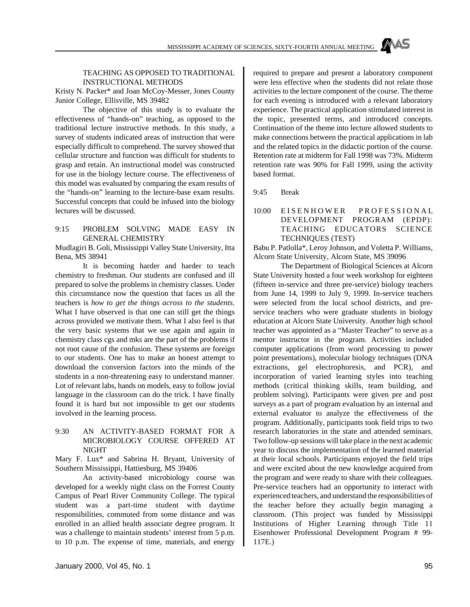#### TEACHING AS OPPOSED TO TRADITIONAL INSTRUCTIONAL METHODS

Kristy N. Packer\* and Joan McCoy-Messer, Jones County Junior College, Ellisville, MS 39482

The objective of this study is to evaluate the effectiveness of "hands-on" teaching, as opposed to the traditional lecture instructive methods. In this study, a survey of students indicated areas of instruction that were especially difficult to comprehend. The survey showed that cellular structure and function was difficult for students to grasp and retain. An instructional model was constructed for use in the biology lecture course. The effectiveness of this model was evaluated by comparing the exam results of the "hands-on" learning to the lecture-base exam results. Successful concepts that could be infused into the biology lectures will be discussed.

#### 9:15 PROBLEM SOLVING MADE EASY IN GENERAL CHEMISTRY

Mudlagiri B. Goli, Mississippi Valley State University, Itta Bena, MS 38941

It is becoming harder and harder to teach chemistry to freshman. Our students are confused and ill prepared to solve the problems in chemistry classes. Under this circumstance now the question that faces us all the teachers is *how to get the things across to the students*. What I have observed is that one can still get the things across provided we motivate them. What I also feel is that the very basic systems that we use again and again in chemistry class cgs and mks are the part of the problems if not root cause of the confusion. These systems are foreign to our students. One has to make an honest attempt to download the conversion factors into the minds of the students in a non-threatening easy to understand manner. Lot of relevant labs, hands on models, easy to follow jovial language in the classroom can do the trick. I have finally found it is hard but not impossible to get our students involved in the learning process.

9:30 AN ACTIVITY-BASED FORMAT FOR A MICROBIOLOGY COURSE OFFERED AT **NIGHT** 

Mary F. Lux\* and Sabrina H. Bryant, University of Southern Mississippi, Hattiesburg, MS 39406

An activity-based microbiology course was developed for a weekly night class on the Forrest County Campus of Pearl River Community College. The typical student was a part-time student with daytime responsibilities, commuted from some distance and was enrolled in an allied health associate degree program. It was a challenge to maintain students' interest from 5 p.m. to 10 p.m. The expense of time, materials, and energy required to prepare and present a laboratory component were less effective when the students did not relate those activities to the lecture component of the course. The theme for each evening is introduced with a relevant laboratory experience. The practical application stimulated interest in the topic, presented terms, and introduced concepts. Continuation of the theme into lecture allowed students to make connections between the practical applications in lab and the related topics in the didactic portion of the course. Retention rate at midterm for Fall 1998 was 73%. Midterm retention rate was 90% for Fall 1999, using the activity based format.

9:45 Break

#### 10:00 EISENHOWER PROFESSIONA L DEVELOPMENT PROGRAM (EPDP): TEACHING EDUCATORS SCIENCE TECHNIQUES (TEST)

Babu P. Patlolla\*, Leroy Johnson, and Voletta P. Williams, Alcorn State University, Alcorn State, MS 39096

The Department of Biological Sciences at Alcorn State University hosted a four week workshop for eighteen (fifteen in-service and three pre-service) biology teachers from June 14, 1999 to July 9, 1999. In-service teachers were selected from the local school districts, and preservice teachers who were graduate students in biology education at Alcorn State University. Another high school teacher was appointed as a "Master Teacher" to serve as a mentor instructor in the program. Activities included computer applications (from word processing to power point presentations), molecular biology techniques (DNA extractions, gel electrophoresis, and PCR), and incorporation of varied learning styles into teaching methods (critical thinking skills, team building, and problem solving). Participants were given pre and post surveys as a part of program evaluation by an internal and external evaluator to analyze the effectiveness of the program. Additionally, participants took field trips to two research laboratories in the state and attended seminars. Two follow-up sessions will take place in the next academic year to discuss the implementation of the learned material at their local schools. Participants enjoyed the field trips and were excited about the new knowledge acquired from the program and were ready to share with their colleagues. Pre-service teachers had an opportunity to interact with experienced teachers, and understand the responsibilities of the teacher before they actually begin managing a classroom. (This project was funded by Mississippi Institutions of Higher Learning through Title 11 Eisenhower Professional Development Program # 99- 117E.)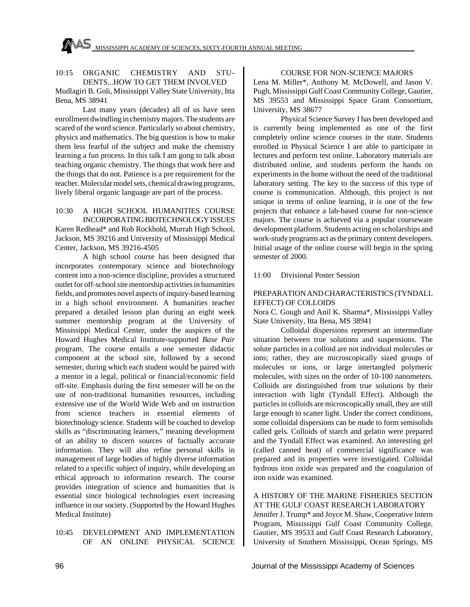#### 10:15 ORGANIC CHEMISTRY AND STU-DENTS...HOW TO GET THEM INVOLVED

Mudlagiri B. Goli, Mississippi Valley State University, Itta Bena, MS 38941

Last many years (decades) all of us have seen enrollment dwindling in chemistry majors. The students are scared of the word science. Particularly so about chemistry, physics and mathematics. The big question is how to make them less fearful of the subject and make the chemistry learning a fun process. In this talk I am gong to talk about teaching organic chemistry. The things that work here and the things that do not. Patience is a pre requirement for the teacher. Molecular model sets, chemical drawing programs, lively liberal organic language are part of the process.

#### 10:30 A HIGH SCHOOL HUMANITIES COURSE INCORPORATING BIOTECHNOLOGY ISSUES

Karen Redhead\* and Rob Rockhold, Murrah High School, Jackson, MS 39216 and University of Mississippi Medical Center, Jackson, MS 39216-4505

A high school course has been designed that incorporates contemporary science and biotechnology content into a non-science discipline, provides a structured outlet for off-school site mentorship activities in humanities fields, and promotes novel aspects of inquiry-based learning in a high school environment. A humanities teacher prepared a detailed lesson plan during an eight week summer mentorship program at the University of Mississippi Medical Center, under the auspices of the Howard Hughes Medical Institute-supported *Base Pair* program. The course entails a one semester didactic component at the school site, followed by a second semester, during which each student would be paired with a mentor in a legal, political or financial/economic field off-site. Emphasis during the first semester will be on the use of non-traditional humanities resources, including extensive use of the World Wide Web and on instruction from science teachers in essential elements of biotechnology science. Students will be coached to develop skills as "discriminating learners," meaning development of an ability to discern sources of factually accurate information. They will also refine personal skills in management of large bodies of highly diverse information related to a specific subject of inquiry, while developing an ethical approach to information research. The course provides integration of science and humanities that is essential since biological technologies exert increasing influence in our society. (Supported by the Howard Hughes Medical Institute)

#### 10:45 DEVELOPMENT AND IMPLEMENTATION OF AN ONLINE PHYSICAL SCIENCE

# COURSE FOR NON-SCIENCE MAJORS Lena M. Miller\*, Anthony M. McDowell, and Jason V.

Pugh, Mississippi Gulf Coast Community College, Gautier, MS 39553 and Mississippi Space Grant Consortium, University, MS 38677

Physical Science Survey I has been developed and is currently being implemented as one of the first completely online science courses in the state. Students enrolled in Physical Science I are able to participate in lectures and perform test online. Laboratory materials are distributed online, and students perform the hands on experiments in the home without the need of the traditional laboratory setting. The key to the success of this type of course is communication. Although, this project is not unique in terms of online learning, it is one of the few projects that enhance a lab-based course for non-science majors. The course is achieved via a popular courseware development platform. Students acting on scholarships and work-study programs act as the primary content developers. Initial usage of the online course will begin in the spring semester of 2000.

11:00 Divisional Poster Session

#### PREPARATION AND CHARACTERISTICS (TYNDALL EFFECT) OF COLLOIDS

Nora C. Gough and Anil K. Sharma\*, Mississippi Valley State University, Itta Bena, MS 38941

Colloidal dispersions represent an intermediate situation between true solutions and suspensions. The solute particles in a colloid are not individual molecules or ions; rather, they are microscopically sized groups of molecules or ions, or large intertangled polymeric molecules, with sizes on the order of 10-100 nanometers. Colloids are distinguished from true solutions by their interaction with light (Tyndall Effect). Although the particles in colloids are microscopically small, they are still large enough to scatter light. Under the correct conditions, some colloidal dispersions can be made to form semisolids called gels. Colloids of starch and gelatin were prepared and the Tyndall Effect was examined. An interesting gel (called canned heat) of commercial significance was prepared and its properties were investigated. Colloidal hydrous iron oxide was prepared and the coagulation of iron oxide was examined.

# A HISTORY OF THE MARINE FISHERIES SECTION AT THE GULF COAST RESEARCH LABORATORY

Jennifer J. Trump\* and Joyce M. Shaw, Cooperative Intern Program, Mississippi Gulf Coast Community College, Gautier, MS 39533 and Gulf Coast Research Laboratory, University of Southern Mississippi, Ocean Springs, MS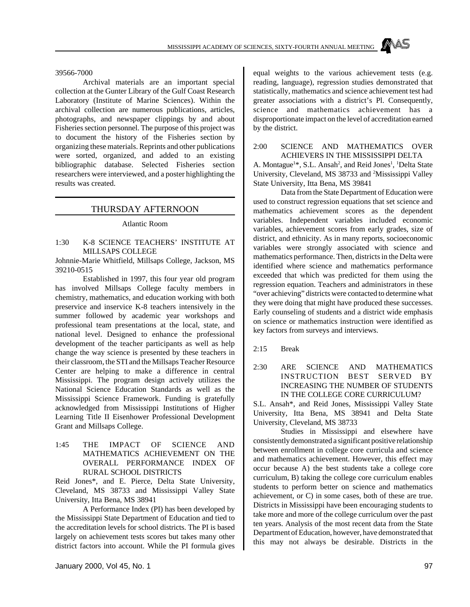39566-7000

Archival materials are an important special collection at the Gunter Library of the Gulf Coast Research Laboratory (Institute of Marine Sciences). Within the archival collection are numerous publications, articles, photographs, and newspaper clippings by and about Fisheries section personnel. The purpose of this project was to document the history of the Fisheries section by organizing these materials. Reprints and other publications were sorted, organized, and added to an existing bibliographic database. Selected Fisheries section researchers were interviewed, and a poster highlighting the results was created.

#### THURSDAY AFTERNOON

Atlantic Room

#### 1:30 K-8 SCIENCE TEACHERS' INSTITUTE AT MILLSAPS COLLEGE

Johnnie-Marie Whitfield, Millsaps College, Jackson, MS 39210-0515

Established in 1997, this four year old program has involved Millsaps College faculty members in chemistry, mathematics, and education working with both preservice and inservice K-8 teachers intensively in the summer followed by academic year workshops and professional team presentations at the local, state, and national level. Designed to enhance the professional development of the teacher participants as well as help change the way science is presented by these teachers in their classroom, the STI and the Millsaps Teacher Resource Center are helping to make a difference in central Mississippi. The program design actively utilizes the National Science Education Standards as well as the Mississippi Science Framework. Funding is gratefully acknowledged from Mississippi Institutions of Higher Learning Title II Eisenhower Professional Development Grant and Millsaps College.

1:45 THE IMPACT OF SCIENCE AND MATHEMATICS ACHIEVEMENT ON THE OVERALL PERFORMANCE INDEX OF RURAL SCHOOL DISTRICTS

Reid Jones\*, and E. Pierce, Delta State University, Cleveland, MS 38733 and Mississippi Valley State University, Itta Bena, MS 38941

A Performance Index (PI) has been developed by the Mississippi State Department of Education and tied to the accreditation levels for school districts. The PI is based largely on achievement tests scores but takes many other district factors into account. While the PI formula gives equal weights to the various achievement tests (e.g. reading, language), regression studies demonstrated that statistically, mathematics and science achievement test had greater associations with a district's Pl. Consequently, science and mathematics achievement has a disproportionate impact on the level of accreditation earned by the district.

2:00 SCIENCE AND MATHEMATICS OVER ACHIEVERS IN THE MISSISSIPPI DELTA A. Montague<sup>1\*</sup>, S.L. Ansah<sup>2</sup>, and Reid Jones<sup>1</sup>, <sup>1</sup>Delta State University, Cleveland, MS 38733 and <sup>2</sup>Mississippi Valley

State University, Itta Bena, MS 39841 Data from the State Department of Education were used to construct regression equations that set science and mathematics achievement scores as the dependent variables. Independent variables included economic variables, achievement scores from early grades, size of district, and ethnicity. As in many reports, socioeconomic variables were strongly associated with science and mathematics performance. Then, districts in the Delta were identified where science and mathematics performance exceeded that which was predicted for them using the regression equation. Teachers and administrators in these "over achieving" districts were contacted to determine what they were doing that might have produced these successes. Early counseling of students and a district wide emphasis on science or mathematics instruction were identified as key factors from surveys and interviews.

2:15 Break

2:30 ARE SCIENCE AND MATHEMATICS INSTRUCTION BEST SERVED BY INCREASING THE NUMBER OF STUDENTS IN THE COLLEGE CORE CURRICULUM?

S.L. Ansah\*, and Reid Jones, Mississippi Valley State University, Itta Bena, MS 38941 and Delta State University, Cleveland, MS 38733

Studies in Mississippi and elsewhere have consistently demonstrated a significant positive relationship between enrollment in college core curricula and science and mathematics achievement. However, this effect may occur because A) the best students take a college core curriculum, B) taking the college core curriculum enables students to perform better on science and mathematics achievement, or C) in some cases, both of these are true. Districts in Mississippi have been encouraging students to take more and more of the college curriculum over the past ten years. Analysis of the most recent data from the State Department of Education, however, have demonstrated that this may not always be desirable. Districts in the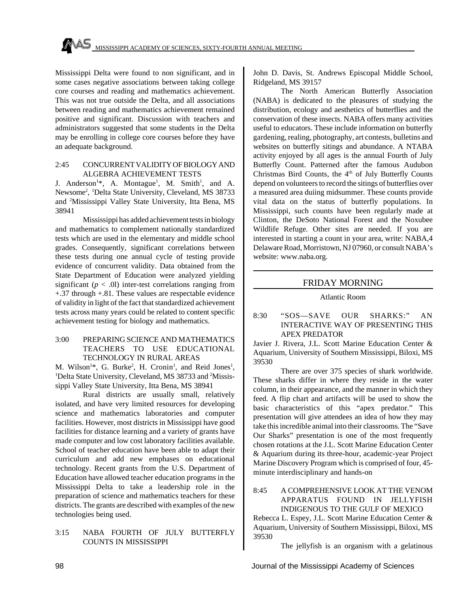Mississippi Delta were found to non significant, and in some cases negative associations between taking college core courses and reading and mathematics achievement. This was not true outside the Delta, and all associations between reading and mathematics achievement remained positive and significant. Discussion with teachers and administrators suggested that some students in the Delta may be enrolling in college core courses before they have an adequate background.

#### 2:45 CONCURRENT VALIDITY OF BIOLOGY AND ALGEBRA ACHIEVEMENT TESTS

J. Anderson<sup>1\*</sup>, A. Montague<sup>1</sup>, M. Smith<sup>1</sup>, and A. Newsome<sup>2</sup> , <sup>1</sup>Delta State University, Cleveland, MS 38733 and <sup>2</sup>Mississippi Valley State University, Itta Bena, MS 38941

Mississippi has added achievement tests in biology and mathematics to complement nationally standardized tests which are used in the elementary and middle school grades. Consequently, significant correlations between these tests during one annual cycle of testing provide evidence of concurrent validity. Data obtained from the State Department of Education were analyzed yielding significant  $(p < .0)$  inter-test correlations ranging from +.37 through +.81. These values are respectable evidence of validity in light of the fact that standardized achievement tests across many years could be related to content specific achievement testing for biology and mathematics.

#### 3:00 PREPARING SCIENCE AND MATHEMATICS TEACHERS TO USE EDUCATIONAL TECHNOLOGY IN RURAL AREAS

M. Wilson<sup>1\*</sup>, G. Burke<sup>2</sup>, H. Cronin<sup>1</sup>, and Reid Jones<sup>1</sup>, <sup>1</sup>Delta State University, Cleveland, MS 38733 and <sup>2</sup>Mississippi Valley State University, Itta Bena, MS 38941

Rural districts are usually small, relatively isolated, and have very limited resources for developing science and mathematics laboratories and computer facilities. However, most districts in Mississippi have good facilities for distance learning and a variety of grants have made computer and low cost laboratory facilities available. School of teacher education have been able to adapt their curriculum and add new emphases on educational technology. Recent grants from the U.S. Department of Education have allowed teacher education programs in the Mississippi Delta to take a leadership role in the preparation of science and mathematics teachers for these districts. The grants are described with examples of the new technologies being used.

#### 3:15 NABA FOURTH OF JULY BUTTERFLY COUNTS IN MISSISSIPPI

John D. Davis, St. Andrews Episcopal Middle School, Ridgeland, MS 39157

The North American Butterfly Association (NABA) is dedicated to the pleasures of studying the distribution, ecology and aesthetics of butterflies and the conservation of these insects. NABA offers many activities useful to educators. These include information on butterfly gardening, realing, photography, art contests, bulletins and websites on butterfly sitings and abundance. A NTABA activity enjoyed by all ages is the annual Fourth of July Butterfly Count. Patterned after the famous Audubon Christmas Bird Counts, the 4<sup>th</sup> of July Butterfly Counts depend on volunteers to record the sitings of butterflies over a measured area duiing midsummer. These counts provide vital data on the status of butterfly populations. In Mississippi, such counts have been regularly made at Clinton, the DeSoto National Forest and the Noxubee Wildlife Refuge. Other sites are needed. If you are interested in starting a count in your area, write: NABA,4 Delaware Road, Morristown, NJ 07960, or consult NABA's website: www.naba.org.

# FRIDAY MORNING

#### Atlantic Room

# 8:30 "SOS—SAVE OUR SHARKS:" AN INTERACTIVE WAY OF PRESENTING THIS APEX PREDATOR

Javier J. Rivera, J.L. Scott Marine Education Center & Aquarium, University of Southern Mississippi, Biloxi, MS 39530

There are over 375 species of shark worldwide. These sharks differ in where they reside in the water column, in their appearance, and the manner in which they feed. A flip chart and artifacts will be used to show the basic characteristics of this "apex predator." This presentation will give attendees an idea of how they may take this incredible animal into their classrooms. The "Save Our Sharks" presentation is one of the most frequently chosen rotations at the J.L. Scott Marine Education Center & Aquarium during its three-hour, academic-year Project Marine Discovery Program which is comprised of four, 45 minute interdisciplinary and hands-on

#### 8:45 A COMPREHENSIVE LOOK AT THE VENOM APPARATUS FOUND IN JELLYFISH INDIGENOUS TO THE GULF OF MEXICO

Rebecca L. Espey, J.L. Scott Marine Education Center & Aquarium, University of Southern Mississippi, Biloxi, MS 39530

The jellyfish is an organism with a gelatinous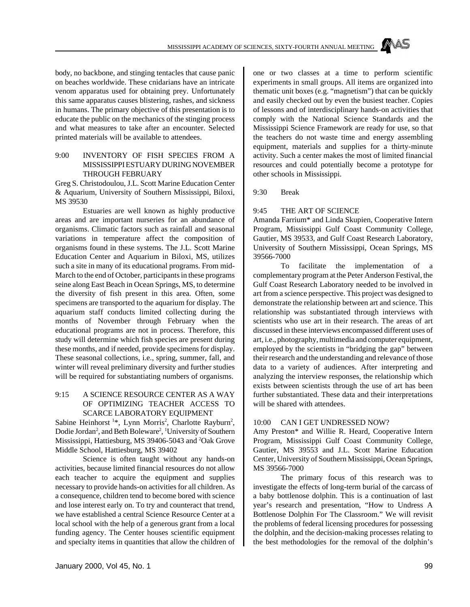body, no backbone, and stinging tentacles that cause panic on beaches worldwide. These cnidarians have an intricate venom apparatus used for obtaining prey. Unfortunately this same apparatus causes blistering, rashes, and sickness in humans. The primary objective of this presentation is to educate the public on the mechanics of the stinging process and what measures to take after an encounter. Selected printed materials will be available to attendees.

#### 9:00 INVENTORY OF FISH SPECIES FROM A MISSISSIPPI ESTUARY DURING NOVEMBER THROUGH FEBRUARY

Greg S. Christodoulou, J.L. Scott Marine Education Center & Aquarium, University of Southern Mississippi, Biloxi, MS 39530

Estuaries are well known as highly productive areas and are important nurseries for an abundance of organisms. Climatic factors such as rainfall and seasonal variations in temperature affect the composition of organisms found in these systems. The J.L. Scott Marine Education Center and Aquarium in Biloxi, MS, utilizes such a site in many of its educational programs. From mid-March to the end of October, participants in these programs seine along East Beach in Ocean Springs, MS, to determine the diversity of fish present in this area. Often, some specimens are transported to the aquarium for display. The aquarium staff conducts limited collecting during the months of November through February when the educational programs are not in process. Therefore, this study will determine which fish species are present during these months, and if needed, provide specimens for display. These seasonal collections, i.e., spring, summer, fall, and winter will reveal preliminary diversity and further studies will be required for substantiating numbers of organisms.

#### 9:15 A SCIENCE RESOURCE CENTER AS A WAY OF OPTIMIZING TEACHER ACCESS TO SCARCE LABORATORY EQUIPMENT

Sabine Heinhorst<sup>1\*</sup>, Lynn Morris<sup>2</sup>, Charlotte Rayburn<sup>2</sup>, Dodie Jordan<sup>2</sup>, and Beth Boleware<sup>2</sup>, <sup>1</sup>University of Southern Mississippi, Hattiesburg, MS 39406-5043 and <sup>2</sup>Oak Grove Middle School, Hattiesburg, MS 39402

Science is often taught without any hands-on activities, because limited financial resources do not allow each teacher to acquire the equipment and supplies necessary to provide hands-on activities for all children. As a consequence, children tend to become bored with science and lose interest early on. To try and counteract that trend, we have established a central Science Resource Center at a local school with the help of a generous grant from a local funding agency. The Center houses scientific equipment and specialty items in quantities that allow the children of one or two classes at a time to perform scientific experiments in small groups. All items are organized into thematic unit boxes (e.g. "magnetism") that can be quickly and easily checked out by even the busiest teacher. Copies of lessons and of interdisciplinary hands-on activities that comply with the National Science Standards and the Mississippi Science Framework are ready for use, so that the teachers do not waste time and energy assembling equipment, materials and supplies for a thirty-minute activity. Such a center makes the most of limited financial resources and could potentially become a prototype for other schools in Mississippi.

9:30 Break

#### 9:45 THE ART OF SCIENCE

Amanda Farrium\* and Linda Skupien, Cooperative Intern Program, Mississippi Gulf Coast Community College, Gautier, MS 39533, and Gulf Coast Research Laboratory, University of Southern Mississippi, Ocean Springs, MS 39566-7000

To facilitate the implementation of a complementary program at the Peter Anderson Festival, the Gulf Coast Research Laboratory needed to be involved in art from a science perspective. This project was designed to demonstrate the relationship between art and science. This relationship was substantiated through interviews with scientists who use art in their research. The areas of art discussed in these interviews encompassed different uses of art, i.e., photography, multimedia and computer equipment, employed by the scientists in "bridging the gap" between their research and the understanding and relevance of those data to a variety of audiences. After interpreting and analyzing the interview responses, the relationship which exists between scientists through the use of art has been further substantiated. These data and their interpretations will be shared with attendees.

#### 10:00 CAN I GET UNDRESSED NOW?

Amy Preston\* and Willie R. Heard, Cooperative Intern Program, Mississippi Gulf Coast Community College, Gautier, MS 39553 and J.L. Scott Marine Education Center, University of Southern Mississippi, Ocean Springs, MS 39566-7000

The primary focus of this research was to investigate the effects of long-term burial of the carcass of a baby bottlenose dolphin. This is a continuation of last year's research and presentation, "How to Undress A Bottlenose Dolphin For The Classroom." We will revisit the problems of federal licensing procedures for possessing the dolphin, and the decision-making processes relating to the best methodologies for the removal of the dolphin's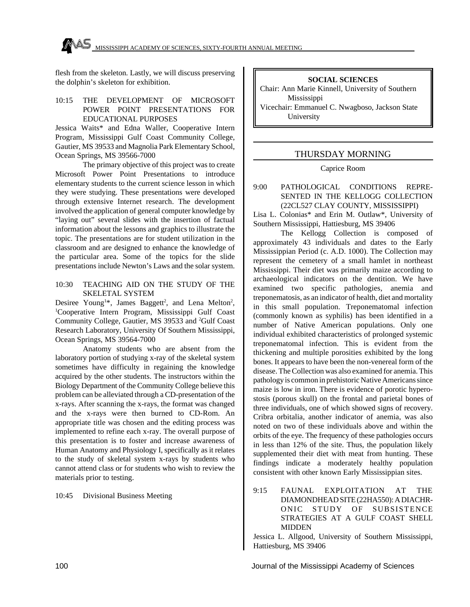flesh from the skeleton. Lastly, we will discuss preserving the dolphin's skeleton for exhibition.

#### 10:15 THE DEVELOPMENT OF MICROSOFT POWER POINT PRESENTATIONS FOR EDUCATIONAL PURPOSES

Jessica Waits\* and Edna Waller, Cooperative Intern Program, Mississippi Gulf Coast Community College, Gautier, MS 39533 and Magnolia Park Elementary School, Ocean Springs, MS 39566-7000

The primary objective of this project was to create Microsoft Power Point Presentations to introduce elementary students to the current science lesson in which they were studying. These presentations were developed through extensive Internet research. The development involved the application of general computer knowledge by "laying out" several slides with the insertion of factual information about the lessons and graphics to illustrate the topic. The presentations are for student utilization in the classroom and are designed to enhance the knowledge of the particular area. Some of the topics for the slide presentations include Newton's Laws and the solar system.

#### 10:30 TEACHING AID ON THE STUDY OF THE SKELETAL SYSTEM

Desiree Young<sup>1\*</sup>, James Baggett<sup>2</sup>, and Lena Melton<sup>2</sup>, <sup>1</sup>Cooperative Intern Program, Mississippi Gulf Coast Community College, Gautier, MS 39533 and <sup>2</sup>Gulf Coast Research Laboratory, University Of Southern Mississippi, Ocean Springs, MS 39564-7000

Anatomy students who are absent from the laboratory portion of studying x-ray of the skeletal system sometimes have difficulty in regaining the knowledge acquired by the other students. The instructors within the Biology Department of the Community College believe this problem can be alleviated through a CD-presentation of the x-rays. After scanning the x-rays, the format was changed and the x-rays were then burned to CD-Rom. An appropriate title was chosen and the editing process was implemented to refine each x-ray. The overall purpose of this presentation is to foster and increase awareness of Human Anatomy and Physiology I, specifically as it relates to the study of skeletal system x-rays by students who cannot attend class or for students who wish to review the materials prior to testing.

10:45 Divisional Business Meeting

# **SOCIAL SCIENCES**

Chair: Ann Marie Kinnell, University of Southern Mississippi

Vicechair: Emmanuel C. Nwagboso, Jackson State University

# THURSDAY MORNING

Caprice Room

#### 9:00 PATHOLOGICAL CONDITIONS REPRE-SENTED IN THE KELLOGG COLLECTION (22CL527 CLAY COUNTY, MISSISSIPPI)

Lisa L. Colonias\* and Erin M. Outlaw\*, University of Southern Mississippi, Hattiesburg, MS 39406

The Kellogg Collection is composed of approximately 43 individuals and dates to the Early Mississippian Period (c. A.D. 1000). The Collection may represent the cemetery of a small hamlet in northeast Mississippi. Their diet was primarily maize according to archaeological indicators on the dentition. We have examined two specific pathologies, anemia and treponematosis, as an indicator of health, diet and mortality in this small population. Treponematomal infection (commonly known as syphilis) has been identified in a number of Native American populations. Only one individual exhibited characteristics of prolonged systemic treponematomal infection. This is evident from the thickening and multiple porosities exhibited by the long bones. It appears to have been the non-venereal form of the disease. The Collection was also examined for anemia. This pathology is common in prehistoric Native Americans since maize is low in iron. There is evidence of porotic hyperostosis (porous skull) on the frontal and parietal bones of three individuals, one of which showed signs of recovery. Cribra orbitalia, another indicator of anemia, was also noted on two of these individuals above and within the orbits of the eye. The frequency of these pathologies occurs in less than 12% of the site. Thus, the population likely supplemented their diet with meat from hunting. These findings indicate a moderately healthy population consistent with other known Early Mississippian sites.

# 9:15 FAUNAL EXPLOITATION AT THE DIAMONDHEAD SITE (22HA550): A DIACHR-ONIC STUDY OF SUBSISTENCE STRATEGIES AT A GULF COAST SHELL MIDDEN

Jessica L. Allgood, University of Southern Mississippi, Hattiesburg, MS 39406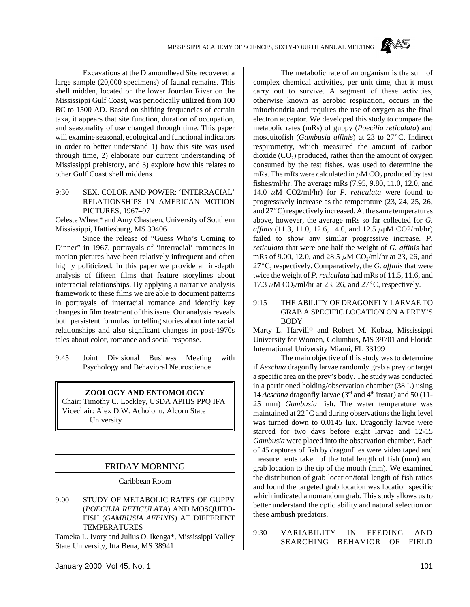Excavations at the Diamondhead Site recovered a large sample (20,000 specimens) of faunal remains. This shell midden, located on the lower Jourdan River on the Mississippi Gulf Coast, was periodically utilized from 100 BC to 1500 AD. Based on shifting frequencies of certain taxa, it appears that site function, duration of occupation, and seasonality of use changed through time. This paper will examine seasonal, ecological and functional indicators in order to better understand 1) how this site was used through time, 2) elaborate our current understanding of Mississippi prehistory, and 3) explore how this relates to other Gulf Coast shell middens.

#### 9:30 SEX, COLOR AND POWER: 'INTERRACIAL' RELATIONSHIPS IN AMERICAN MOTION PICTURES, 1967–97

Celeste Wheat\* and Amy Chasteen, University of Southern Mississippi, Hattiesburg, MS 39406

Since the release of "Guess Who's Coming to Dinner" in 1967, portrayals of 'interracial' romances in motion pictures have been relatively infrequent and often highly politicized. In this paper we provide an in-depth analysis of fifteen films that feature storylines about interracial relationships. By applying a narrative analysis framework to these films we are able to document patterns in portrayals of interracial romance and identify key changes in film treatment of this issue. Our analysis reveals both persistent formulas for telling stories about interracial relationships and also signficant changes in post-1970s tales about color, romance and social response.

9:45 Joint Divisional Business Meeting with Psychology and Behavioral Neuroscience

#### **ZOOLOGY AND ENTOMOLOGY**

Chair: Timothy C. Lockley, USDA APHIS PPQ IFA Vicechair: Alex D.W. Acholonu, Alcorn State University

#### FRIDAY MORNING

Caribbean Room

9:00 STUDY OF METABOLIC RATES OF GUPPY (*POECILIA RETICULATA*) AND MOSQUITO-FISH (*GAMBUSIA AFFINIS*) AT DIFFERENT TEMPERATURES

Tameka L. Ivory and Julius O. Ikenga\*, Mississippi Valley State University, Itta Bena, MS 38941

The metabolic rate of an organism is the sum of complex chemical activities, per unit time, that it must carry out to survive. A segment of these activities, otherwise known as aerobic respiration, occurs in the mitochondria and requires the use of oxygen as the final electron acceptor. We developed this study to compare the metabolic rates (mRs) of guppy (*Poecilia reticulata*) and mosquitofish (*Gambusia affinis*) at 23 to 27°C. Indirect respirometry, which measured the amount of carbon dioxide  $(CO_2)$  produced, rather than the amount of oxygen consumed by the test fishes, was used to determine the mRs. The mRs were calculated in  $\mu$ M CO<sub>2</sub> produced by test fishes/ml/hr. The average mRs (7.95, 9.80, 11.0, 12.0, and 14.0  $\mu$ M CO2/ml/hr) for *P. reticulata* were found to progressively increase as the temperature (23, 24, 25, 26, and  $27^{\circ}$ C) respectively increased. At the same temperatures above, however, the average mRs so far collected for *G. affinis* (11.3, 11.0, 12.6, 14.0, and 12.5  $\mu\mu$ M CO2/ml/hr) failed to show any similar progressive increase. *P. reticulata* that were one half the weight of *G. affinis* had mRs of 9.00, 12.0, and 28.5  $\mu$ M CO<sub>2</sub>/ml/hr at 23, 26, and 27°C, respectively. Comparatively, the *G. affinis* that were twice the weight of *P. reticulata* had mRs of 11.5, 11.6, and 17.3  $\mu$ M CO<sub>2</sub>/ml/hr at 23, 26, and 27°C, respectively.

#### 9:15 THE ABILITY OF DRAGONFLY LARVAE TO GRAB A SPECIFIC LOCATION ON A PREY'S BODY

Marty L. Harvill\* and Robert M. Kobza, Mississippi University for Women, Columbus, MS 39701 and Florida International University Miami, FL 33199

The main objective of this study was to determine if *Aeschna* dragonfly larvae randomly grab a prey or target a specific area on the prey's body. The study was conducted in a partitioned holding/observation chamber (38 L) using 14 *Aeschna* dragonfly larvae  $(3<sup>rd</sup>$  and  $4<sup>th</sup>$  instar) and 50 (11-25 mm) *Gambusia* fish. The water temperature was maintained at  $22^{\circ}$ C and during observations the light level was turned down to 0.0145 lux. Dragonfly larvae were starved for two days before eight larvae and 12-15 *Gambusia* were placed into the observation chamber. Each of 45 captures of fish by dragonflies were video taped and measurements taken of the total length of fish (mm) and grab location to the tip of the mouth (mm). We examined the distribution of grab location/total length of fish ratios and found the targeted grab location was location specific which indicated a nonrandom grab. This study allows us to better understand the optic ability and natural selection on these ambush predators.

9:30 VARIABILITY IN FEEDING AND SEARCHING BEHAVIOR OF FIELD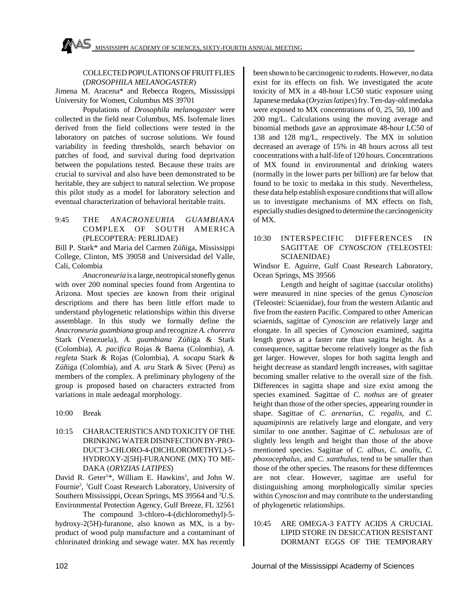#### COLLECTED POPULATIONS OF FRUIT FLIES (*DROSOPHILA MELANOGASTER*)

Jimena M. Aracena\* and Rebecca Rogers, Mississippi University for Women, Columbus MS 39701

Populations of *Drosophila melanogaster* were collected in the field near Columbus, MS. Isofemale lines derived from the field collections were tested in the laboratory on patches of sucrose solutions. We found variability in feeding thresholds, search behavior on patches of food, and survival during food deprivation between the populations tested. Because these traits are crucial to survival and also have been demonstrated to be heritable, they are subject to natural selection. We propose this pilot study as a model for laboratory selection and eventual characterization of behavioral heritable traits.

# 9:45 THE *ANACRONEURIA GUAMBIANA* COMPLEX OF SOUTH AMERICA (PLECOPTERA: PERLIDAE)

Bill P. Stark\* and Maria del Carmen Zúñiga, Mississippi College, Clinton, MS 39058 and Universidad del Valle, Cali, Colombia

*Anacroneuria* is a large, neotropical stonefly genus with over 200 nominal species found from Argentina to Arizona. Most species are known from their original descriptions and there has been little effort made to understand phylogenetic relationships within this diverse assemblage. In this study we formally define the *Anacroneuria guambiana* group and recognize *A. chorerra* Stark (Venezuela), *A. guambiana* Zúñiga & Stark (Colombia), *A. pacifica* Rojas & Baena (Colombia), *A. regleta* Stark & Rojas (Colombia), *A. socapa* Stark & Zúñiga (Colombia), and *A. uru* Stark & Sivec (Peru) as members of the complex. A preliminary phylogeny of the group is proposed based on characters extracted from variations in male aedeagal morphology.

- 10:00 Break
- 10:15 CHARACTERISTICS AND TOXICITY OF THE DRINKING WATER DISINFECTION BY-PRO-DUCT 3-CHLORO-4-(DICHLOROMETHYL)-5- HYDROXY-2[5H]-FURANONE (MX) TO ME-DAKA (*ORYZIAS LATIPES*)

David R. Geter<sup>1\*</sup>, William E. Hawkins<sup>1</sup>, and John W. Fournie<sup>2</sup>, <sup>1</sup>Gulf Coast Research Laboratory, University of Southern Mississippi, Ocean Springs, MS 39564 and <sup>2</sup>U.S. Environmental Protection Agency, Gulf Breeze, FL 32561

The compound 3-chloro-4-(dichloromethyl)-5 hydroxy-2(5H)-furanone, also known as MX, is a byproduct of wood pulp manufacture and a contaminant of chlorinated drinking and sewage water. MX has recently

been shown to be carcinogenic to rodents. However, no data exist for its effects on fish. We investigated the acute toxicity of MX in a 48-hour LC50 static exposure using Japanese medaka (*Oryzias latipes*) fry. Ten-day-old medaka were exposed to MX concentrations of 0, 25, 50, 100 and 200 mg/L. Calculations using the moving average and binomial methods gave an approximate 48-hour LC50 of 138 and 128 mg/L, respectively. The MX in solution decreased an average of 15% in 48 hours across all test concentrations with a half-life of 120 hours. Concentrations of MX found in environmental and drinking waters (normally in the lower parts per billion) are far below that found to be toxic to medaka in this study. Nevertheless, these data help establish exposure conditions that will allow us to investigate mechanisms of MX effects on fish, especially studies designed to determine the carcinogenicity of MX.

#### 10:30 INTERSPECIFIC DIFFERENCES IN SAGITTAE OF *CYNOSCION* (TELEOSTEI: SCIAENIDAE)

Windsor E. Aguirre, Gulf Coast Research Laboratory, Ocean Springs, MS 39566

Length and height of sagittae (saccular otoliths) were measured in nine species of the genus *Cynoscion* (Teleostei: Sciaenidae), four from the western Atlantic and five from the eastern Pacific. Compared to other American sciaenids, sagittae of *Cynoscion* are relatively large and elongate. In all species of *Cynoscion* examined, sagitta length grows at a faster rate than sagitta height. As a consequence, sagittae become relatively longer as the fish get larger. However, slopes for both sagitta length and height decrease as standard length increases, with sagittae becoming smaller relative to the overall size of the fish. Differences in sagitta shape and size exist among the species examined. Sagittae of *C. nothus* are of greater height than those of the other species, appearing rounder in shape. Sagittae of *C. arenarius*, *C. regalis*, and *C. squamipinnis* are relatively large and elongate, and very similar to one another. Sagittae of *C. nebulosus* are of slightly less length and height than those of the above mentioned species. Sagittae of *C. albus*, *C. analis*, *C. phoxocephalus*, and *C. xanthulus*, tend to be smaller than those of the other species. The reasons for these differences are not clear. However, sagittae are useful for distinguishing among morphologically similar species within *Cynoscion* and may contribute to the understanding of phylogenetic relationships.

10:45 ARE OMEGA-3 FATTY ACIDS A CRUCIAL LIPID STORE IN DESICCATION RESISTANT DORMANT EGGS OF THE TEMPORARY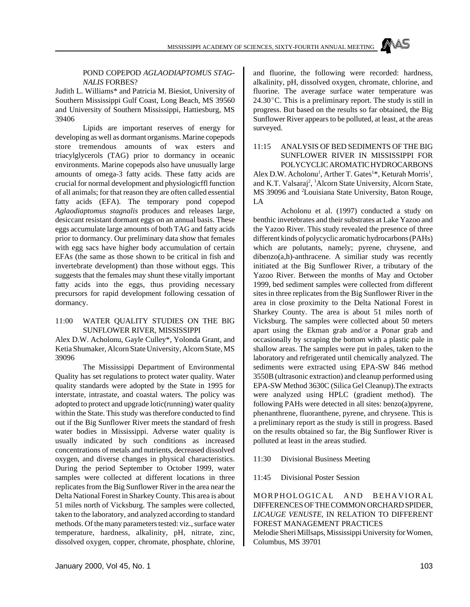#### POND COPEPOD *AGLAODIAPTOMUS STAG-NALIS* FORBES?

Judith L. Williams\* and Patricia M. Biesiot, University of Southern Mississippi Gulf Coast, Long Beach, MS 39560 and University of Southern Mississippi, Hattiesburg, MS 39406

Lipids are important reserves of energy for developing as well as dormant organisms. Marine copepods store tremendous amounts of wax esters and triacylglycerols (TAG) prior to dormancy in oceanic environments. Marine copepods also have unusually large amounts of omega-3 fatty acids. These fatty acids are crucial for normal development and physiologicffl function of all animals; for that reason they are often called essential fatty acids (EFA). The temporary pond copepod *Aglaodiaptomus stagnalis* produces and releases large, desiccant resistant dormant eggs on an annual basis. These eggs accumulate large amounts of both TAG and fatty acids prior to dormancy. Our preliminary data show that females with egg sacs have higher body accumulation of certain EFAs (the same as those shown to be critical in fish and invertebrate development) than those without eggs. This suggests that the females may shunt these vitally important fatty acids into the eggs, thus providing necessary precursors for rapid development following cessation of dormancy.

#### 11:00 WATER QUALITY STUDIES ON THE BIG SUNFLOWER RIVER, MISSISSIPPI

Alex D.W. Acholonu, Gayle Culley\*, Yolonda Grant, and Ketia Shumaker, Alcorn State University, Alcorn State, MS 39096

The Mississippi Department of Environmental Quality has set regulations to protect water quality. Water quality standards were adopted by the State in 1995 for interstate, intrastate, and coastal waters. The policy was adopted to protect and upgrade lotic(running) water quality within the State. This study was therefore conducted to find out if the Big Sunflower River meets the standard of fresh water bodies in Mississippi. Adverse water quality is usually indicated by such conditions as increased concentrations of metals and nutrients, decreased dissolved oxygen, and diverse changes in physical characteristics. During the period September to October 1999, water samples were collected at different locations in three replicates from the Big Sunflower River in the area near the Delta National Forest in Sharkey County. This area is about 51 miles north of Vicksburg. The samples were collected, taken to the laboratory, and analyzed according to standard methods. Of the many parameters tested: viz., surface water temperature, hardness, alkalinity, pH, nitrate, zinc, dissolved oxygen, copper, chromate, phosphate, chlorine,

and fluorine, the following were recorded: hardness, alkalinity, pH, dissolved oxygen, chromate, chlorine, and fluorine. The average surface water temperature was  $24.30^{\circ}$ C. This is a preliminary report. The study is still in progress. But based on the results so far obtained, the Big Sunflower River appears to be polluted, at least, at the areas surveyed.

#### 11:15 ANALYSIS OF BED SEDIMENTS OF THE BIG SUNFLOWER RIVER IN MISSISSIPPI FOR POLYCYCLIC AROMATIC HYDROCARBONS

Alex D.W. Acholonu<sup>1</sup>, Arther T. Gates<sup>1\*</sup>, Keturah Morris<sup>1</sup>, and K.T. Valsaraj<sup>2</sup>, <sup>1</sup>Alcorn State University, Alcorn State, MS 39096 and <sup>2</sup>Louisiana State University, Baton Rouge, LA

Acholonu et al. (1997) conducted a study on benthic invetebrates and their substrates at Lake Yazoo and the Yazoo River. This study revealed the presence of three different kinds of polycyclic aromatic hydrocarbons (PAHs) which are polutants, namely; pyrene, chrysene, and  $diberzo(a,h)$ -anthracene. A similiar study was recently initiated at the Big Sunflower River, a tributary of the Yazoo River. Between the months of May and October 1999, bed sediment samples were collected from different sites in three replicates from the Big Sunflower River in the area in close proximity to the Delta National Forest in Sharkey County. The area is about 51 miles north of Vicksburg. The samples were collected about 50 meters apart using the Ekman grab and/or a Ponar grab and occasionally by scraping the bottom with a plastic pale in shallow areas. The samples were put in pales, taken to the laboratory and refrigerated until chemically analyzed. The sediments were extracted using EPA-SW 846 method 3550B (ultrasonic extraction) and cleanup performed using EPA-SW Method 3630C (Silica Gel Cleanup).The extracts were analyzed using HPLC (gradient method). The following PAHs were detected in all sites: benzo(a)pyrene, phenanthrene, fluoranthene, pyrene, and chrysene. This is a preliminary report as the study is still in progress. Based on the results obtained so far, the Big Sunflower River is polluted at least in the areas studied.

11:30 Divisional Business Meeting

11:45 Divisional Poster Session

MORPHOLOGICAL AND BEHAVIORAL DIFFERENCES OF THE COMMON ORCHARD SPIDER, *LICAUGE VENUSTE*, IN RELATION TO DIFFERENT FOREST MANAGEMENT PRACTICES Melodie Sheri Millsaps, Mississippi University for Women,

Columbus, MS 39701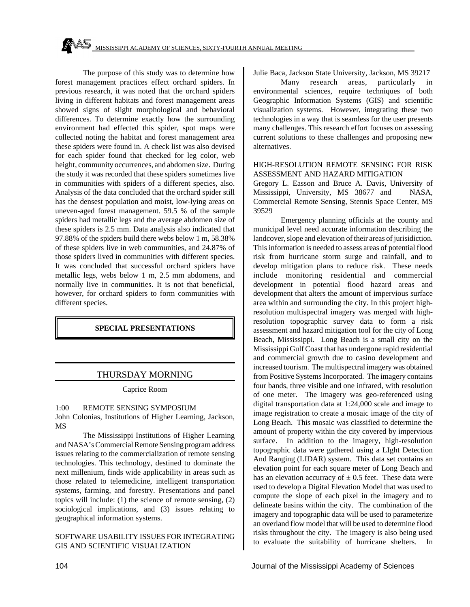The purpose of this study was to determine how forest management practices effect orchard spiders. In previous research, it was noted that the orchard spiders living in different habitats and forest management areas showed signs of slight morphological and behavioral differences. To determine exactly how the surrounding environment had effected this spider, spot maps were collected noting the habitat and forest management area these spiders were found in. A check list was also devised for each spider found that checked for leg color, web height, community occurrences, and abdomen size. During the study it was recorded that these spiders sometimes live in communities with spiders of a different species, also. Analysis of the data concluded that the orchard spider still has the densest population and moist, low-lying areas on uneven-aged forest management. 59.5 % of the sample spiders had metallic legs and the average abdomen size of these spiders is 2.5 mm. Data analysis also indicated that 97.88% of the spiders build there webs below 1 m, 58.38% of these spiders live in web communities, and 24.87% of those spiders lived in communities with different species. It was concluded that successful orchard spiders have metallic legs, webs below 1 m, 2.5 mm abdomens, and normally live in communities. It is not that beneficial, however, for orchard spiders to form communities with different species.

# **SPECIAL PRESENTATIONS**

# THURSDAY MORNING

Caprice Room

#### 1:00 REMOTE SENSING SYMPOSIUM

John Colonias, Institutions of Higher Learning, Jackson, MS

The Mississippi Institutions of Higher Learning and NASA's Commercial Remote Sensing program address issues relating to the commercialization of remote sensing technologies. This technology, destined to dominate the next millenium, finds wide applicability in areas such as those related to telemedicine, intelligent transportation systems, farming, and forestry. Presentations and panel topics will include: (1) the science of remote sensing, (2) sociological implications, and (3) issues relating to geographical information systems.

#### SOFTWARE USABILITY ISSUES FOR INTEGRATING GIS AND SCIENTIFIC VISUALIZATION

Julie Baca, Jackson State University, Jackson, MS 39217

Many research areas, particularly in environmental sciences, require techniques of both Geographic Information Systems (GIS) and scientific visualization systems. However, integrating these two technologies in a way that is seamless for the user presents many challenges. This research effort focuses on assessing current solutions to these challenges and proposing new alternatives.

#### HIGH-RESOLUTION REMOTE SENSING FOR RISK ASSESSMENT AND HAZARD MITIGATION

Gregory L. Easson and Bruce A. Davis, University of Mississippi, University, MS 38677 and NASA, Commercial Remote Sensing, Stennis Space Center, MS 39529

Emergency planning officials at the county and municipal level need accurate information describing the landcover, slope and elevation of their areas of jurisidiction. This information is needed to assess areas of potential flood risk from hurricane storm surge and rainfall, and to develop mitigation plans to reduce risk. These needs include monitoring residential and commercial development in potential flood hazard areas and development that alters the amount of impervious surface area within and surrounding the city. In this project highresolution multispectral imagery was merged with highresolution topographic survey data to form a risk assessment and hazard mitigation tool for the city of Long Beach, Mississippi. Long Beach is a small city on the Mississippi Gulf Coast that has undergone rapid residential and commercial growth due to casino development and increased tourism. The multispectral imagery was obtained from Positive Systems Incorporated. The imagery contains four bands, three visible and one infrared, with resolution of one meter. The imagery was geo-referenced using digital transportation data at 1:24,000 scale and image to image registration to create a mosaic image of the city of Long Beach. This mosaic was classified to determine the amount of property within the city covered by impervious surface. In addition to the imagery, high-resolution topographic data were gathered using a LIght Detection And Ranging (LIDAR) system. This data set contains an elevation point for each square meter of Long Beach and has an elevation accurracy of  $\pm$  0.5 feet. These data were used to develop a Digital Elevation Model that was used to compute the slope of each pixel in the imagery and to delineate basins within the city. The combination of the imagery and topographic data will be used to parameterize an overland flow model that will be used to determine flood risks throughout the city. The imagery is also being used to evaluate the suitability of hurricane shelters. In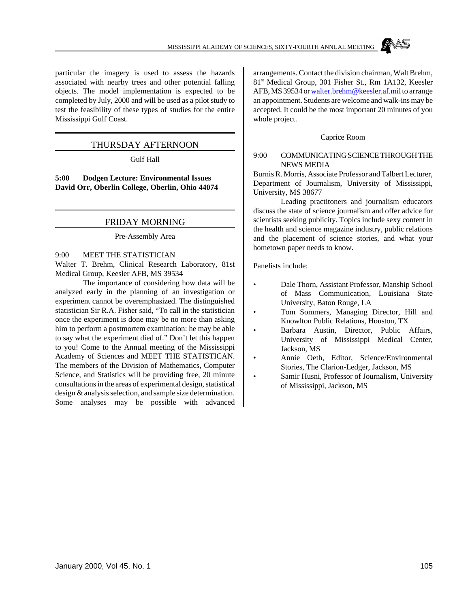

particular the imagery is used to assess the hazards associated with nearby trees and other potential falling objects. The model implementation is expected to be completed by July, 2000 and will be used as a pilot study to test the feasibility of these types of studies for the entire Mississippi Gulf Coast.

# THURSDAY AFTERNOON

Gulf Hall

**5:00 Dodgen Lecture: Environmental Issues David Orr, Oberlin College, Oberlin, Ohio 44074**

#### FRIDAY MORNING

Pre-Assembly Area

9:00 MEET THE STATISTICIAN

Walter T. Brehm, Clinical Research Laboratory, 81st Medical Group, Keesler AFB, MS 39534

The importance of considering how data will be analyzed early in the planning of an investigation or experiment cannot be overemphasized. The distinguished statistician Sir R.A. Fisher said, "To call in the statistician once the experiment is done may be no more than asking him to perform a postmortem examination: he may be able to say what the experiment died of." Don't let this happen to you! Come to the Annual meeting of the Mississippi Academy of Sciences and MEET THE STATISTICAN. The members of the Division of Mathematics, Computer Science, and Statistics will be providing free, 20 minute consultations in the areas of experimental design, statistical design & analysis selection, and sample size determination. Some analyses may be possible with advanced

arrangements. Contact the division chairman, Walt Brehm, 81st Medical Group, 301 Fisher St., Rm 1A132, Keesler AFB, MS 39534 or walter.brehm@keesler.af.mil to arrange an appointment. Students are welcome and walk-ins may be accepted. It could be the most important 20 minutes of you whole project.

#### Caprice Room

#### 9:00 COMMUNICATING SCIENCE THROUGH THE NEWS MEDIA

Burnis R. Morris, Associate Professor and Talbert Lecturer, Department of Journalism, University of Mississippi, University, MS 38677

Leading practitoners and journalism educators discuss the state of science journalism and offer advice for scientists seeking publicity. Topics include sexy content in the health and science magazine industry, public relations and the placement of science stories, and what your hometown paper needs to know.

Panelists include:

- Dale Thorn, Assistant Professor, Manship School of Mass Communication, Louisiana State University, Baton Rouge, LA
- Tom Sommers, Managing Director, Hill and Knowlton Public Relations, Houston, TX
- Barbara Austin, Director, Public Affairs, University of Mississippi Medical Center, Jackson, MS
- Annie Oeth, Editor, Science/Environmental Stories, The Clarion-Ledger, Jackson, MS
- Samir Husni, Professor of Journalism, University of Mississippi, Jackson, MS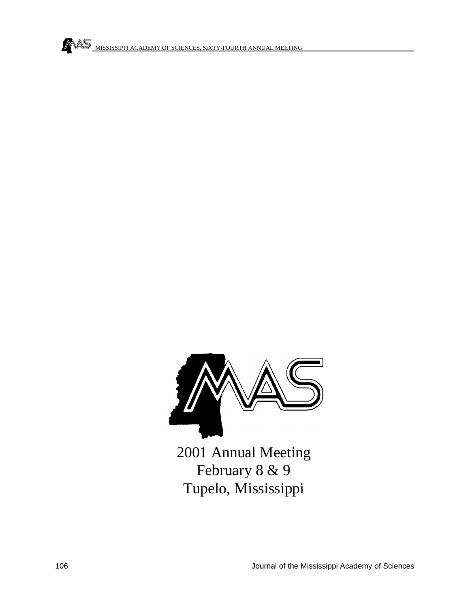



2001 Annual Meeting February 8 & 9 Tupelo, Mississippi